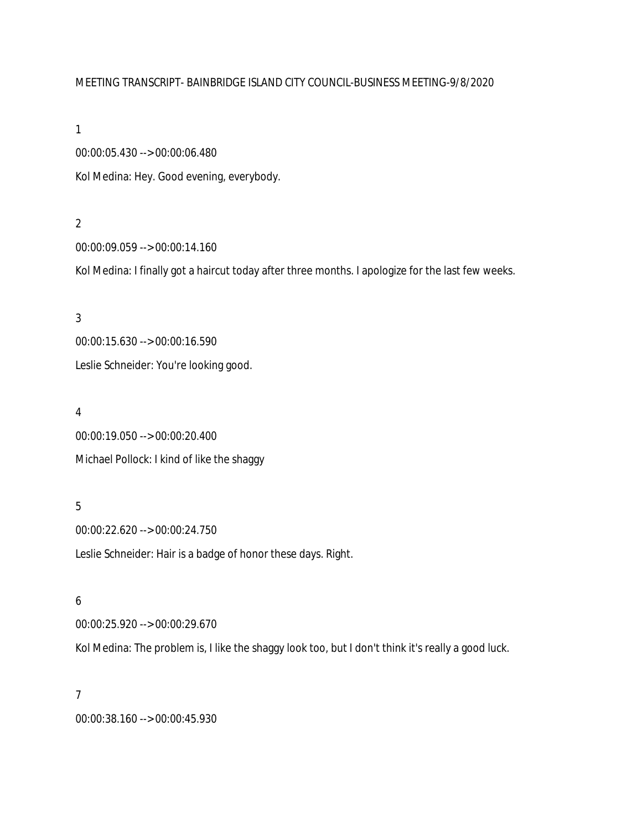#### MEETING TRANSCRIPT- BAINBRIDGE ISLAND CITY COUNCIL-BUSINESS MEETING-9/8/2020

1

00:00:05.430 --> 00:00:06.480 Kol Medina: Hey. Good evening, everybody.

#### 2

00:00:09.059 --> 00:00:14.160

Kol Medina: I finally got a haircut today after three months. I apologize for the last few weeks.

# 3 00:00:15.630 --> 00:00:16.590 Leslie Schneider: You're looking good.

#### 4

00:00:19.050 --> 00:00:20.400 Michael Pollock: I kind of like the shaggy

## 5

00:00:22.620 --> 00:00:24.750 Leslie Schneider: Hair is a badge of honor these days. Right.

#### 6

00:00:25.920 --> 00:00:29.670

Kol Medina: The problem is, I like the shaggy look too, but I don't think it's really a good luck.

#### 7

00:00:38.160 --> 00:00:45.930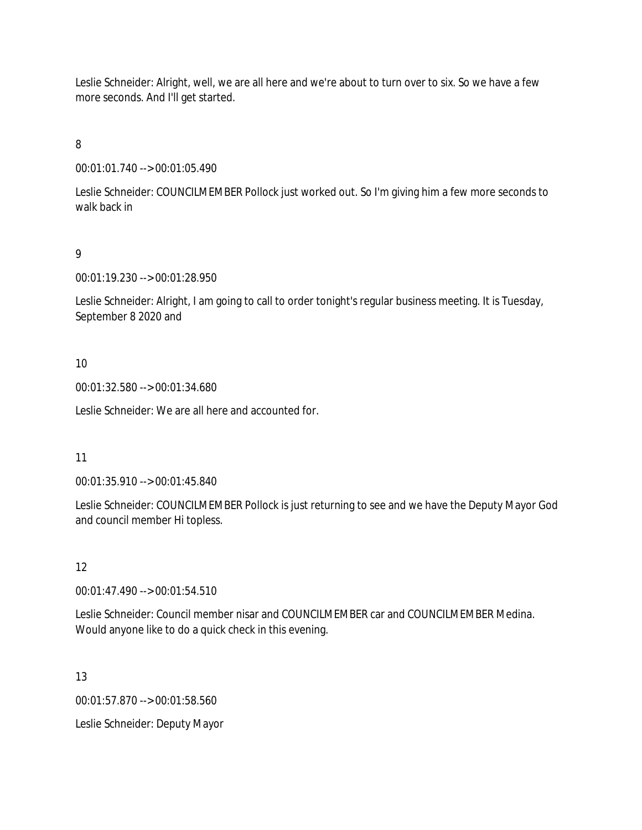Leslie Schneider: Alright, well, we are all here and we're about to turn over to six. So we have a few more seconds. And I'll get started.

8

00:01:01.740 --> 00:01:05.490

Leslie Schneider: COUNCILMEMBER Pollock just worked out. So I'm giving him a few more seconds to walk back in

9

00:01:19.230 --> 00:01:28.950

Leslie Schneider: Alright, I am going to call to order tonight's regular business meeting. It is Tuesday, September 8 2020 and

### 10

00:01:32.580 --> 00:01:34.680

Leslie Schneider: We are all here and accounted for.

#### 11

00:01:35.910 --> 00:01:45.840

Leslie Schneider: COUNCILMEMBER Pollock is just returning to see and we have the Deputy Mayor God and council member Hi topless.

# 12

00:01:47.490 --> 00:01:54.510

Leslie Schneider: Council member nisar and COUNCILMEMBER car and COUNCILMEMBER Medina. Would anyone like to do a quick check in this evening.

#### 13

00:01:57.870 --> 00:01:58.560

Leslie Schneider: Deputy Mayor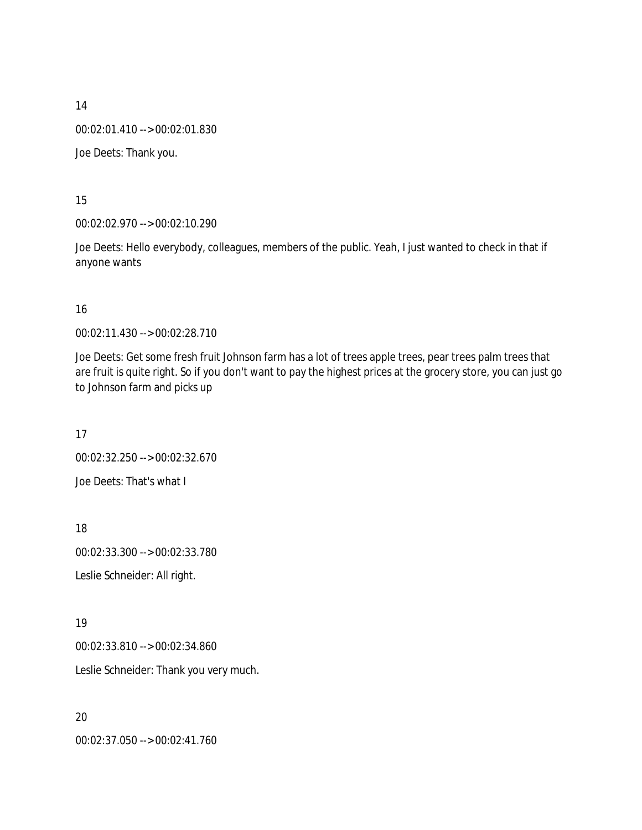00:02:01.410 --> 00:02:01.830

Joe Deets: Thank you.

15

00:02:02.970 --> 00:02:10.290

Joe Deets: Hello everybody, colleagues, members of the public. Yeah, I just wanted to check in that if anyone wants

16

00:02:11.430 --> 00:02:28.710

Joe Deets: Get some fresh fruit Johnson farm has a lot of trees apple trees, pear trees palm trees that are fruit is quite right. So if you don't want to pay the highest prices at the grocery store, you can just go to Johnson farm and picks up

17 00:02:32.250 --> 00:02:32.670 Joe Deets: That's what I

18 00:02:33.300 --> 00:02:33.780 Leslie Schneider: All right.

19

00:02:33.810 --> 00:02:34.860

Leslie Schneider: Thank you very much.

20 00:02:37.050 --> 00:02:41.760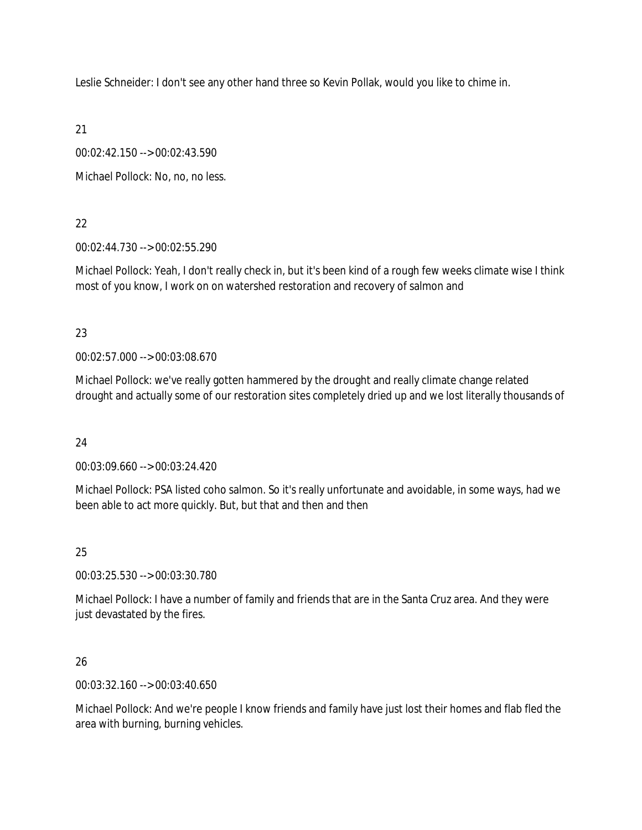Leslie Schneider: I don't see any other hand three so Kevin Pollak, would you like to chime in.

21

00:02:42.150 --> 00:02:43.590

Michael Pollock: No, no, no less.

# 22

00:02:44.730 --> 00:02:55.290

Michael Pollock: Yeah, I don't really check in, but it's been kind of a rough few weeks climate wise I think most of you know, I work on on watershed restoration and recovery of salmon and

# 23

00:02:57.000 --> 00:03:08.670

Michael Pollock: we've really gotten hammered by the drought and really climate change related drought and actually some of our restoration sites completely dried up and we lost literally thousands of

# 24

00:03:09.660 --> 00:03:24.420

Michael Pollock: PSA listed coho salmon. So it's really unfortunate and avoidable, in some ways, had we been able to act more quickly. But, but that and then and then

# 25

00:03:25.530 --> 00:03:30.780

Michael Pollock: I have a number of family and friends that are in the Santa Cruz area. And they were just devastated by the fires.

# 26

00:03:32.160 --> 00:03:40.650

Michael Pollock: And we're people I know friends and family have just lost their homes and flab fled the area with burning, burning vehicles.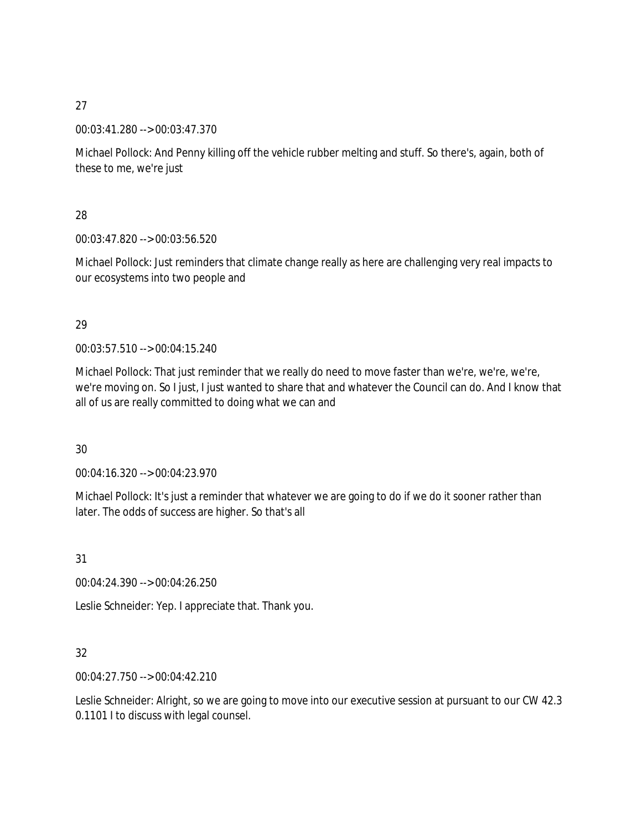00:03:41.280 --> 00:03:47.370

Michael Pollock: And Penny killing off the vehicle rubber melting and stuff. So there's, again, both of these to me, we're just

28

00:03:47.820 --> 00:03:56.520

Michael Pollock: Just reminders that climate change really as here are challenging very real impacts to our ecosystems into two people and

# 29

00:03:57.510 --> 00:04:15.240

Michael Pollock: That just reminder that we really do need to move faster than we're, we're, we're, we're moving on. So I just, I just wanted to share that and whatever the Council can do. And I know that all of us are really committed to doing what we can and

30

00:04:16.320 --> 00:04:23.970

Michael Pollock: It's just a reminder that whatever we are going to do if we do it sooner rather than later. The odds of success are higher. So that's all

31

00:04:24.390 --> 00:04:26.250

Leslie Schneider: Yep. I appreciate that. Thank you.

# 32

00:04:27.750 --> 00:04:42.210

Leslie Schneider: Alright, so we are going to move into our executive session at pursuant to our CW 42.3 0.1101 I to discuss with legal counsel.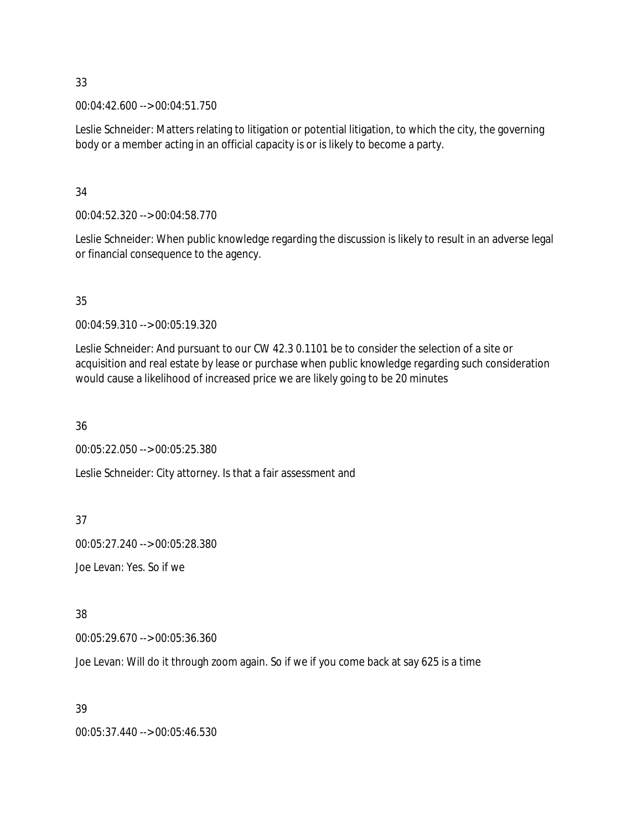00:04:42.600 --> 00:04:51.750

Leslie Schneider: Matters relating to litigation or potential litigation, to which the city, the governing body or a member acting in an official capacity is or is likely to become a party.

34

00:04:52.320 --> 00:04:58.770

Leslie Schneider: When public knowledge regarding the discussion is likely to result in an adverse legal or financial consequence to the agency.

35

00:04:59.310 --> 00:05:19.320

Leslie Schneider: And pursuant to our CW 42.3 0.1101 be to consider the selection of a site or acquisition and real estate by lease or purchase when public knowledge regarding such consideration would cause a likelihood of increased price we are likely going to be 20 minutes

36

00:05:22.050 --> 00:05:25.380

Leslie Schneider: City attorney. Is that a fair assessment and

37

00:05:27.240 --> 00:05:28.380

Joe Levan: Yes. So if we

38

00:05:29.670 --> 00:05:36.360

Joe Levan: Will do it through zoom again. So if we if you come back at say 625 is a time

39

00:05:37.440 --> 00:05:46.530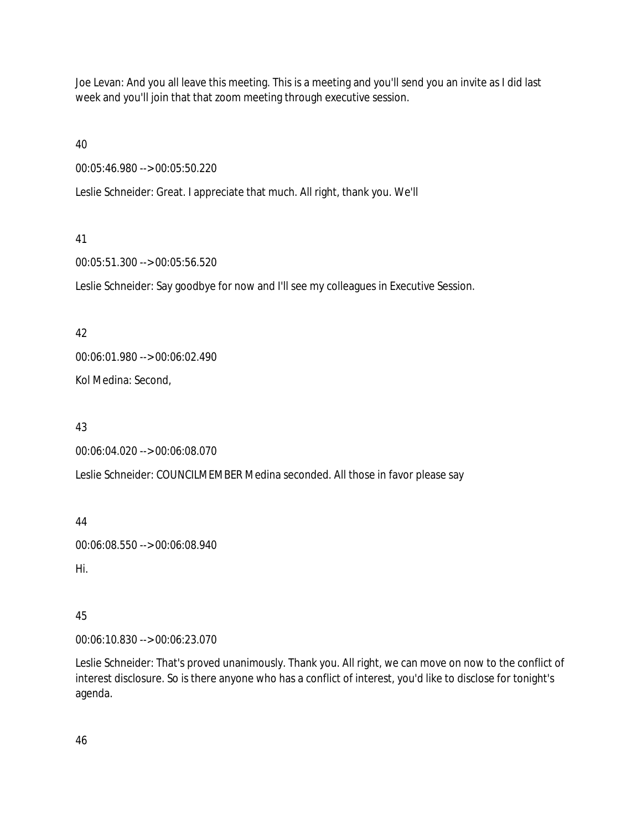Joe Levan: And you all leave this meeting. This is a meeting and you'll send you an invite as I did last week and you'll join that that zoom meeting through executive session.

40

00:05:46.980 --> 00:05:50.220

Leslie Schneider: Great. I appreciate that much. All right, thank you. We'll

### 41

00:05:51.300 --> 00:05:56.520

Leslie Schneider: Say goodbye for now and I'll see my colleagues in Executive Session.

### 42

00:06:01.980 --> 00:06:02.490

Kol Medina: Second,

# 43

00:06:04.020 --> 00:06:08.070

Leslie Schneider: COUNCILMEMBER Medina seconded. All those in favor please say

44

00:06:08.550 --> 00:06:08.940

Hi.

# 45

00:06:10.830 --> 00:06:23.070

Leslie Schneider: That's proved unanimously. Thank you. All right, we can move on now to the conflict of interest disclosure. So is there anyone who has a conflict of interest, you'd like to disclose for tonight's agenda.

46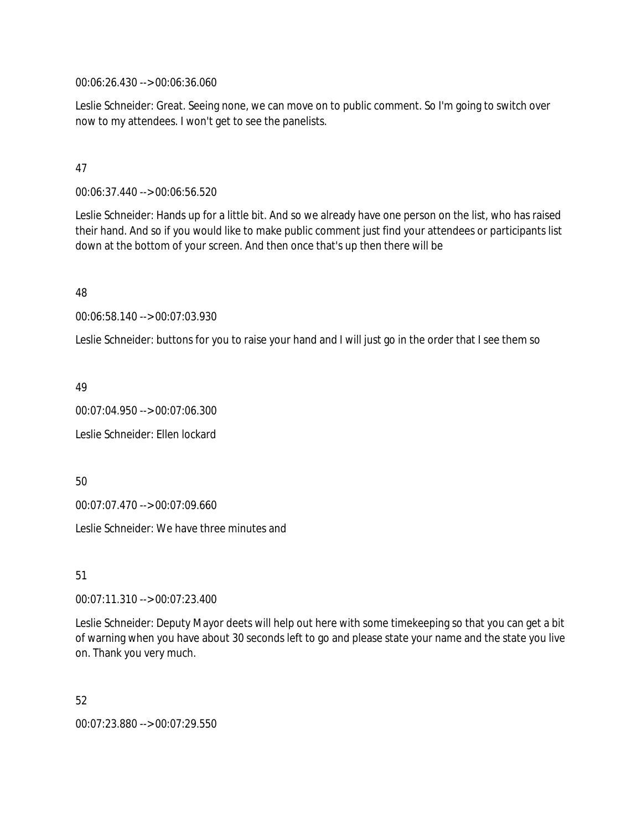00:06:26.430 --> 00:06:36.060

Leslie Schneider: Great. Seeing none, we can move on to public comment. So I'm going to switch over now to my attendees. I won't get to see the panelists.

### 47

00:06:37.440 --> 00:06:56.520

Leslie Schneider: Hands up for a little bit. And so we already have one person on the list, who has raised their hand. And so if you would like to make public comment just find your attendees or participants list down at the bottom of your screen. And then once that's up then there will be

48

00:06:58.140 --> 00:07:03.930

Leslie Schneider: buttons for you to raise your hand and I will just go in the order that I see them so

49

00:07:04.950 --> 00:07:06.300

Leslie Schneider: Ellen lockard

50

00:07:07.470 --> 00:07:09.660

Leslie Schneider: We have three minutes and

51

00:07:11.310 --> 00:07:23.400

Leslie Schneider: Deputy Mayor deets will help out here with some timekeeping so that you can get a bit of warning when you have about 30 seconds left to go and please state your name and the state you live on. Thank you very much.

52

00:07:23.880 --> 00:07:29.550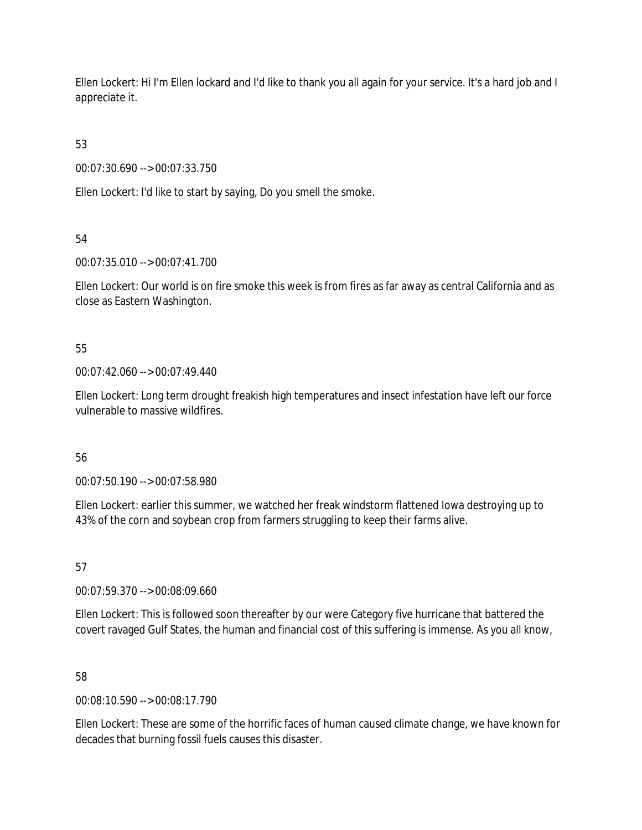Ellen Lockert: Hi I'm Ellen lockard and I'd like to thank you all again for your service. It's a hard job and I appreciate it.

53

00:07:30.690 --> 00:07:33.750

Ellen Lockert: I'd like to start by saying, Do you smell the smoke.

54

00:07:35.010 --> 00:07:41.700

Ellen Lockert: Our world is on fire smoke this week is from fires as far away as central California and as close as Eastern Washington.

55

00:07:42.060 --> 00:07:49.440

Ellen Lockert: Long term drought freakish high temperatures and insect infestation have left our force vulnerable to massive wildfires.

56

00:07:50.190 --> 00:07:58.980

Ellen Lockert: earlier this summer, we watched her freak windstorm flattened Iowa destroying up to 43% of the corn and soybean crop from farmers struggling to keep their farms alive.

57

00:07:59.370 --> 00:08:09.660

Ellen Lockert: This is followed soon thereafter by our were Category five hurricane that battered the covert ravaged Gulf States, the human and financial cost of this suffering is immense. As you all know,

58

00:08:10.590 --> 00:08:17.790

Ellen Lockert: These are some of the horrific faces of human caused climate change, we have known for decades that burning fossil fuels causes this disaster.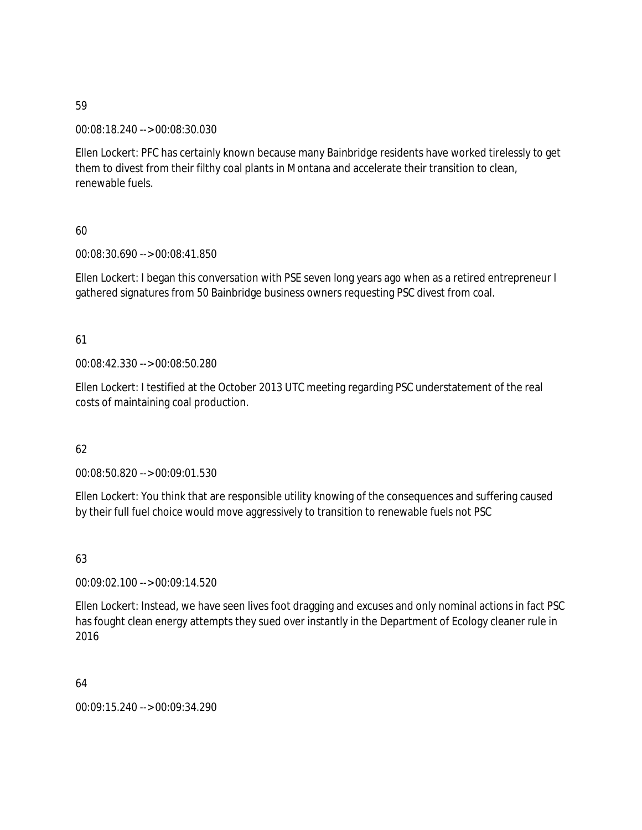00:08:18.240 --> 00:08:30.030

Ellen Lockert: PFC has certainly known because many Bainbridge residents have worked tirelessly to get them to divest from their filthy coal plants in Montana and accelerate their transition to clean, renewable fuels.

# 60

00:08:30.690 --> 00:08:41.850

Ellen Lockert: I began this conversation with PSE seven long years ago when as a retired entrepreneur I gathered signatures from 50 Bainbridge business owners requesting PSC divest from coal.

# 61

00:08:42.330 --> 00:08:50.280

Ellen Lockert: I testified at the October 2013 UTC meeting regarding PSC understatement of the real costs of maintaining coal production.

# 62

00:08:50.820 --> 00:09:01.530

Ellen Lockert: You think that are responsible utility knowing of the consequences and suffering caused by their full fuel choice would move aggressively to transition to renewable fuels not PSC

63

00:09:02.100 --> 00:09:14.520

Ellen Lockert: Instead, we have seen lives foot dragging and excuses and only nominal actions in fact PSC has fought clean energy attempts they sued over instantly in the Department of Ecology cleaner rule in 2016

64

00:09:15.240 --> 00:09:34.290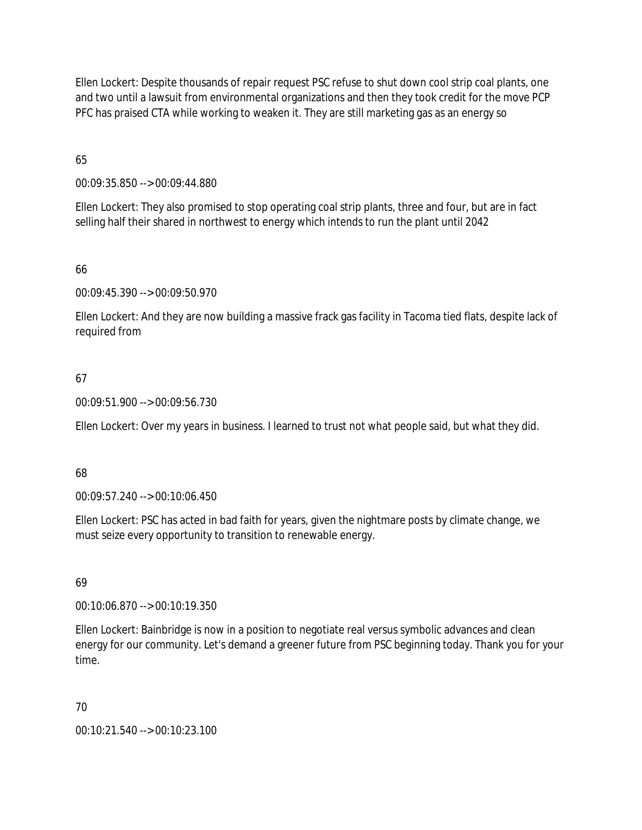Ellen Lockert: Despite thousands of repair request PSC refuse to shut down cool strip coal plants, one and two until a lawsuit from environmental organizations and then they took credit for the move PCP PFC has praised CTA while working to weaken it. They are still marketing gas as an energy so

65

00:09:35.850 --> 00:09:44.880

Ellen Lockert: They also promised to stop operating coal strip plants, three and four, but are in fact selling half their shared in northwest to energy which intends to run the plant until 2042

66

00:09:45.390 --> 00:09:50.970

Ellen Lockert: And they are now building a massive frack gas facility in Tacoma tied flats, despite lack of required from

# 67

00:09:51.900 --> 00:09:56.730

Ellen Lockert: Over my years in business. I learned to trust not what people said, but what they did.

#### 68

00:09:57.240 --> 00:10:06.450

Ellen Lockert: PSC has acted in bad faith for years, given the nightmare posts by climate change, we must seize every opportunity to transition to renewable energy.

# 69

00:10:06.870 --> 00:10:19.350

Ellen Lockert: Bainbridge is now in a position to negotiate real versus symbolic advances and clean energy for our community. Let's demand a greener future from PSC beginning today. Thank you for your time.

# 70

00:10:21.540 --> 00:10:23.100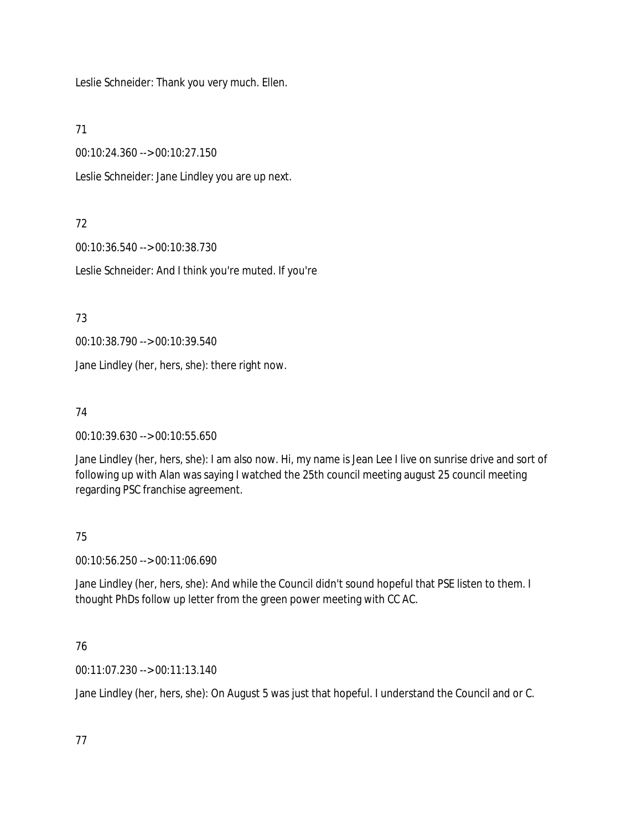Leslie Schneider: Thank you very much. Ellen.

71

00:10:24.360 --> 00:10:27.150

Leslie Schneider: Jane Lindley you are up next.

# 72

00:10:36.540 --> 00:10:38.730

Leslie Schneider: And I think you're muted. If you're

73

00:10:38.790 --> 00:10:39.540

Jane Lindley (her, hers, she): there right now.

# 74

00:10:39.630 --> 00:10:55.650

Jane Lindley (her, hers, she): I am also now. Hi, my name is Jean Lee I live on sunrise drive and sort of following up with Alan was saying I watched the 25th council meeting august 25 council meeting regarding PSC franchise agreement.

# 75

00:10:56.250 --> 00:11:06.690

Jane Lindley (her, hers, she): And while the Council didn't sound hopeful that PSE listen to them. I thought PhDs follow up letter from the green power meeting with CC AC.

# 76

00:11:07.230 --> 00:11:13.140

Jane Lindley (her, hers, she): On August 5 was just that hopeful. I understand the Council and or C.

77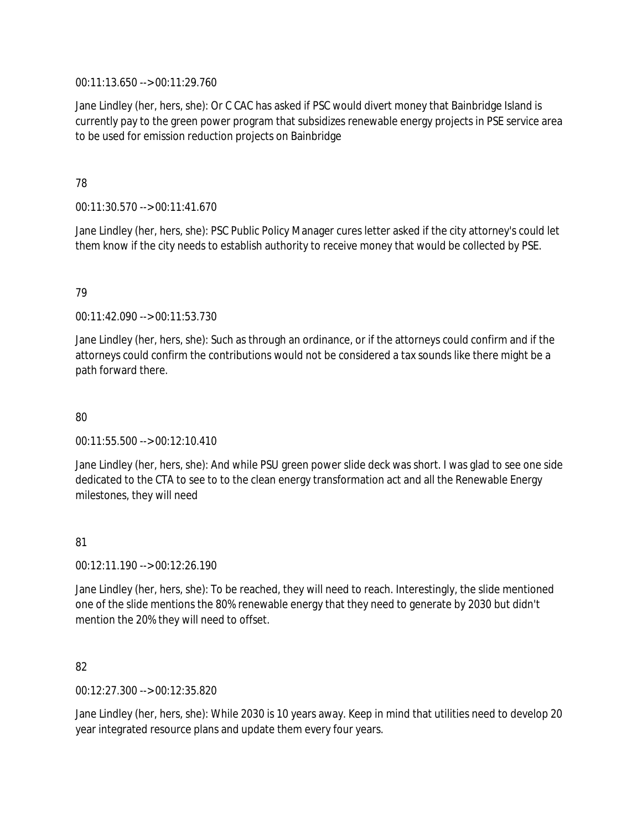00:11:13.650 --> 00:11:29.760

Jane Lindley (her, hers, she): Or C CAC has asked if PSC would divert money that Bainbridge Island is currently pay to the green power program that subsidizes renewable energy projects in PSE service area to be used for emission reduction projects on Bainbridge

## 78

00:11:30.570 --> 00:11:41.670

Jane Lindley (her, hers, she): PSC Public Policy Manager cures letter asked if the city attorney's could let them know if the city needs to establish authority to receive money that would be collected by PSE.

# 79

00:11:42.090 --> 00:11:53.730

Jane Lindley (her, hers, she): Such as through an ordinance, or if the attorneys could confirm and if the attorneys could confirm the contributions would not be considered a tax sounds like there might be a path forward there.

# 80

00:11:55.500 --> 00:12:10.410

Jane Lindley (her, hers, she): And while PSU green power slide deck was short. I was glad to see one side dedicated to the CTA to see to to the clean energy transformation act and all the Renewable Energy milestones, they will need

# 81

00:12:11.190 --> 00:12:26.190

Jane Lindley (her, hers, she): To be reached, they will need to reach. Interestingly, the slide mentioned one of the slide mentions the 80% renewable energy that they need to generate by 2030 but didn't mention the 20% they will need to offset.

#### 82

00:12:27.300 --> 00:12:35.820

Jane Lindley (her, hers, she): While 2030 is 10 years away. Keep in mind that utilities need to develop 20 year integrated resource plans and update them every four years.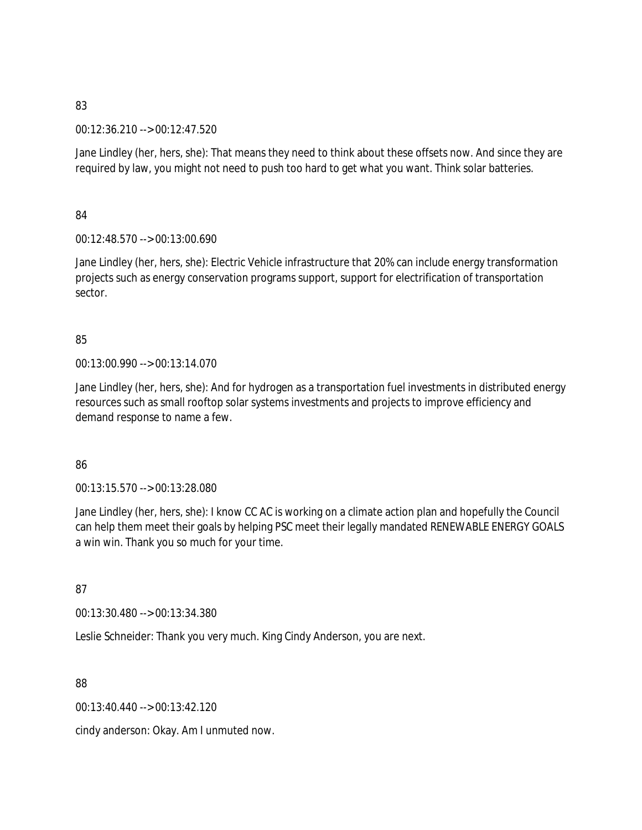00:12:36.210 --> 00:12:47.520

Jane Lindley (her, hers, she): That means they need to think about these offsets now. And since they are required by law, you might not need to push too hard to get what you want. Think solar batteries.

84

00:12:48.570 --> 00:13:00.690

Jane Lindley (her, hers, she): Electric Vehicle infrastructure that 20% can include energy transformation projects such as energy conservation programs support, support for electrification of transportation sector.

# 85

00:13:00.990 --> 00:13:14.070

Jane Lindley (her, hers, she): And for hydrogen as a transportation fuel investments in distributed energy resources such as small rooftop solar systems investments and projects to improve efficiency and demand response to name a few.

# 86

00:13:15.570 --> 00:13:28.080

Jane Lindley (her, hers, she): I know CC AC is working on a climate action plan and hopefully the Council can help them meet their goals by helping PSC meet their legally mandated RENEWABLE ENERGY GOALS a win win. Thank you so much for your time.

87

00:13:30.480 --> 00:13:34.380

Leslie Schneider: Thank you very much. King Cindy Anderson, you are next.

88

00:13:40.440 --> 00:13:42.120

cindy anderson: Okay. Am I unmuted now.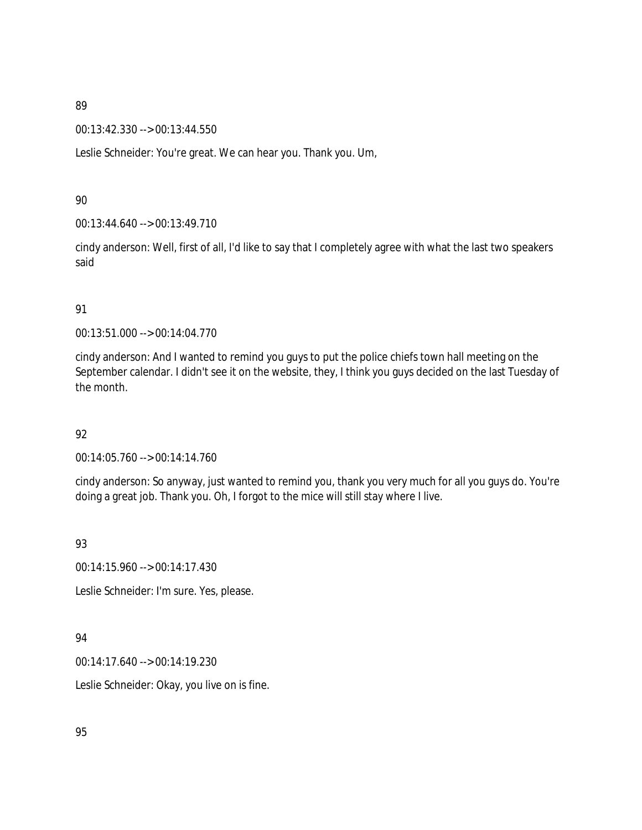00:13:42.330 --> 00:13:44.550

Leslie Schneider: You're great. We can hear you. Thank you. Um,

#### 90

00:13:44.640 --> 00:13:49.710

cindy anderson: Well, first of all, I'd like to say that I completely agree with what the last two speakers said

### 91

00:13:51.000 --> 00:14:04.770

cindy anderson: And I wanted to remind you guys to put the police chiefs town hall meeting on the September calendar. I didn't see it on the website, they, I think you guys decided on the last Tuesday of the month.

# 92

00:14:05.760 --> 00:14:14.760

cindy anderson: So anyway, just wanted to remind you, thank you very much for all you guys do. You're doing a great job. Thank you. Oh, I forgot to the mice will still stay where I live.

# 93

00:14:15.960 --> 00:14:17.430

Leslie Schneider: I'm sure. Yes, please.

# 94

00:14:17.640 --> 00:14:19.230

Leslie Schneider: Okay, you live on is fine.

95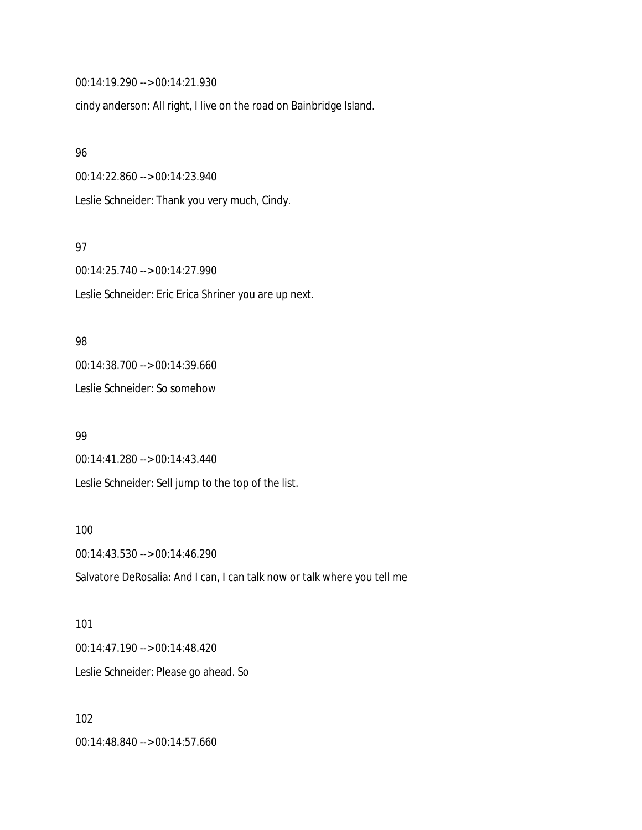00:14:19.290 --> 00:14:21.930

cindy anderson: All right, I live on the road on Bainbridge Island.

#### 96

00:14:22.860 --> 00:14:23.940

Leslie Schneider: Thank you very much, Cindy.

#### 97

00:14:25.740 --> 00:14:27.990 Leslie Schneider: Eric Erica Shriner you are up next.

### 98

00:14:38.700 --> 00:14:39.660

Leslie Schneider: So somehow

#### 99

00:14:41.280 --> 00:14:43.440 Leslie Schneider: Sell jump to the top of the list.

#### 100

00:14:43.530 --> 00:14:46.290 Salvatore DeRosalia: And I can, I can talk now or talk where you tell me

# 101 00:14:47.190 --> 00:14:48.420 Leslie Schneider: Please go ahead. So

102 00:14:48.840 --> 00:14:57.660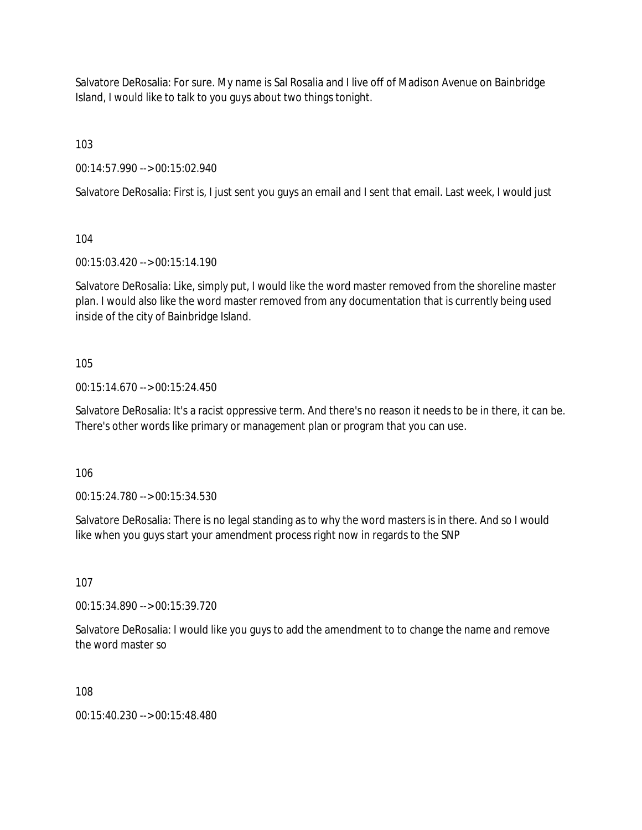Salvatore DeRosalia: For sure. My name is Sal Rosalia and I live off of Madison Avenue on Bainbridge Island, I would like to talk to you guys about two things tonight.

103

00:14:57.990 --> 00:15:02.940

Salvatore DeRosalia: First is, I just sent you guys an email and I sent that email. Last week, I would just

104

00:15:03.420 --> 00:15:14.190

Salvatore DeRosalia: Like, simply put, I would like the word master removed from the shoreline master plan. I would also like the word master removed from any documentation that is currently being used inside of the city of Bainbridge Island.

105

00:15:14.670 --> 00:15:24.450

Salvatore DeRosalia: It's a racist oppressive term. And there's no reason it needs to be in there, it can be. There's other words like primary or management plan or program that you can use.

106

00:15:24.780 --> 00:15:34.530

Salvatore DeRosalia: There is no legal standing as to why the word masters is in there. And so I would like when you guys start your amendment process right now in regards to the SNP

107

00:15:34.890 --> 00:15:39.720

Salvatore DeRosalia: I would like you guys to add the amendment to to change the name and remove the word master so

108

00:15:40.230 --> 00:15:48.480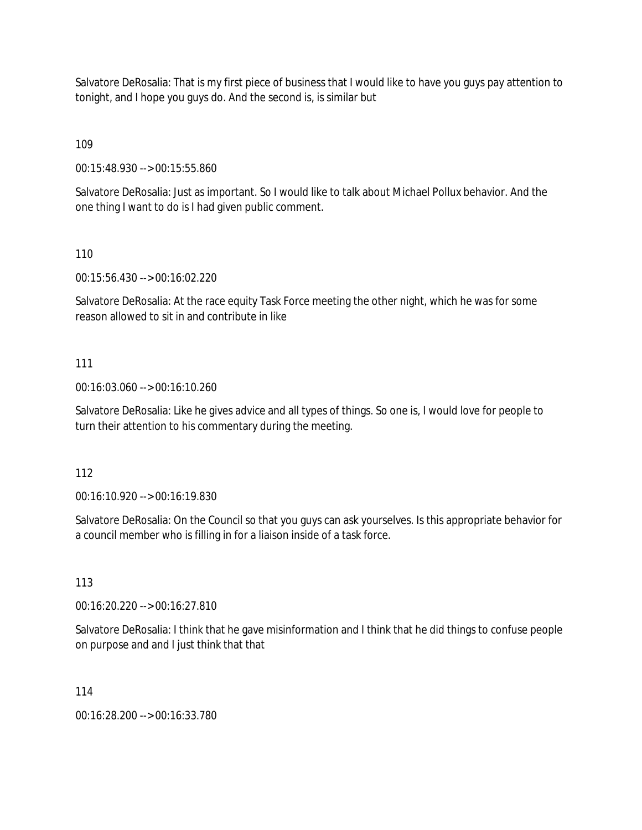Salvatore DeRosalia: That is my first piece of business that I would like to have you guys pay attention to tonight, and I hope you guys do. And the second is, is similar but

109

00:15:48.930 --> 00:15:55.860

Salvatore DeRosalia: Just as important. So I would like to talk about Michael Pollux behavior. And the one thing I want to do is I had given public comment.

110

00:15:56.430 --> 00:16:02.220

Salvatore DeRosalia: At the race equity Task Force meeting the other night, which he was for some reason allowed to sit in and contribute in like

#### 111

00:16:03.060 --> 00:16:10.260

Salvatore DeRosalia: Like he gives advice and all types of things. So one is, I would love for people to turn their attention to his commentary during the meeting.

#### 112

00:16:10.920 --> 00:16:19.830

Salvatore DeRosalia: On the Council so that you guys can ask yourselves. Is this appropriate behavior for a council member who is filling in for a liaison inside of a task force.

113

00:16:20.220 --> 00:16:27.810

Salvatore DeRosalia: I think that he gave misinformation and I think that he did things to confuse people on purpose and and I just think that that

114

00:16:28.200 --> 00:16:33.780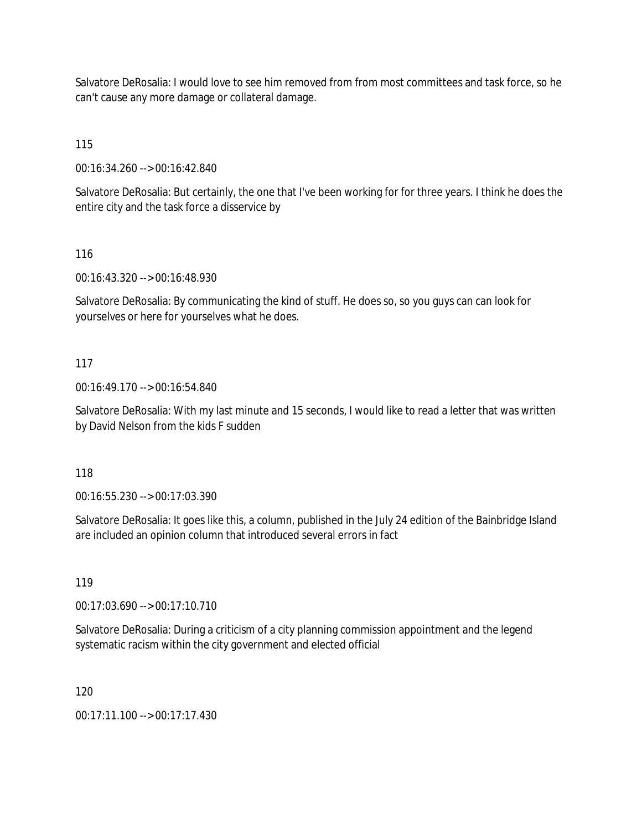Salvatore DeRosalia: I would love to see him removed from from most committees and task force, so he can't cause any more damage or collateral damage.

115

00:16:34.260 --> 00:16:42.840

Salvatore DeRosalia: But certainly, the one that I've been working for for three years. I think he does the entire city and the task force a disservice by

116

00:16:43.320 --> 00:16:48.930

Salvatore DeRosalia: By communicating the kind of stuff. He does so, so you guys can can look for yourselves or here for yourselves what he does.

#### 117

00:16:49.170 --> 00:16:54.840

Salvatore DeRosalia: With my last minute and 15 seconds, I would like to read a letter that was written by David Nelson from the kids F sudden

118

00:16:55.230 --> 00:17:03.390

Salvatore DeRosalia: It goes like this, a column, published in the July 24 edition of the Bainbridge Island are included an opinion column that introduced several errors in fact

119

00:17:03.690 --> 00:17:10.710

Salvatore DeRosalia: During a criticism of a city planning commission appointment and the legend systematic racism within the city government and elected official

120

00:17:11.100 --> 00:17:17.430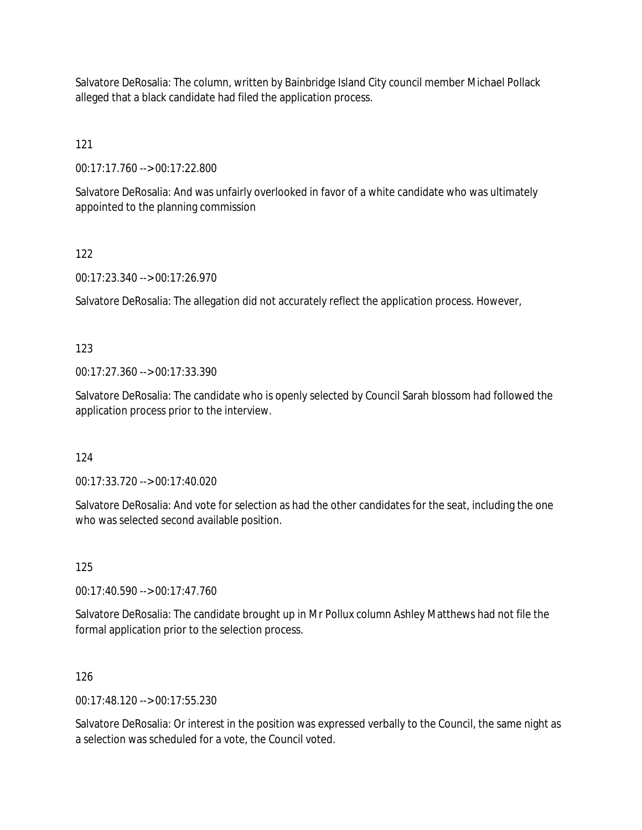Salvatore DeRosalia: The column, written by Bainbridge Island City council member Michael Pollack alleged that a black candidate had filed the application process.

121

00:17:17.760 --> 00:17:22.800

Salvatore DeRosalia: And was unfairly overlooked in favor of a white candidate who was ultimately appointed to the planning commission

# 122

00:17:23.340 --> 00:17:26.970

Salvatore DeRosalia: The allegation did not accurately reflect the application process. However,

# 123

00:17:27.360 --> 00:17:33.390

Salvatore DeRosalia: The candidate who is openly selected by Council Sarah blossom had followed the application process prior to the interview.

# 124

00:17:33.720 --> 00:17:40.020

Salvatore DeRosalia: And vote for selection as had the other candidates for the seat, including the one who was selected second available position.

# 125

00:17:40.590 --> 00:17:47.760

Salvatore DeRosalia: The candidate brought up in Mr Pollux column Ashley Matthews had not file the formal application prior to the selection process.

# 126

00:17:48.120 --> 00:17:55.230

Salvatore DeRosalia: Or interest in the position was expressed verbally to the Council, the same night as a selection was scheduled for a vote, the Council voted.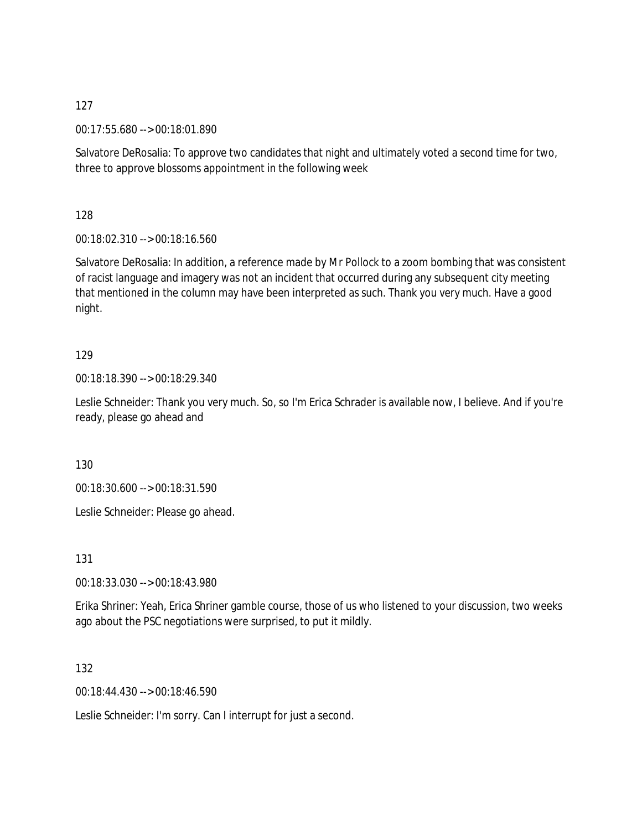00:17:55.680 --> 00:18:01.890

Salvatore DeRosalia: To approve two candidates that night and ultimately voted a second time for two, three to approve blossoms appointment in the following week

128

00:18:02.310 --> 00:18:16.560

Salvatore DeRosalia: In addition, a reference made by Mr Pollock to a zoom bombing that was consistent of racist language and imagery was not an incident that occurred during any subsequent city meeting that mentioned in the column may have been interpreted as such. Thank you very much. Have a good night.

#### 129

00:18:18.390 --> 00:18:29.340

Leslie Schneider: Thank you very much. So, so I'm Erica Schrader is available now, I believe. And if you're ready, please go ahead and

130

00:18:30.600 --> 00:18:31.590

Leslie Schneider: Please go ahead.

131

00:18:33.030 --> 00:18:43.980

Erika Shriner: Yeah, Erica Shriner gamble course, those of us who listened to your discussion, two weeks ago about the PSC negotiations were surprised, to put it mildly.

132

00:18:44.430 --> 00:18:46.590

Leslie Schneider: I'm sorry. Can I interrupt for just a second.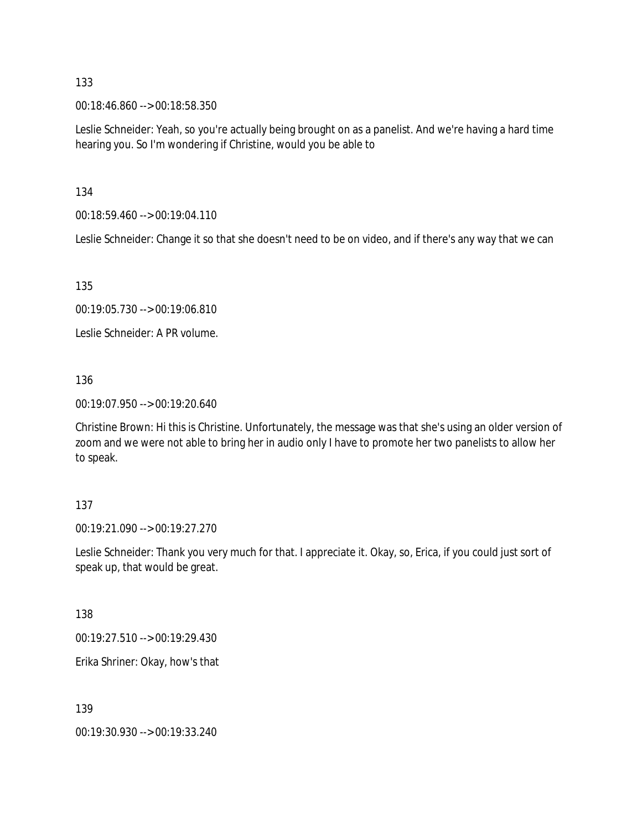00:18:46.860 --> 00:18:58.350

Leslie Schneider: Yeah, so you're actually being brought on as a panelist. And we're having a hard time hearing you. So I'm wondering if Christine, would you be able to

134

00:18:59.460 --> 00:19:04.110

Leslie Schneider: Change it so that she doesn't need to be on video, and if there's any way that we can

135

00:19:05.730 --> 00:19:06.810

Leslie Schneider: A PR volume.

136

00:19:07.950 --> 00:19:20.640

Christine Brown: Hi this is Christine. Unfortunately, the message was that she's using an older version of zoom and we were not able to bring her in audio only I have to promote her two panelists to allow her to speak.

#### 137

00:19:21.090 --> 00:19:27.270

Leslie Schneider: Thank you very much for that. I appreciate it. Okay, so, Erica, if you could just sort of speak up, that would be great.

138

00:19:27.510 --> 00:19:29.430

Erika Shriner: Okay, how's that

139

00:19:30.930 --> 00:19:33.240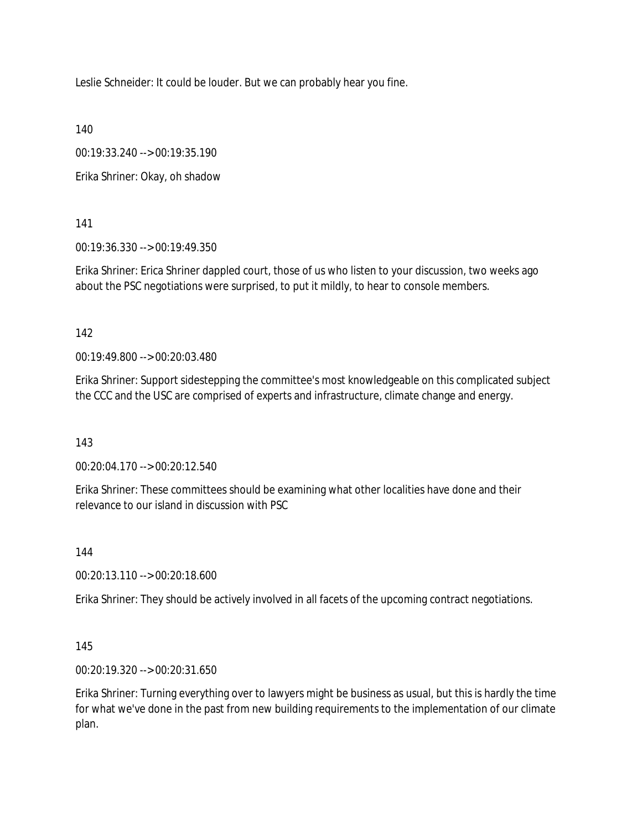Leslie Schneider: It could be louder. But we can probably hear you fine.

140

00:19:33.240 --> 00:19:35.190

Erika Shriner: Okay, oh shadow

141

00:19:36.330 --> 00:19:49.350

Erika Shriner: Erica Shriner dappled court, those of us who listen to your discussion, two weeks ago about the PSC negotiations were surprised, to put it mildly, to hear to console members.

142

00:19:49.800 --> 00:20:03.480

Erika Shriner: Support sidestepping the committee's most knowledgeable on this complicated subject the CCC and the USC are comprised of experts and infrastructure, climate change and energy.

143

00:20:04.170 --> 00:20:12.540

Erika Shriner: These committees should be examining what other localities have done and their relevance to our island in discussion with PSC

144

00:20:13.110 --> 00:20:18.600

Erika Shriner: They should be actively involved in all facets of the upcoming contract negotiations.

145

00:20:19.320 --> 00:20:31.650

Erika Shriner: Turning everything over to lawyers might be business as usual, but this is hardly the time for what we've done in the past from new building requirements to the implementation of our climate plan.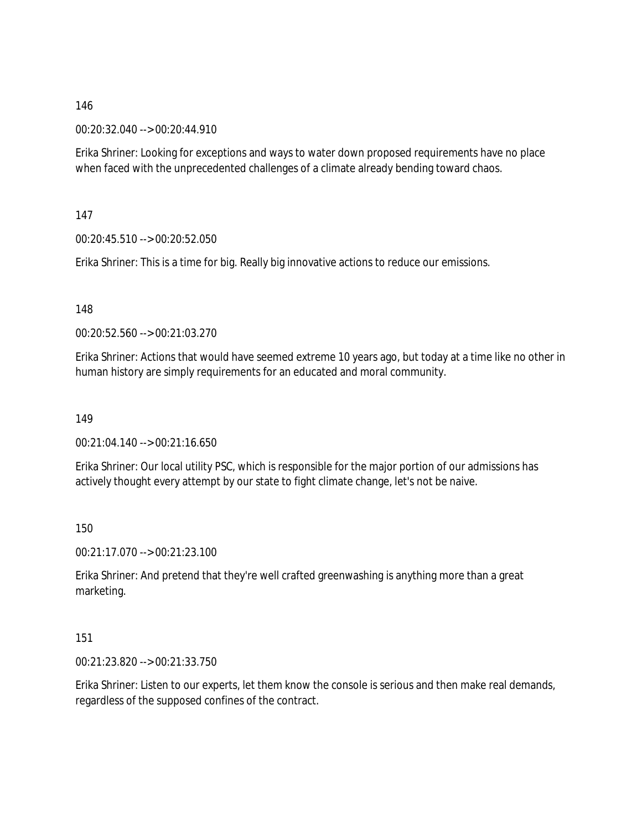00:20:32.040 --> 00:20:44.910

Erika Shriner: Looking for exceptions and ways to water down proposed requirements have no place when faced with the unprecedented challenges of a climate already bending toward chaos.

147

00:20:45.510 --> 00:20:52.050

Erika Shriner: This is a time for big. Really big innovative actions to reduce our emissions.

148

00:20:52.560 --> 00:21:03.270

Erika Shriner: Actions that would have seemed extreme 10 years ago, but today at a time like no other in human history are simply requirements for an educated and moral community.

149

00:21:04.140 --> 00:21:16.650

Erika Shriner: Our local utility PSC, which is responsible for the major portion of our admissions has actively thought every attempt by our state to fight climate change, let's not be naive.

150

00:21:17.070 --> 00:21:23.100

Erika Shriner: And pretend that they're well crafted greenwashing is anything more than a great marketing.

151

00:21:23.820 --> 00:21:33.750

Erika Shriner: Listen to our experts, let them know the console is serious and then make real demands, regardless of the supposed confines of the contract.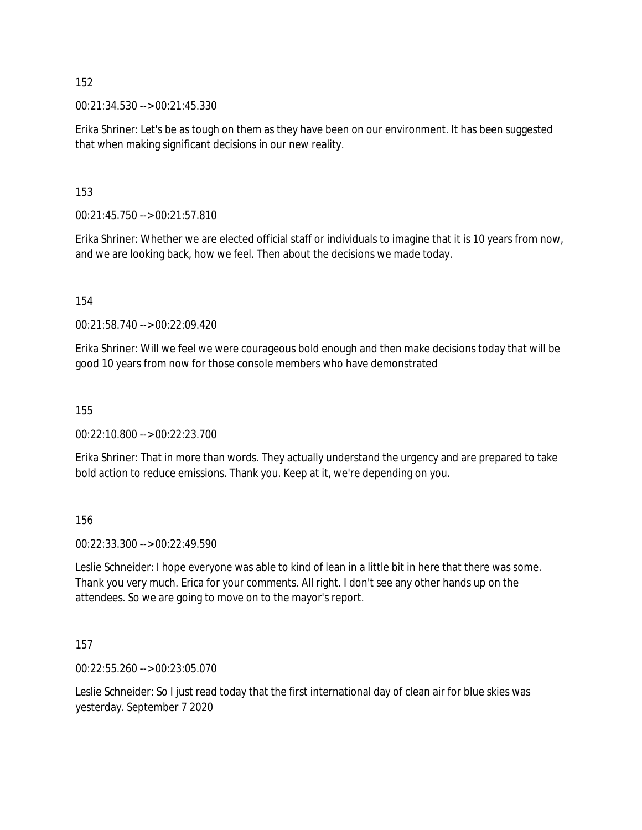00:21:34.530 --> 00:21:45.330

Erika Shriner: Let's be as tough on them as they have been on our environment. It has been suggested that when making significant decisions in our new reality.

153

00:21:45.750 --> 00:21:57.810

Erika Shriner: Whether we are elected official staff or individuals to imagine that it is 10 years from now, and we are looking back, how we feel. Then about the decisions we made today.

154

00:21:58.740 --> 00:22:09.420

Erika Shriner: Will we feel we were courageous bold enough and then make decisions today that will be good 10 years from now for those console members who have demonstrated

155

00:22:10.800 --> 00:22:23.700

Erika Shriner: That in more than words. They actually understand the urgency and are prepared to take bold action to reduce emissions. Thank you. Keep at it, we're depending on you.

156

00:22:33.300 --> 00:22:49.590

Leslie Schneider: I hope everyone was able to kind of lean in a little bit in here that there was some. Thank you very much. Erica for your comments. All right. I don't see any other hands up on the attendees. So we are going to move on to the mayor's report.

157

00:22:55.260 --> 00:23:05.070

Leslie Schneider: So I just read today that the first international day of clean air for blue skies was yesterday. September 7 2020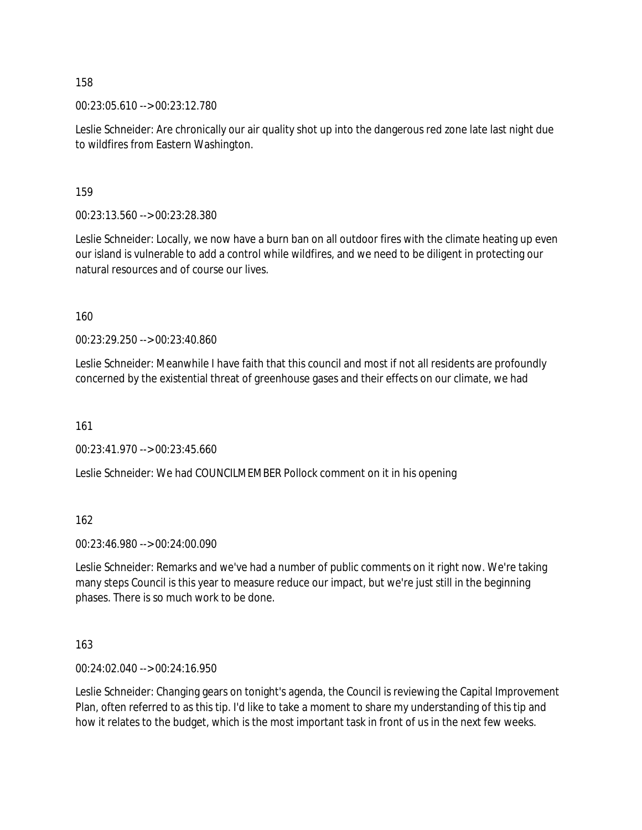00:23:05.610 --> 00:23:12.780

Leslie Schneider: Are chronically our air quality shot up into the dangerous red zone late last night due to wildfires from Eastern Washington.

159

00:23:13.560 --> 00:23:28.380

Leslie Schneider: Locally, we now have a burn ban on all outdoor fires with the climate heating up even our island is vulnerable to add a control while wildfires, and we need to be diligent in protecting our natural resources and of course our lives.

160

00:23:29.250 --> 00:23:40.860

Leslie Schneider: Meanwhile I have faith that this council and most if not all residents are profoundly concerned by the existential threat of greenhouse gases and their effects on our climate, we had

161

00:23:41.970 --> 00:23:45.660

Leslie Schneider: We had COUNCILMEMBER Pollock comment on it in his opening

162

00:23:46.980 --> 00:24:00.090

Leslie Schneider: Remarks and we've had a number of public comments on it right now. We're taking many steps Council is this year to measure reduce our impact, but we're just still in the beginning phases. There is so much work to be done.

163

00:24:02.040 --> 00:24:16.950

Leslie Schneider: Changing gears on tonight's agenda, the Council is reviewing the Capital Improvement Plan, often referred to as this tip. I'd like to take a moment to share my understanding of this tip and how it relates to the budget, which is the most important task in front of us in the next few weeks.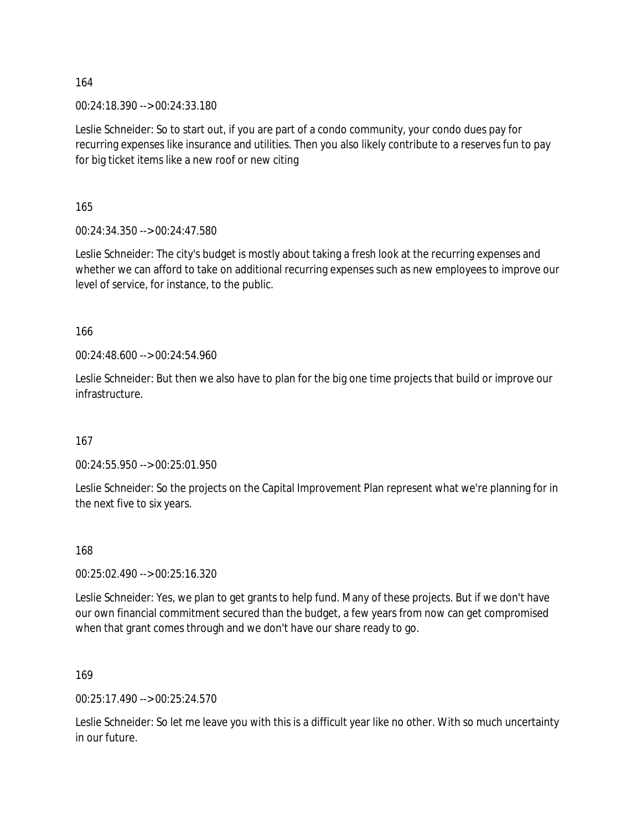00:24:18.390 --> 00:24:33.180

Leslie Schneider: So to start out, if you are part of a condo community, your condo dues pay for recurring expenses like insurance and utilities. Then you also likely contribute to a reserves fun to pay for big ticket items like a new roof or new citing

165

00:24:34.350 --> 00:24:47.580

Leslie Schneider: The city's budget is mostly about taking a fresh look at the recurring expenses and whether we can afford to take on additional recurring expenses such as new employees to improve our level of service, for instance, to the public.

166

00:24:48.600 --> 00:24:54.960

Leslie Schneider: But then we also have to plan for the big one time projects that build or improve our infrastructure.

167

00:24:55.950 --> 00:25:01.950

Leslie Schneider: So the projects on the Capital Improvement Plan represent what we're planning for in the next five to six years.

168

00:25:02.490 --> 00:25:16.320

Leslie Schneider: Yes, we plan to get grants to help fund. Many of these projects. But if we don't have our own financial commitment secured than the budget, a few years from now can get compromised when that grant comes through and we don't have our share ready to go.

169

00:25:17.490 --> 00:25:24.570

Leslie Schneider: So let me leave you with this is a difficult year like no other. With so much uncertainty in our future.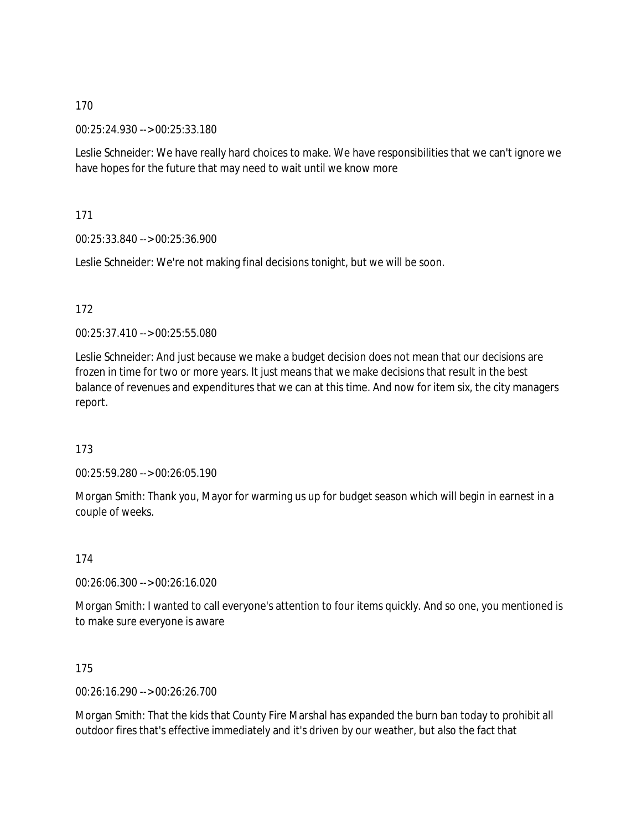00:25:24.930 --> 00:25:33.180

Leslie Schneider: We have really hard choices to make. We have responsibilities that we can't ignore we have hopes for the future that may need to wait until we know more

171

00:25:33.840 --> 00:25:36.900

Leslie Schneider: We're not making final decisions tonight, but we will be soon.

172

00:25:37.410 --> 00:25:55.080

Leslie Schneider: And just because we make a budget decision does not mean that our decisions are frozen in time for two or more years. It just means that we make decisions that result in the best balance of revenues and expenditures that we can at this time. And now for item six, the city managers report.

173

00:25:59.280 --> 00:26:05.190

Morgan Smith: Thank you, Mayor for warming us up for budget season which will begin in earnest in a couple of weeks.

174

00:26:06.300 --> 00:26:16.020

Morgan Smith: I wanted to call everyone's attention to four items quickly. And so one, you mentioned is to make sure everyone is aware

175

00:26:16.290 --> 00:26:26.700

Morgan Smith: That the kids that County Fire Marshal has expanded the burn ban today to prohibit all outdoor fires that's effective immediately and it's driven by our weather, but also the fact that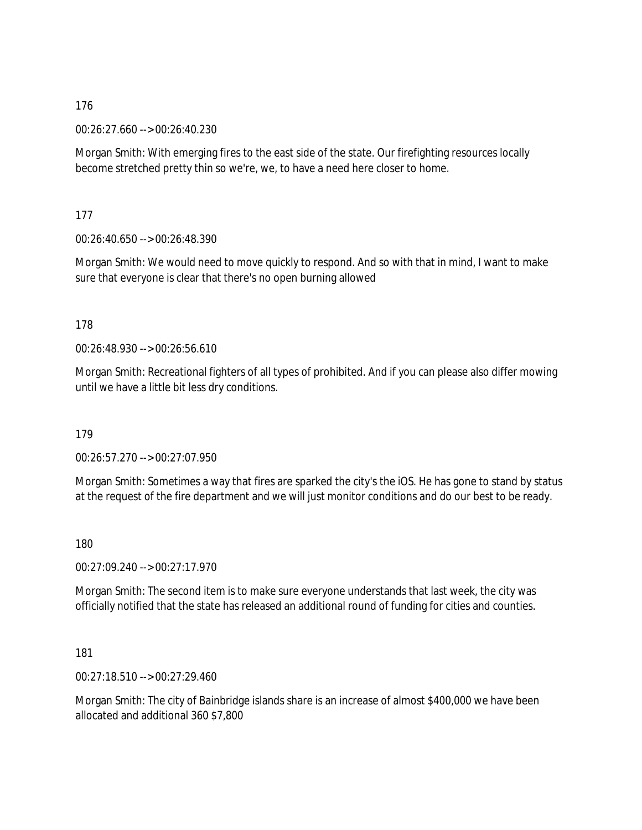00:26:27.660 --> 00:26:40.230

Morgan Smith: With emerging fires to the east side of the state. Our firefighting resources locally become stretched pretty thin so we're, we, to have a need here closer to home.

177

00:26:40.650 --> 00:26:48.390

Morgan Smith: We would need to move quickly to respond. And so with that in mind, I want to make sure that everyone is clear that there's no open burning allowed

178

00:26:48.930 --> 00:26:56.610

Morgan Smith: Recreational fighters of all types of prohibited. And if you can please also differ mowing until we have a little bit less dry conditions.

179

00:26:57.270 --> 00:27:07.950

Morgan Smith: Sometimes a way that fires are sparked the city's the iOS. He has gone to stand by status at the request of the fire department and we will just monitor conditions and do our best to be ready.

180

00:27:09.240 --> 00:27:17.970

Morgan Smith: The second item is to make sure everyone understands that last week, the city was officially notified that the state has released an additional round of funding for cities and counties.

181

00:27:18.510 --> 00:27:29.460

Morgan Smith: The city of Bainbridge islands share is an increase of almost \$400,000 we have been allocated and additional 360 \$7,800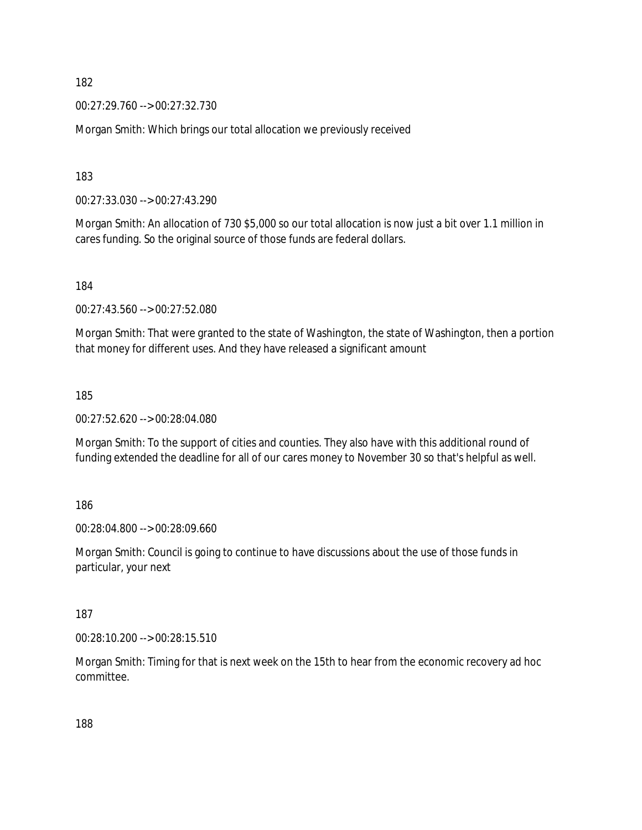00:27:29.760 --> 00:27:32.730

Morgan Smith: Which brings our total allocation we previously received

183

00:27:33.030 --> 00:27:43.290

Morgan Smith: An allocation of 730 \$5,000 so our total allocation is now just a bit over 1.1 million in cares funding. So the original source of those funds are federal dollars.

184

00:27:43.560 --> 00:27:52.080

Morgan Smith: That were granted to the state of Washington, the state of Washington, then a portion that money for different uses. And they have released a significant amount

185

00:27:52.620 --> 00:28:04.080

Morgan Smith: To the support of cities and counties. They also have with this additional round of funding extended the deadline for all of our cares money to November 30 so that's helpful as well.

186

00:28:04.800 --> 00:28:09.660

Morgan Smith: Council is going to continue to have discussions about the use of those funds in particular, your next

187

00:28:10.200 --> 00:28:15.510

Morgan Smith: Timing for that is next week on the 15th to hear from the economic recovery ad hoc committee.

188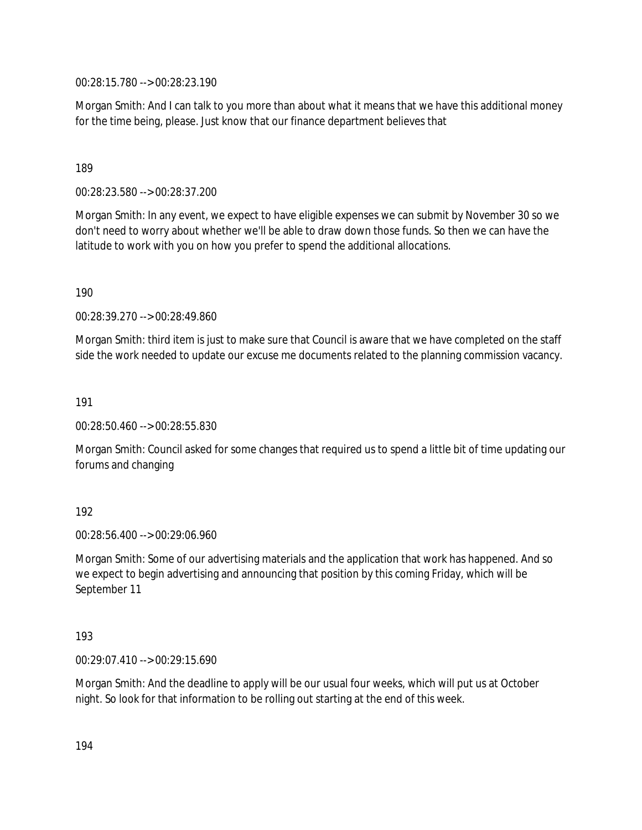00:28:15.780 --> 00:28:23.190

Morgan Smith: And I can talk to you more than about what it means that we have this additional money for the time being, please. Just know that our finance department believes that

#### 189

00:28:23.580 --> 00:28:37.200

Morgan Smith: In any event, we expect to have eligible expenses we can submit by November 30 so we don't need to worry about whether we'll be able to draw down those funds. So then we can have the latitude to work with you on how you prefer to spend the additional allocations.

190

00:28:39.270 --> 00:28:49.860

Morgan Smith: third item is just to make sure that Council is aware that we have completed on the staff side the work needed to update our excuse me documents related to the planning commission vacancy.

191

00:28:50.460 --> 00:28:55.830

Morgan Smith: Council asked for some changes that required us to spend a little bit of time updating our forums and changing

#### 192

00:28:56.400 --> 00:29:06.960

Morgan Smith: Some of our advertising materials and the application that work has happened. And so we expect to begin advertising and announcing that position by this coming Friday, which will be September 11

#### 193

00:29:07.410 --> 00:29:15.690

Morgan Smith: And the deadline to apply will be our usual four weeks, which will put us at October night. So look for that information to be rolling out starting at the end of this week.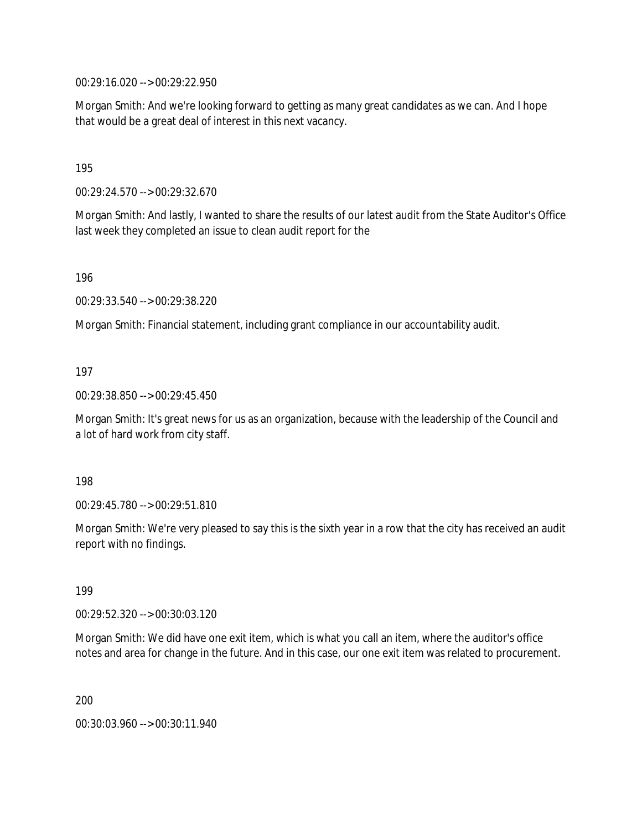00:29:16.020 --> 00:29:22.950

Morgan Smith: And we're looking forward to getting as many great candidates as we can. And I hope that would be a great deal of interest in this next vacancy.

195

00:29:24.570 --> 00:29:32.670

Morgan Smith: And lastly, I wanted to share the results of our latest audit from the State Auditor's Office last week they completed an issue to clean audit report for the

196

00:29:33.540 --> 00:29:38.220

Morgan Smith: Financial statement, including grant compliance in our accountability audit.

#### 197

00:29:38.850 --> 00:29:45.450

Morgan Smith: It's great news for us as an organization, because with the leadership of the Council and a lot of hard work from city staff.

198

00:29:45.780 --> 00:29:51.810

Morgan Smith: We're very pleased to say this is the sixth year in a row that the city has received an audit report with no findings.

199

00:29:52.320 --> 00:30:03.120

Morgan Smith: We did have one exit item, which is what you call an item, where the auditor's office notes and area for change in the future. And in this case, our one exit item was related to procurement.

200

00:30:03.960 --> 00:30:11.940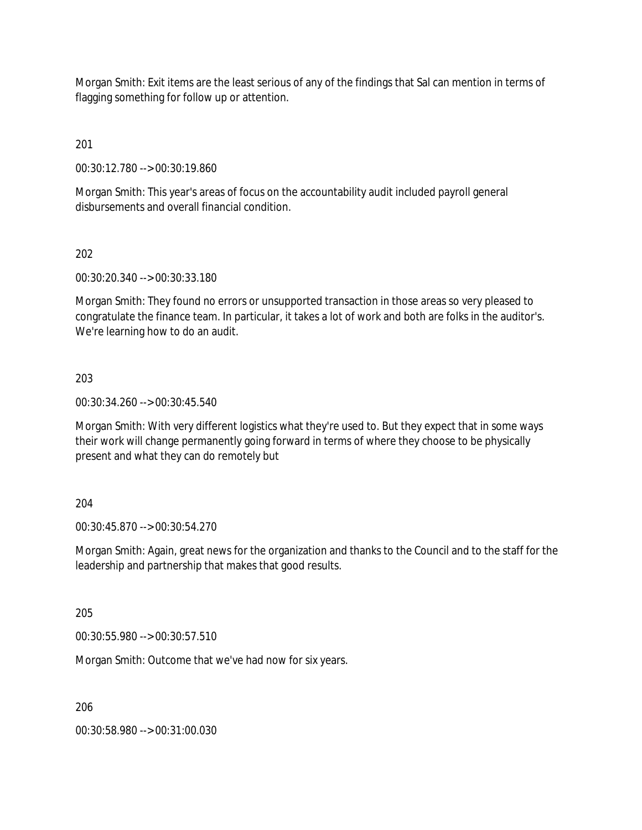Morgan Smith: Exit items are the least serious of any of the findings that Sal can mention in terms of flagging something for follow up or attention.

201

00:30:12.780 --> 00:30:19.860

Morgan Smith: This year's areas of focus on the accountability audit included payroll general disbursements and overall financial condition.

202

00:30:20.340 --> 00:30:33.180

Morgan Smith: They found no errors or unsupported transaction in those areas so very pleased to congratulate the finance team. In particular, it takes a lot of work and both are folks in the auditor's. We're learning how to do an audit.

203

00:30:34.260 --> 00:30:45.540

Morgan Smith: With very different logistics what they're used to. But they expect that in some ways their work will change permanently going forward in terms of where they choose to be physically present and what they can do remotely but

204

00:30:45.870 --> 00:30:54.270

Morgan Smith: Again, great news for the organization and thanks to the Council and to the staff for the leadership and partnership that makes that good results.

205

00:30:55.980 --> 00:30:57.510

Morgan Smith: Outcome that we've had now for six years.

206

00:30:58.980 --> 00:31:00.030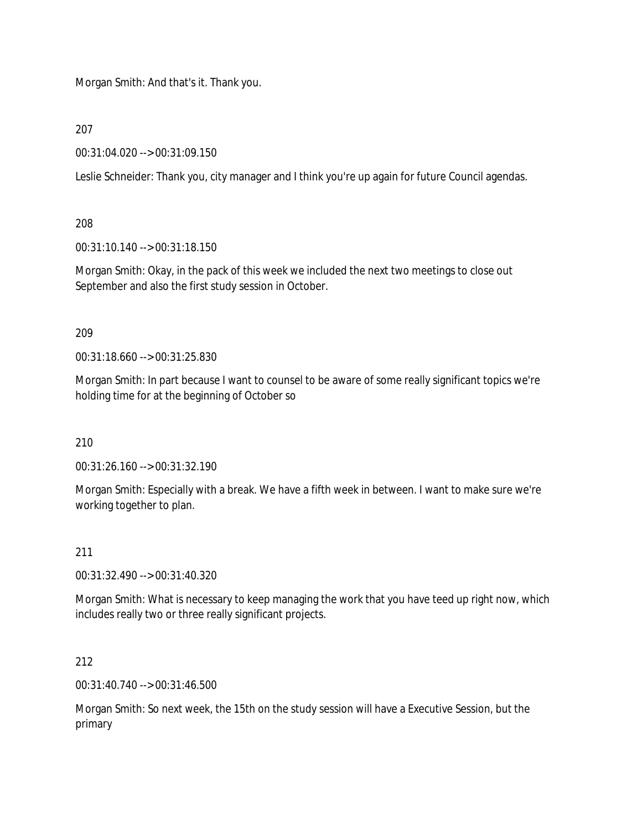Morgan Smith: And that's it. Thank you.

207

00:31:04.020 --> 00:31:09.150

Leslie Schneider: Thank you, city manager and I think you're up again for future Council agendas.

208

00:31:10.140 --> 00:31:18.150

Morgan Smith: Okay, in the pack of this week we included the next two meetings to close out September and also the first study session in October.

209

00:31:18.660 --> 00:31:25.830

Morgan Smith: In part because I want to counsel to be aware of some really significant topics we're holding time for at the beginning of October so

210

00:31:26.160 --> 00:31:32.190

Morgan Smith: Especially with a break. We have a fifth week in between. I want to make sure we're working together to plan.

211

00:31:32.490 --> 00:31:40.320

Morgan Smith: What is necessary to keep managing the work that you have teed up right now, which includes really two or three really significant projects.

212

00:31:40.740 --> 00:31:46.500

Morgan Smith: So next week, the 15th on the study session will have a Executive Session, but the primary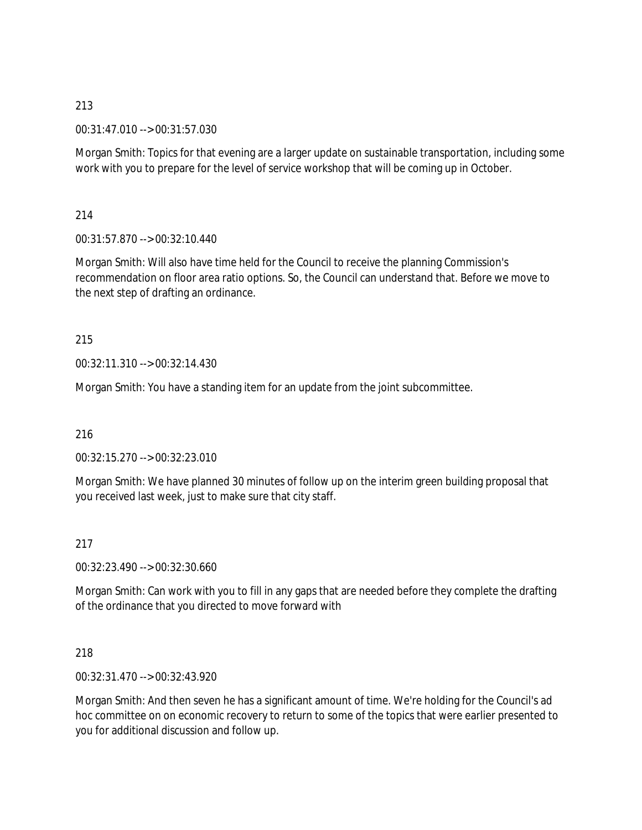00:31:47.010 --> 00:31:57.030

Morgan Smith: Topics for that evening are a larger update on sustainable transportation, including some work with you to prepare for the level of service workshop that will be coming up in October.

214

00:31:57.870 --> 00:32:10.440

Morgan Smith: Will also have time held for the Council to receive the planning Commission's recommendation on floor area ratio options. So, the Council can understand that. Before we move to the next step of drafting an ordinance.

215

00:32:11.310 --> 00:32:14.430

Morgan Smith: You have a standing item for an update from the joint subcommittee.

216

00:32:15.270 --> 00:32:23.010

Morgan Smith: We have planned 30 minutes of follow up on the interim green building proposal that you received last week, just to make sure that city staff.

217

00:32:23.490 --> 00:32:30.660

Morgan Smith: Can work with you to fill in any gaps that are needed before they complete the drafting of the ordinance that you directed to move forward with

218

00:32:31.470 --> 00:32:43.920

Morgan Smith: And then seven he has a significant amount of time. We're holding for the Council's ad hoc committee on on economic recovery to return to some of the topics that were earlier presented to you for additional discussion and follow up.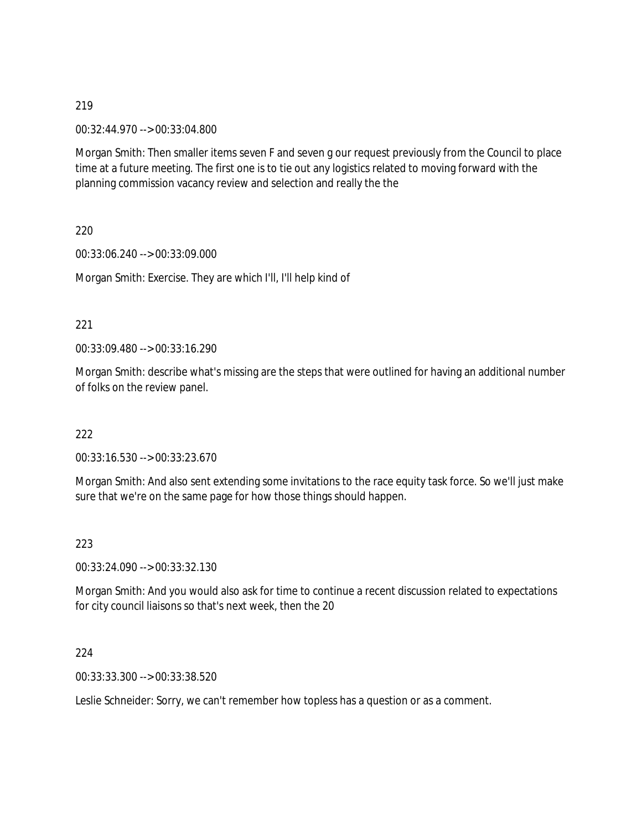00:32:44.970 --> 00:33:04.800

Morgan Smith: Then smaller items seven F and seven g our request previously from the Council to place time at a future meeting. The first one is to tie out any logistics related to moving forward with the planning commission vacancy review and selection and really the the

220

00:33:06.240 --> 00:33:09.000

Morgan Smith: Exercise. They are which I'll, I'll help kind of

#### 221

00:33:09.480 --> 00:33:16.290

Morgan Smith: describe what's missing are the steps that were outlined for having an additional number of folks on the review panel.

#### 222

00:33:16.530 --> 00:33:23.670

Morgan Smith: And also sent extending some invitations to the race equity task force. So we'll just make sure that we're on the same page for how those things should happen.

#### 223

00:33:24.090 --> 00:33:32.130

Morgan Smith: And you would also ask for time to continue a recent discussion related to expectations for city council liaisons so that's next week, then the 20

#### 224

00:33:33.300 --> 00:33:38.520

Leslie Schneider: Sorry, we can't remember how topless has a question or as a comment.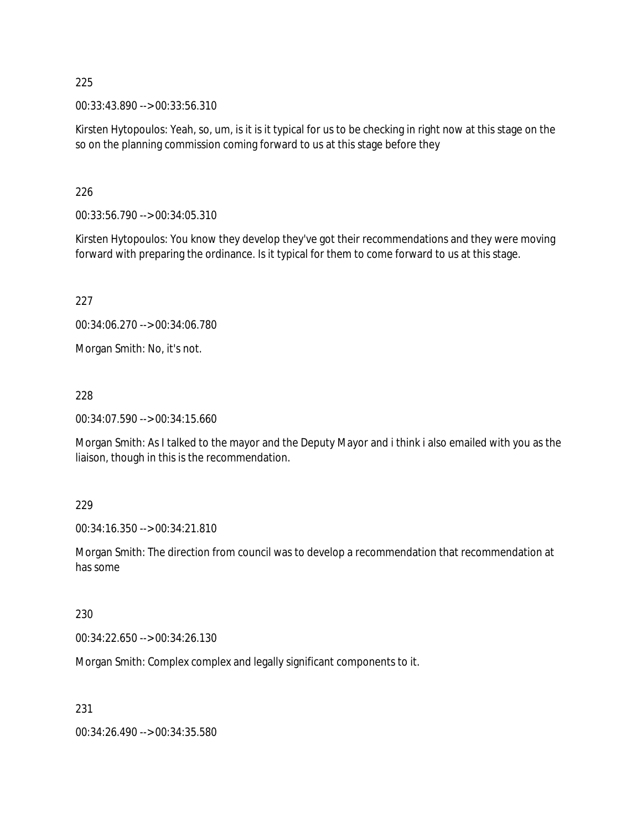00:33:43.890 --> 00:33:56.310

Kirsten Hytopoulos: Yeah, so, um, is it is it typical for us to be checking in right now at this stage on the so on the planning commission coming forward to us at this stage before they

226

00:33:56.790 --> 00:34:05.310

Kirsten Hytopoulos: You know they develop they've got their recommendations and they were moving forward with preparing the ordinance. Is it typical for them to come forward to us at this stage.

227

00:34:06.270 --> 00:34:06.780

Morgan Smith: No, it's not.

228

00:34:07.590 --> 00:34:15.660

Morgan Smith: As I talked to the mayor and the Deputy Mayor and i think i also emailed with you as the liaison, though in this is the recommendation.

229

00:34:16.350 --> 00:34:21.810

Morgan Smith: The direction from council was to develop a recommendation that recommendation at has some

230

00:34:22.650 --> 00:34:26.130

Morgan Smith: Complex complex and legally significant components to it.

231

00:34:26.490 --> 00:34:35.580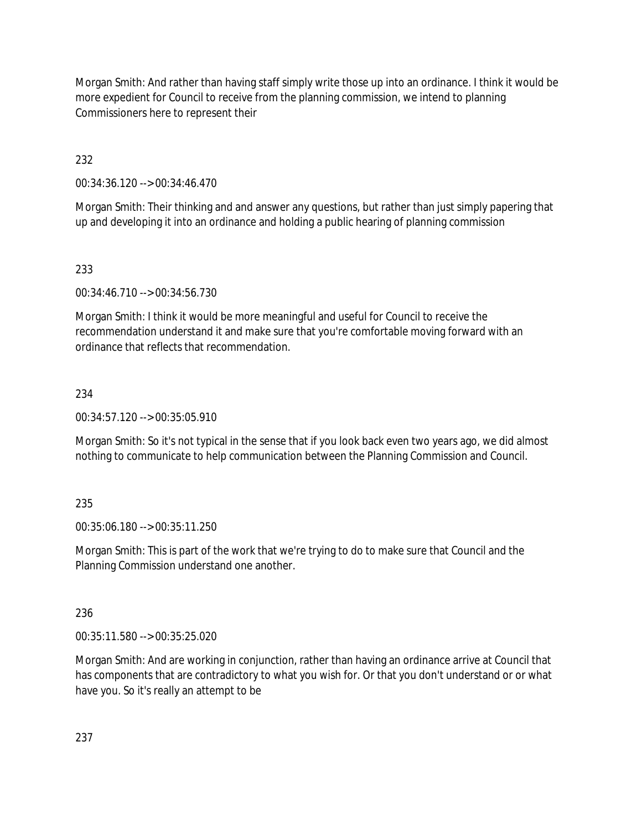Morgan Smith: And rather than having staff simply write those up into an ordinance. I think it would be more expedient for Council to receive from the planning commission, we intend to planning Commissioners here to represent their

232

00:34:36.120 --> 00:34:46.470

Morgan Smith: Their thinking and and answer any questions, but rather than just simply papering that up and developing it into an ordinance and holding a public hearing of planning commission

233

00:34:46.710 --> 00:34:56.730

Morgan Smith: I think it would be more meaningful and useful for Council to receive the recommendation understand it and make sure that you're comfortable moving forward with an ordinance that reflects that recommendation.

# 234

00:34:57.120 --> 00:35:05.910

Morgan Smith: So it's not typical in the sense that if you look back even two years ago, we did almost nothing to communicate to help communication between the Planning Commission and Council.

# 235

00:35:06.180 --> 00:35:11.250

Morgan Smith: This is part of the work that we're trying to do to make sure that Council and the Planning Commission understand one another.

236

00:35:11.580 --> 00:35:25.020

Morgan Smith: And are working in conjunction, rather than having an ordinance arrive at Council that has components that are contradictory to what you wish for. Or that you don't understand or or what have you. So it's really an attempt to be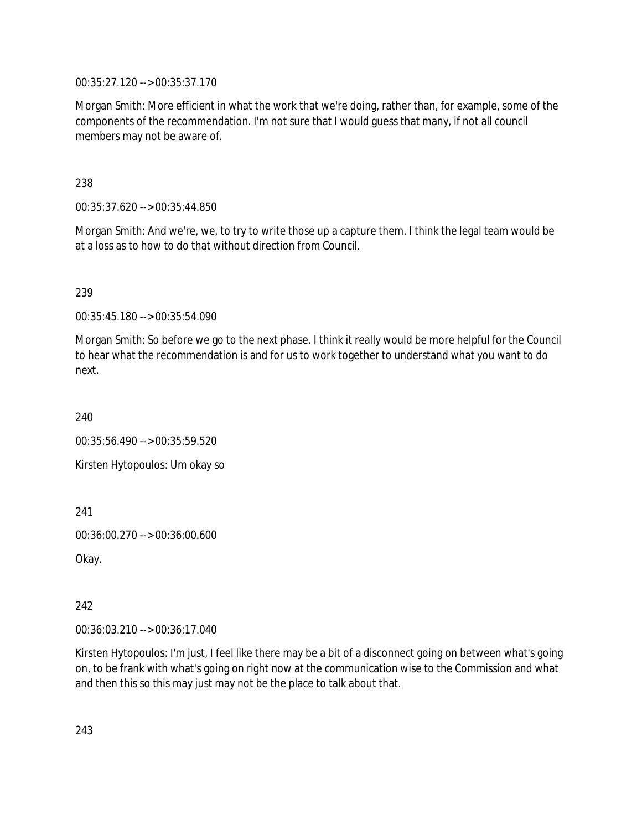00:35:27.120 --> 00:35:37.170

Morgan Smith: More efficient in what the work that we're doing, rather than, for example, some of the components of the recommendation. I'm not sure that I would guess that many, if not all council members may not be aware of.

238

00:35:37.620 --> 00:35:44.850

Morgan Smith: And we're, we, to try to write those up a capture them. I think the legal team would be at a loss as to how to do that without direction from Council.

239

00:35:45.180 --> 00:35:54.090

Morgan Smith: So before we go to the next phase. I think it really would be more helpful for the Council to hear what the recommendation is and for us to work together to understand what you want to do next.

240

00:35:56.490 --> 00:35:59.520

Kirsten Hytopoulos: Um okay so

241

00:36:00.270 --> 00:36:00.600

Okay.

242

00:36:03.210 --> 00:36:17.040

Kirsten Hytopoulos: I'm just, I feel like there may be a bit of a disconnect going on between what's going on, to be frank with what's going on right now at the communication wise to the Commission and what and then this so this may just may not be the place to talk about that.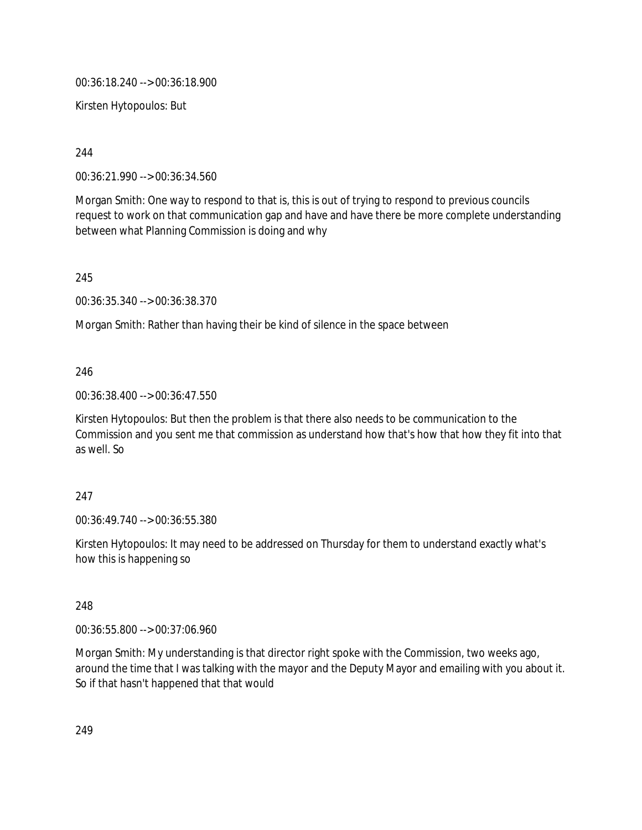00:36:18.240 --> 00:36:18.900

Kirsten Hytopoulos: But

244

00:36:21.990 --> 00:36:34.560

Morgan Smith: One way to respond to that is, this is out of trying to respond to previous councils request to work on that communication gap and have and have there be more complete understanding between what Planning Commission is doing and why

245

00:36:35.340 --> 00:36:38.370

Morgan Smith: Rather than having their be kind of silence in the space between

246

00:36:38.400 --> 00:36:47.550

Kirsten Hytopoulos: But then the problem is that there also needs to be communication to the Commission and you sent me that commission as understand how that's how that how they fit into that as well. So

### 247

00:36:49.740 --> 00:36:55.380

Kirsten Hytopoulos: It may need to be addressed on Thursday for them to understand exactly what's how this is happening so

248

00:36:55.800 --> 00:37:06.960

Morgan Smith: My understanding is that director right spoke with the Commission, two weeks ago, around the time that I was talking with the mayor and the Deputy Mayor and emailing with you about it. So if that hasn't happened that that would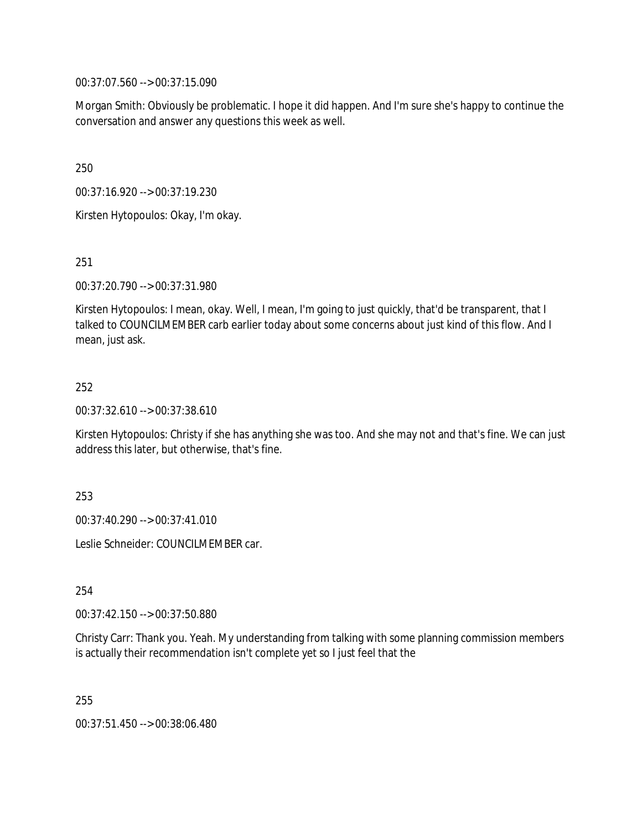00:37:07.560 --> 00:37:15.090

Morgan Smith: Obviously be problematic. I hope it did happen. And I'm sure she's happy to continue the conversation and answer any questions this week as well.

250

00:37:16.920 --> 00:37:19.230

Kirsten Hytopoulos: Okay, I'm okay.

251

00:37:20.790 --> 00:37:31.980

Kirsten Hytopoulos: I mean, okay. Well, I mean, I'm going to just quickly, that'd be transparent, that I talked to COUNCILMEMBER carb earlier today about some concerns about just kind of this flow. And I mean, just ask.

# 252

00:37:32.610 --> 00:37:38.610

Kirsten Hytopoulos: Christy if she has anything she was too. And she may not and that's fine. We can just address this later, but otherwise, that's fine.

253

00:37:40.290 --> 00:37:41.010

Leslie Schneider: COUNCILMEMBER car.

254

00:37:42.150 --> 00:37:50.880

Christy Carr: Thank you. Yeah. My understanding from talking with some planning commission members is actually their recommendation isn't complete yet so I just feel that the

255

00:37:51.450 --> 00:38:06.480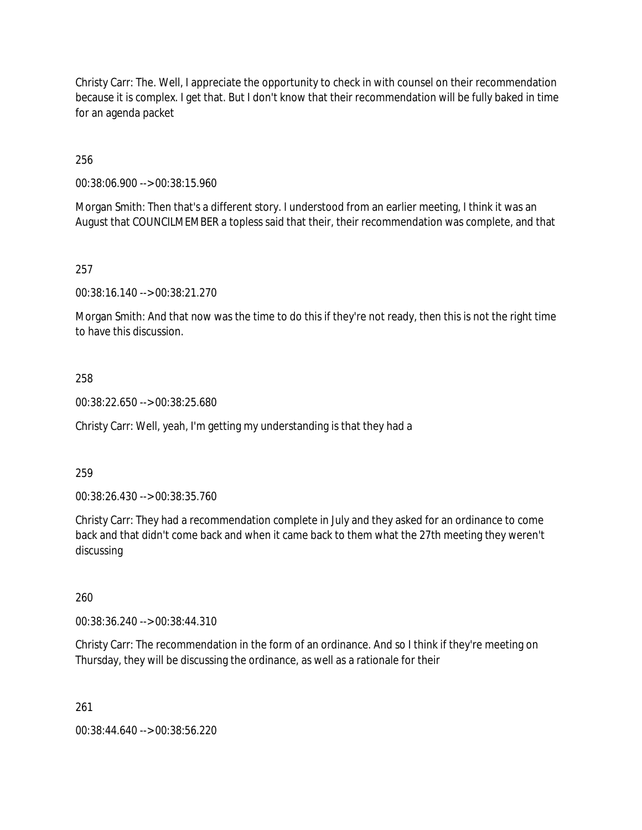Christy Carr: The. Well, I appreciate the opportunity to check in with counsel on their recommendation because it is complex. I get that. But I don't know that their recommendation will be fully baked in time for an agenda packet

256

00:38:06.900 --> 00:38:15.960

Morgan Smith: Then that's a different story. I understood from an earlier meeting, I think it was an August that COUNCILMEMBER a topless said that their, their recommendation was complete, and that

257

00:38:16.140 --> 00:38:21.270

Morgan Smith: And that now was the time to do this if they're not ready, then this is not the right time to have this discussion.

258

00:38:22.650 --> 00:38:25.680

Christy Carr: Well, yeah, I'm getting my understanding is that they had a

259

00:38:26.430 --> 00:38:35.760

Christy Carr: They had a recommendation complete in July and they asked for an ordinance to come back and that didn't come back and when it came back to them what the 27th meeting they weren't discussing

260

00:38:36.240 --> 00:38:44.310

Christy Carr: The recommendation in the form of an ordinance. And so I think if they're meeting on Thursday, they will be discussing the ordinance, as well as a rationale for their

261

00:38:44.640 --> 00:38:56.220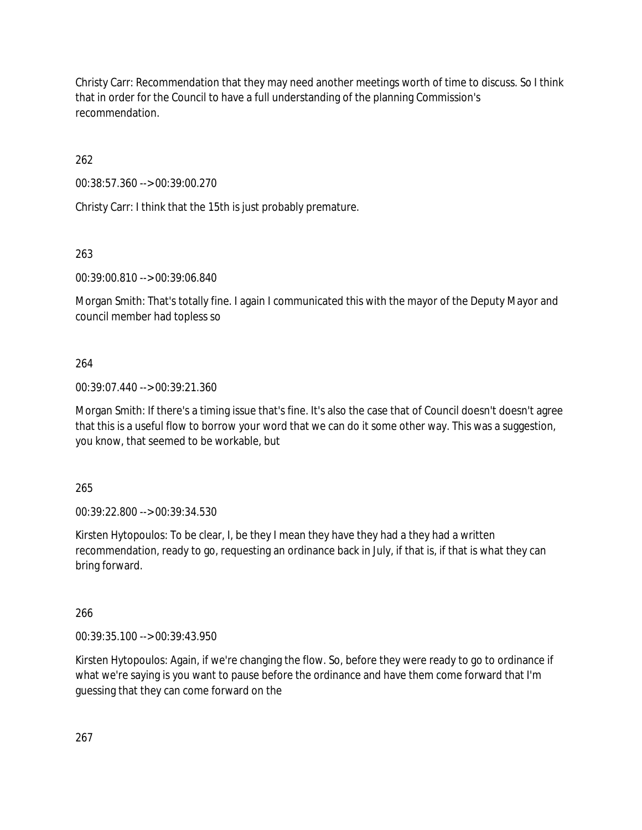Christy Carr: Recommendation that they may need another meetings worth of time to discuss. So I think that in order for the Council to have a full understanding of the planning Commission's recommendation.

262

00:38:57.360 --> 00:39:00.270

Christy Carr: I think that the 15th is just probably premature.

263

00:39:00.810 --> 00:39:06.840

Morgan Smith: That's totally fine. I again I communicated this with the mayor of the Deputy Mayor and council member had topless so

# 264

00:39:07.440 --> 00:39:21.360

Morgan Smith: If there's a timing issue that's fine. It's also the case that of Council doesn't doesn't agree that this is a useful flow to borrow your word that we can do it some other way. This was a suggestion, you know, that seemed to be workable, but

265

00:39:22.800 --> 00:39:34.530

Kirsten Hytopoulos: To be clear, I, be they I mean they have they had a they had a written recommendation, ready to go, requesting an ordinance back in July, if that is, if that is what they can bring forward.

266

00:39:35.100 --> 00:39:43.950

Kirsten Hytopoulos: Again, if we're changing the flow. So, before they were ready to go to ordinance if what we're saying is you want to pause before the ordinance and have them come forward that I'm guessing that they can come forward on the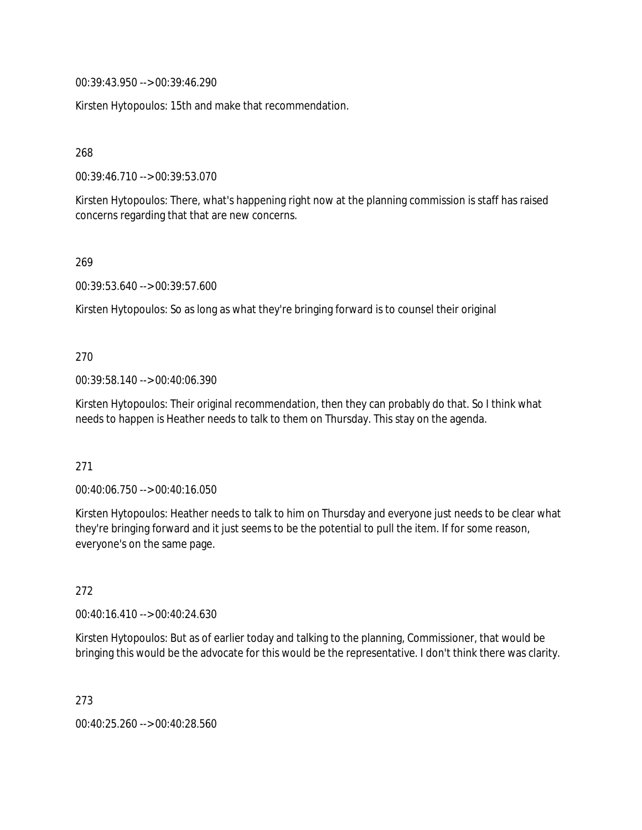00:39:43.950 --> 00:39:46.290

Kirsten Hytopoulos: 15th and make that recommendation.

268

00:39:46.710 --> 00:39:53.070

Kirsten Hytopoulos: There, what's happening right now at the planning commission is staff has raised concerns regarding that that are new concerns.

269

00:39:53.640 --> 00:39:57.600

Kirsten Hytopoulos: So as long as what they're bringing forward is to counsel their original

270

00:39:58.140 --> 00:40:06.390

Kirsten Hytopoulos: Their original recommendation, then they can probably do that. So I think what needs to happen is Heather needs to talk to them on Thursday. This stay on the agenda.

271

00:40:06.750 --> 00:40:16.050

Kirsten Hytopoulos: Heather needs to talk to him on Thursday and everyone just needs to be clear what they're bringing forward and it just seems to be the potential to pull the item. If for some reason, everyone's on the same page.

272

00:40:16.410 --> 00:40:24.630

Kirsten Hytopoulos: But as of earlier today and talking to the planning, Commissioner, that would be bringing this would be the advocate for this would be the representative. I don't think there was clarity.

273

00:40:25.260 --> 00:40:28.560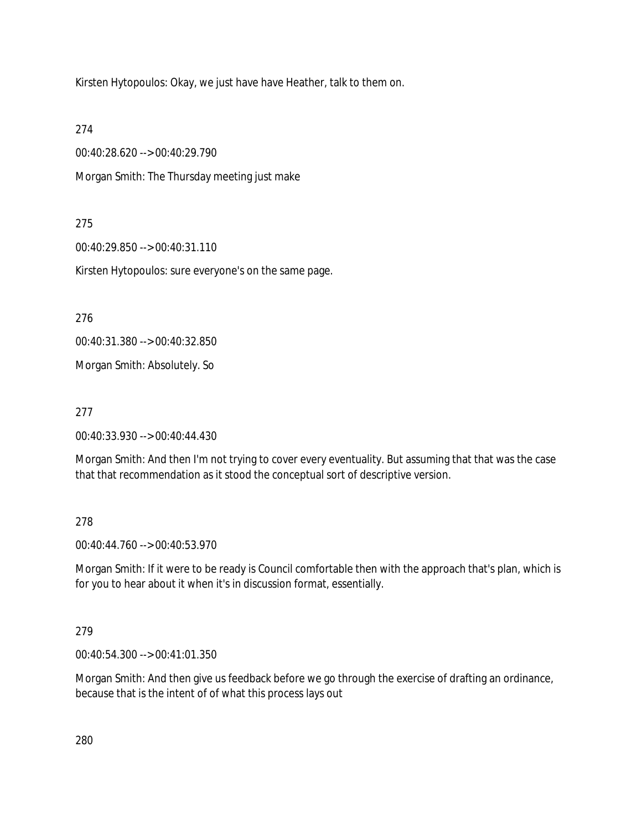Kirsten Hytopoulos: Okay, we just have have Heather, talk to them on.

274

00:40:28.620 --> 00:40:29.790

Morgan Smith: The Thursday meeting just make

# 275

00:40:29.850 --> 00:40:31.110

Kirsten Hytopoulos: sure everyone's on the same page.

276

00:40:31.380 --> 00:40:32.850

Morgan Smith: Absolutely. So

277

00:40:33.930 --> 00:40:44.430

Morgan Smith: And then I'm not trying to cover every eventuality. But assuming that that was the case that that recommendation as it stood the conceptual sort of descriptive version.

### 278

00:40:44.760 --> 00:40:53.970

Morgan Smith: If it were to be ready is Council comfortable then with the approach that's plan, which is for you to hear about it when it's in discussion format, essentially.

# 279

00:40:54.300 --> 00:41:01.350

Morgan Smith: And then give us feedback before we go through the exercise of drafting an ordinance, because that is the intent of of what this process lays out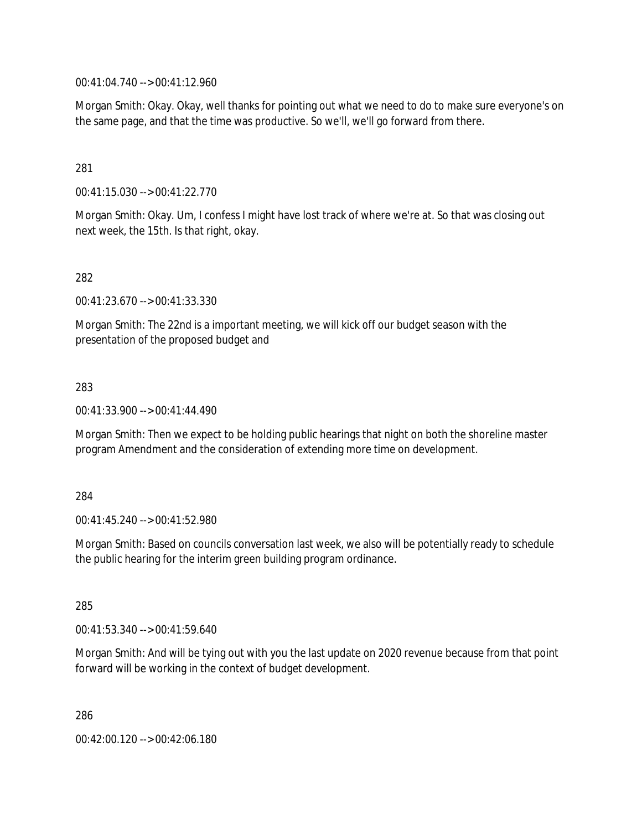00:41:04.740 --> 00:41:12.960

Morgan Smith: Okay. Okay, well thanks for pointing out what we need to do to make sure everyone's on the same page, and that the time was productive. So we'll, we'll go forward from there.

### 281

00:41:15.030 --> 00:41:22.770

Morgan Smith: Okay. Um, I confess I might have lost track of where we're at. So that was closing out next week, the 15th. Is that right, okay.

#### 282

00:41:23.670 --> 00:41:33.330

Morgan Smith: The 22nd is a important meeting, we will kick off our budget season with the presentation of the proposed budget and

#### 283

00:41:33.900 --> 00:41:44.490

Morgan Smith: Then we expect to be holding public hearings that night on both the shoreline master program Amendment and the consideration of extending more time on development.

#### 284

00:41:45.240 --> 00:41:52.980

Morgan Smith: Based on councils conversation last week, we also will be potentially ready to schedule the public hearing for the interim green building program ordinance.

#### 285

00:41:53.340 --> 00:41:59.640

Morgan Smith: And will be tying out with you the last update on 2020 revenue because from that point forward will be working in the context of budget development.

286

00:42:00.120 --> 00:42:06.180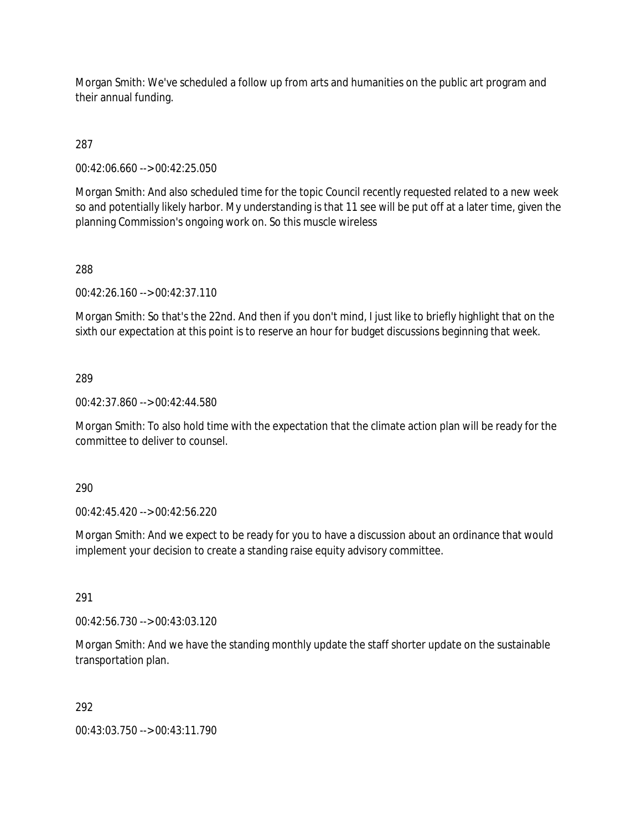Morgan Smith: We've scheduled a follow up from arts and humanities on the public art program and their annual funding.

287

00:42:06.660 --> 00:42:25.050

Morgan Smith: And also scheduled time for the topic Council recently requested related to a new week so and potentially likely harbor. My understanding is that 11 see will be put off at a later time, given the planning Commission's ongoing work on. So this muscle wireless

288

00:42:26.160 --> 00:42:37.110

Morgan Smith: So that's the 22nd. And then if you don't mind, I just like to briefly highlight that on the sixth our expectation at this point is to reserve an hour for budget discussions beginning that week.

289

00:42:37.860 --> 00:42:44.580

Morgan Smith: To also hold time with the expectation that the climate action plan will be ready for the committee to deliver to counsel.

290

00:42:45.420 --> 00:42:56.220

Morgan Smith: And we expect to be ready for you to have a discussion about an ordinance that would implement your decision to create a standing raise equity advisory committee.

291

00:42:56.730 --> 00:43:03.120

Morgan Smith: And we have the standing monthly update the staff shorter update on the sustainable transportation plan.

292

00:43:03.750 --> 00:43:11.790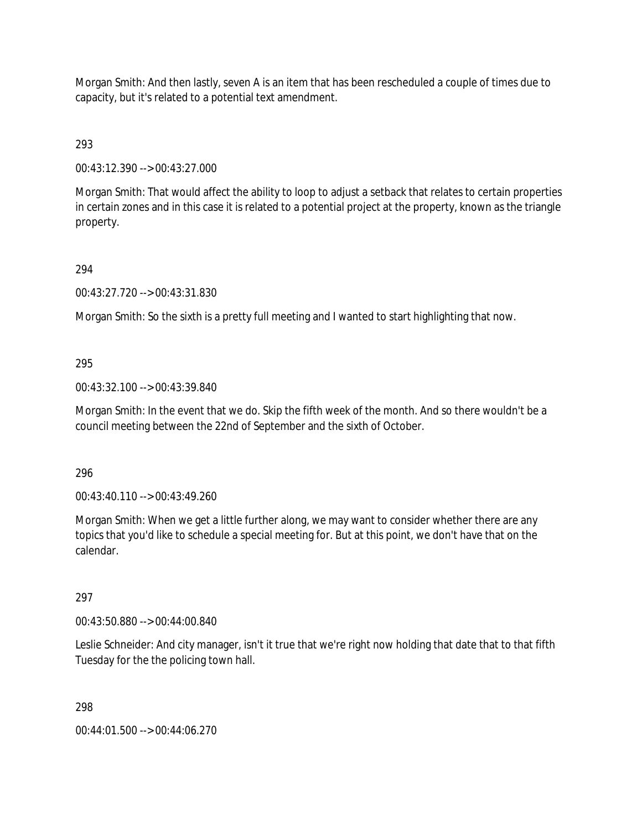Morgan Smith: And then lastly, seven A is an item that has been rescheduled a couple of times due to capacity, but it's related to a potential text amendment.

293

00:43:12.390 --> 00:43:27.000

Morgan Smith: That would affect the ability to loop to adjust a setback that relates to certain properties in certain zones and in this case it is related to a potential project at the property, known as the triangle property.

# 294

00:43:27.720 --> 00:43:31.830

Morgan Smith: So the sixth is a pretty full meeting and I wanted to start highlighting that now.

# 295

00:43:32.100 --> 00:43:39.840

Morgan Smith: In the event that we do. Skip the fifth week of the month. And so there wouldn't be a council meeting between the 22nd of September and the sixth of October.

296

00:43:40.110 --> 00:43:49.260

Morgan Smith: When we get a little further along, we may want to consider whether there are any topics that you'd like to schedule a special meeting for. But at this point, we don't have that on the calendar.

### 297

00:43:50.880 --> 00:44:00.840

Leslie Schneider: And city manager, isn't it true that we're right now holding that date that to that fifth Tuesday for the the policing town hall.

298

00:44:01.500 --> 00:44:06.270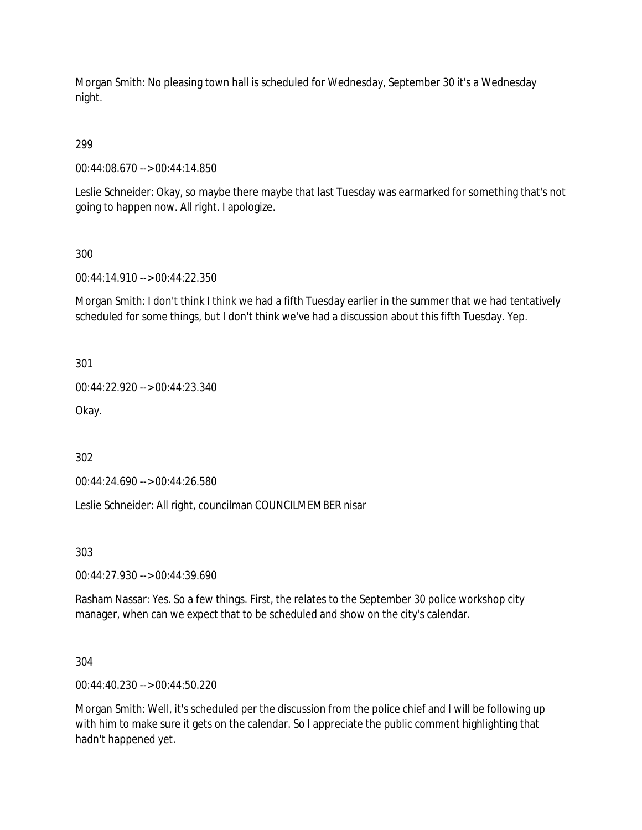Morgan Smith: No pleasing town hall is scheduled for Wednesday, September 30 it's a Wednesday night.

# 299

00:44:08.670 --> 00:44:14.850

Leslie Schneider: Okay, so maybe there maybe that last Tuesday was earmarked for something that's not going to happen now. All right. I apologize.

# 300

00:44:14.910 --> 00:44:22.350

Morgan Smith: I don't think I think we had a fifth Tuesday earlier in the summer that we had tentatively scheduled for some things, but I don't think we've had a discussion about this fifth Tuesday. Yep.

301

00:44:22.920 --> 00:44:23.340

Okay.

302

00:44:24.690 --> 00:44:26.580

Leslie Schneider: All right, councilman COUNCILMEMBER nisar

303

00:44:27.930 --> 00:44:39.690

Rasham Nassar: Yes. So a few things. First, the relates to the September 30 police workshop city manager, when can we expect that to be scheduled and show on the city's calendar.

304

00:44:40.230 --> 00:44:50.220

Morgan Smith: Well, it's scheduled per the discussion from the police chief and I will be following up with him to make sure it gets on the calendar. So I appreciate the public comment highlighting that hadn't happened yet.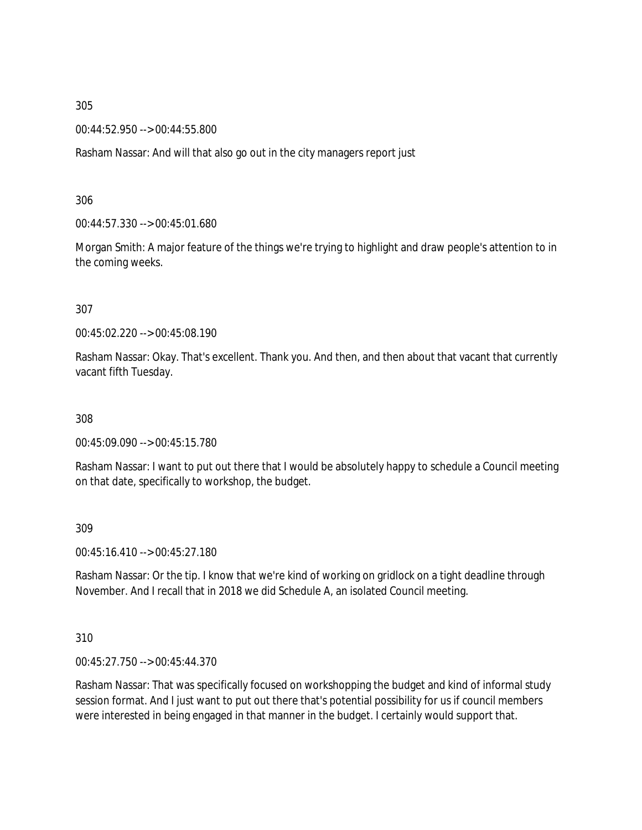00:44:52.950 --> 00:44:55.800

Rasham Nassar: And will that also go out in the city managers report just

306

00:44:57.330 --> 00:45:01.680

Morgan Smith: A major feature of the things we're trying to highlight and draw people's attention to in the coming weeks.

#### 307

00:45:02.220 --> 00:45:08.190

Rasham Nassar: Okay. That's excellent. Thank you. And then, and then about that vacant that currently vacant fifth Tuesday.

308

00:45:09.090 --> 00:45:15.780

Rasham Nassar: I want to put out there that I would be absolutely happy to schedule a Council meeting on that date, specifically to workshop, the budget.

309

00:45:16.410 --> 00:45:27.180

Rasham Nassar: Or the tip. I know that we're kind of working on gridlock on a tight deadline through November. And I recall that in 2018 we did Schedule A, an isolated Council meeting.

310

00:45:27.750 --> 00:45:44.370

Rasham Nassar: That was specifically focused on workshopping the budget and kind of informal study session format. And I just want to put out there that's potential possibility for us if council members were interested in being engaged in that manner in the budget. I certainly would support that.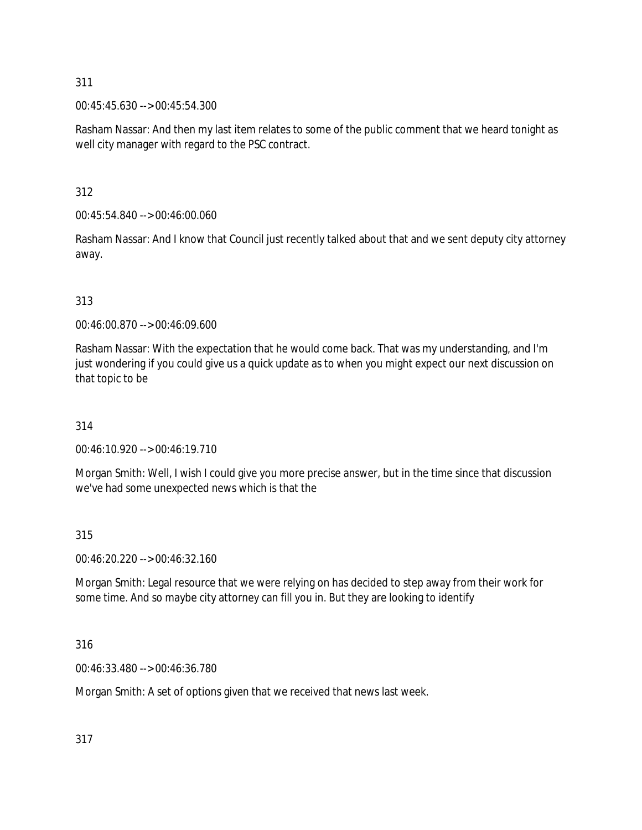00:45:45.630 --> 00:45:54.300

Rasham Nassar: And then my last item relates to some of the public comment that we heard tonight as well city manager with regard to the PSC contract.

312

00:45:54.840 --> 00:46:00.060

Rasham Nassar: And I know that Council just recently talked about that and we sent deputy city attorney away.

# 313

00:46:00.870 --> 00:46:09.600

Rasham Nassar: With the expectation that he would come back. That was my understanding, and I'm just wondering if you could give us a quick update as to when you might expect our next discussion on that topic to be

314

00:46:10.920 --> 00:46:19.710

Morgan Smith: Well, I wish I could give you more precise answer, but in the time since that discussion we've had some unexpected news which is that the

### 315

00:46:20.220 --> 00:46:32.160

Morgan Smith: Legal resource that we were relying on has decided to step away from their work for some time. And so maybe city attorney can fill you in. But they are looking to identify

### 316

00:46:33.480 --> 00:46:36.780

Morgan Smith: A set of options given that we received that news last week.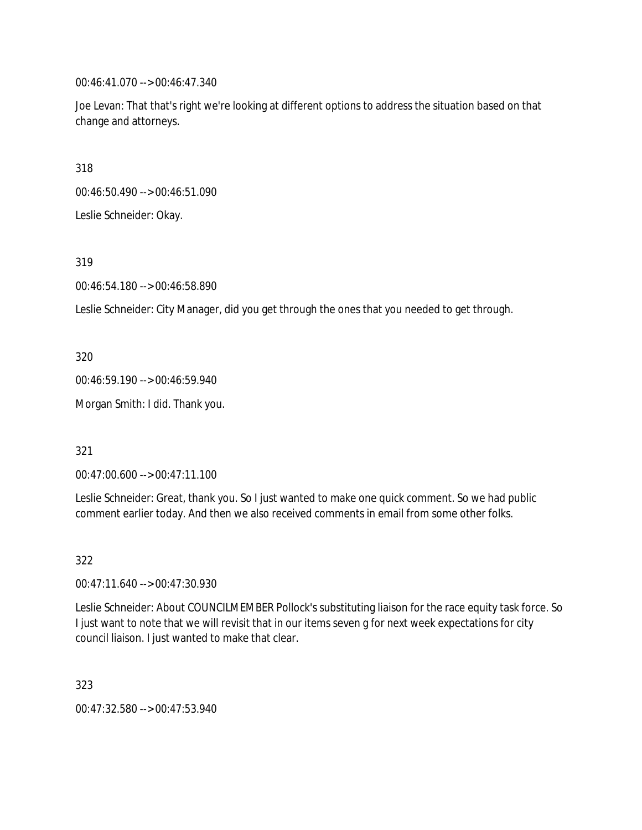00:46:41.070 --> 00:46:47.340

Joe Levan: That that's right we're looking at different options to address the situation based on that change and attorneys.

318

00:46:50.490 --> 00:46:51.090

Leslie Schneider: Okay.

319

00:46:54.180 --> 00:46:58.890

Leslie Schneider: City Manager, did you get through the ones that you needed to get through.

320

00:46:59.190 --> 00:46:59.940

Morgan Smith: I did. Thank you.

321

00:47:00.600 --> 00:47:11.100

Leslie Schneider: Great, thank you. So I just wanted to make one quick comment. So we had public comment earlier today. And then we also received comments in email from some other folks.

322

00:47:11.640 --> 00:47:30.930

Leslie Schneider: About COUNCILMEMBER Pollock's substituting liaison for the race equity task force. So I just want to note that we will revisit that in our items seven g for next week expectations for city council liaison. I just wanted to make that clear.

323

00:47:32.580 --> 00:47:53.940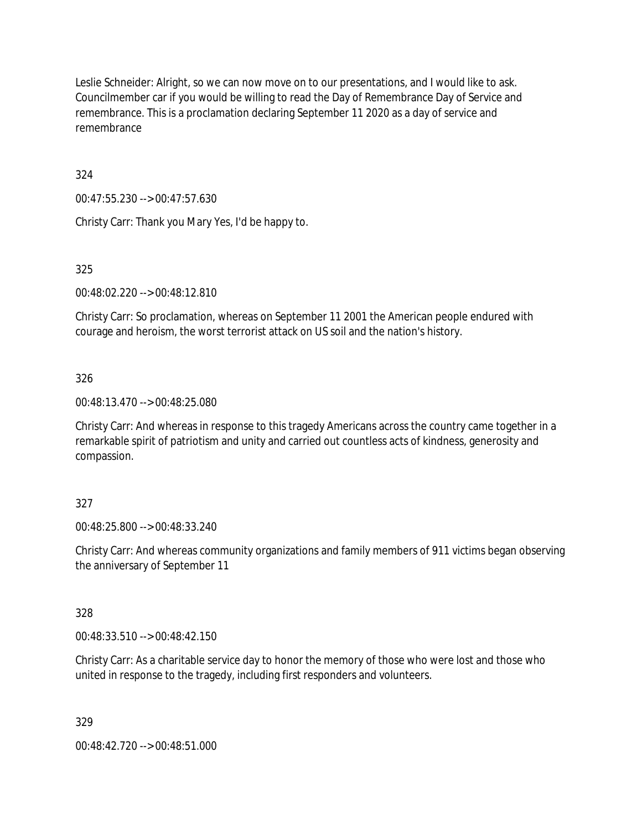Leslie Schneider: Alright, so we can now move on to our presentations, and I would like to ask. Councilmember car if you would be willing to read the Day of Remembrance Day of Service and remembrance. This is a proclamation declaring September 11 2020 as a day of service and remembrance

324

00:47:55.230 --> 00:47:57.630

Christy Carr: Thank you Mary Yes, I'd be happy to.

325

00:48:02.220 --> 00:48:12.810

Christy Carr: So proclamation, whereas on September 11 2001 the American people endured with courage and heroism, the worst terrorist attack on US soil and the nation's history.

326

00:48:13.470 --> 00:48:25.080

Christy Carr: And whereas in response to this tragedy Americans across the country came together in a remarkable spirit of patriotism and unity and carried out countless acts of kindness, generosity and compassion.

### 327

00:48:25.800 --> 00:48:33.240

Christy Carr: And whereas community organizations and family members of 911 victims began observing the anniversary of September 11

### 328

00:48:33.510 --> 00:48:42.150

Christy Carr: As a charitable service day to honor the memory of those who were lost and those who united in response to the tragedy, including first responders and volunteers.

329

00:48:42.720 --> 00:48:51.000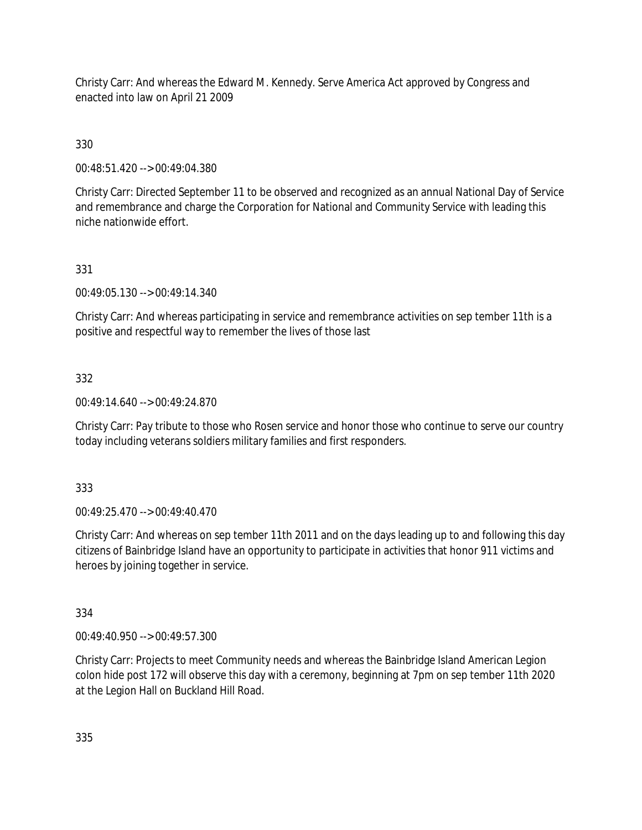Christy Carr: And whereas the Edward M. Kennedy. Serve America Act approved by Congress and enacted into law on April 21 2009

330

00:48:51.420 --> 00:49:04.380

Christy Carr: Directed September 11 to be observed and recognized as an annual National Day of Service and remembrance and charge the Corporation for National and Community Service with leading this niche nationwide effort.

# 331

00:49:05.130 --> 00:49:14.340

Christy Carr: And whereas participating in service and remembrance activities on sep tember 11th is a positive and respectful way to remember the lives of those last

# 332

00:49:14.640 --> 00:49:24.870

Christy Carr: Pay tribute to those who Rosen service and honor those who continue to serve our country today including veterans soldiers military families and first responders.

# 333

00:49:25.470 --> 00:49:40.470

Christy Carr: And whereas on sep tember 11th 2011 and on the days leading up to and following this day citizens of Bainbridge Island have an opportunity to participate in activities that honor 911 victims and heroes by joining together in service.

# 334

00:49:40.950 --> 00:49:57.300

Christy Carr: Projects to meet Community needs and whereas the Bainbridge Island American Legion colon hide post 172 will observe this day with a ceremony, beginning at 7pm on sep tember 11th 2020 at the Legion Hall on Buckland Hill Road.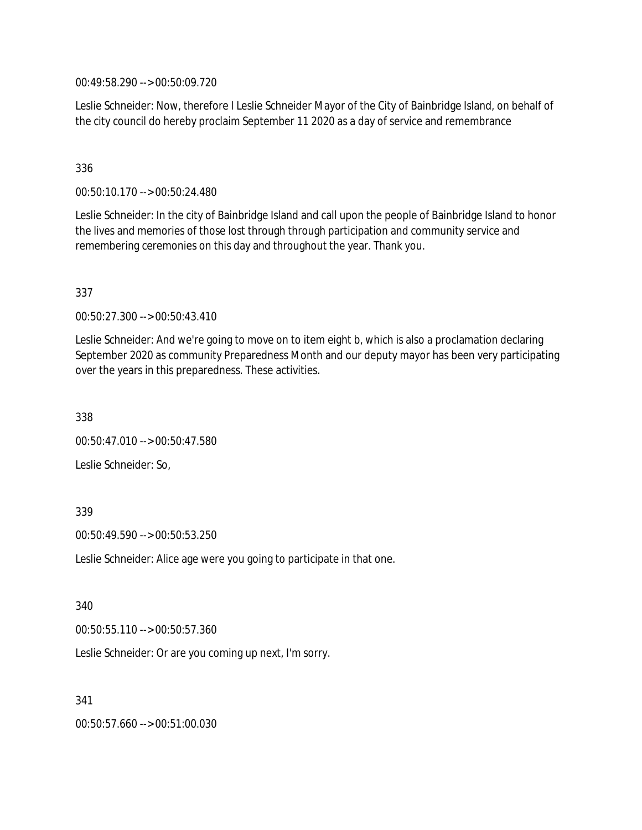00:49:58.290 --> 00:50:09.720

Leslie Schneider: Now, therefore I Leslie Schneider Mayor of the City of Bainbridge Island, on behalf of the city council do hereby proclaim September 11 2020 as a day of service and remembrance

# 336

00:50:10.170 --> 00:50:24.480

Leslie Schneider: In the city of Bainbridge Island and call upon the people of Bainbridge Island to honor the lives and memories of those lost through through participation and community service and remembering ceremonies on this day and throughout the year. Thank you.

### 337

00:50:27.300 --> 00:50:43.410

Leslie Schneider: And we're going to move on to item eight b, which is also a proclamation declaring September 2020 as community Preparedness Month and our deputy mayor has been very participating over the years in this preparedness. These activities.

338

00:50:47.010 --> 00:50:47.580

Leslie Schneider: So,

### 339

00:50:49.590 --> 00:50:53.250

Leslie Schneider: Alice age were you going to participate in that one.

340

00:50:55.110 --> 00:50:57.360

Leslie Schneider: Or are you coming up next, I'm sorry.

341

00:50:57.660 --> 00:51:00.030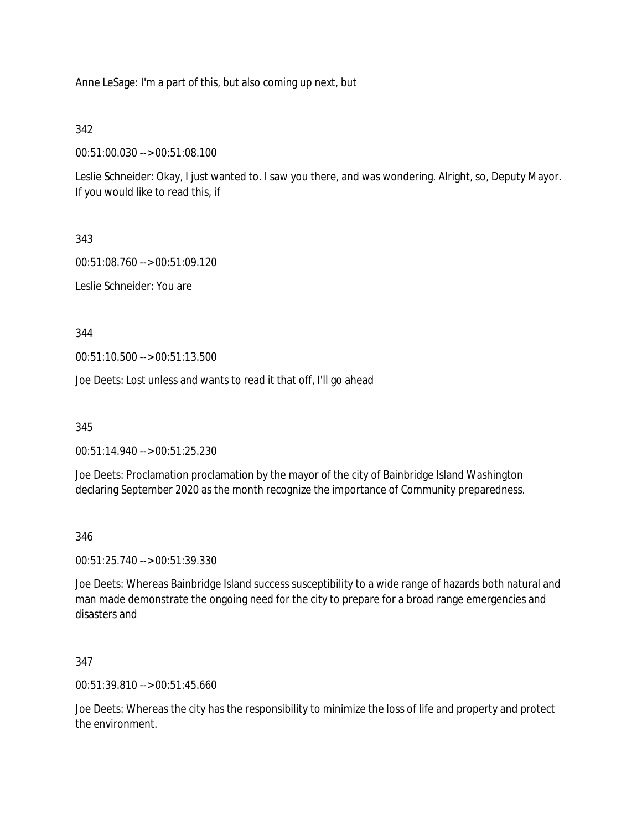Anne LeSage: I'm a part of this, but also coming up next, but

342

00:51:00.030 --> 00:51:08.100

Leslie Schneider: Okay, I just wanted to. I saw you there, and was wondering. Alright, so, Deputy Mayor. If you would like to read this, if

343

00:51:08.760 --> 00:51:09.120

Leslie Schneider: You are

344

00:51:10.500 --> 00:51:13.500

Joe Deets: Lost unless and wants to read it that off, I'll go ahead

345

00:51:14.940 --> 00:51:25.230

Joe Deets: Proclamation proclamation by the mayor of the city of Bainbridge Island Washington declaring September 2020 as the month recognize the importance of Community preparedness.

346

00:51:25.740 --> 00:51:39.330

Joe Deets: Whereas Bainbridge Island success susceptibility to a wide range of hazards both natural and man made demonstrate the ongoing need for the city to prepare for a broad range emergencies and disasters and

347

00:51:39.810 --> 00:51:45.660

Joe Deets: Whereas the city has the responsibility to minimize the loss of life and property and protect the environment.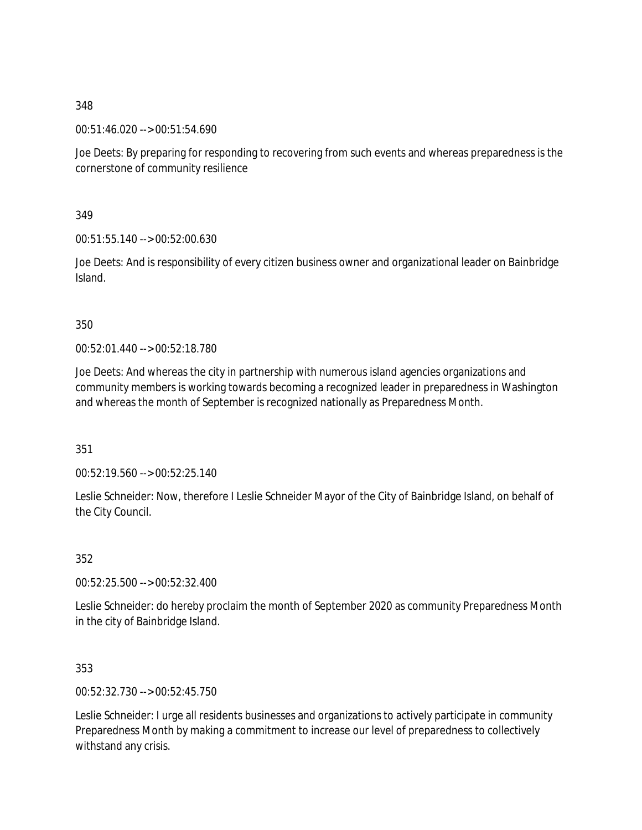00:51:46.020 --> 00:51:54.690

Joe Deets: By preparing for responding to recovering from such events and whereas preparedness is the cornerstone of community resilience

349

00:51:55.140 --> 00:52:00.630

Joe Deets: And is responsibility of every citizen business owner and organizational leader on Bainbridge Island.

350

00:52:01.440 --> 00:52:18.780

Joe Deets: And whereas the city in partnership with numerous island agencies organizations and community members is working towards becoming a recognized leader in preparedness in Washington and whereas the month of September is recognized nationally as Preparedness Month.

351

00:52:19.560 --> 00:52:25.140

Leslie Schneider: Now, therefore I Leslie Schneider Mayor of the City of Bainbridge Island, on behalf of the City Council.

352

00:52:25.500 --> 00:52:32.400

Leslie Schneider: do hereby proclaim the month of September 2020 as community Preparedness Month in the city of Bainbridge Island.

353

00:52:32.730 --> 00:52:45.750

Leslie Schneider: I urge all residents businesses and organizations to actively participate in community Preparedness Month by making a commitment to increase our level of preparedness to collectively withstand any crisis.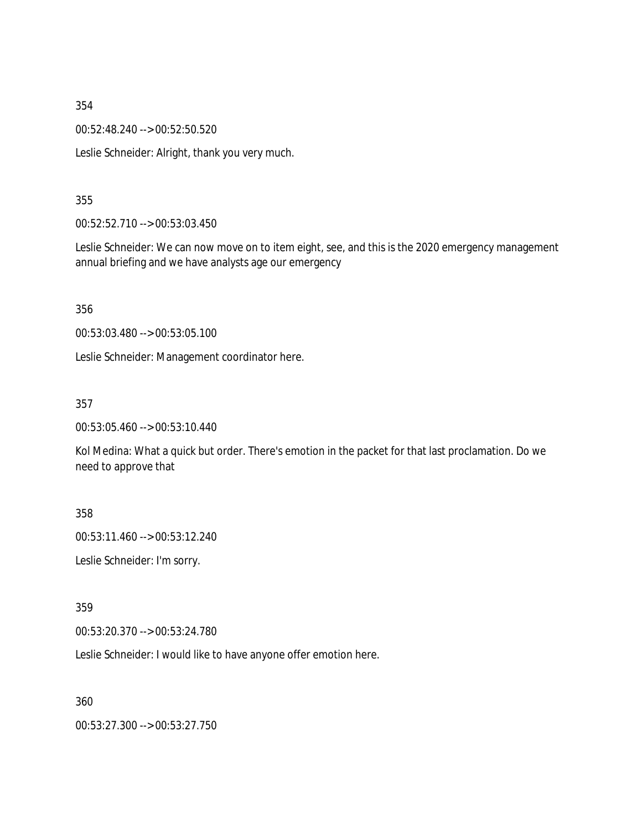00:52:48.240 --> 00:52:50.520

Leslie Schneider: Alright, thank you very much.

#### 355

00:52:52.710 --> 00:53:03.450

Leslie Schneider: We can now move on to item eight, see, and this is the 2020 emergency management annual briefing and we have analysts age our emergency

356

00:53:03.480 --> 00:53:05.100

Leslie Schneider: Management coordinator here.

357

00:53:05.460 --> 00:53:10.440

Kol Medina: What a quick but order. There's emotion in the packet for that last proclamation. Do we need to approve that

358

00:53:11.460 --> 00:53:12.240

Leslie Schneider: I'm sorry.

359

00:53:20.370 --> 00:53:24.780

Leslie Schneider: I would like to have anyone offer emotion here.

360

00:53:27.300 --> 00:53:27.750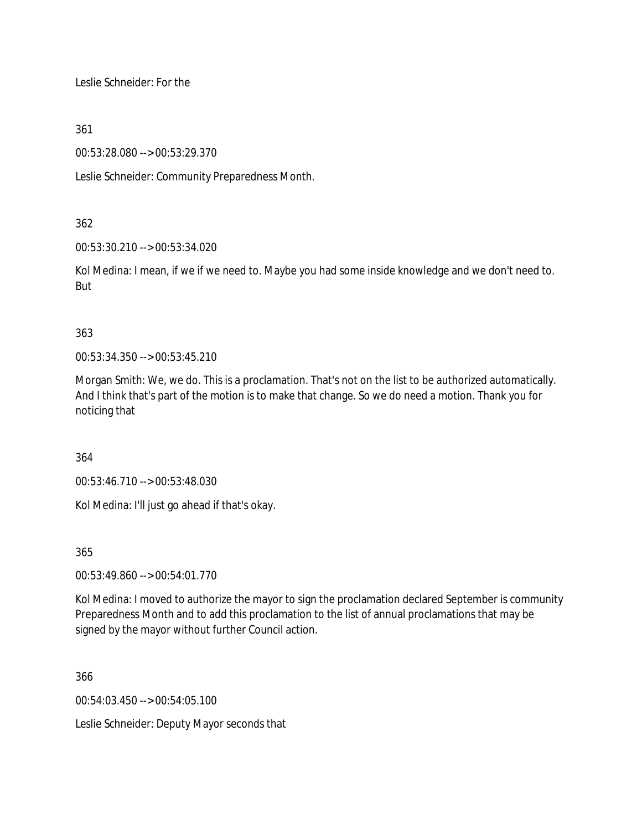Leslie Schneider: For the

361

00:53:28.080 --> 00:53:29.370

Leslie Schneider: Community Preparedness Month.

# 362

00:53:30.210 --> 00:53:34.020

Kol Medina: I mean, if we if we need to. Maybe you had some inside knowledge and we don't need to. But

# 363

00:53:34.350 --> 00:53:45.210

Morgan Smith: We, we do. This is a proclamation. That's not on the list to be authorized automatically. And I think that's part of the motion is to make that change. So we do need a motion. Thank you for noticing that

364

00:53:46.710 --> 00:53:48.030

Kol Medina: I'll just go ahead if that's okay.

365

00:53:49.860 --> 00:54:01.770

Kol Medina: I moved to authorize the mayor to sign the proclamation declared September is community Preparedness Month and to add this proclamation to the list of annual proclamations that may be signed by the mayor without further Council action.

366

00:54:03.450 --> 00:54:05.100

Leslie Schneider: Deputy Mayor seconds that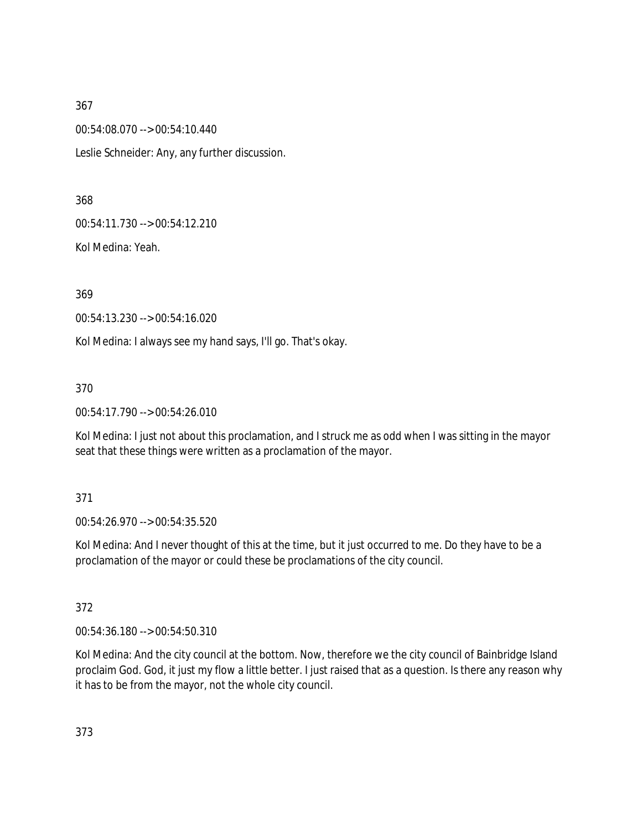00:54:08.070 --> 00:54:10.440

Leslie Schneider: Any, any further discussion.

368

00:54:11.730 --> 00:54:12.210

Kol Medina: Yeah.

369

00:54:13.230 --> 00:54:16.020

Kol Medina: I always see my hand says, I'll go. That's okay.

370

00:54:17.790 --> 00:54:26.010

Kol Medina: I just not about this proclamation, and I struck me as odd when I was sitting in the mayor seat that these things were written as a proclamation of the mayor.

### 371

00:54:26.970 --> 00:54:35.520

Kol Medina: And I never thought of this at the time, but it just occurred to me. Do they have to be a proclamation of the mayor or could these be proclamations of the city council.

372

00:54:36.180 --> 00:54:50.310

Kol Medina: And the city council at the bottom. Now, therefore we the city council of Bainbridge Island proclaim God. God, it just my flow a little better. I just raised that as a question. Is there any reason why it has to be from the mayor, not the whole city council.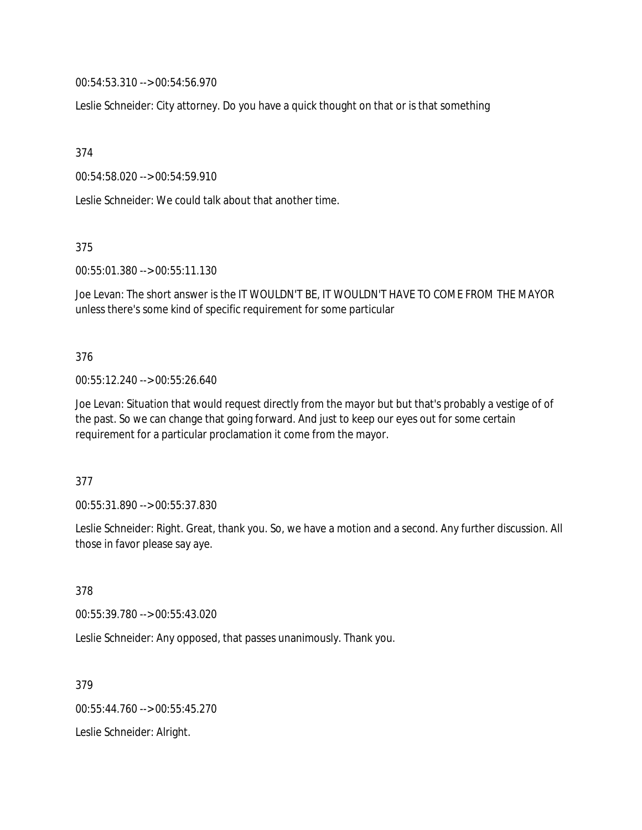00:54:53.310 --> 00:54:56.970

Leslie Schneider: City attorney. Do you have a quick thought on that or is that something

374

00:54:58.020 --> 00:54:59.910

Leslie Schneider: We could talk about that another time.

375

00:55:01.380 --> 00:55:11.130

Joe Levan: The short answer is the IT WOULDN'T BE, IT WOULDN'T HAVE TO COME FROM THE MAYOR unless there's some kind of specific requirement for some particular

376

00:55:12.240 --> 00:55:26.640

Joe Levan: Situation that would request directly from the mayor but but that's probably a vestige of of the past. So we can change that going forward. And just to keep our eyes out for some certain requirement for a particular proclamation it come from the mayor.

377

00:55:31.890 --> 00:55:37.830

Leslie Schneider: Right. Great, thank you. So, we have a motion and a second. Any further discussion. All those in favor please say aye.

378

00:55:39.780 --> 00:55:43.020

Leslie Schneider: Any opposed, that passes unanimously. Thank you.

379

00:55:44.760 --> 00:55:45.270

Leslie Schneider: Alright.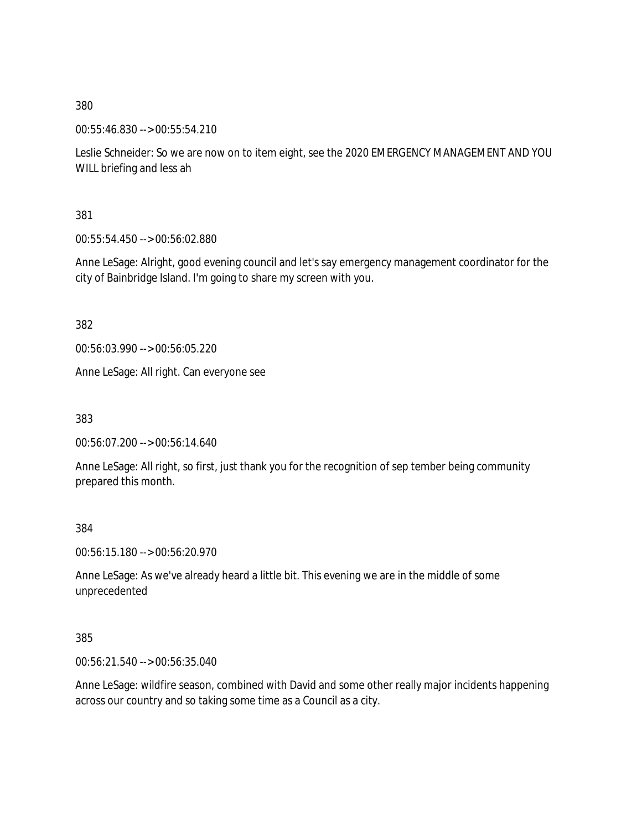00:55:46.830 --> 00:55:54.210

Leslie Schneider: So we are now on to item eight, see the 2020 EMERGENCY MANAGEMENT AND YOU WILL briefing and less ah

381

00:55:54.450 --> 00:56:02.880

Anne LeSage: Alright, good evening council and let's say emergency management coordinator for the city of Bainbridge Island. I'm going to share my screen with you.

382

00:56:03.990 --> 00:56:05.220

Anne LeSage: All right. Can everyone see

383

00:56:07.200 --> 00:56:14.640

Anne LeSage: All right, so first, just thank you for the recognition of sep tember being community prepared this month.

384

00:56:15.180 --> 00:56:20.970

Anne LeSage: As we've already heard a little bit. This evening we are in the middle of some unprecedented

385

00:56:21.540 --> 00:56:35.040

Anne LeSage: wildfire season, combined with David and some other really major incidents happening across our country and so taking some time as a Council as a city.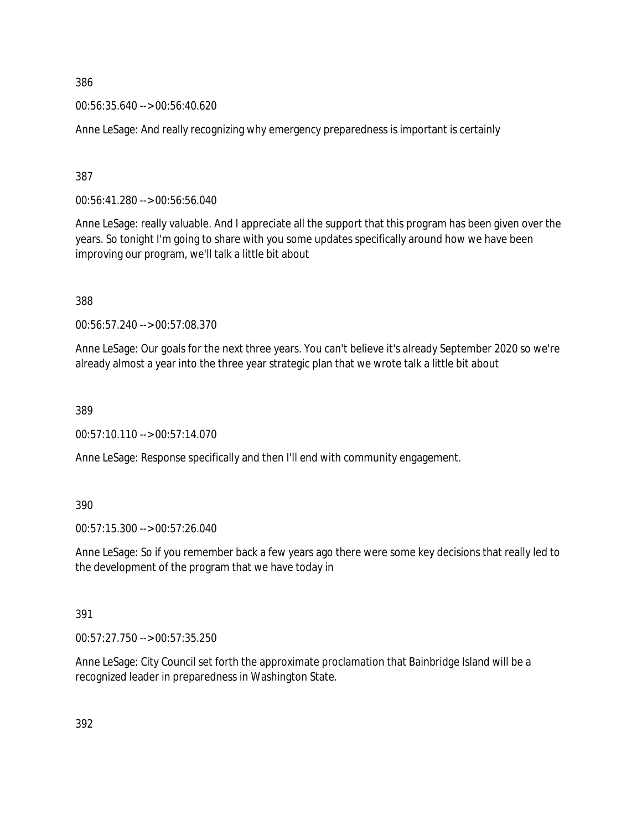00:56:35.640 --> 00:56:40.620

Anne LeSage: And really recognizing why emergency preparedness is important is certainly

387

00:56:41.280 --> 00:56:56.040

Anne LeSage: really valuable. And I appreciate all the support that this program has been given over the years. So tonight I'm going to share with you some updates specifically around how we have been improving our program, we'll talk a little bit about

388

00:56:57.240 --> 00:57:08.370

Anne LeSage: Our goals for the next three years. You can't believe it's already September 2020 so we're already almost a year into the three year strategic plan that we wrote talk a little bit about

389

00:57:10.110 --> 00:57:14.070

Anne LeSage: Response specifically and then I'll end with community engagement.

390

00:57:15.300 --> 00:57:26.040

Anne LeSage: So if you remember back a few years ago there were some key decisions that really led to the development of the program that we have today in

391

00:57:27.750 --> 00:57:35.250

Anne LeSage: City Council set forth the approximate proclamation that Bainbridge Island will be a recognized leader in preparedness in Washington State.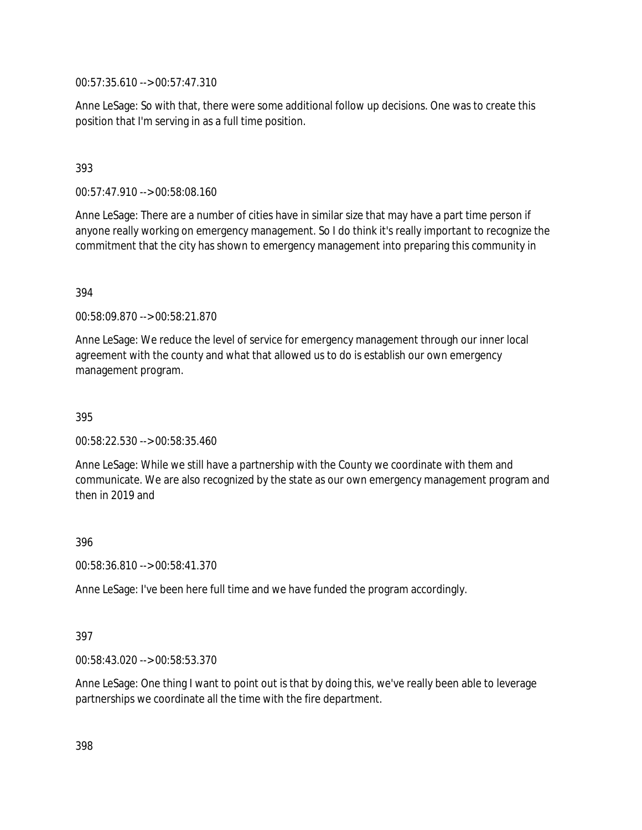00:57:35.610 --> 00:57:47.310

Anne LeSage: So with that, there were some additional follow up decisions. One was to create this position that I'm serving in as a full time position.

# 393

00:57:47.910 --> 00:58:08.160

Anne LeSage: There are a number of cities have in similar size that may have a part time person if anyone really working on emergency management. So I do think it's really important to recognize the commitment that the city has shown to emergency management into preparing this community in

### 394

00:58:09.870 --> 00:58:21.870

Anne LeSage: We reduce the level of service for emergency management through our inner local agreement with the county and what that allowed us to do is establish our own emergency management program.

395

00:58:22.530 --> 00:58:35.460

Anne LeSage: While we still have a partnership with the County we coordinate with them and communicate. We are also recognized by the state as our own emergency management program and then in 2019 and

396

00:58:36.810 --> 00:58:41.370

Anne LeSage: I've been here full time and we have funded the program accordingly.

#### 397

00:58:43.020 --> 00:58:53.370

Anne LeSage: One thing I want to point out is that by doing this, we've really been able to leverage partnerships we coordinate all the time with the fire department.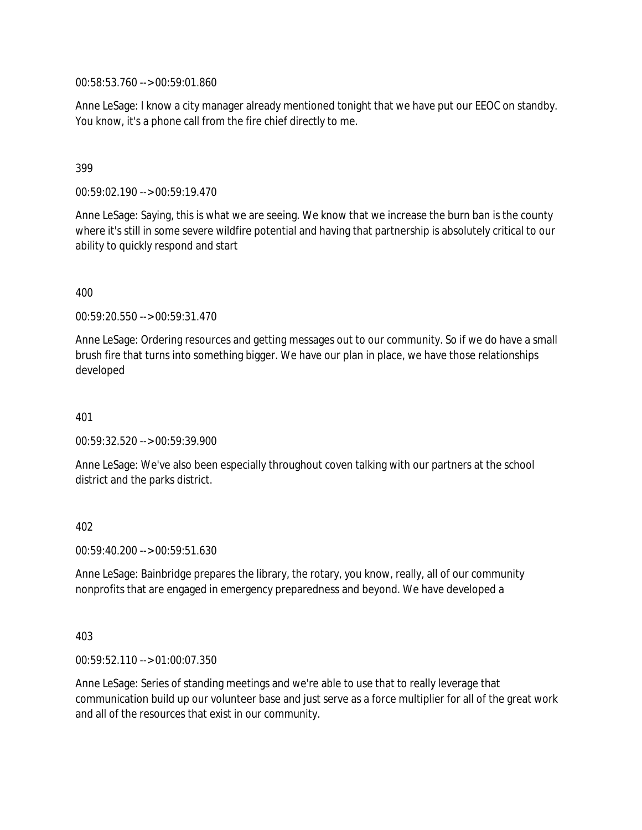00:58:53.760 --> 00:59:01.860

Anne LeSage: I know a city manager already mentioned tonight that we have put our EEOC on standby. You know, it's a phone call from the fire chief directly to me.

### 399

00:59:02.190 --> 00:59:19.470

Anne LeSage: Saying, this is what we are seeing. We know that we increase the burn ban is the county where it's still in some severe wildfire potential and having that partnership is absolutely critical to our ability to quickly respond and start

400

00:59:20.550 --> 00:59:31.470

Anne LeSage: Ordering resources and getting messages out to our community. So if we do have a small brush fire that turns into something bigger. We have our plan in place, we have those relationships developed

401

00:59:32.520 --> 00:59:39.900

Anne LeSage: We've also been especially throughout coven talking with our partners at the school district and the parks district.

402

00:59:40.200 --> 00:59:51.630

Anne LeSage: Bainbridge prepares the library, the rotary, you know, really, all of our community nonprofits that are engaged in emergency preparedness and beyond. We have developed a

403

00:59:52.110 --> 01:00:07.350

Anne LeSage: Series of standing meetings and we're able to use that to really leverage that communication build up our volunteer base and just serve as a force multiplier for all of the great work and all of the resources that exist in our community.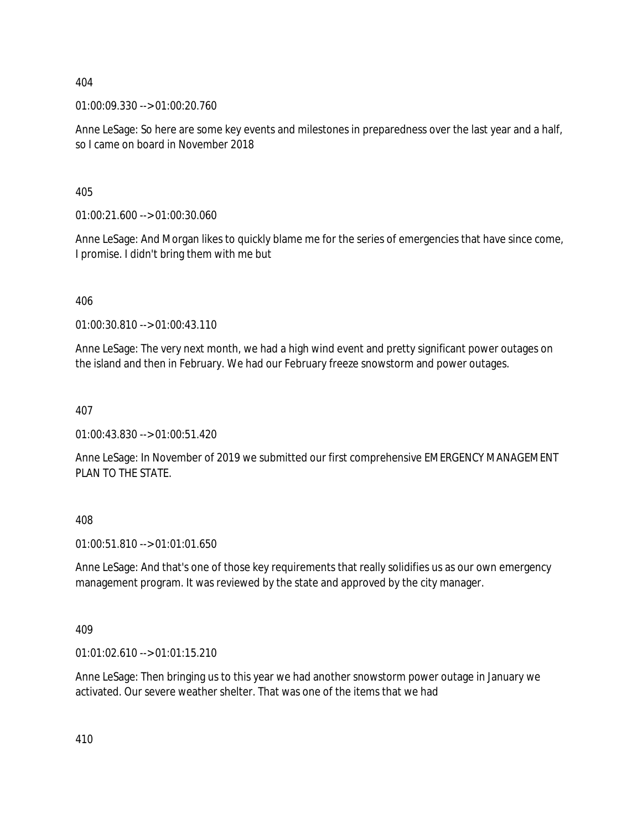01:00:09.330 --> 01:00:20.760

Anne LeSage: So here are some key events and milestones in preparedness over the last year and a half, so I came on board in November 2018

405

01:00:21.600 --> 01:00:30.060

Anne LeSage: And Morgan likes to quickly blame me for the series of emergencies that have since come, I promise. I didn't bring them with me but

406

01:00:30.810 --> 01:00:43.110

Anne LeSage: The very next month, we had a high wind event and pretty significant power outages on the island and then in February. We had our February freeze snowstorm and power outages.

407

01:00:43.830 --> 01:00:51.420

Anne LeSage: In November of 2019 we submitted our first comprehensive EMERGENCY MANAGEMENT PLAN TO THE STATE.

408

01:00:51.810 --> 01:01:01.650

Anne LeSage: And that's one of those key requirements that really solidifies us as our own emergency management program. It was reviewed by the state and approved by the city manager.

409

01:01:02.610 --> 01:01:15.210

Anne LeSage: Then bringing us to this year we had another snowstorm power outage in January we activated. Our severe weather shelter. That was one of the items that we had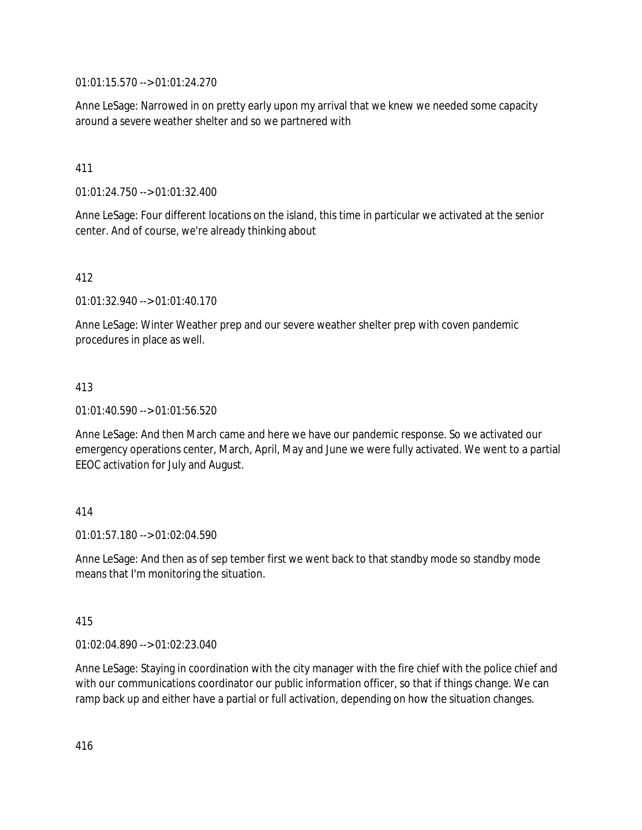01:01:15.570 --> 01:01:24.270

Anne LeSage: Narrowed in on pretty early upon my arrival that we knew we needed some capacity around a severe weather shelter and so we partnered with

### 411

01:01:24.750 --> 01:01:32.400

Anne LeSage: Four different locations on the island, this time in particular we activated at the senior center. And of course, we're already thinking about

# 412

01:01:32.940 --> 01:01:40.170

Anne LeSage: Winter Weather prep and our severe weather shelter prep with coven pandemic procedures in place as well.

### 413

01:01:40.590 --> 01:01:56.520

Anne LeSage: And then March came and here we have our pandemic response. So we activated our emergency operations center, March, April, May and June we were fully activated. We went to a partial EEOC activation for July and August.

### 414

 $01:01:57.180 \rightarrow 01:02:04.590$ 

Anne LeSage: And then as of sep tember first we went back to that standby mode so standby mode means that I'm monitoring the situation.

### 415

01:02:04.890 --> 01:02:23.040

Anne LeSage: Staying in coordination with the city manager with the fire chief with the police chief and with our communications coordinator our public information officer, so that if things change. We can ramp back up and either have a partial or full activation, depending on how the situation changes.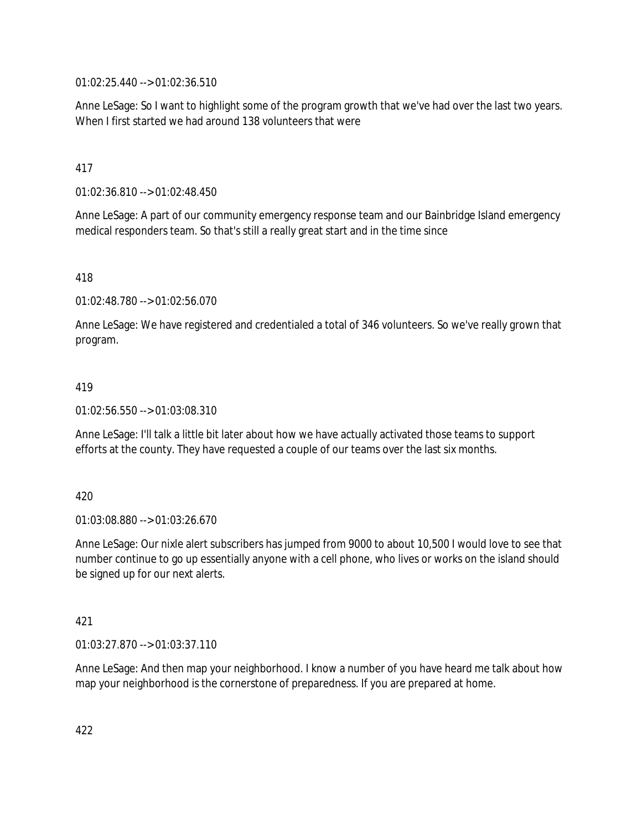01:02:25.440 --> 01:02:36.510

Anne LeSage: So I want to highlight some of the program growth that we've had over the last two years. When I first started we had around 138 volunteers that were

# 417

01:02:36.810 --> 01:02:48.450

Anne LeSage: A part of our community emergency response team and our Bainbridge Island emergency medical responders team. So that's still a really great start and in the time since

418

01:02:48.780 --> 01:02:56.070

Anne LeSage: We have registered and credentialed a total of 346 volunteers. So we've really grown that program.

#### 419

01:02:56.550 --> 01:03:08.310

Anne LeSage: I'll talk a little bit later about how we have actually activated those teams to support efforts at the county. They have requested a couple of our teams over the last six months.

### 420

01:03:08.880 --> 01:03:26.670

Anne LeSage: Our nixle alert subscribers has jumped from 9000 to about 10,500 I would love to see that number continue to go up essentially anyone with a cell phone, who lives or works on the island should be signed up for our next alerts.

### 421

01:03:27.870 --> 01:03:37.110

Anne LeSage: And then map your neighborhood. I know a number of you have heard me talk about how map your neighborhood is the cornerstone of preparedness. If you are prepared at home.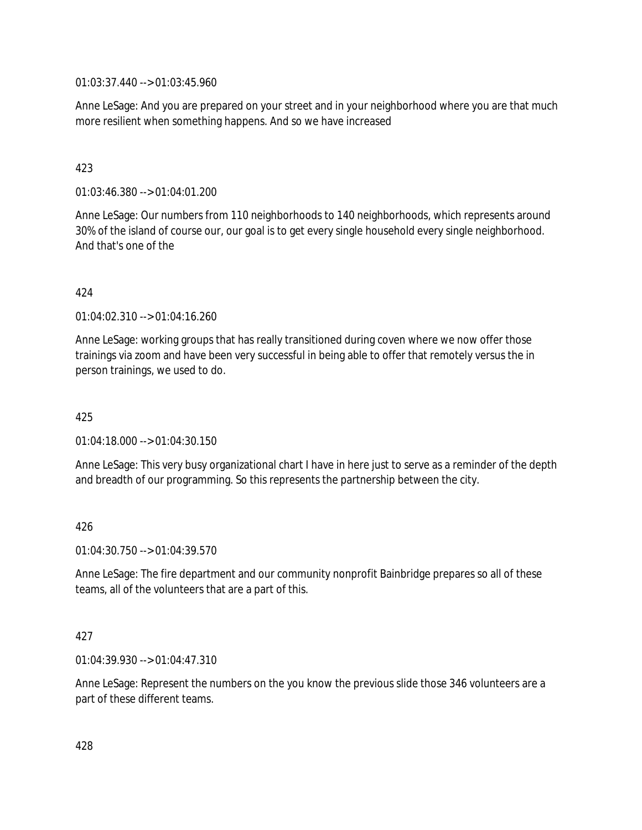01:03:37.440 --> 01:03:45.960

Anne LeSage: And you are prepared on your street and in your neighborhood where you are that much more resilient when something happens. And so we have increased

# 423

01:03:46.380 --> 01:04:01.200

Anne LeSage: Our numbers from 110 neighborhoods to 140 neighborhoods, which represents around 30% of the island of course our, our goal is to get every single household every single neighborhood. And that's one of the

### 424

01:04:02.310 --> 01:04:16.260

Anne LeSage: working groups that has really transitioned during coven where we now offer those trainings via zoom and have been very successful in being able to offer that remotely versus the in person trainings, we used to do.

### 425

01:04:18.000 --> 01:04:30.150

Anne LeSage: This very busy organizational chart I have in here just to serve as a reminder of the depth and breadth of our programming. So this represents the partnership between the city.

### 426

01:04:30.750 --> 01:04:39.570

Anne LeSage: The fire department and our community nonprofit Bainbridge prepares so all of these teams, all of the volunteers that are a part of this.

#### 427

01:04:39.930 --> 01:04:47.310

Anne LeSage: Represent the numbers on the you know the previous slide those 346 volunteers are a part of these different teams.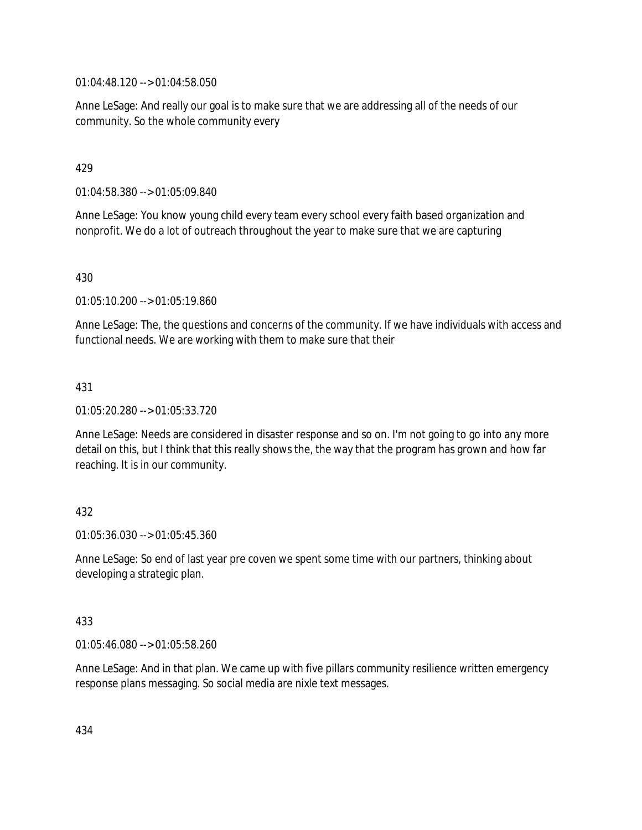01:04:48.120 --> 01:04:58.050

Anne LeSage: And really our goal is to make sure that we are addressing all of the needs of our community. So the whole community every

### 429

01:04:58.380 --> 01:05:09.840

Anne LeSage: You know young child every team every school every faith based organization and nonprofit. We do a lot of outreach throughout the year to make sure that we are capturing

### 430

01:05:10.200 --> 01:05:19.860

Anne LeSage: The, the questions and concerns of the community. If we have individuals with access and functional needs. We are working with them to make sure that their

### 431

01:05:20.280 --> 01:05:33.720

Anne LeSage: Needs are considered in disaster response and so on. I'm not going to go into any more detail on this, but I think that this really shows the, the way that the program has grown and how far reaching. It is in our community.

### 432

01:05:36.030 --> 01:05:45.360

Anne LeSage: So end of last year pre coven we spent some time with our partners, thinking about developing a strategic plan.

### 433

01:05:46.080 --> 01:05:58.260

Anne LeSage: And in that plan. We came up with five pillars community resilience written emergency response plans messaging. So social media are nixle text messages.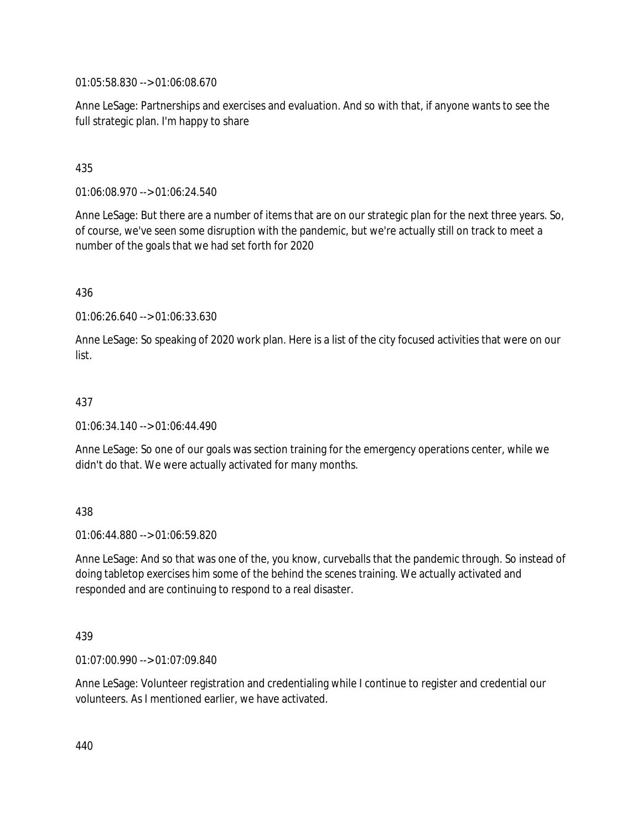01:05:58.830 --> 01:06:08.670

Anne LeSage: Partnerships and exercises and evaluation. And so with that, if anyone wants to see the full strategic plan. I'm happy to share

### 435

01:06:08.970 --> 01:06:24.540

Anne LeSage: But there are a number of items that are on our strategic plan for the next three years. So, of course, we've seen some disruption with the pandemic, but we're actually still on track to meet a number of the goals that we had set forth for 2020

### 436

01:06:26.640 --> 01:06:33.630

Anne LeSage: So speaking of 2020 work plan. Here is a list of the city focused activities that were on our list.

### 437

01:06:34.140 --> 01:06:44.490

Anne LeSage: So one of our goals was section training for the emergency operations center, while we didn't do that. We were actually activated for many months.

### 438

01:06:44.880 --> 01:06:59.820

Anne LeSage: And so that was one of the, you know, curveballs that the pandemic through. So instead of doing tabletop exercises him some of the behind the scenes training. We actually activated and responded and are continuing to respond to a real disaster.

#### 439

01:07:00.990 --> 01:07:09.840

Anne LeSage: Volunteer registration and credentialing while I continue to register and credential our volunteers. As I mentioned earlier, we have activated.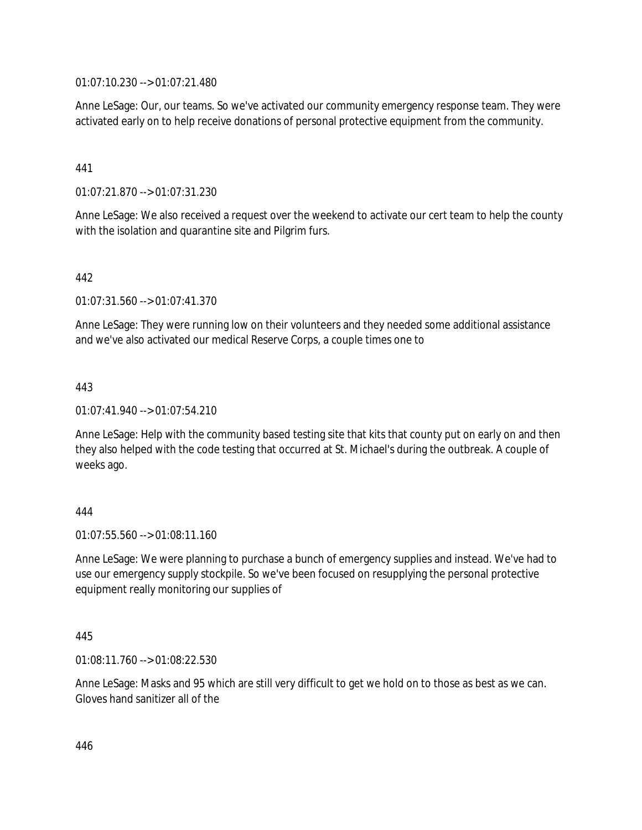01:07:10.230 --> 01:07:21.480

Anne LeSage: Our, our teams. So we've activated our community emergency response team. They were activated early on to help receive donations of personal protective equipment from the community.

# 441

01:07:21.870 --> 01:07:31.230

Anne LeSage: We also received a request over the weekend to activate our cert team to help the county with the isolation and quarantine site and Pilgrim furs.

# 442

01:07:31.560 --> 01:07:41.370

Anne LeSage: They were running low on their volunteers and they needed some additional assistance and we've also activated our medical Reserve Corps, a couple times one to

# 443

01:07:41.940 --> 01:07:54.210

Anne LeSage: Help with the community based testing site that kits that county put on early on and then they also helped with the code testing that occurred at St. Michael's during the outbreak. A couple of weeks ago.

### 444

 $01:07:55.560 \rightarrow 01:08:11.160$ 

Anne LeSage: We were planning to purchase a bunch of emergency supplies and instead. We've had to use our emergency supply stockpile. So we've been focused on resupplying the personal protective equipment really monitoring our supplies of

### 445

01:08:11.760 --> 01:08:22.530

Anne LeSage: Masks and 95 which are still very difficult to get we hold on to those as best as we can. Gloves hand sanitizer all of the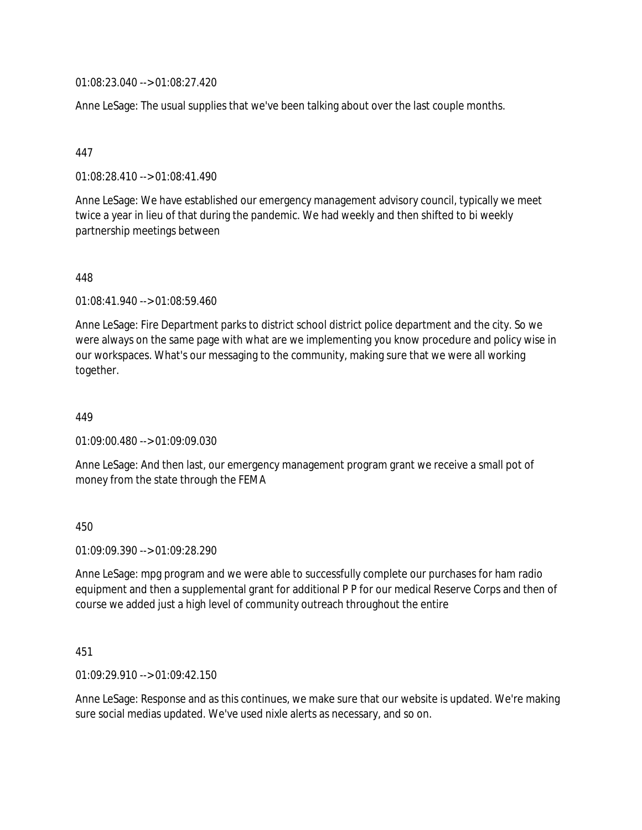01:08:23.040 --> 01:08:27.420

Anne LeSage: The usual supplies that we've been talking about over the last couple months.

#### 447

01:08:28.410 --> 01:08:41.490

Anne LeSage: We have established our emergency management advisory council, typically we meet twice a year in lieu of that during the pandemic. We had weekly and then shifted to bi weekly partnership meetings between

#### 448

01:08:41.940 --> 01:08:59.460

Anne LeSage: Fire Department parks to district school district police department and the city. So we were always on the same page with what are we implementing you know procedure and policy wise in our workspaces. What's our messaging to the community, making sure that we were all working together.

449

01:09:00.480 --> 01:09:09.030

Anne LeSage: And then last, our emergency management program grant we receive a small pot of money from the state through the FEMA

#### 450

01:09:09.390 --> 01:09:28.290

Anne LeSage: mpg program and we were able to successfully complete our purchases for ham radio equipment and then a supplemental grant for additional P P for our medical Reserve Corps and then of course we added just a high level of community outreach throughout the entire

#### 451

01:09:29.910 --> 01:09:42.150

Anne LeSage: Response and as this continues, we make sure that our website is updated. We're making sure social medias updated. We've used nixle alerts as necessary, and so on.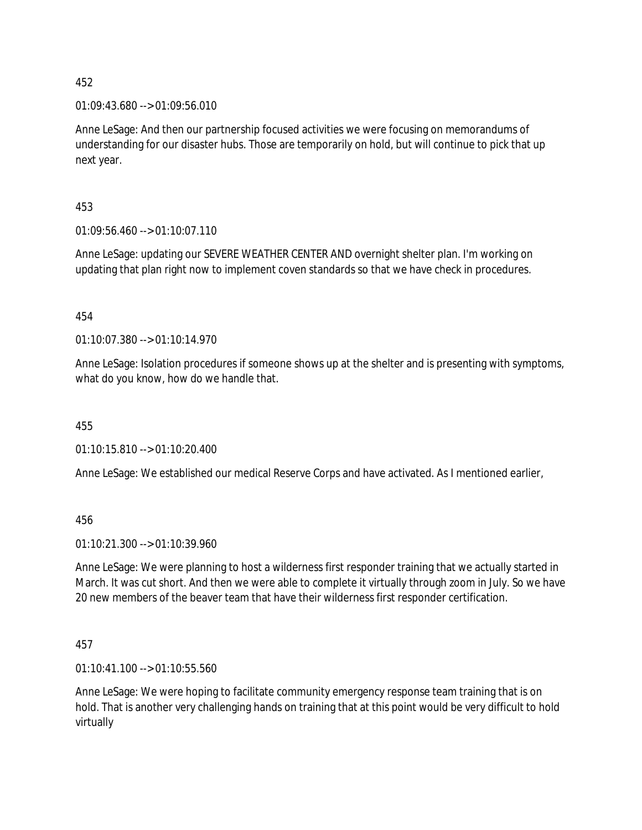01:09:43.680 --> 01:09:56.010

Anne LeSage: And then our partnership focused activities we were focusing on memorandums of understanding for our disaster hubs. Those are temporarily on hold, but will continue to pick that up next year.

453

01:09:56.460 --> 01:10:07.110

Anne LeSage: updating our SEVERE WEATHER CENTER AND overnight shelter plan. I'm working on updating that plan right now to implement coven standards so that we have check in procedures.

454

01:10:07.380 --> 01:10:14.970

Anne LeSage: Isolation procedures if someone shows up at the shelter and is presenting with symptoms, what do you know, how do we handle that.

455

01:10:15.810 --> 01:10:20.400

Anne LeSage: We established our medical Reserve Corps and have activated. As I mentioned earlier,

456

01:10:21.300 --> 01:10:39.960

Anne LeSage: We were planning to host a wilderness first responder training that we actually started in March. It was cut short. And then we were able to complete it virtually through zoom in July. So we have 20 new members of the beaver team that have their wilderness first responder certification.

457

01:10:41.100 --> 01:10:55.560

Anne LeSage: We were hoping to facilitate community emergency response team training that is on hold. That is another very challenging hands on training that at this point would be very difficult to hold virtually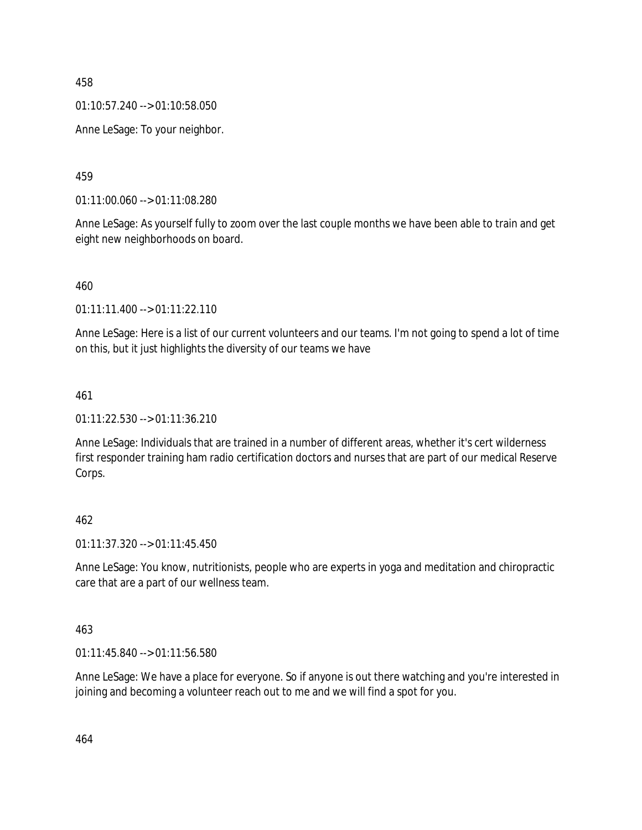01:10:57.240 --> 01:10:58.050

Anne LeSage: To your neighbor.

459

01:11:00.060 --> 01:11:08.280

Anne LeSage: As yourself fully to zoom over the last couple months we have been able to train and get eight new neighborhoods on board.

460

01:11:11.400 --> 01:11:22.110

Anne LeSage: Here is a list of our current volunteers and our teams. I'm not going to spend a lot of time on this, but it just highlights the diversity of our teams we have

461

01:11:22.530 --> 01:11:36.210

Anne LeSage: Individuals that are trained in a number of different areas, whether it's cert wilderness first responder training ham radio certification doctors and nurses that are part of our medical Reserve Corps.

### 462

01:11:37.320 --> 01:11:45.450

Anne LeSage: You know, nutritionists, people who are experts in yoga and meditation and chiropractic care that are a part of our wellness team.

463

01:11:45.840 --> 01:11:56.580

Anne LeSage: We have a place for everyone. So if anyone is out there watching and you're interested in joining and becoming a volunteer reach out to me and we will find a spot for you.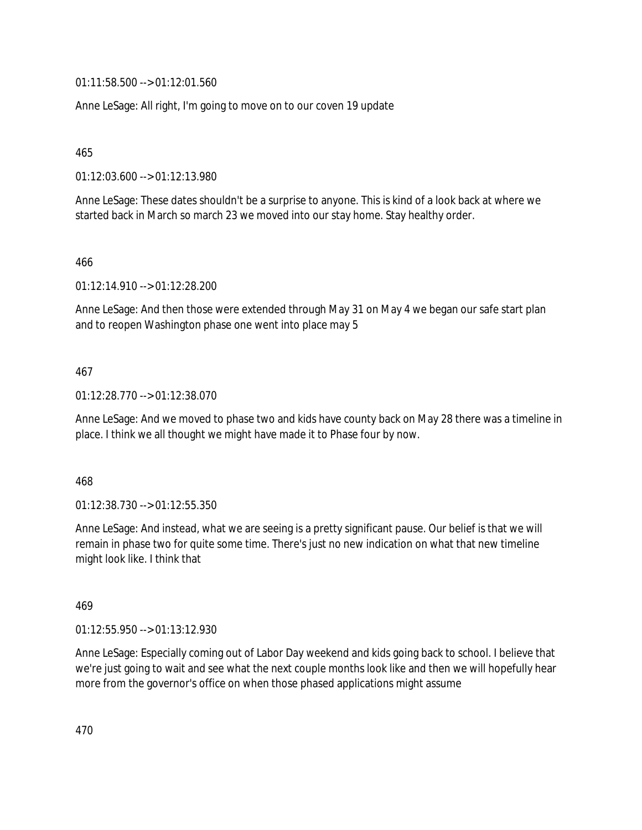01:11:58.500 --> 01:12:01.560

Anne LeSage: All right, I'm going to move on to our coven 19 update

465

01:12:03.600 --> 01:12:13.980

Anne LeSage: These dates shouldn't be a surprise to anyone. This is kind of a look back at where we started back in March so march 23 we moved into our stay home. Stay healthy order.

466

01:12:14.910 --> 01:12:28.200

Anne LeSage: And then those were extended through May 31 on May 4 we began our safe start plan and to reopen Washington phase one went into place may 5

### 467

01:12:28.770 --> 01:12:38.070

Anne LeSage: And we moved to phase two and kids have county back on May 28 there was a timeline in place. I think we all thought we might have made it to Phase four by now.

### 468

01:12:38.730 --> 01:12:55.350

Anne LeSage: And instead, what we are seeing is a pretty significant pause. Our belief is that we will remain in phase two for quite some time. There's just no new indication on what that new timeline might look like. I think that

#### 469

01:12:55.950 --> 01:13:12.930

Anne LeSage: Especially coming out of Labor Day weekend and kids going back to school. I believe that we're just going to wait and see what the next couple months look like and then we will hopefully hear more from the governor's office on when those phased applications might assume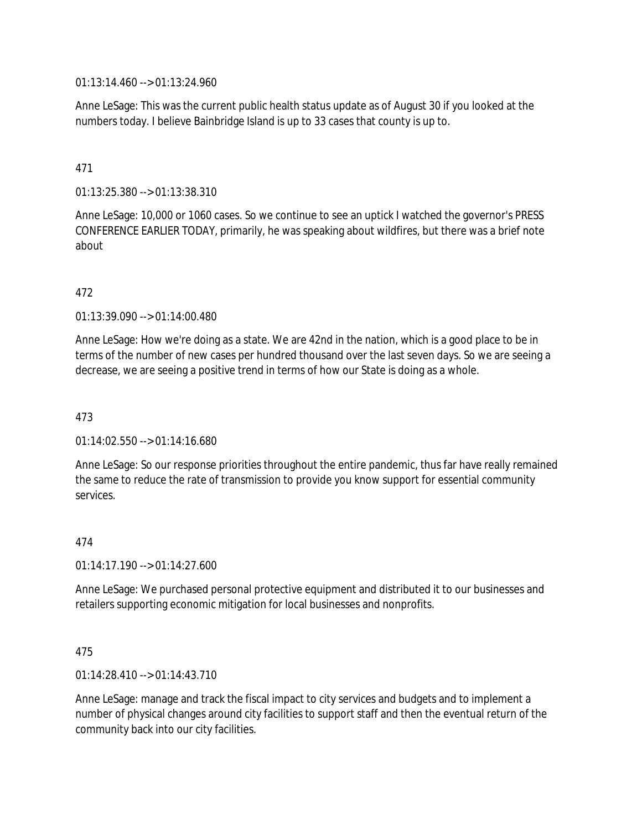01:13:14.460 --> 01:13:24.960

Anne LeSage: This was the current public health status update as of August 30 if you looked at the numbers today. I believe Bainbridge Island is up to 33 cases that county is up to.

## 471

01:13:25.380 --> 01:13:38.310

Anne LeSage: 10,000 or 1060 cases. So we continue to see an uptick I watched the governor's PRESS CONFERENCE EARLIER TODAY, primarily, he was speaking about wildfires, but there was a brief note about

#### 472

01:13:39.090 --> 01:14:00.480

Anne LeSage: How we're doing as a state. We are 42nd in the nation, which is a good place to be in terms of the number of new cases per hundred thousand over the last seven days. So we are seeing a decrease, we are seeing a positive trend in terms of how our State is doing as a whole.

### 473

 $01:14:02.550 \rightarrow 01:14:16.680$ 

Anne LeSage: So our response priorities throughout the entire pandemic, thus far have really remained the same to reduce the rate of transmission to provide you know support for essential community services.

#### 474

01:14:17.190 --> 01:14:27.600

Anne LeSage: We purchased personal protective equipment and distributed it to our businesses and retailers supporting economic mitigation for local businesses and nonprofits.

### 475

01:14:28.410 --> 01:14:43.710

Anne LeSage: manage and track the fiscal impact to city services and budgets and to implement a number of physical changes around city facilities to support staff and then the eventual return of the community back into our city facilities.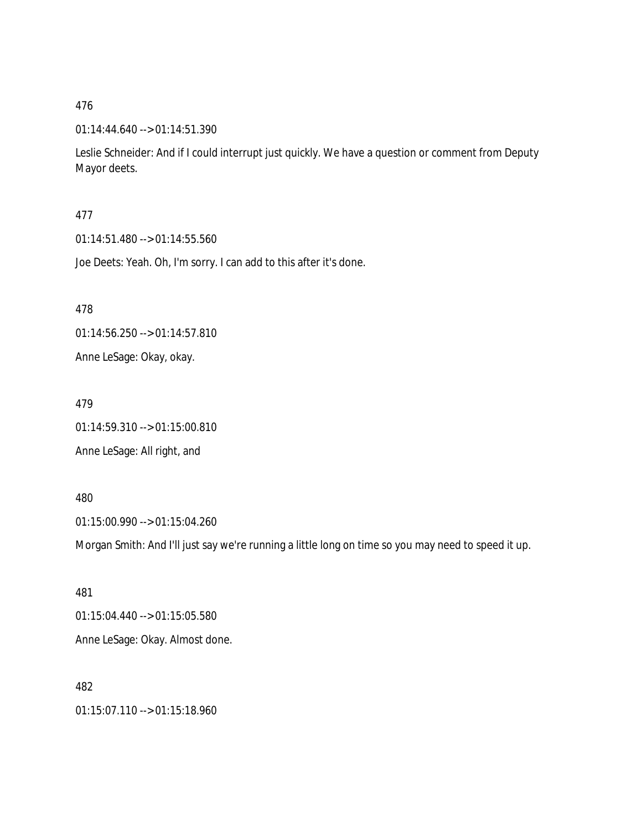### 01:14:44.640 --> 01:14:51.390

Leslie Schneider: And if I could interrupt just quickly. We have a question or comment from Deputy Mayor deets.

#### 477

01:14:51.480 --> 01:14:55.560

Joe Deets: Yeah. Oh, I'm sorry. I can add to this after it's done.

478

01:14:56.250 --> 01:14:57.810

Anne LeSage: Okay, okay.

479

01:14:59.310 --> 01:15:00.810

Anne LeSage: All right, and

#### 480

01:15:00.990 --> 01:15:04.260

Morgan Smith: And I'll just say we're running a little long on time so you may need to speed it up.

481 01:15:04.440 --> 01:15:05.580 Anne LeSage: Okay. Almost done.

# 482

01:15:07.110 --> 01:15:18.960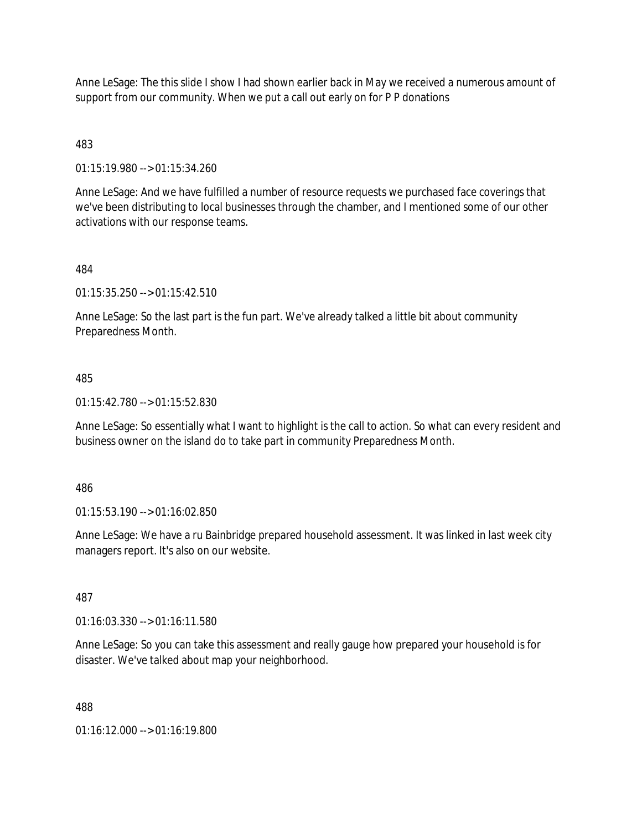Anne LeSage: The this slide I show I had shown earlier back in May we received a numerous amount of support from our community. When we put a call out early on for P P donations

483

01:15:19.980 --> 01:15:34.260

Anne LeSage: And we have fulfilled a number of resource requests we purchased face coverings that we've been distributing to local businesses through the chamber, and I mentioned some of our other activations with our response teams.

484

01:15:35.250 --> 01:15:42.510

Anne LeSage: So the last part is the fun part. We've already talked a little bit about community Preparedness Month.

485

01:15:42.780 --> 01:15:52.830

Anne LeSage: So essentially what I want to highlight is the call to action. So what can every resident and business owner on the island do to take part in community Preparedness Month.

486

01:15:53.190 --> 01:16:02.850

Anne LeSage: We have a ru Bainbridge prepared household assessment. It was linked in last week city managers report. It's also on our website.

487

01:16:03.330 --> 01:16:11.580

Anne LeSage: So you can take this assessment and really gauge how prepared your household is for disaster. We've talked about map your neighborhood.

488

01:16:12.000 --> 01:16:19.800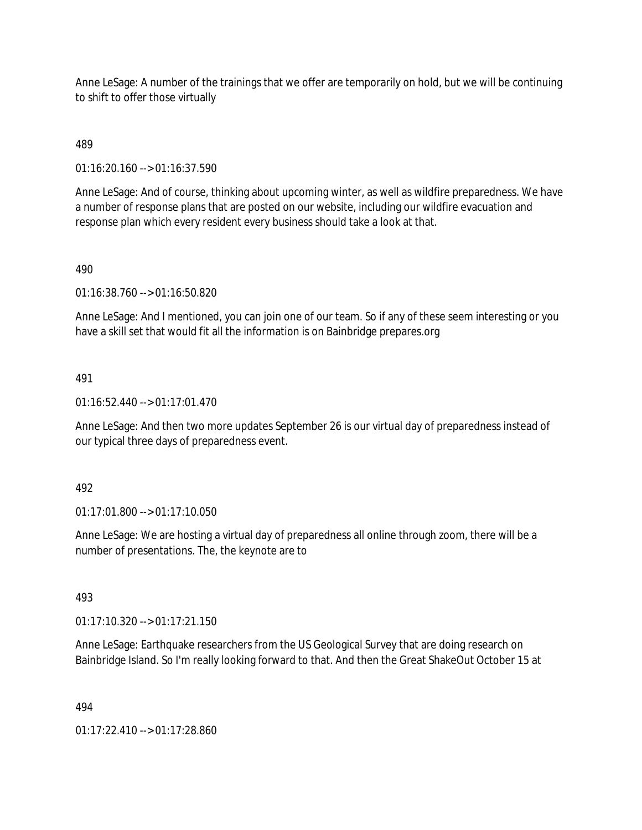Anne LeSage: A number of the trainings that we offer are temporarily on hold, but we will be continuing to shift to offer those virtually

489

01:16:20.160 --> 01:16:37.590

Anne LeSage: And of course, thinking about upcoming winter, as well as wildfire preparedness. We have a number of response plans that are posted on our website, including our wildfire evacuation and response plan which every resident every business should take a look at that.

### 490

01:16:38.760 --> 01:16:50.820

Anne LeSage: And I mentioned, you can join one of our team. So if any of these seem interesting or you have a skill set that would fit all the information is on Bainbridge prepares.org

### 491

 $01:16:52.440 \rightarrow 01:17:01.470$ 

Anne LeSage: And then two more updates September 26 is our virtual day of preparedness instead of our typical three days of preparedness event.

### 492

01:17:01.800 --> 01:17:10.050

Anne LeSage: We are hosting a virtual day of preparedness all online through zoom, there will be a number of presentations. The, the keynote are to

# 493

01:17:10.320 --> 01:17:21.150

Anne LeSage: Earthquake researchers from the US Geological Survey that are doing research on Bainbridge Island. So I'm really looking forward to that. And then the Great ShakeOut October 15 at

### 494

01:17:22.410 --> 01:17:28.860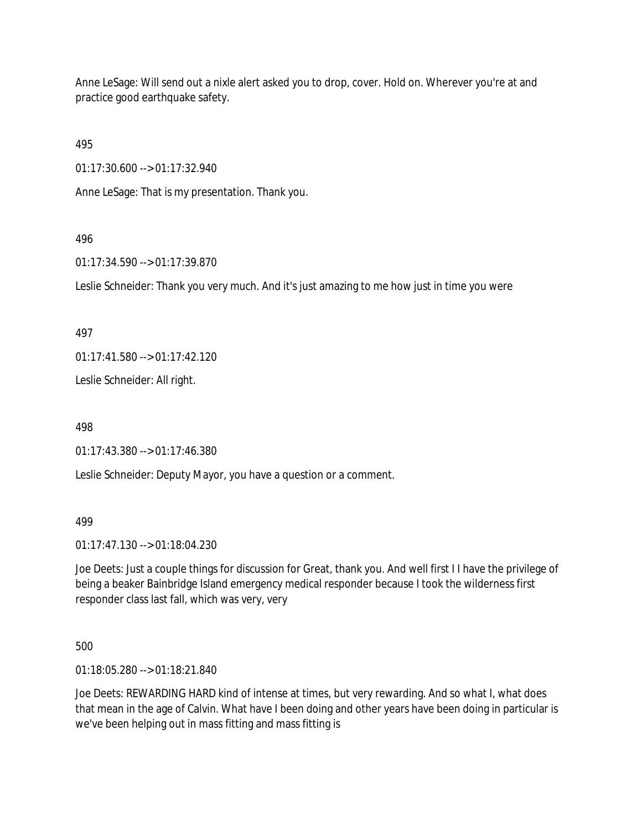Anne LeSage: Will send out a nixle alert asked you to drop, cover. Hold on. Wherever you're at and practice good earthquake safety.

495

01:17:30.600 --> 01:17:32.940

Anne LeSage: That is my presentation. Thank you.

## 496

01:17:34.590 --> 01:17:39.870

Leslie Schneider: Thank you very much. And it's just amazing to me how just in time you were

497

01:17:41.580 --> 01:17:42.120

Leslie Schneider: All right.

498

01:17:43.380 --> 01:17:46.380

Leslie Schneider: Deputy Mayor, you have a question or a comment.

499

01:17:47.130 --> 01:18:04.230

Joe Deets: Just a couple things for discussion for Great, thank you. And well first I I have the privilege of being a beaker Bainbridge Island emergency medical responder because I took the wilderness first responder class last fall, which was very, very

500

01:18:05.280 --> 01:18:21.840

Joe Deets: REWARDING HARD kind of intense at times, but very rewarding. And so what I, what does that mean in the age of Calvin. What have I been doing and other years have been doing in particular is we've been helping out in mass fitting and mass fitting is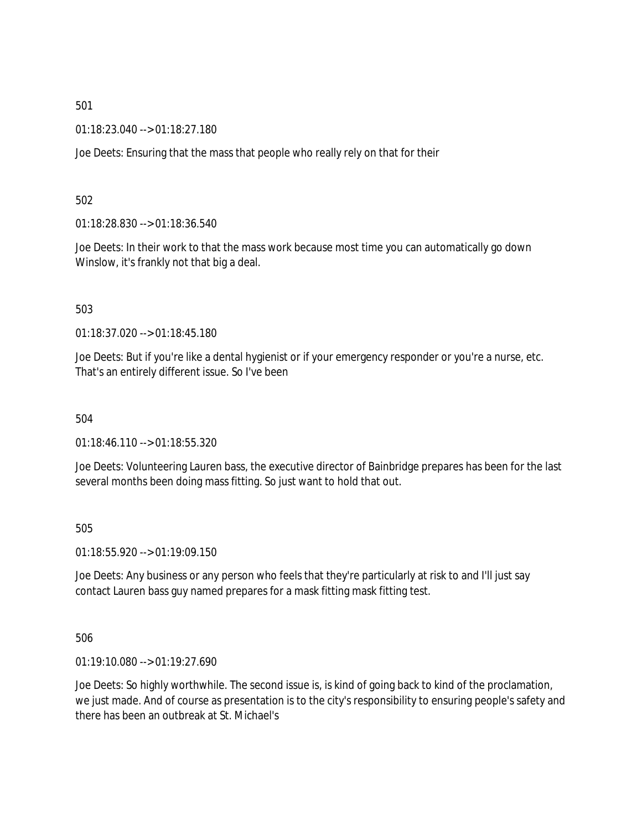01:18:23.040 --> 01:18:27.180

Joe Deets: Ensuring that the mass that people who really rely on that for their

502

01:18:28.830 --> 01:18:36.540

Joe Deets: In their work to that the mass work because most time you can automatically go down Winslow, it's frankly not that big a deal.

503

01:18:37.020 --> 01:18:45.180

Joe Deets: But if you're like a dental hygienist or if your emergency responder or you're a nurse, etc. That's an entirely different issue. So I've been

504

01:18:46.110 --> 01:18:55.320

Joe Deets: Volunteering Lauren bass, the executive director of Bainbridge prepares has been for the last several months been doing mass fitting. So just want to hold that out.

505

01:18:55.920 --> 01:19:09.150

Joe Deets: Any business or any person who feels that they're particularly at risk to and I'll just say contact Lauren bass guy named prepares for a mask fitting mask fitting test.

506

01:19:10.080 --> 01:19:27.690

Joe Deets: So highly worthwhile. The second issue is, is kind of going back to kind of the proclamation, we just made. And of course as presentation is to the city's responsibility to ensuring people's safety and there has been an outbreak at St. Michael's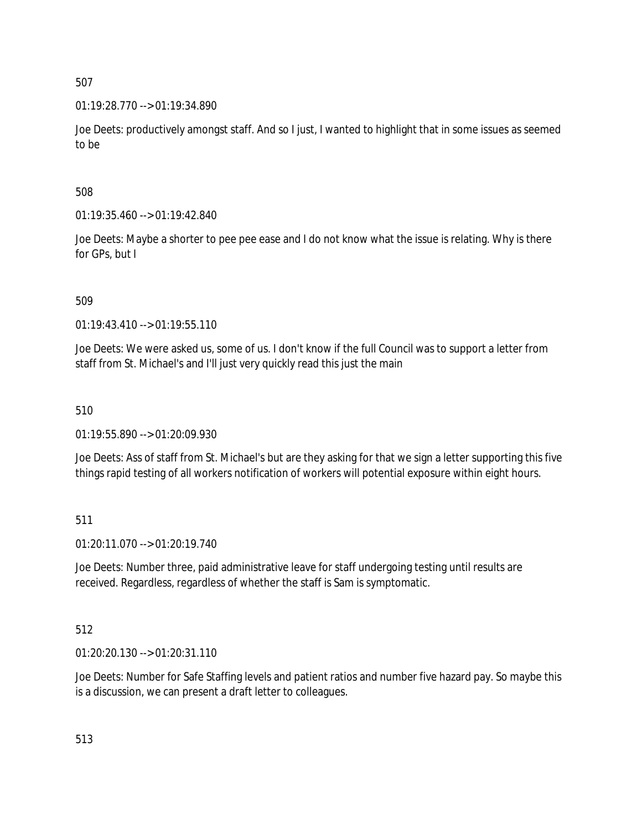01:19:28.770 --> 01:19:34.890

Joe Deets: productively amongst staff. And so I just, I wanted to highlight that in some issues as seemed to be

508

01:19:35.460 --> 01:19:42.840

Joe Deets: Maybe a shorter to pee pee ease and I do not know what the issue is relating. Why is there for GPs, but I

509

01:19:43.410 --> 01:19:55.110

Joe Deets: We were asked us, some of us. I don't know if the full Council was to support a letter from staff from St. Michael's and I'll just very quickly read this just the main

510

01:19:55.890 --> 01:20:09.930

Joe Deets: Ass of staff from St. Michael's but are they asking for that we sign a letter supporting this five things rapid testing of all workers notification of workers will potential exposure within eight hours.

511

01:20:11.070 --> 01:20:19.740

Joe Deets: Number three, paid administrative leave for staff undergoing testing until results are received. Regardless, regardless of whether the staff is Sam is symptomatic.

512

01:20:20.130 --> 01:20:31.110

Joe Deets: Number for Safe Staffing levels and patient ratios and number five hazard pay. So maybe this is a discussion, we can present a draft letter to colleagues.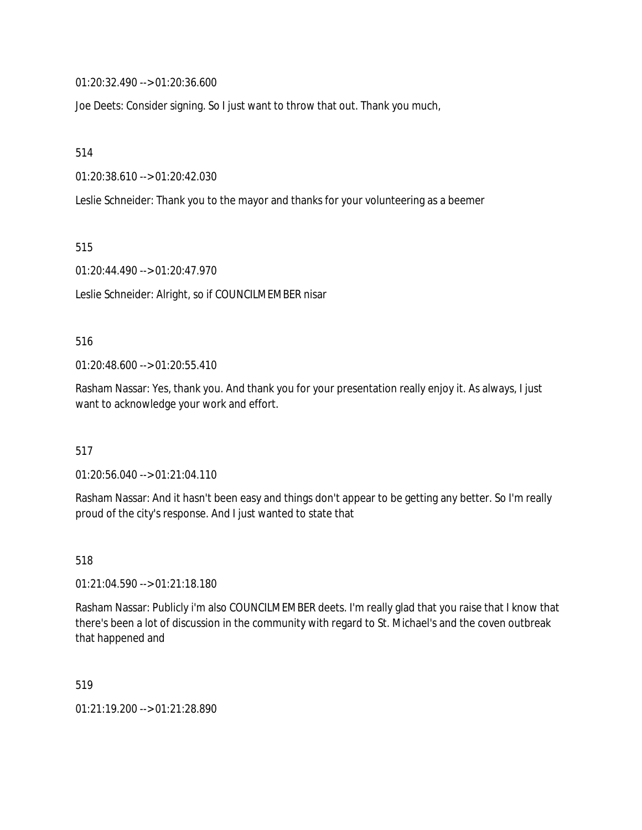01:20:32.490 --> 01:20:36.600

Joe Deets: Consider signing. So I just want to throw that out. Thank you much,

514

01:20:38.610 --> 01:20:42.030

Leslie Schneider: Thank you to the mayor and thanks for your volunteering as a beemer

515

01:20:44.490 --> 01:20:47.970

Leslie Schneider: Alright, so if COUNCILMEMBER nisar

### 516

01:20:48.600 --> 01:20:55.410

Rasham Nassar: Yes, thank you. And thank you for your presentation really enjoy it. As always, I just want to acknowledge your work and effort.

517

01:20:56.040 --> 01:21:04.110

Rasham Nassar: And it hasn't been easy and things don't appear to be getting any better. So I'm really proud of the city's response. And I just wanted to state that

518

01:21:04.590 --> 01:21:18.180

Rasham Nassar: Publicly i'm also COUNCILMEMBER deets. I'm really glad that you raise that I know that there's been a lot of discussion in the community with regard to St. Michael's and the coven outbreak that happened and

519

01:21:19.200 --> 01:21:28.890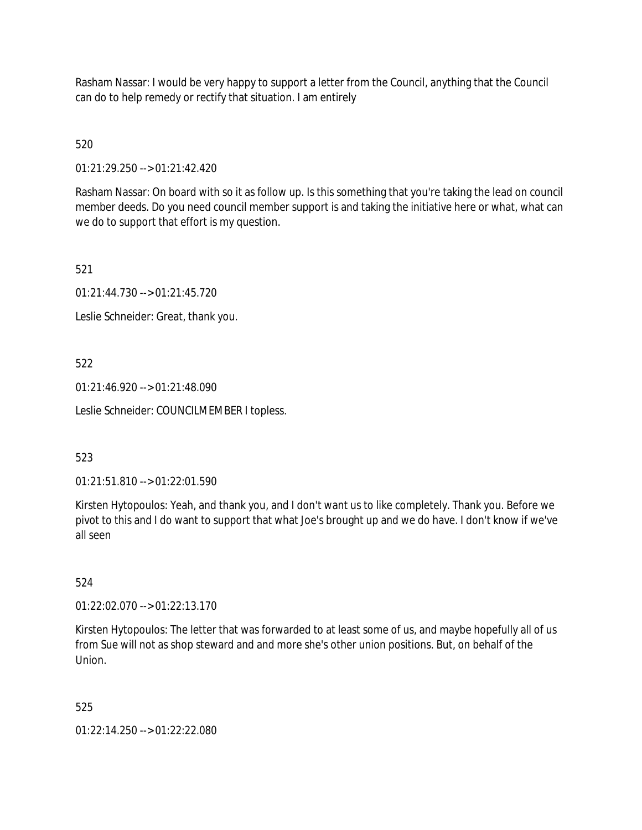Rasham Nassar: I would be very happy to support a letter from the Council, anything that the Council can do to help remedy or rectify that situation. I am entirely

520

01:21:29.250 --> 01:21:42.420

Rasham Nassar: On board with so it as follow up. Is this something that you're taking the lead on council member deeds. Do you need council member support is and taking the initiative here or what, what can we do to support that effort is my question.

521

01:21:44.730 --> 01:21:45.720

Leslie Schneider: Great, thank you.

522

01:21:46.920 --> 01:21:48.090

Leslie Schneider: COUNCILMEMBER I topless.

523

01:21:51.810 --> 01:22:01.590

Kirsten Hytopoulos: Yeah, and thank you, and I don't want us to like completely. Thank you. Before we pivot to this and I do want to support that what Joe's brought up and we do have. I don't know if we've all seen

524

01:22:02.070 --> 01:22:13.170

Kirsten Hytopoulos: The letter that was forwarded to at least some of us, and maybe hopefully all of us from Sue will not as shop steward and and more she's other union positions. But, on behalf of the Union.

525

01:22:14.250 --> 01:22:22.080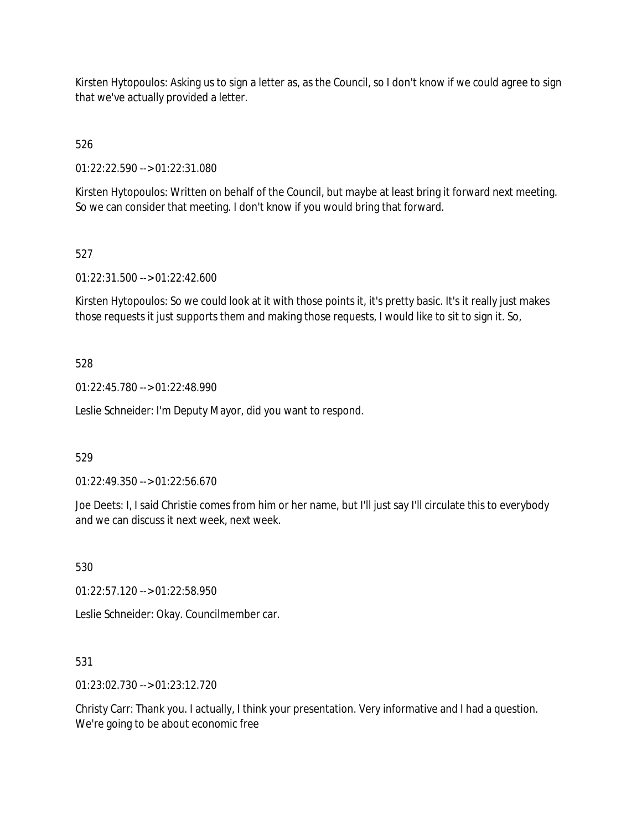Kirsten Hytopoulos: Asking us to sign a letter as, as the Council, so I don't know if we could agree to sign that we've actually provided a letter.

526

01:22:22.590 --> 01:22:31.080

Kirsten Hytopoulos: Written on behalf of the Council, but maybe at least bring it forward next meeting. So we can consider that meeting. I don't know if you would bring that forward.

# 527

01:22:31.500 --> 01:22:42.600

Kirsten Hytopoulos: So we could look at it with those points it, it's pretty basic. It's it really just makes those requests it just supports them and making those requests, I would like to sit to sign it. So,

# 528

01:22:45.780 --> 01:22:48.990

Leslie Schneider: I'm Deputy Mayor, did you want to respond.

# 529

01:22:49.350 --> 01:22:56.670

Joe Deets: I, I said Christie comes from him or her name, but I'll just say I'll circulate this to everybody and we can discuss it next week, next week.

530

01:22:57.120 --> 01:22:58.950

Leslie Schneider: Okay. Councilmember car.

# 531

01:23:02.730 --> 01:23:12.720

Christy Carr: Thank you. I actually, I think your presentation. Very informative and I had a question. We're going to be about economic free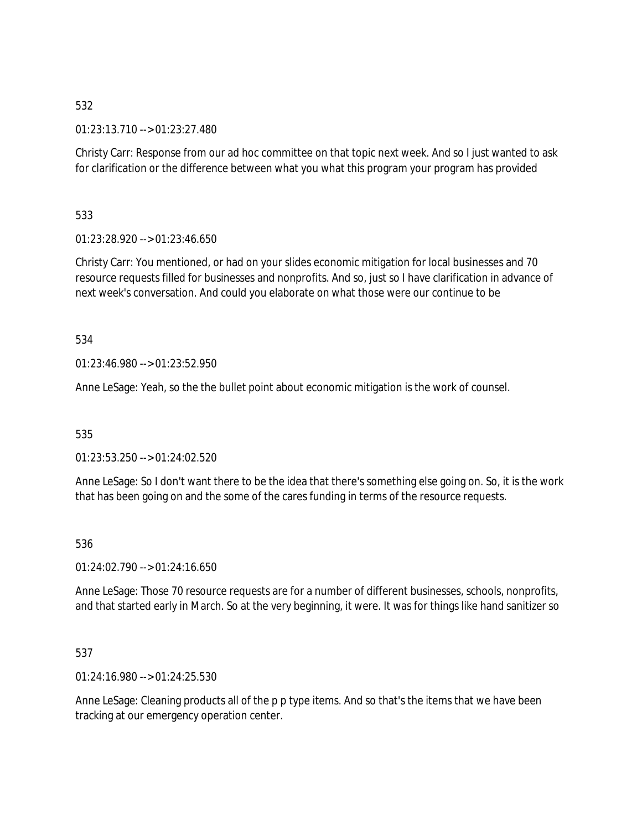01:23:13.710 --> 01:23:27.480

Christy Carr: Response from our ad hoc committee on that topic next week. And so I just wanted to ask for clarification or the difference between what you what this program your program has provided

533

01:23:28.920 --> 01:23:46.650

Christy Carr: You mentioned, or had on your slides economic mitigation for local businesses and 70 resource requests filled for businesses and nonprofits. And so, just so I have clarification in advance of next week's conversation. And could you elaborate on what those were our continue to be

534

01:23:46.980 --> 01:23:52.950

Anne LeSage: Yeah, so the the bullet point about economic mitigation is the work of counsel.

535

01:23:53.250 --> 01:24:02.520

Anne LeSage: So I don't want there to be the idea that there's something else going on. So, it is the work that has been going on and the some of the cares funding in terms of the resource requests.

536

01:24:02.790 --> 01:24:16.650

Anne LeSage: Those 70 resource requests are for a number of different businesses, schools, nonprofits, and that started early in March. So at the very beginning, it were. It was for things like hand sanitizer so

537

01:24:16.980 --> 01:24:25.530

Anne LeSage: Cleaning products all of the p p type items. And so that's the items that we have been tracking at our emergency operation center.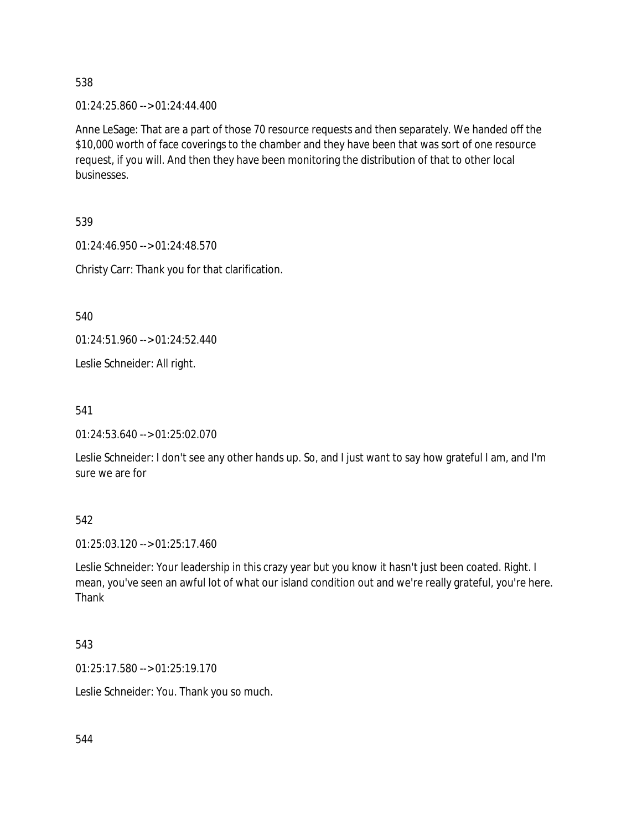01:24:25.860 --> 01:24:44.400

Anne LeSage: That are a part of those 70 resource requests and then separately. We handed off the \$10,000 worth of face coverings to the chamber and they have been that was sort of one resource request, if you will. And then they have been monitoring the distribution of that to other local businesses.

539

01:24:46.950 --> 01:24:48.570

Christy Carr: Thank you for that clarification.

540

01:24:51.960 --> 01:24:52.440

Leslie Schneider: All right.

541

01:24:53.640 --> 01:25:02.070

Leslie Schneider: I don't see any other hands up. So, and I just want to say how grateful I am, and I'm sure we are for

542

01:25:03.120 --> 01:25:17.460

Leslie Schneider: Your leadership in this crazy year but you know it hasn't just been coated. Right. I mean, you've seen an awful lot of what our island condition out and we're really grateful, you're here. Thank

543

01:25:17.580 --> 01:25:19.170

Leslie Schneider: You. Thank you so much.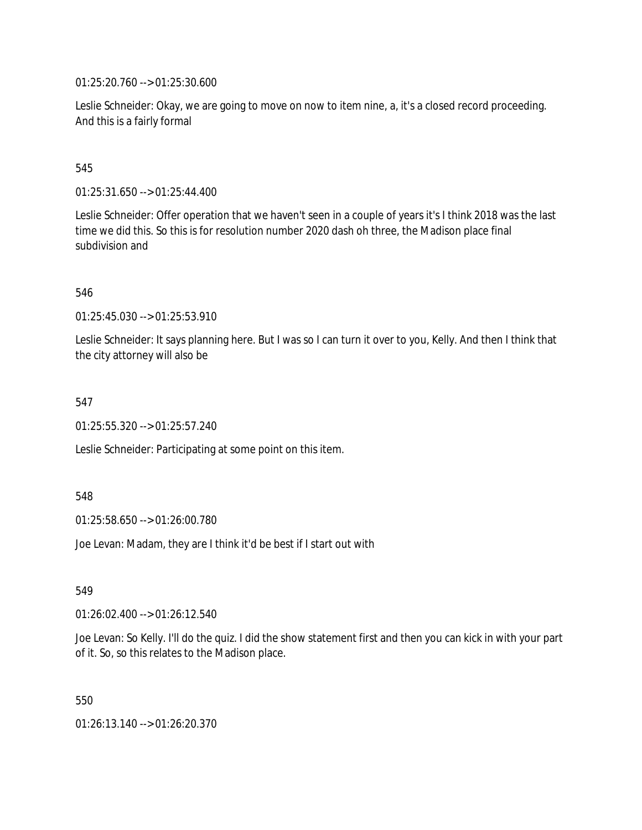01:25:20.760 --> 01:25:30.600

Leslie Schneider: Okay, we are going to move on now to item nine, a, it's a closed record proceeding. And this is a fairly formal

## 545

01:25:31.650 --> 01:25:44.400

Leslie Schneider: Offer operation that we haven't seen in a couple of years it's I think 2018 was the last time we did this. So this is for resolution number 2020 dash oh three, the Madison place final subdivision and

### 546

01:25:45.030 --> 01:25:53.910

Leslie Schneider: It says planning here. But I was so I can turn it over to you, Kelly. And then I think that the city attorney will also be

#### 547

01:25:55.320 --> 01:25:57.240

Leslie Schneider: Participating at some point on this item.

### 548

01:25:58.650 --> 01:26:00.780

Joe Levan: Madam, they are I think it'd be best if I start out with

### 549

01:26:02.400 --> 01:26:12.540

Joe Levan: So Kelly. I'll do the quiz. I did the show statement first and then you can kick in with your part of it. So, so this relates to the Madison place.

550

01:26:13.140 --> 01:26:20.370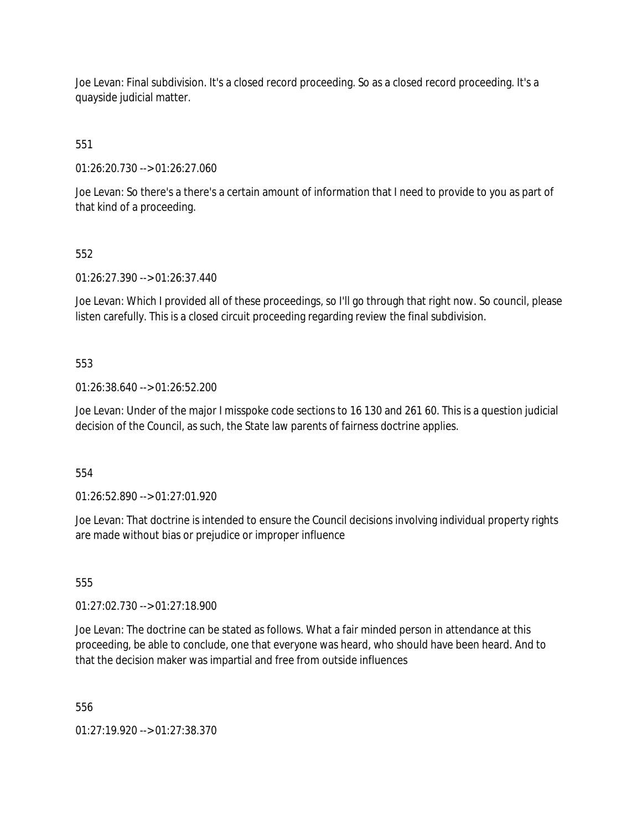Joe Levan: Final subdivision. It's a closed record proceeding. So as a closed record proceeding. It's a quayside judicial matter.

551

01:26:20.730 --> 01:26:27.060

Joe Levan: So there's a there's a certain amount of information that I need to provide to you as part of that kind of a proceeding.

## 552

01:26:27.390 --> 01:26:37.440

Joe Levan: Which I provided all of these proceedings, so I'll go through that right now. So council, please listen carefully. This is a closed circuit proceeding regarding review the final subdivision.

## 553

01:26:38.640 --> 01:26:52.200

Joe Levan: Under of the major I misspoke code sections to 16 130 and 261 60. This is a question judicial decision of the Council, as such, the State law parents of fairness doctrine applies.

554

01:26:52.890 --> 01:27:01.920

Joe Levan: That doctrine is intended to ensure the Council decisions involving individual property rights are made without bias or prejudice or improper influence

555

01:27:02.730 --> 01:27:18.900

Joe Levan: The doctrine can be stated as follows. What a fair minded person in attendance at this proceeding, be able to conclude, one that everyone was heard, who should have been heard. And to that the decision maker was impartial and free from outside influences

556

01:27:19.920 --> 01:27:38.370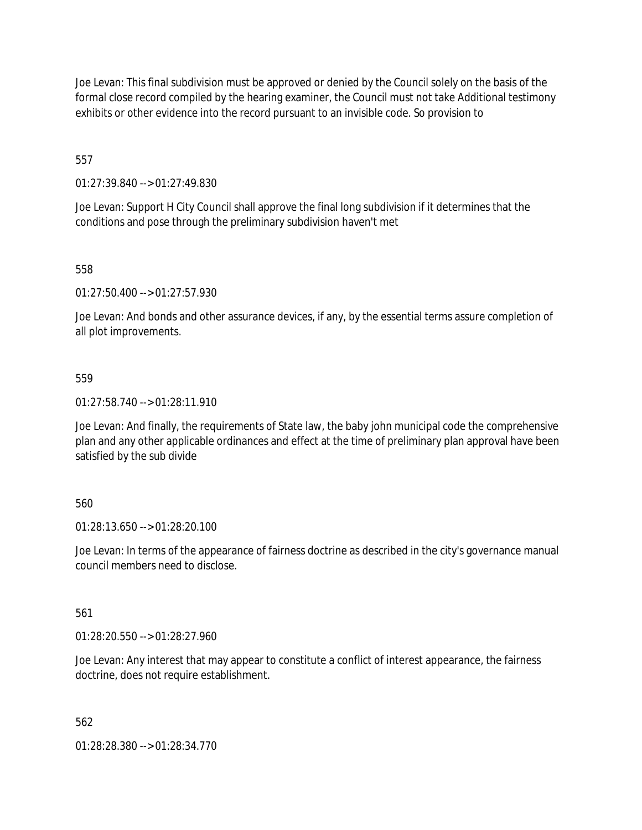Joe Levan: This final subdivision must be approved or denied by the Council solely on the basis of the formal close record compiled by the hearing examiner, the Council must not take Additional testimony exhibits or other evidence into the record pursuant to an invisible code. So provision to

557

01:27:39.840 --> 01:27:49.830

Joe Levan: Support H City Council shall approve the final long subdivision if it determines that the conditions and pose through the preliminary subdivision haven't met

558

01:27:50.400 --> 01:27:57.930

Joe Levan: And bonds and other assurance devices, if any, by the essential terms assure completion of all plot improvements.

559

01:27:58.740 --> 01:28:11.910

Joe Levan: And finally, the requirements of State law, the baby john municipal code the comprehensive plan and any other applicable ordinances and effect at the time of preliminary plan approval have been satisfied by the sub divide

560

01:28:13.650 --> 01:28:20.100

Joe Levan: In terms of the appearance of fairness doctrine as described in the city's governance manual council members need to disclose.

561

01:28:20.550 --> 01:28:27.960

Joe Levan: Any interest that may appear to constitute a conflict of interest appearance, the fairness doctrine, does not require establishment.

562

01:28:28.380 --> 01:28:34.770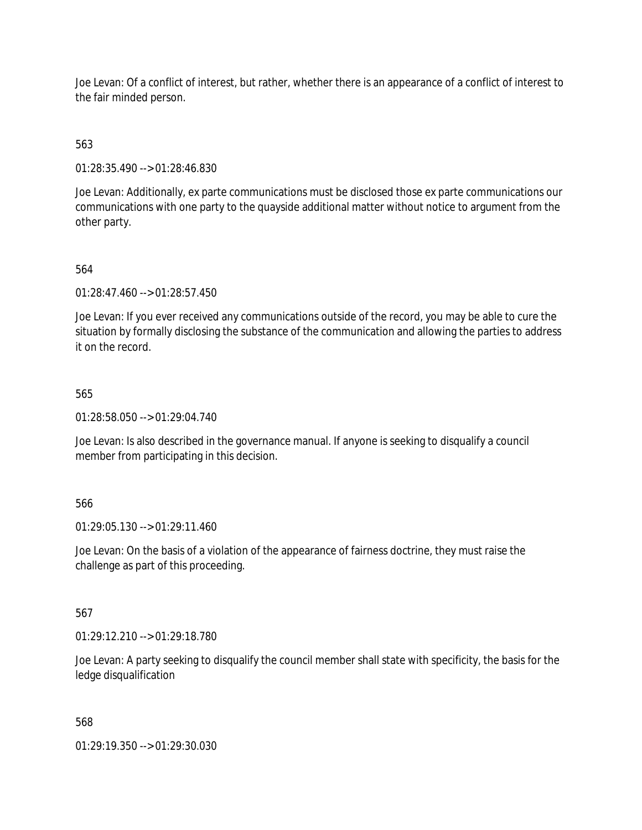Joe Levan: Of a conflict of interest, but rather, whether there is an appearance of a conflict of interest to the fair minded person.

563

01:28:35.490 --> 01:28:46.830

Joe Levan: Additionally, ex parte communications must be disclosed those ex parte communications our communications with one party to the quayside additional matter without notice to argument from the other party.

564

01:28:47.460 --> 01:28:57.450

Joe Levan: If you ever received any communications outside of the record, you may be able to cure the situation by formally disclosing the substance of the communication and allowing the parties to address it on the record.

565

01:28:58.050 --> 01:29:04.740

Joe Levan: Is also described in the governance manual. If anyone is seeking to disqualify a council member from participating in this decision.

566

01:29:05.130 --> 01:29:11.460

Joe Levan: On the basis of a violation of the appearance of fairness doctrine, they must raise the challenge as part of this proceeding.

567

01:29:12.210 --> 01:29:18.780

Joe Levan: A party seeking to disqualify the council member shall state with specificity, the basis for the ledge disqualification

568

01:29:19.350 --> 01:29:30.030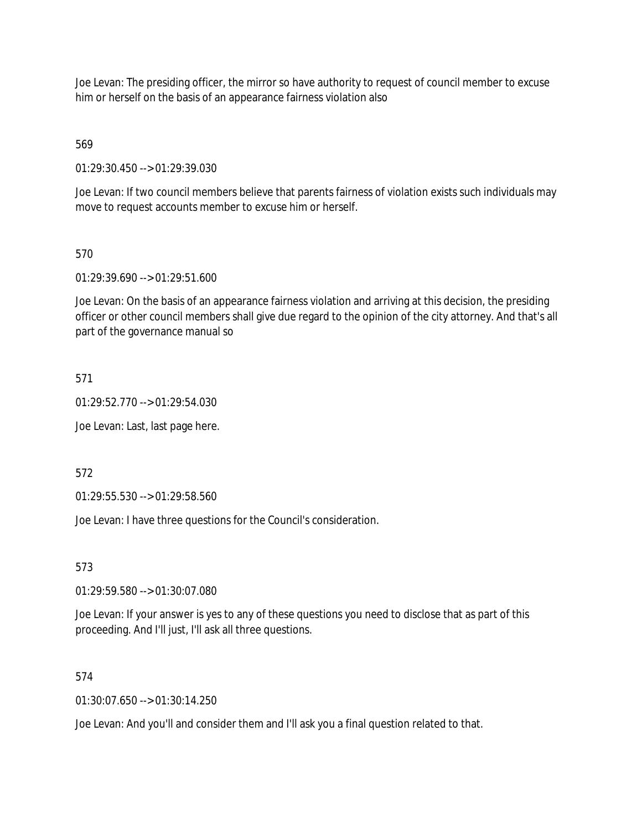Joe Levan: The presiding officer, the mirror so have authority to request of council member to excuse him or herself on the basis of an appearance fairness violation also

569

01:29:30.450 --> 01:29:39.030

Joe Levan: If two council members believe that parents fairness of violation exists such individuals may move to request accounts member to excuse him or herself.

## 570

01:29:39.690 --> 01:29:51.600

Joe Levan: On the basis of an appearance fairness violation and arriving at this decision, the presiding officer or other council members shall give due regard to the opinion of the city attorney. And that's all part of the governance manual so

## 571

01:29:52.770 --> 01:29:54.030

Joe Levan: Last, last page here.

572

01:29:55.530 --> 01:29:58.560

Joe Levan: I have three questions for the Council's consideration.

### 573

01:29:59.580 --> 01:30:07.080

Joe Levan: If your answer is yes to any of these questions you need to disclose that as part of this proceeding. And I'll just, I'll ask all three questions.

### 574

01:30:07.650 --> 01:30:14.250

Joe Levan: And you'll and consider them and I'll ask you a final question related to that.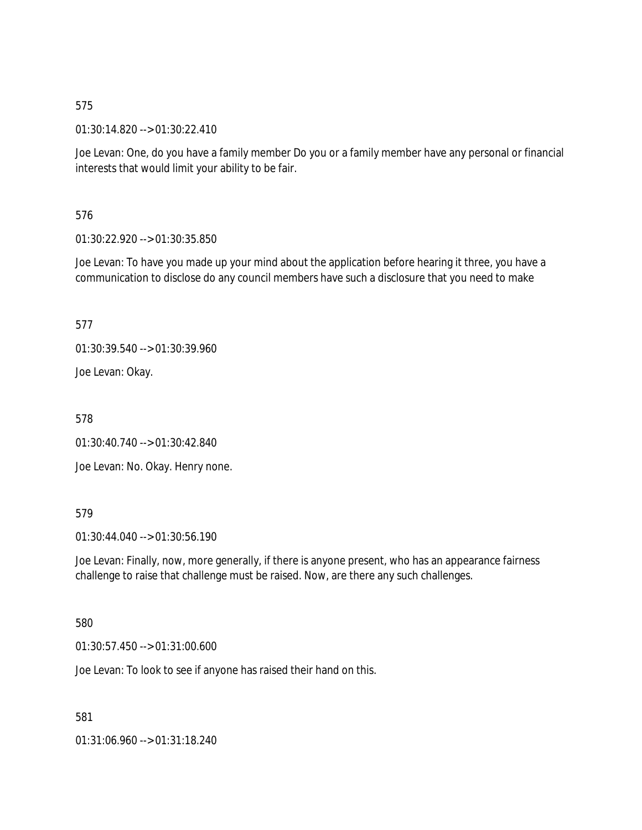01:30:14.820 --> 01:30:22.410

Joe Levan: One, do you have a family member Do you or a family member have any personal or financial interests that would limit your ability to be fair.

576

01:30:22.920 --> 01:30:35.850

Joe Levan: To have you made up your mind about the application before hearing it three, you have a communication to disclose do any council members have such a disclosure that you need to make

577

01:30:39.540 --> 01:30:39.960

Joe Levan: Okay.

578

01:30:40.740 --> 01:30:42.840

Joe Levan: No. Okay. Henry none.

### 579

01:30:44.040 --> 01:30:56.190

Joe Levan: Finally, now, more generally, if there is anyone present, who has an appearance fairness challenge to raise that challenge must be raised. Now, are there any such challenges.

### 580

01:30:57.450 --> 01:31:00.600

Joe Levan: To look to see if anyone has raised their hand on this.

581

01:31:06.960 --> 01:31:18.240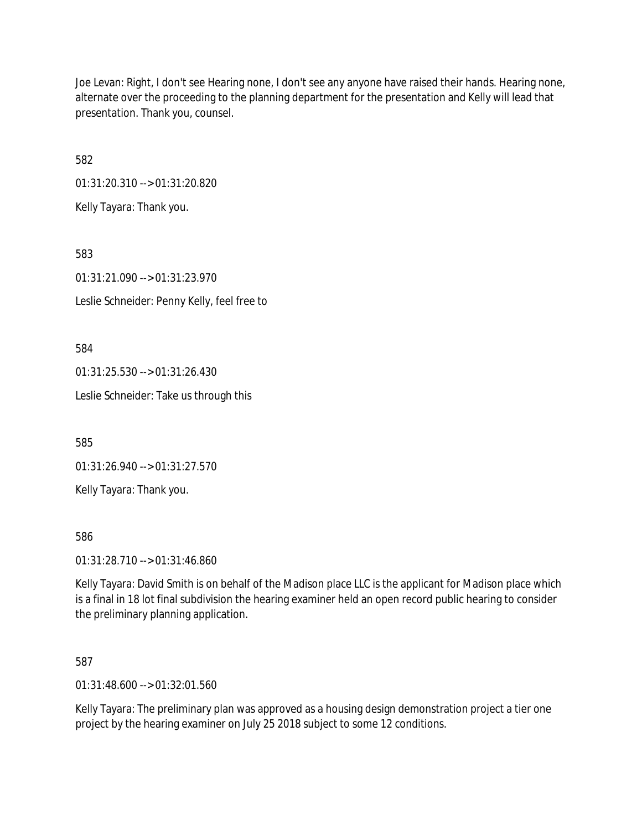Joe Levan: Right, I don't see Hearing none, I don't see any anyone have raised their hands. Hearing none, alternate over the proceeding to the planning department for the presentation and Kelly will lead that presentation. Thank you, counsel.

582

01:31:20.310 --> 01:31:20.820

Kelly Tayara: Thank you.

583

01:31:21.090 --> 01:31:23.970

Leslie Schneider: Penny Kelly, feel free to

584

01:31:25.530 --> 01:31:26.430

Leslie Schneider: Take us through this

585

01:31:26.940 --> 01:31:27.570

Kelly Tayara: Thank you.

586

01:31:28.710 --> 01:31:46.860

Kelly Tayara: David Smith is on behalf of the Madison place LLC is the applicant for Madison place which is a final in 18 lot final subdivision the hearing examiner held an open record public hearing to consider the preliminary planning application.

587

01:31:48.600 --> 01:32:01.560

Kelly Tayara: The preliminary plan was approved as a housing design demonstration project a tier one project by the hearing examiner on July 25 2018 subject to some 12 conditions.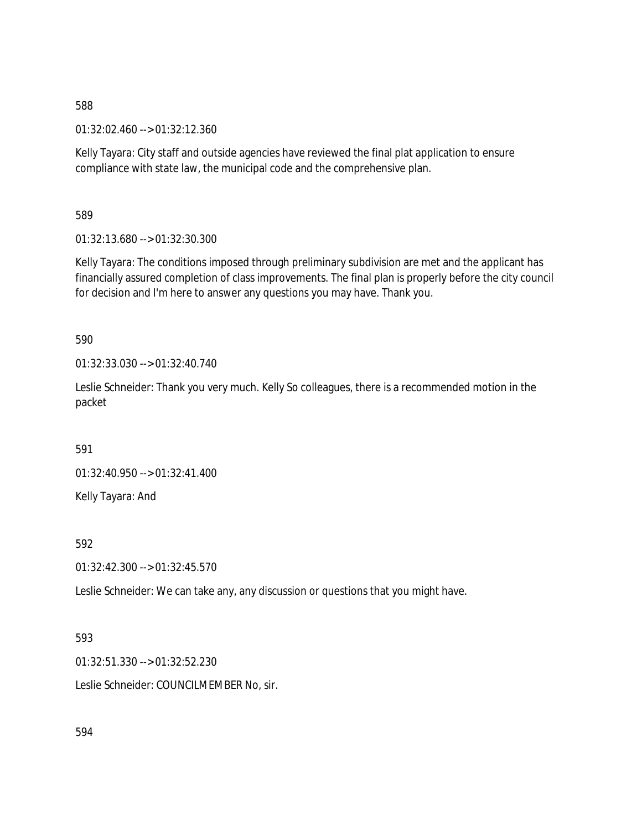01:32:02.460 --> 01:32:12.360

Kelly Tayara: City staff and outside agencies have reviewed the final plat application to ensure compliance with state law, the municipal code and the comprehensive plan.

589

01:32:13.680 --> 01:32:30.300

Kelly Tayara: The conditions imposed through preliminary subdivision are met and the applicant has financially assured completion of class improvements. The final plan is properly before the city council for decision and I'm here to answer any questions you may have. Thank you.

590

01:32:33.030 --> 01:32:40.740

Leslie Schneider: Thank you very much. Kelly So colleagues, there is a recommended motion in the packet

591

01:32:40.950 --> 01:32:41.400 Kelly Tayara: And

592

01:32:42.300 --> 01:32:45.570

Leslie Schneider: We can take any, any discussion or questions that you might have.

593

01:32:51.330 --> 01:32:52.230

Leslie Schneider: COUNCILMEMBER No, sir.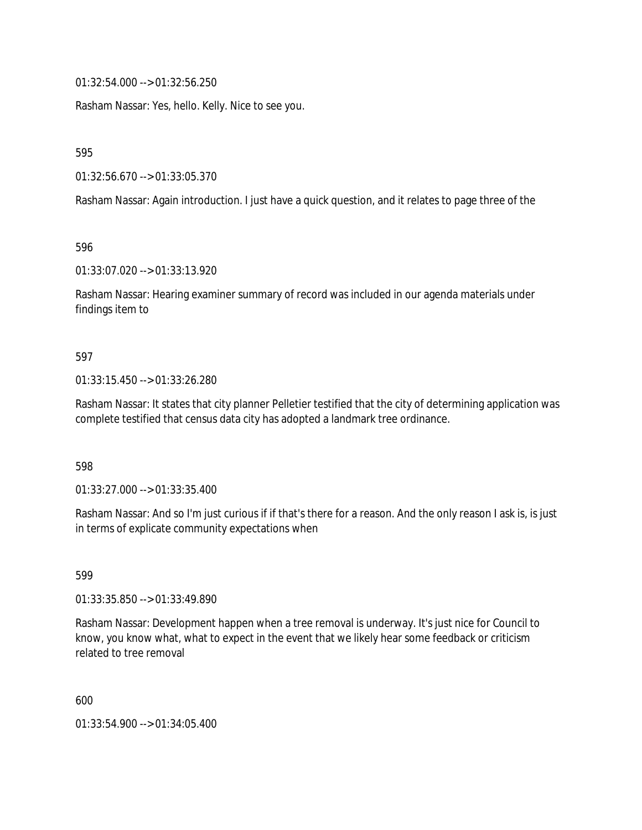01:32:54.000 --> 01:32:56.250

Rasham Nassar: Yes, hello. Kelly. Nice to see you.

595

01:32:56.670 --> 01:33:05.370

Rasham Nassar: Again introduction. I just have a quick question, and it relates to page three of the

596

01:33:07.020 --> 01:33:13.920

Rasham Nassar: Hearing examiner summary of record was included in our agenda materials under findings item to

#### 597

#### 01:33:15.450 --> 01:33:26.280

Rasham Nassar: It states that city planner Pelletier testified that the city of determining application was complete testified that census data city has adopted a landmark tree ordinance.

598

01:33:27.000 --> 01:33:35.400

Rasham Nassar: And so I'm just curious if if that's there for a reason. And the only reason I ask is, is just in terms of explicate community expectations when

599

01:33:35.850 --> 01:33:49.890

Rasham Nassar: Development happen when a tree removal is underway. It's just nice for Council to know, you know what, what to expect in the event that we likely hear some feedback or criticism related to tree removal

600

01:33:54.900 --> 01:34:05.400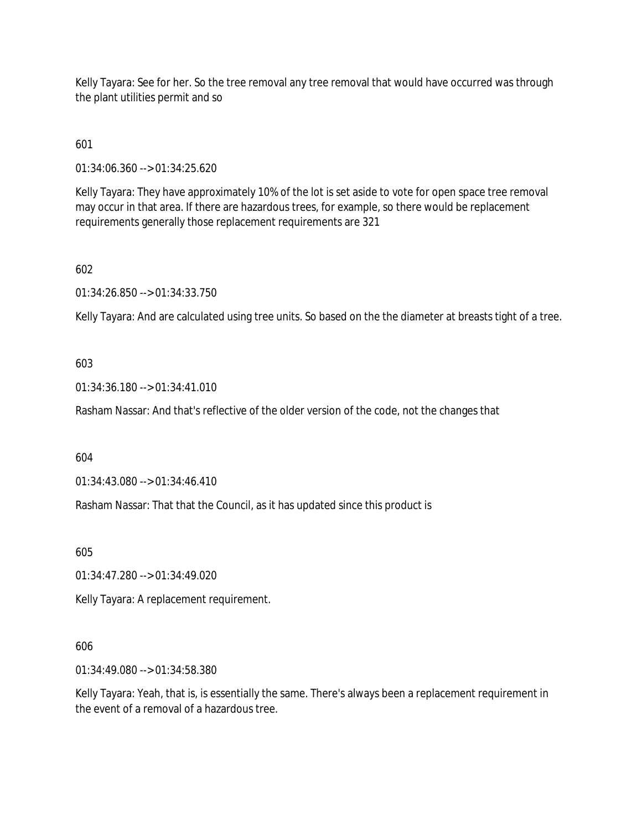Kelly Tayara: See for her. So the tree removal any tree removal that would have occurred was through the plant utilities permit and so

601

01:34:06.360 --> 01:34:25.620

Kelly Tayara: They have approximately 10% of the lot is set aside to vote for open space tree removal may occur in that area. If there are hazardous trees, for example, so there would be replacement requirements generally those replacement requirements are 321

602

01:34:26.850 --> 01:34:33.750

Kelly Tayara: And are calculated using tree units. So based on the the diameter at breasts tight of a tree.

603

01:34:36.180 --> 01:34:41.010

Rasham Nassar: And that's reflective of the older version of the code, not the changes that

604

01:34:43.080 --> 01:34:46.410

Rasham Nassar: That that the Council, as it has updated since this product is

605

01:34:47.280 --> 01:34:49.020

Kelly Tayara: A replacement requirement.

### 606

01:34:49.080 --> 01:34:58.380

Kelly Tayara: Yeah, that is, is essentially the same. There's always been a replacement requirement in the event of a removal of a hazardous tree.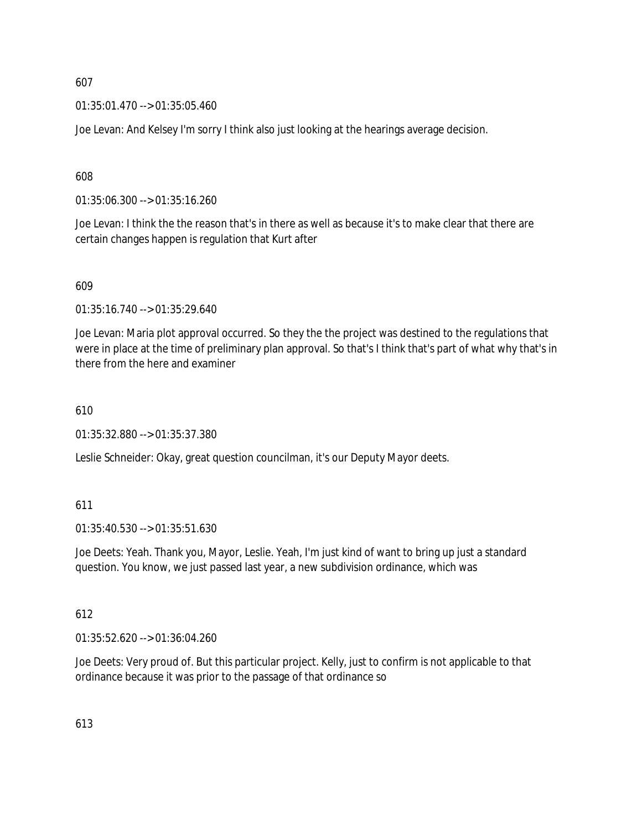01:35:01.470 --> 01:35:05.460

Joe Levan: And Kelsey I'm sorry I think also just looking at the hearings average decision.

608

01:35:06.300 --> 01:35:16.260

Joe Levan: I think the the reason that's in there as well as because it's to make clear that there are certain changes happen is regulation that Kurt after

609

01:35:16.740 --> 01:35:29.640

Joe Levan: Maria plot approval occurred. So they the the project was destined to the regulations that were in place at the time of preliminary plan approval. So that's I think that's part of what why that's in there from the here and examiner

610

01:35:32.880 --> 01:35:37.380

Leslie Schneider: Okay, great question councilman, it's our Deputy Mayor deets.

#### 611

01:35:40.530 --> 01:35:51.630

Joe Deets: Yeah. Thank you, Mayor, Leslie. Yeah, I'm just kind of want to bring up just a standard question. You know, we just passed last year, a new subdivision ordinance, which was

#### 612

01:35:52.620 --> 01:36:04.260

Joe Deets: Very proud of. But this particular project. Kelly, just to confirm is not applicable to that ordinance because it was prior to the passage of that ordinance so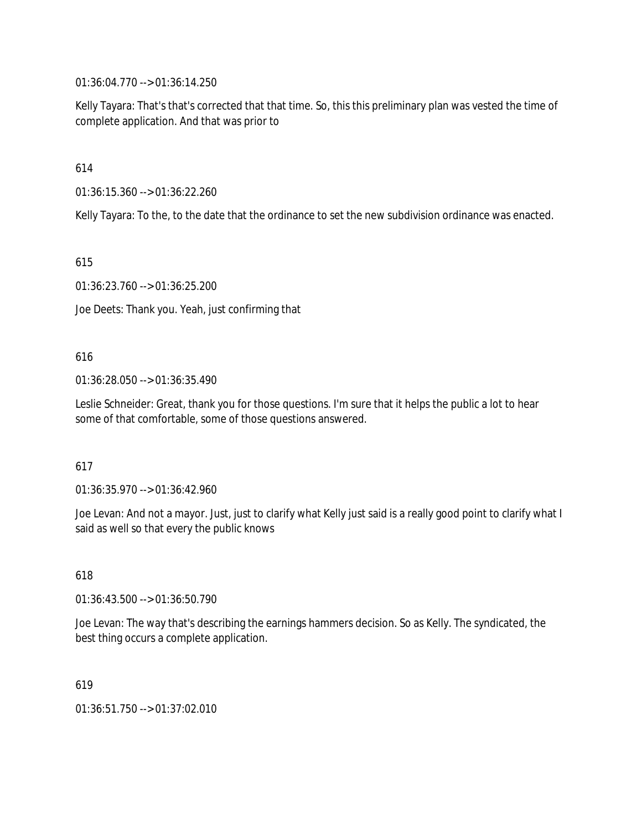01:36:04.770 --> 01:36:14.250

Kelly Tayara: That's that's corrected that that time. So, this this preliminary plan was vested the time of complete application. And that was prior to

614

01:36:15.360 --> 01:36:22.260

Kelly Tayara: To the, to the date that the ordinance to set the new subdivision ordinance was enacted.

615

01:36:23.760 --> 01:36:25.200

Joe Deets: Thank you. Yeah, just confirming that

#### 616

01:36:28.050 --> 01:36:35.490

Leslie Schneider: Great, thank you for those questions. I'm sure that it helps the public a lot to hear some of that comfortable, some of those questions answered.

#### 617

01:36:35.970 --> 01:36:42.960

Joe Levan: And not a mayor. Just, just to clarify what Kelly just said is a really good point to clarify what I said as well so that every the public knows

### 618

01:36:43.500 --> 01:36:50.790

Joe Levan: The way that's describing the earnings hammers decision. So as Kelly. The syndicated, the best thing occurs a complete application.

#### 619

01:36:51.750 --> 01:37:02.010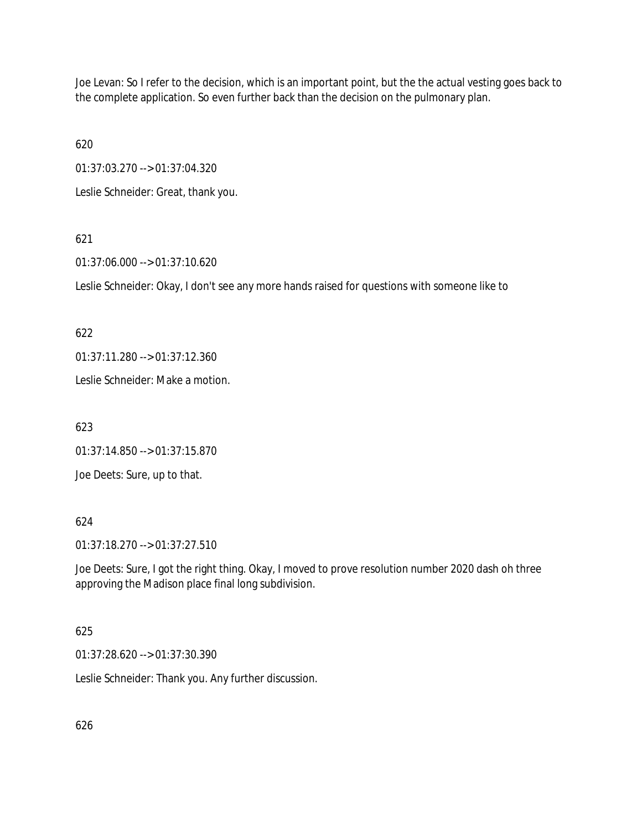Joe Levan: So I refer to the decision, which is an important point, but the the actual vesting goes back to the complete application. So even further back than the decision on the pulmonary plan.

620

01:37:03.270 --> 01:37:04.320

Leslie Schneider: Great, thank you.

# 621

01:37:06.000 --> 01:37:10.620

Leslie Schneider: Okay, I don't see any more hands raised for questions with someone like to

## 622

01:37:11.280 --> 01:37:12.360

Leslie Schneider: Make a motion.

623

01:37:14.850 --> 01:37:15.870

Joe Deets: Sure, up to that.

### 624

01:37:18.270 --> 01:37:27.510

Joe Deets: Sure, I got the right thing. Okay, I moved to prove resolution number 2020 dash oh three approving the Madison place final long subdivision.

# 625

01:37:28.620 --> 01:37:30.390

Leslie Schneider: Thank you. Any further discussion.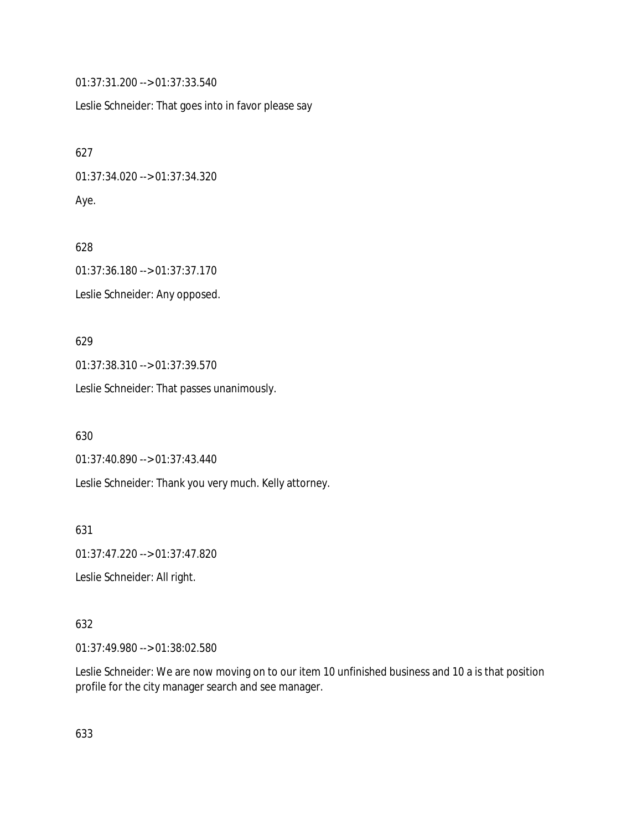01:37:31.200 --> 01:37:33.540

Leslie Schneider: That goes into in favor please say

627 01:37:34.020 --> 01:37:34.320 Aye.

628 01:37:36.180 --> 01:37:37.170 Leslie Schneider: Any opposed.

629 01:37:38.310 --> 01:37:39.570

Leslie Schneider: That passes unanimously.

630

01:37:40.890 --> 01:37:43.440

Leslie Schneider: Thank you very much. Kelly attorney.

631

01:37:47.220 --> 01:37:47.820

Leslie Schneider: All right.

## 632

01:37:49.980 --> 01:38:02.580

Leslie Schneider: We are now moving on to our item 10 unfinished business and 10 a is that position profile for the city manager search and see manager.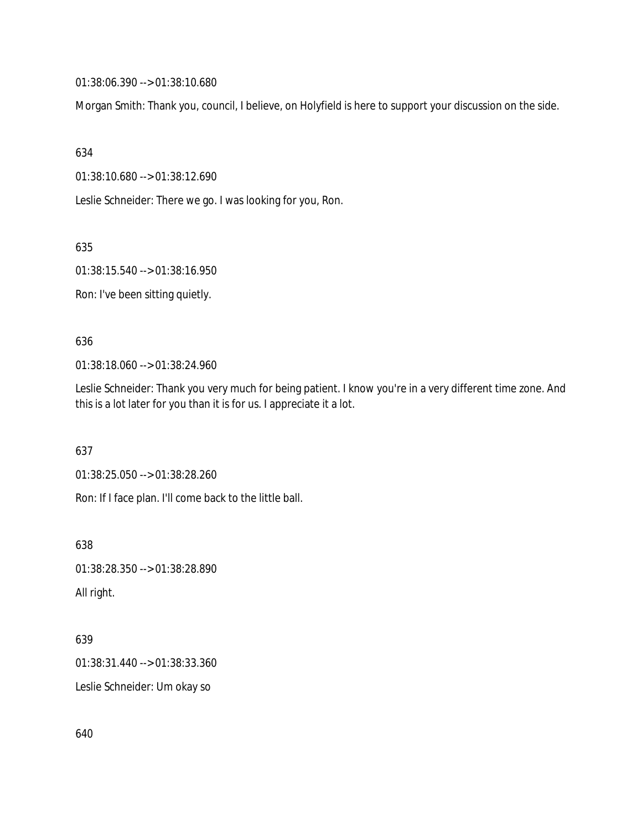01:38:06.390 --> 01:38:10.680

Morgan Smith: Thank you, council, I believe, on Holyfield is here to support your discussion on the side.

634

01:38:10.680 --> 01:38:12.690

Leslie Schneider: There we go. I was looking for you, Ron.

635

01:38:15.540 --> 01:38:16.950

Ron: I've been sitting quietly.

636

01:38:18.060 --> 01:38:24.960

Leslie Schneider: Thank you very much for being patient. I know you're in a very different time zone. And this is a lot later for you than it is for us. I appreciate it a lot.

637

01:38:25.050 --> 01:38:28.260

Ron: If I face plan. I'll come back to the little ball.

638

01:38:28.350 --> 01:38:28.890

All right.

639

01:38:31.440 --> 01:38:33.360

Leslie Schneider: Um okay so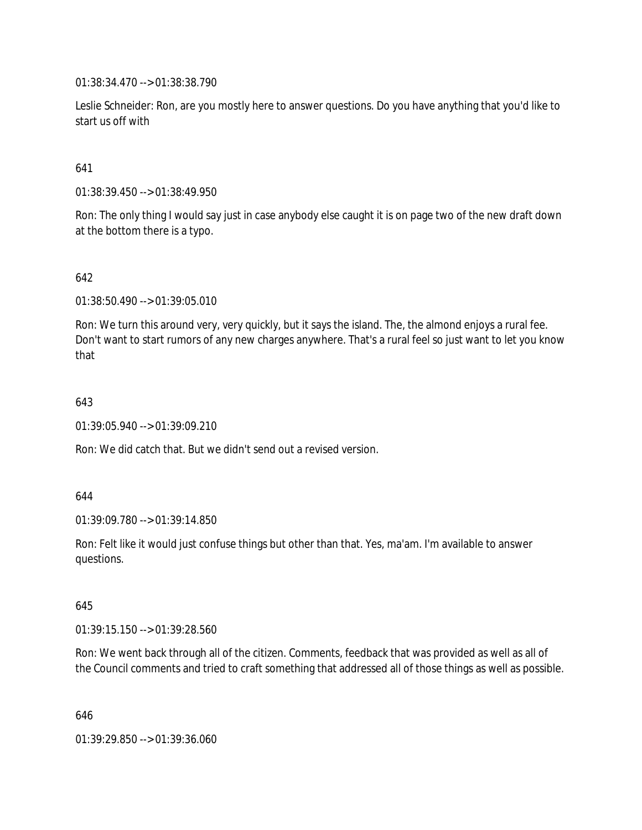01:38:34.470 --> 01:38:38.790

Leslie Schneider: Ron, are you mostly here to answer questions. Do you have anything that you'd like to start us off with

641

01:38:39.450 --> 01:38:49.950

Ron: The only thing I would say just in case anybody else caught it is on page two of the new draft down at the bottom there is a typo.

642

01:38:50.490 --> 01:39:05.010

Ron: We turn this around very, very quickly, but it says the island. The, the almond enjoys a rural fee. Don't want to start rumors of any new charges anywhere. That's a rural feel so just want to let you know that

643

01:39:05.940 --> 01:39:09.210

Ron: We did catch that. But we didn't send out a revised version.

644

01:39:09.780 --> 01:39:14.850

Ron: Felt like it would just confuse things but other than that. Yes, ma'am. I'm available to answer questions.

645

01:39:15.150 --> 01:39:28.560

Ron: We went back through all of the citizen. Comments, feedback that was provided as well as all of the Council comments and tried to craft something that addressed all of those things as well as possible.

646

01:39:29.850 --> 01:39:36.060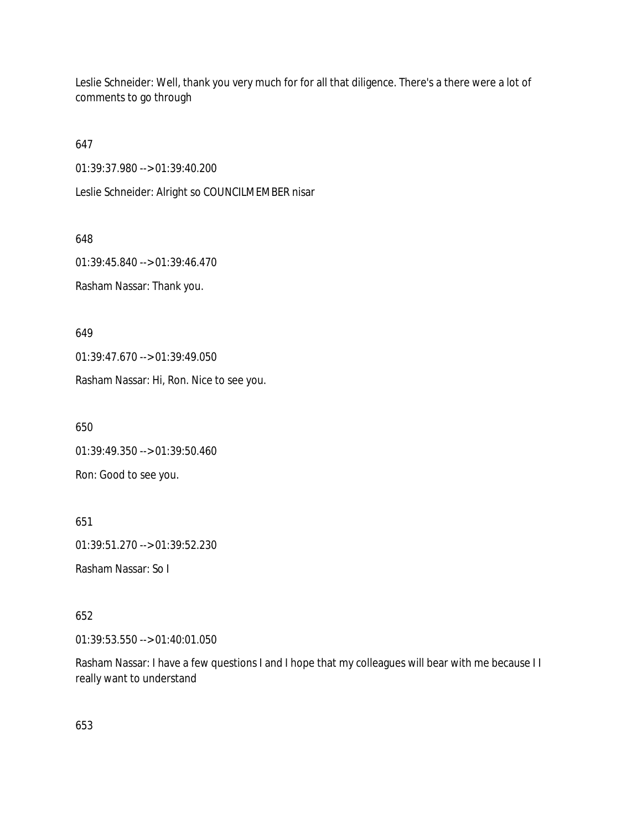Leslie Schneider: Well, thank you very much for for all that diligence. There's a there were a lot of comments to go through

647

01:39:37.980 --> 01:39:40.200

Leslie Schneider: Alright so COUNCILMEMBER nisar

648

01:39:45.840 --> 01:39:46.470

Rasham Nassar: Thank you.

649

01:39:47.670 --> 01:39:49.050

Rasham Nassar: Hi, Ron. Nice to see you.

650

01:39:49.350 --> 01:39:50.460

Ron: Good to see you.

651

01:39:51.270 --> 01:39:52.230

Rasham Nassar: So I

652

01:39:53.550 --> 01:40:01.050

Rasham Nassar: I have a few questions I and I hope that my colleagues will bear with me because I I really want to understand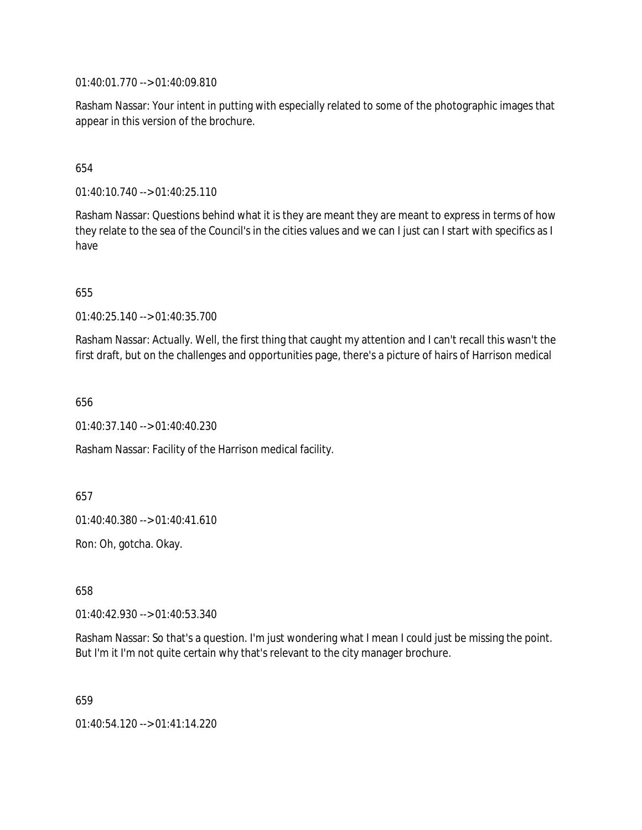01:40:01.770 --> 01:40:09.810

Rasham Nassar: Your intent in putting with especially related to some of the photographic images that appear in this version of the brochure.

## 654

01:40:10.740 --> 01:40:25.110

Rasham Nassar: Questions behind what it is they are meant they are meant to express in terms of how they relate to the sea of the Council's in the cities values and we can I just can I start with specifics as I have

655

01:40:25.140 --> 01:40:35.700

Rasham Nassar: Actually. Well, the first thing that caught my attention and I can't recall this wasn't the first draft, but on the challenges and opportunities page, there's a picture of hairs of Harrison medical

656

01:40:37.140 --> 01:40:40.230

Rasham Nassar: Facility of the Harrison medical facility.

657

01:40:40.380 --> 01:40:41.610

Ron: Oh, gotcha. Okay.

658

01:40:42.930 --> 01:40:53.340

Rasham Nassar: So that's a question. I'm just wondering what I mean I could just be missing the point. But I'm it I'm not quite certain why that's relevant to the city manager brochure.

659

01:40:54.120 --> 01:41:14.220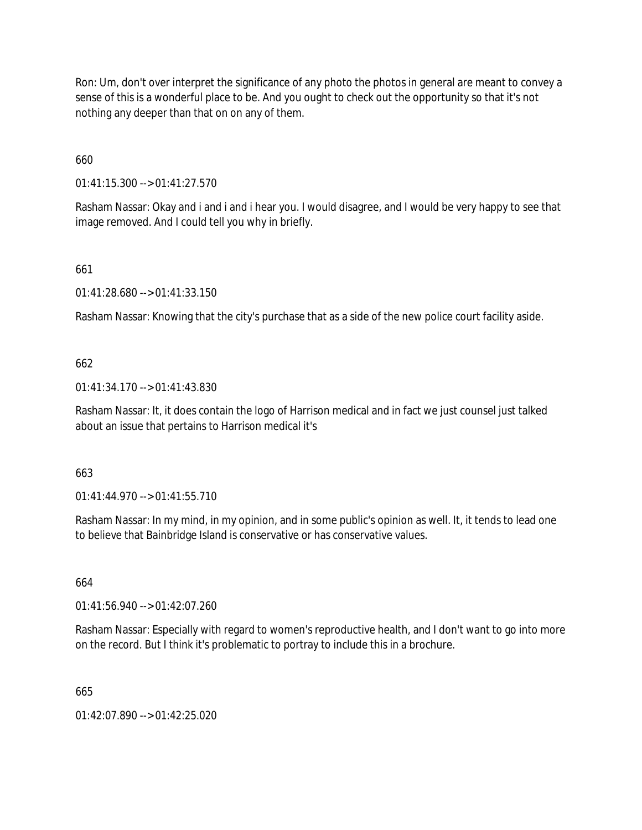Ron: Um, don't over interpret the significance of any photo the photos in general are meant to convey a sense of this is a wonderful place to be. And you ought to check out the opportunity so that it's not nothing any deeper than that on on any of them.

660

01:41:15.300 --> 01:41:27.570

Rasham Nassar: Okay and i and i and i hear you. I would disagree, and I would be very happy to see that image removed. And I could tell you why in briefly.

661

01:41:28.680 --> 01:41:33.150

Rasham Nassar: Knowing that the city's purchase that as a side of the new police court facility aside.

#### 662

01:41:34.170 --> 01:41:43.830

Rasham Nassar: It, it does contain the logo of Harrison medical and in fact we just counsel just talked about an issue that pertains to Harrison medical it's

663

01:41:44.970 --> 01:41:55.710

Rasham Nassar: In my mind, in my opinion, and in some public's opinion as well. It, it tends to lead one to believe that Bainbridge Island is conservative or has conservative values.

664

01:41:56.940 --> 01:42:07.260

Rasham Nassar: Especially with regard to women's reproductive health, and I don't want to go into more on the record. But I think it's problematic to portray to include this in a brochure.

665

01:42:07.890 --> 01:42:25.020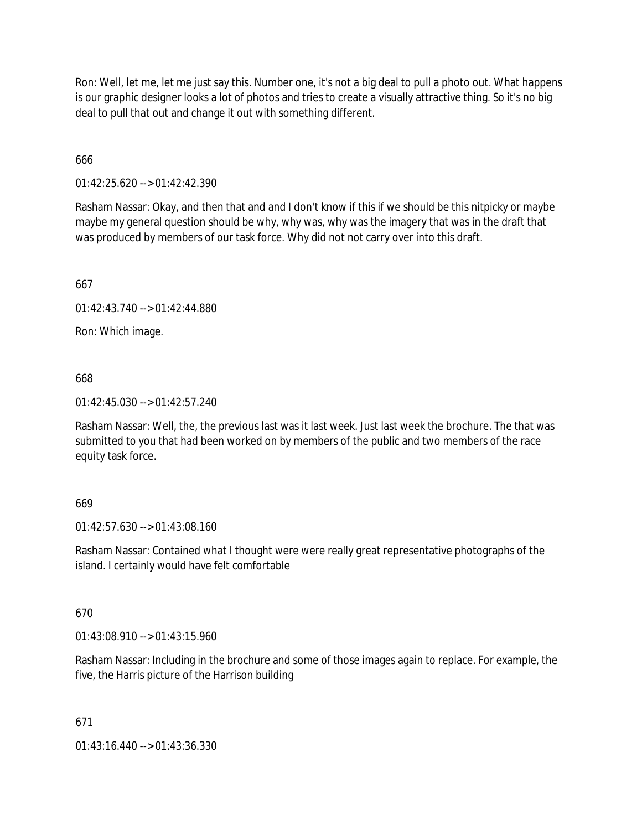Ron: Well, let me, let me just say this. Number one, it's not a big deal to pull a photo out. What happens is our graphic designer looks a lot of photos and tries to create a visually attractive thing. So it's no big deal to pull that out and change it out with something different.

666

01:42:25.620 --> 01:42:42.390

Rasham Nassar: Okay, and then that and and I don't know if this if we should be this nitpicky or maybe maybe my general question should be why, why was, why was the imagery that was in the draft that was produced by members of our task force. Why did not not carry over into this draft.

667

01:42:43.740 --> 01:42:44.880

Ron: Which image.

668

01:42:45.030 --> 01:42:57.240

Rasham Nassar: Well, the, the previous last was it last week. Just last week the brochure. The that was submitted to you that had been worked on by members of the public and two members of the race equity task force.

### 669

01:42:57.630 --> 01:43:08.160

Rasham Nassar: Contained what I thought were were really great representative photographs of the island. I certainly would have felt comfortable

### 670

01:43:08.910 --> 01:43:15.960

Rasham Nassar: Including in the brochure and some of those images again to replace. For example, the five, the Harris picture of the Harrison building

### 671

01:43:16.440 --> 01:43:36.330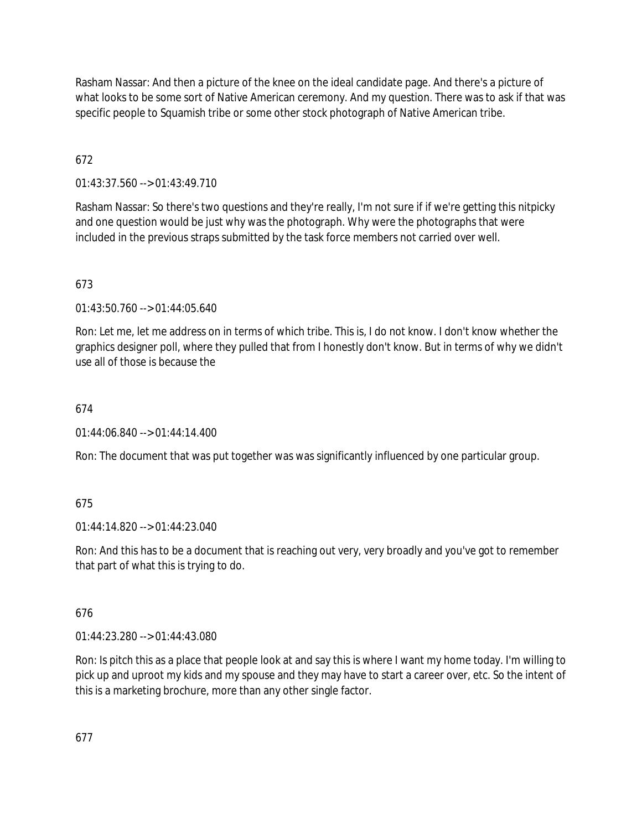Rasham Nassar: And then a picture of the knee on the ideal candidate page. And there's a picture of what looks to be some sort of Native American ceremony. And my question. There was to ask if that was specific people to Squamish tribe or some other stock photograph of Native American tribe.

# 672

01:43:37.560 --> 01:43:49.710

Rasham Nassar: So there's two questions and they're really, I'm not sure if if we're getting this nitpicky and one question would be just why was the photograph. Why were the photographs that were included in the previous straps submitted by the task force members not carried over well.

# 673

 $01:43:50.760 \rightarrow 01:44:05.640$ 

Ron: Let me, let me address on in terms of which tribe. This is, I do not know. I don't know whether the graphics designer poll, where they pulled that from I honestly don't know. But in terms of why we didn't use all of those is because the

# 674

01:44:06.840 --> 01:44:14.400

Ron: The document that was put together was was significantly influenced by one particular group.

# 675

01:44:14.820 --> 01:44:23.040

Ron: And this has to be a document that is reaching out very, very broadly and you've got to remember that part of what this is trying to do.

# 676

01:44:23.280 --> 01:44:43.080

Ron: Is pitch this as a place that people look at and say this is where I want my home today. I'm willing to pick up and uproot my kids and my spouse and they may have to start a career over, etc. So the intent of this is a marketing brochure, more than any other single factor.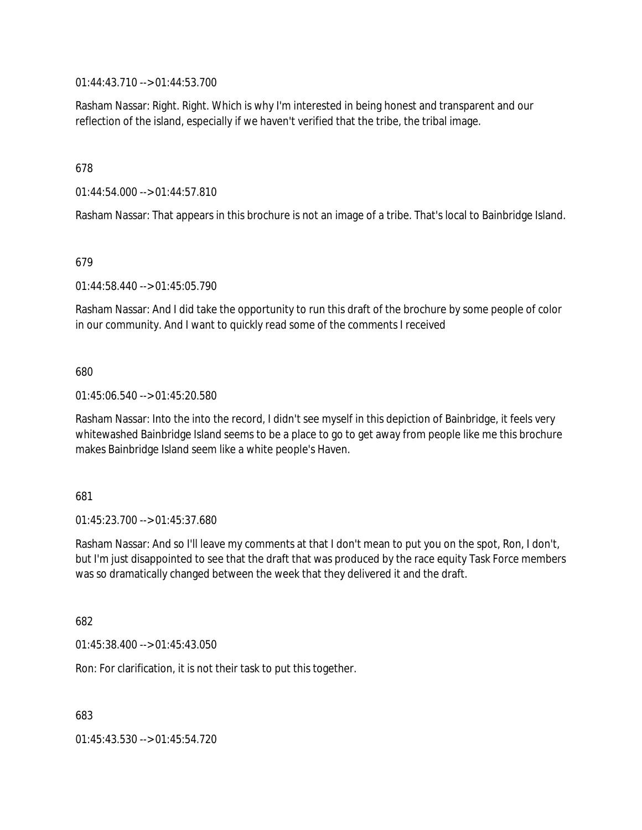01:44:43.710 --> 01:44:53.700

Rasham Nassar: Right. Right. Which is why I'm interested in being honest and transparent and our reflection of the island, especially if we haven't verified that the tribe, the tribal image.

### 678

01:44:54.000 --> 01:44:57.810

Rasham Nassar: That appears in this brochure is not an image of a tribe. That's local to Bainbridge Island.

#### 679

01:44:58.440 --> 01:45:05.790

Rasham Nassar: And I did take the opportunity to run this draft of the brochure by some people of color in our community. And I want to quickly read some of the comments I received

#### 680

01:45:06.540 --> 01:45:20.580

Rasham Nassar: Into the into the record, I didn't see myself in this depiction of Bainbridge, it feels very whitewashed Bainbridge Island seems to be a place to go to get away from people like me this brochure makes Bainbridge Island seem like a white people's Haven.

#### 681

01:45:23.700 --> 01:45:37.680

Rasham Nassar: And so I'll leave my comments at that I don't mean to put you on the spot, Ron, I don't, but I'm just disappointed to see that the draft that was produced by the race equity Task Force members was so dramatically changed between the week that they delivered it and the draft.

682

01:45:38.400 --> 01:45:43.050

Ron: For clarification, it is not their task to put this together.

683

01:45:43.530 --> 01:45:54.720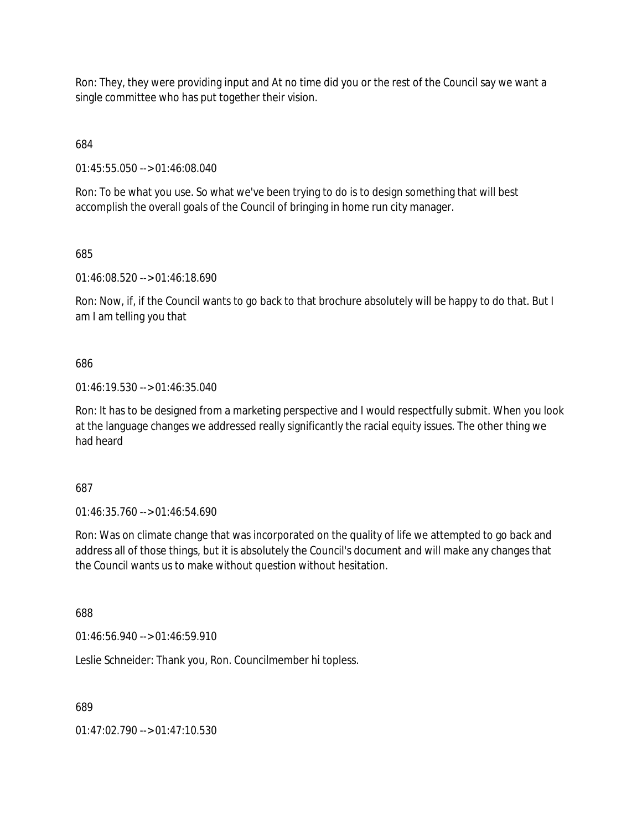Ron: They, they were providing input and At no time did you or the rest of the Council say we want a single committee who has put together their vision.

684

01:45:55.050 --> 01:46:08.040

Ron: To be what you use. So what we've been trying to do is to design something that will best accomplish the overall goals of the Council of bringing in home run city manager.

685

01:46:08.520 --> 01:46:18.690

Ron: Now, if, if the Council wants to go back to that brochure absolutely will be happy to do that. But I am I am telling you that

686

01:46:19.530 --> 01:46:35.040

Ron: It has to be designed from a marketing perspective and I would respectfully submit. When you look at the language changes we addressed really significantly the racial equity issues. The other thing we had heard

687

01:46:35.760 --> 01:46:54.690

Ron: Was on climate change that was incorporated on the quality of life we attempted to go back and address all of those things, but it is absolutely the Council's document and will make any changes that the Council wants us to make without question without hesitation.

688

01:46:56.940 --> 01:46:59.910

Leslie Schneider: Thank you, Ron. Councilmember hi topless.

689

01:47:02.790 --> 01:47:10.530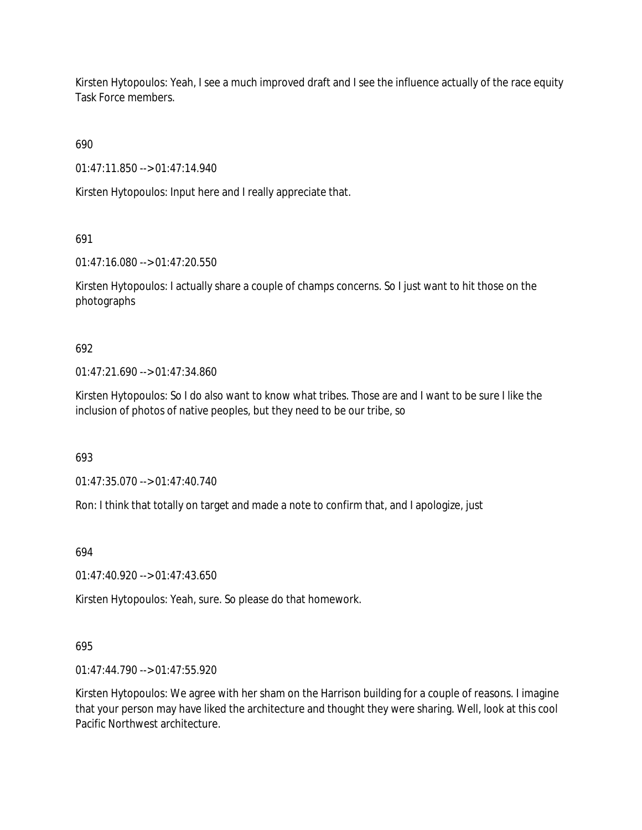Kirsten Hytopoulos: Yeah, I see a much improved draft and I see the influence actually of the race equity Task Force members.

690

01:47:11.850 --> 01:47:14.940

Kirsten Hytopoulos: Input here and I really appreciate that.

691

01:47:16.080 --> 01:47:20.550

Kirsten Hytopoulos: I actually share a couple of champs concerns. So I just want to hit those on the photographs

# 692

01:47:21.690 --> 01:47:34.860

Kirsten Hytopoulos: So I do also want to know what tribes. Those are and I want to be sure I like the inclusion of photos of native peoples, but they need to be our tribe, so

693

01:47:35.070 --> 01:47:40.740

Ron: I think that totally on target and made a note to confirm that, and I apologize, just

694

01:47:40.920 --> 01:47:43.650

Kirsten Hytopoulos: Yeah, sure. So please do that homework.

# 695

01:47:44.790 --> 01:47:55.920

Kirsten Hytopoulos: We agree with her sham on the Harrison building for a couple of reasons. I imagine that your person may have liked the architecture and thought they were sharing. Well, look at this cool Pacific Northwest architecture.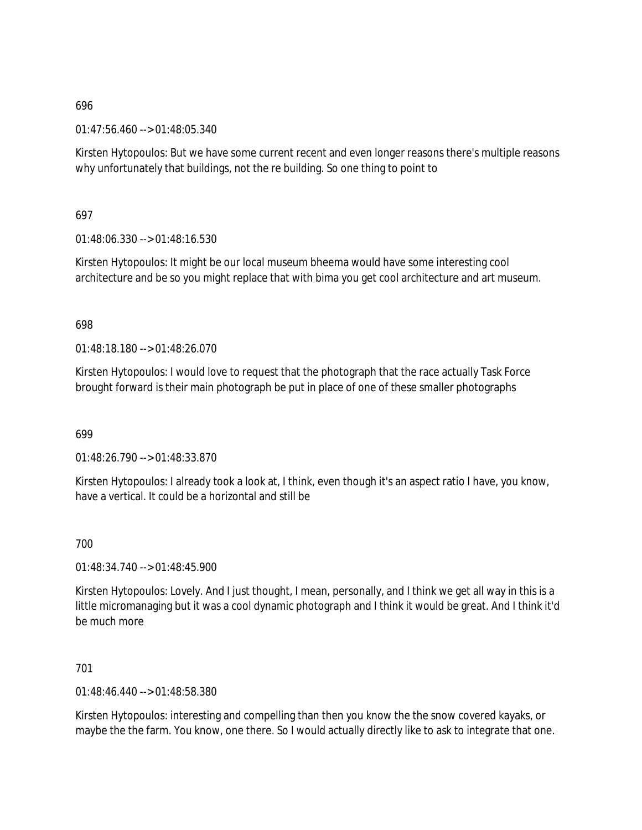01:47:56.460 --> 01:48:05.340

Kirsten Hytopoulos: But we have some current recent and even longer reasons there's multiple reasons why unfortunately that buildings, not the re building. So one thing to point to

## 697

01:48:06.330 --> 01:48:16.530

Kirsten Hytopoulos: It might be our local museum bheema would have some interesting cool architecture and be so you might replace that with bima you get cool architecture and art museum.

## 698

01:48:18.180 --> 01:48:26.070

Kirsten Hytopoulos: I would love to request that the photograph that the race actually Task Force brought forward is their main photograph be put in place of one of these smaller photographs

### 699

01:48:26.790 --> 01:48:33.870

Kirsten Hytopoulos: I already took a look at, I think, even though it's an aspect ratio I have, you know, have a vertical. It could be a horizontal and still be

### 700

01:48:34.740 --> 01:48:45.900

Kirsten Hytopoulos: Lovely. And I just thought, I mean, personally, and I think we get all way in this is a little micromanaging but it was a cool dynamic photograph and I think it would be great. And I think it'd be much more

## 701

01:48:46.440 --> 01:48:58.380

Kirsten Hytopoulos: interesting and compelling than then you know the the snow covered kayaks, or maybe the the farm. You know, one there. So I would actually directly like to ask to integrate that one.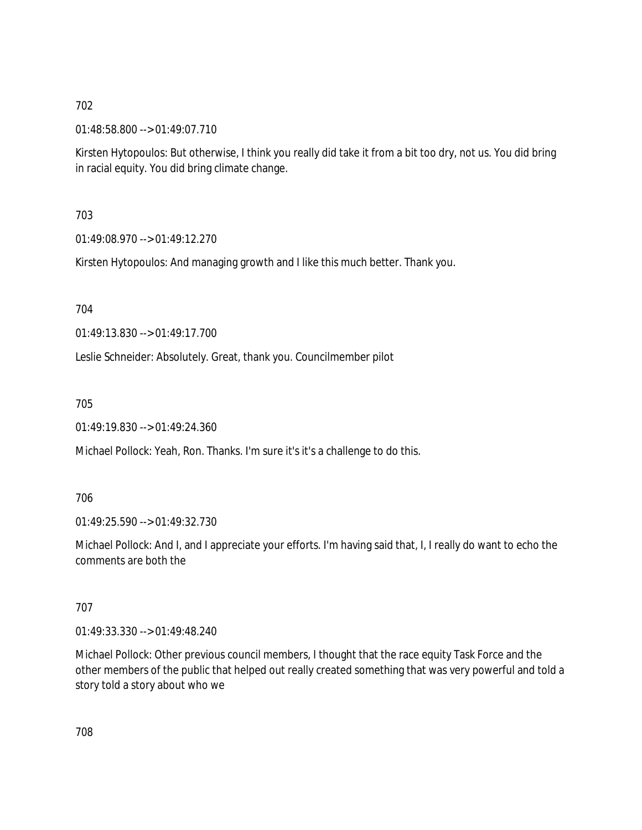01:48:58.800 --> 01:49:07.710

Kirsten Hytopoulos: But otherwise, I think you really did take it from a bit too dry, not us. You did bring in racial equity. You did bring climate change.

703

01:49:08.970 --> 01:49:12.270

Kirsten Hytopoulos: And managing growth and I like this much better. Thank you.

704

01:49:13.830 --> 01:49:17.700

Leslie Schneider: Absolutely. Great, thank you. Councilmember pilot

705

01:49:19.830 --> 01:49:24.360

Michael Pollock: Yeah, Ron. Thanks. I'm sure it's it's a challenge to do this.

706

01:49:25.590 --> 01:49:32.730

Michael Pollock: And I, and I appreciate your efforts. I'm having said that, I, I really do want to echo the comments are both the

707

01:49:33.330 --> 01:49:48.240

Michael Pollock: Other previous council members, I thought that the race equity Task Force and the other members of the public that helped out really created something that was very powerful and told a story told a story about who we

708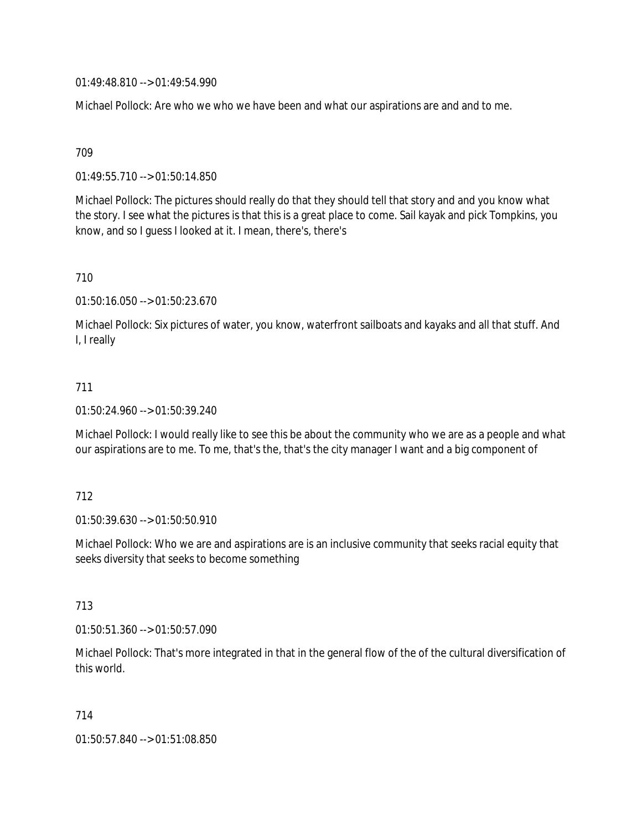01:49:48.810 --> 01:49:54.990

Michael Pollock: Are who we who we have been and what our aspirations are and and to me.

709

01:49:55.710 --> 01:50:14.850

Michael Pollock: The pictures should really do that they should tell that story and and you know what the story. I see what the pictures is that this is a great place to come. Sail kayak and pick Tompkins, you know, and so I guess I looked at it. I mean, there's, there's

710

01:50:16.050 --> 01:50:23.670

Michael Pollock: Six pictures of water, you know, waterfront sailboats and kayaks and all that stuff. And I, I really

#### 711

01:50:24.960 --> 01:50:39.240

Michael Pollock: I would really like to see this be about the community who we are as a people and what our aspirations are to me. To me, that's the, that's the city manager I want and a big component of

#### 712

01:50:39.630 --> 01:50:50.910

Michael Pollock: Who we are and aspirations are is an inclusive community that seeks racial equity that seeks diversity that seeks to become something

713

01:50:51.360 --> 01:50:57.090

Michael Pollock: That's more integrated in that in the general flow of the of the cultural diversification of this world.

714

01:50:57.840 --> 01:51:08.850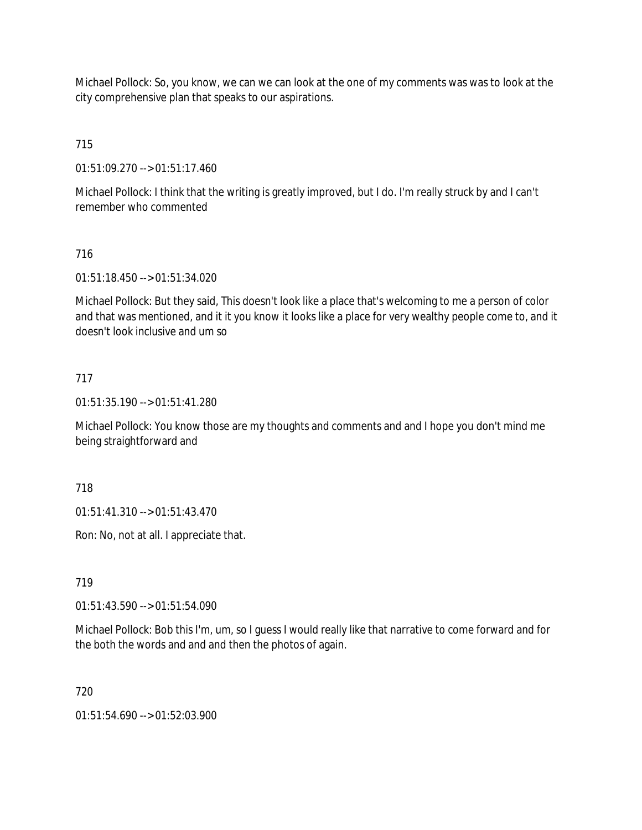Michael Pollock: So, you know, we can we can look at the one of my comments was was to look at the city comprehensive plan that speaks to our aspirations.

715

01:51:09.270 --> 01:51:17.460

Michael Pollock: I think that the writing is greatly improved, but I do. I'm really struck by and I can't remember who commented

# 716

01:51:18.450 --> 01:51:34.020

Michael Pollock: But they said, This doesn't look like a place that's welcoming to me a person of color and that was mentioned, and it it you know it looks like a place for very wealthy people come to, and it doesn't look inclusive and um so

## 717

01:51:35.190 --> 01:51:41.280

Michael Pollock: You know those are my thoughts and comments and and I hope you don't mind me being straightforward and

718

01:51:41.310 --> 01:51:43.470

Ron: No, not at all. I appreciate that.

### 719

01:51:43.590 --> 01:51:54.090

Michael Pollock: Bob this I'm, um, so I guess I would really like that narrative to come forward and for the both the words and and and then the photos of again.

720

01:51:54.690 --> 01:52:03.900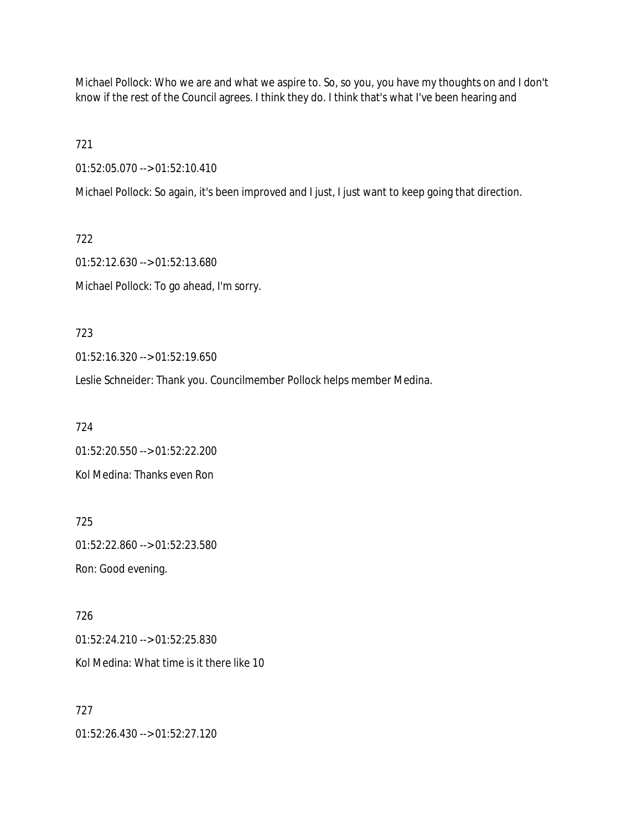Michael Pollock: Who we are and what we aspire to. So, so you, you have my thoughts on and I don't know if the rest of the Council agrees. I think they do. I think that's what I've been hearing and

721

01:52:05.070 --> 01:52:10.410

Michael Pollock: So again, it's been improved and I just, I just want to keep going that direction.

722 01:52:12.630 --> 01:52:13.680 Michael Pollock: To go ahead, I'm sorry.

723

01:52:16.320 --> 01:52:19.650

Leslie Schneider: Thank you. Councilmember Pollock helps member Medina.

724 01:52:20.550 --> 01:52:22.200 Kol Medina: Thanks even Ron

725 01:52:22.860 --> 01:52:23.580 Ron: Good evening.

726 01:52:24.210 --> 01:52:25.830 Kol Medina: What time is it there like 10

727 01:52:26.430 --> 01:52:27.120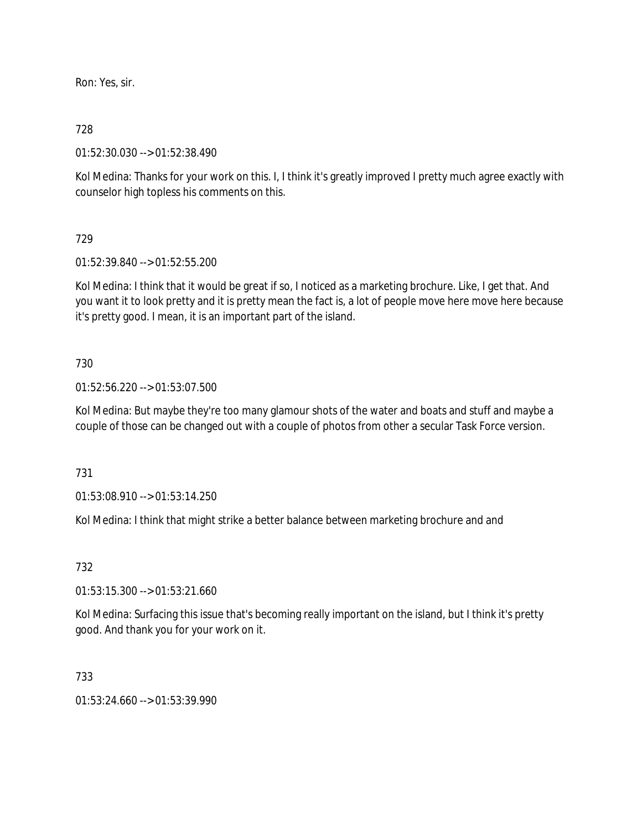Ron: Yes, sir.

## 728

01:52:30.030 --> 01:52:38.490

Kol Medina: Thanks for your work on this. I, I think it's greatly improved I pretty much agree exactly with counselor high topless his comments on this.

## 729

01:52:39.840 --> 01:52:55.200

Kol Medina: I think that it would be great if so, I noticed as a marketing brochure. Like, I get that. And you want it to look pretty and it is pretty mean the fact is, a lot of people move here move here because it's pretty good. I mean, it is an important part of the island.

## 730

01:52:56.220 --> 01:53:07.500

Kol Medina: But maybe they're too many glamour shots of the water and boats and stuff and maybe a couple of those can be changed out with a couple of photos from other a secular Task Force version.

### 731

01:53:08.910 --> 01:53:14.250

Kol Medina: I think that might strike a better balance between marketing brochure and and

# 732

01:53:15.300 --> 01:53:21.660

Kol Medina: Surfacing this issue that's becoming really important on the island, but I think it's pretty good. And thank you for your work on it.

### 733

 $01:53:24.660 \rightarrow 01:53:39.990$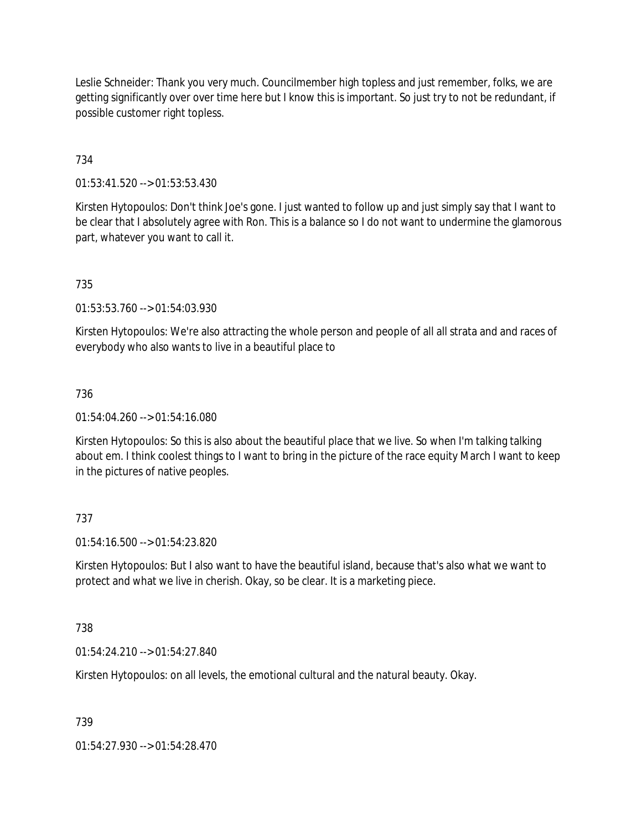Leslie Schneider: Thank you very much. Councilmember high topless and just remember, folks, we are getting significantly over over time here but I know this is important. So just try to not be redundant, if possible customer right topless.

734

01:53:41.520 --> 01:53:53.430

Kirsten Hytopoulos: Don't think Joe's gone. I just wanted to follow up and just simply say that I want to be clear that I absolutely agree with Ron. This is a balance so I do not want to undermine the glamorous part, whatever you want to call it.

735

01:53:53.760 --> 01:54:03.930

Kirsten Hytopoulos: We're also attracting the whole person and people of all all strata and and races of everybody who also wants to live in a beautiful place to

736

 $01:54:04.260 \rightarrow 01:54:16.080$ 

Kirsten Hytopoulos: So this is also about the beautiful place that we live. So when I'm talking talking about em. I think coolest things to I want to bring in the picture of the race equity March I want to keep in the pictures of native peoples.

### 737

01:54:16.500 --> 01:54:23.820

Kirsten Hytopoulos: But I also want to have the beautiful island, because that's also what we want to protect and what we live in cherish. Okay, so be clear. It is a marketing piece.

738

01:54:24.210 --> 01:54:27.840

Kirsten Hytopoulos: on all levels, the emotional cultural and the natural beauty. Okay.

739

01:54:27.930 --> 01:54:28.470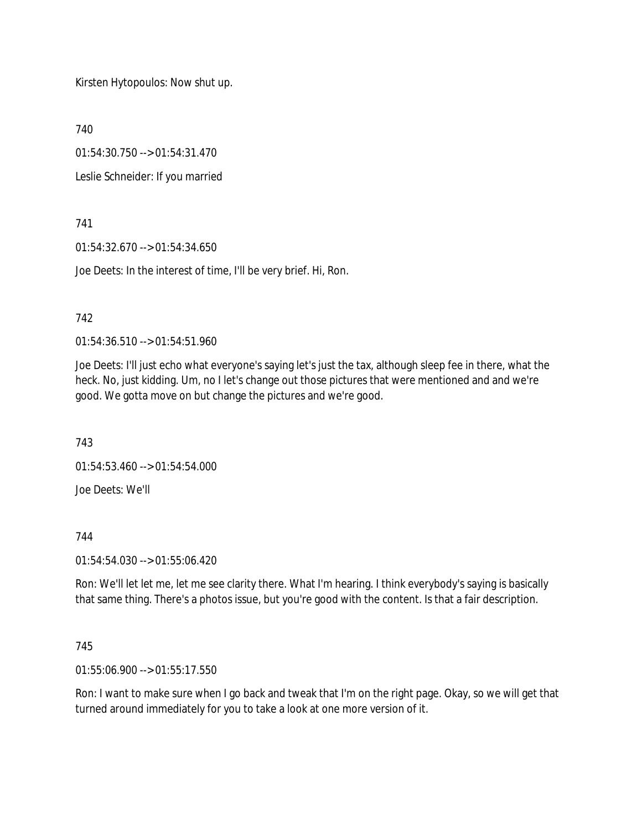Kirsten Hytopoulos: Now shut up.

740

01:54:30.750 --> 01:54:31.470

Leslie Schneider: If you married

741

01:54:32.670 --> 01:54:34.650

Joe Deets: In the interest of time, I'll be very brief. Hi, Ron.

## 742

01:54:36.510 --> 01:54:51.960

Joe Deets: I'll just echo what everyone's saying let's just the tax, although sleep fee in there, what the heck. No, just kidding. Um, no I let's change out those pictures that were mentioned and and we're good. We gotta move on but change the pictures and we're good.

743

01:54:53.460 --> 01:54:54.000

Joe Deets: We'll

744

01:54:54.030 --> 01:55:06.420

Ron: We'll let let me, let me see clarity there. What I'm hearing. I think everybody's saying is basically that same thing. There's a photos issue, but you're good with the content. Is that a fair description.

### 745

01:55:06.900 --> 01:55:17.550

Ron: I want to make sure when I go back and tweak that I'm on the right page. Okay, so we will get that turned around immediately for you to take a look at one more version of it.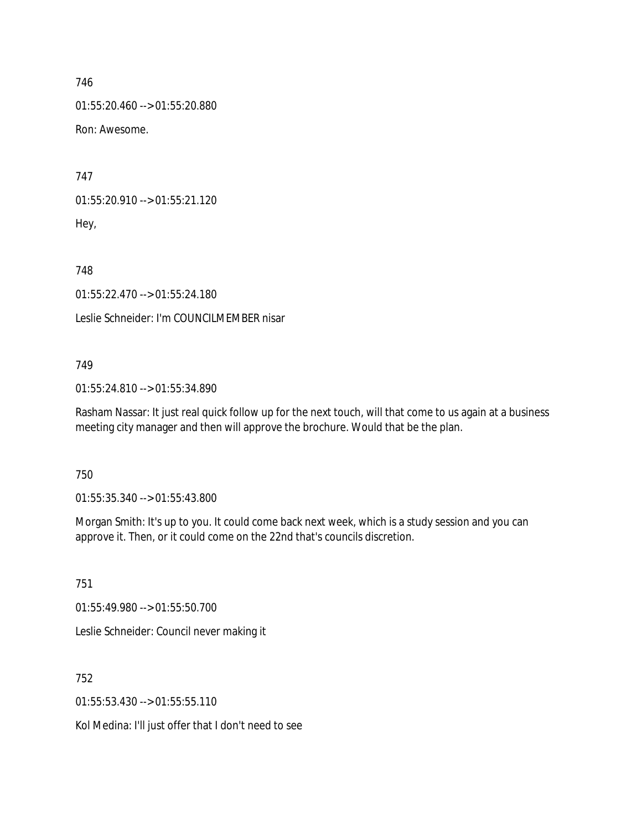01:55:20.460 --> 01:55:20.880

Ron: Awesome.

747

01:55:20.910 --> 01:55:21.120 Hey,

748

01:55:22.470 --> 01:55:24.180

Leslie Schneider: I'm COUNCILMEMBER nisar

## 749

01:55:24.810 --> 01:55:34.890

Rasham Nassar: It just real quick follow up for the next touch, will that come to us again at a business meeting city manager and then will approve the brochure. Would that be the plan.

750

01:55:35.340 --> 01:55:43.800

Morgan Smith: It's up to you. It could come back next week, which is a study session and you can approve it. Then, or it could come on the 22nd that's councils discretion.

751

01:55:49.980 --> 01:55:50.700

Leslie Schneider: Council never making it

752

01:55:53.430 --> 01:55:55.110

Kol Medina: I'll just offer that I don't need to see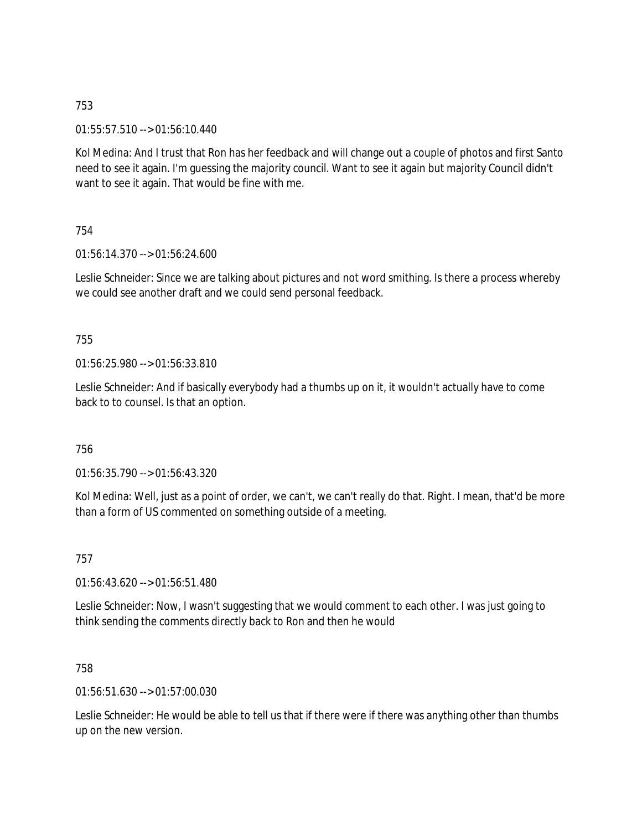01:55:57.510 --> 01:56:10.440

Kol Medina: And I trust that Ron has her feedback and will change out a couple of photos and first Santo need to see it again. I'm guessing the majority council. Want to see it again but majority Council didn't want to see it again. That would be fine with me.

754

01:56:14.370 --> 01:56:24.600

Leslie Schneider: Since we are talking about pictures and not word smithing. Is there a process whereby we could see another draft and we could send personal feedback.

## 755

01:56:25.980 --> 01:56:33.810

Leslie Schneider: And if basically everybody had a thumbs up on it, it wouldn't actually have to come back to to counsel. Is that an option.

### 756

01:56:35.790 --> 01:56:43.320

Kol Medina: Well, just as a point of order, we can't, we can't really do that. Right. I mean, that'd be more than a form of US commented on something outside of a meeting.

757

01:56:43.620 --> 01:56:51.480

Leslie Schneider: Now, I wasn't suggesting that we would comment to each other. I was just going to think sending the comments directly back to Ron and then he would

### 758

01:56:51.630 --> 01:57:00.030

Leslie Schneider: He would be able to tell us that if there were if there was anything other than thumbs up on the new version.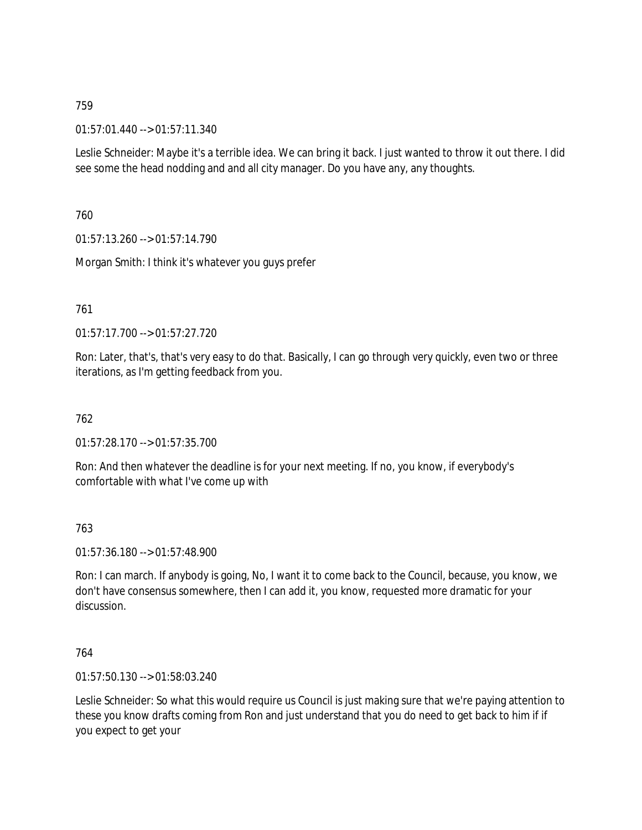01:57:01.440 --> 01:57:11.340

Leslie Schneider: Maybe it's a terrible idea. We can bring it back. I just wanted to throw it out there. I did see some the head nodding and and all city manager. Do you have any, any thoughts.

760

01:57:13.260 --> 01:57:14.790

Morgan Smith: I think it's whatever you guys prefer

761

01:57:17.700 --> 01:57:27.720

Ron: Later, that's, that's very easy to do that. Basically, I can go through very quickly, even two or three iterations, as I'm getting feedback from you.

762

01:57:28.170 --> 01:57:35.700

Ron: And then whatever the deadline is for your next meeting. If no, you know, if everybody's comfortable with what I've come up with

763

01:57:36.180 --> 01:57:48.900

Ron: I can march. If anybody is going, No, I want it to come back to the Council, because, you know, we don't have consensus somewhere, then I can add it, you know, requested more dramatic for your discussion.

764

01:57:50.130 --> 01:58:03.240

Leslie Schneider: So what this would require us Council is just making sure that we're paying attention to these you know drafts coming from Ron and just understand that you do need to get back to him if if you expect to get your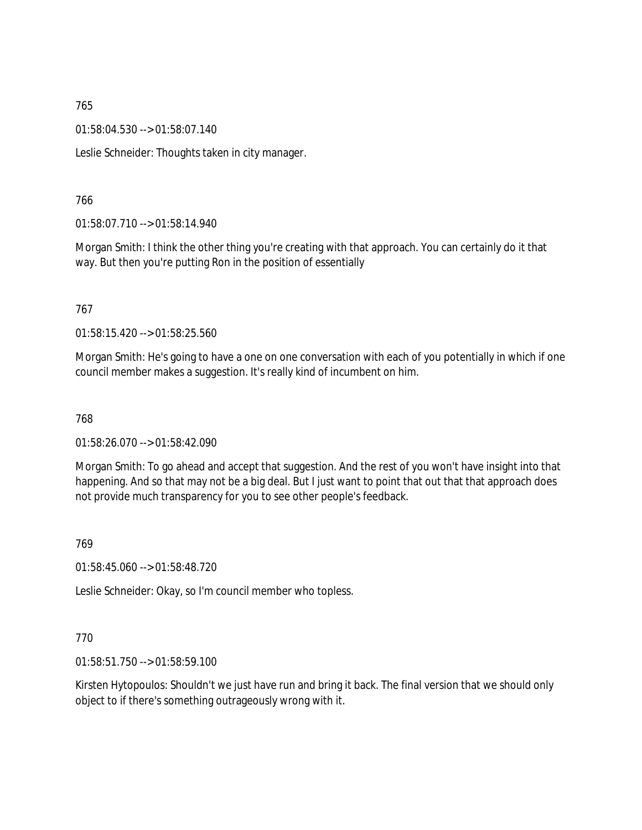01:58:04.530 --> 01:58:07.140

Leslie Schneider: Thoughts taken in city manager.

### 766

01:58:07.710 --> 01:58:14.940

Morgan Smith: I think the other thing you're creating with that approach. You can certainly do it that way. But then you're putting Ron in the position of essentially

### 767

01:58:15.420 --> 01:58:25.560

Morgan Smith: He's going to have a one on one conversation with each of you potentially in which if one council member makes a suggestion. It's really kind of incumbent on him.

### 768

01:58:26.070 --> 01:58:42.090

Morgan Smith: To go ahead and accept that suggestion. And the rest of you won't have insight into that happening. And so that may not be a big deal. But I just want to point that out that that approach does not provide much transparency for you to see other people's feedback.

### 769

01:58:45.060 --> 01:58:48.720

Leslie Schneider: Okay, so I'm council member who topless.

### 770

01:58:51.750 --> 01:58:59.100

Kirsten Hytopoulos: Shouldn't we just have run and bring it back. The final version that we should only object to if there's something outrageously wrong with it.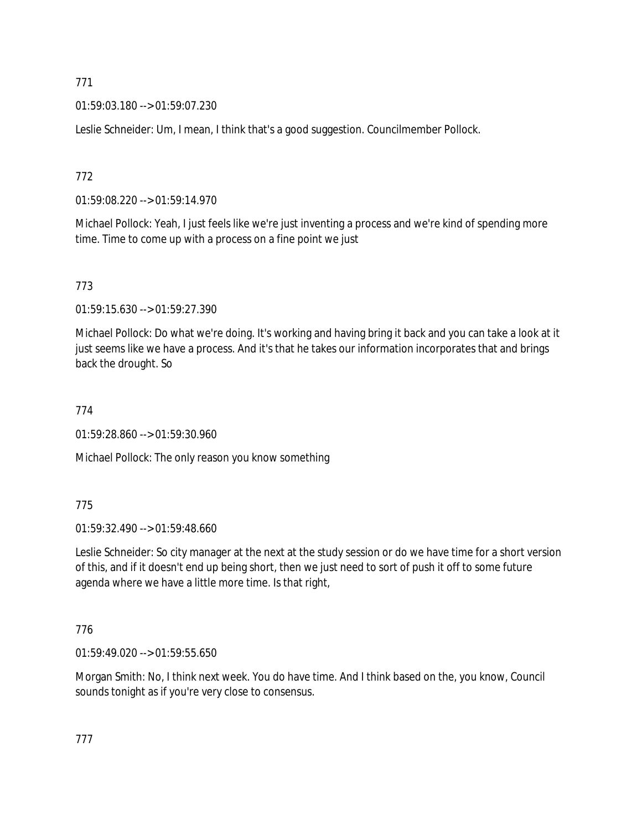01:59:03.180 --> 01:59:07.230

Leslie Schneider: Um, I mean, I think that's a good suggestion. Councilmember Pollock.

# 772

01:59:08.220 --> 01:59:14.970

Michael Pollock: Yeah, I just feels like we're just inventing a process and we're kind of spending more time. Time to come up with a process on a fine point we just

# 773

01:59:15.630 --> 01:59:27.390

Michael Pollock: Do what we're doing. It's working and having bring it back and you can take a look at it just seems like we have a process. And it's that he takes our information incorporates that and brings back the drought. So

# 774

01:59:28.860 --> 01:59:30.960

Michael Pollock: The only reason you know something

# 775

01:59:32.490 --> 01:59:48.660

Leslie Schneider: So city manager at the next at the study session or do we have time for a short version of this, and if it doesn't end up being short, then we just need to sort of push it off to some future agenda where we have a little more time. Is that right,

# 776

01:59:49.020 --> 01:59:55.650

Morgan Smith: No, I think next week. You do have time. And I think based on the, you know, Council sounds tonight as if you're very close to consensus.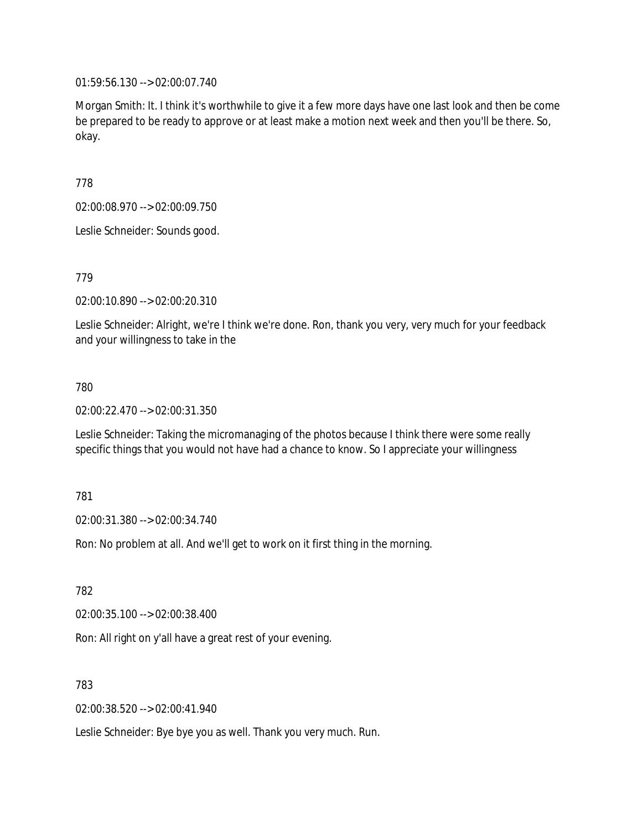01:59:56.130 --> 02:00:07.740

Morgan Smith: It. I think it's worthwhile to give it a few more days have one last look and then be come be prepared to be ready to approve or at least make a motion next week and then you'll be there. So, okay.

778

02:00:08.970 --> 02:00:09.750

Leslie Schneider: Sounds good.

779

02:00:10.890 --> 02:00:20.310

Leslie Schneider: Alright, we're I think we're done. Ron, thank you very, very much for your feedback and your willingness to take in the

780

02:00:22.470 --> 02:00:31.350

Leslie Schneider: Taking the micromanaging of the photos because I think there were some really specific things that you would not have had a chance to know. So I appreciate your willingness

781

02:00:31.380 --> 02:00:34.740

Ron: No problem at all. And we'll get to work on it first thing in the morning.

782

02:00:35.100 --> 02:00:38.400

Ron: All right on y'all have a great rest of your evening.

783

02:00:38.520 --> 02:00:41.940

Leslie Schneider: Bye bye you as well. Thank you very much. Run.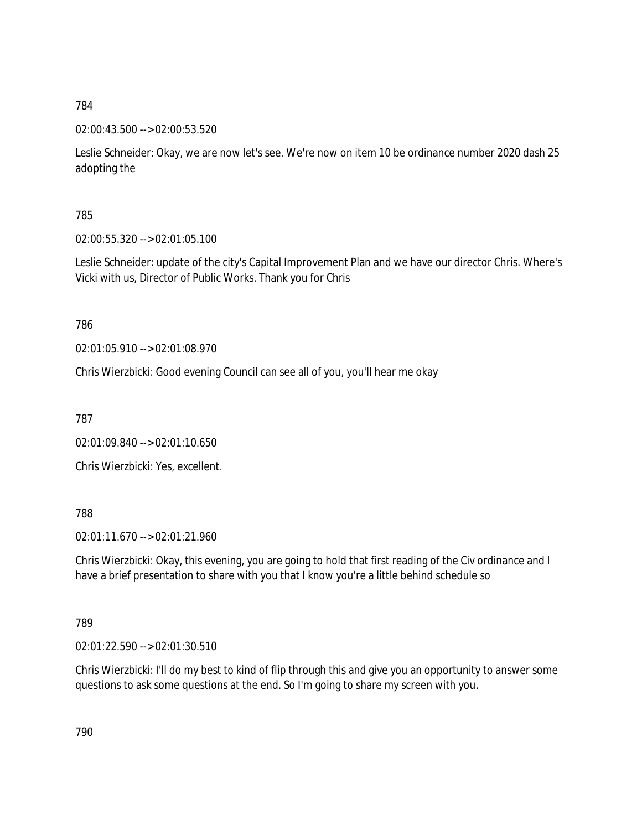02:00:43.500 --> 02:00:53.520

Leslie Schneider: Okay, we are now let's see. We're now on item 10 be ordinance number 2020 dash 25 adopting the

785

02:00:55.320 --> 02:01:05.100

Leslie Schneider: update of the city's Capital Improvement Plan and we have our director Chris. Where's Vicki with us, Director of Public Works. Thank you for Chris

786

02:01:05.910 --> 02:01:08.970

Chris Wierzbicki: Good evening Council can see all of you, you'll hear me okay

787

02:01:09.840 --> 02:01:10.650

Chris Wierzbicki: Yes, excellent.

788

02:01:11.670 --> 02:01:21.960

Chris Wierzbicki: Okay, this evening, you are going to hold that first reading of the Civ ordinance and I have a brief presentation to share with you that I know you're a little behind schedule so

789

02:01:22.590 --> 02:01:30.510

Chris Wierzbicki: I'll do my best to kind of flip through this and give you an opportunity to answer some questions to ask some questions at the end. So I'm going to share my screen with you.

790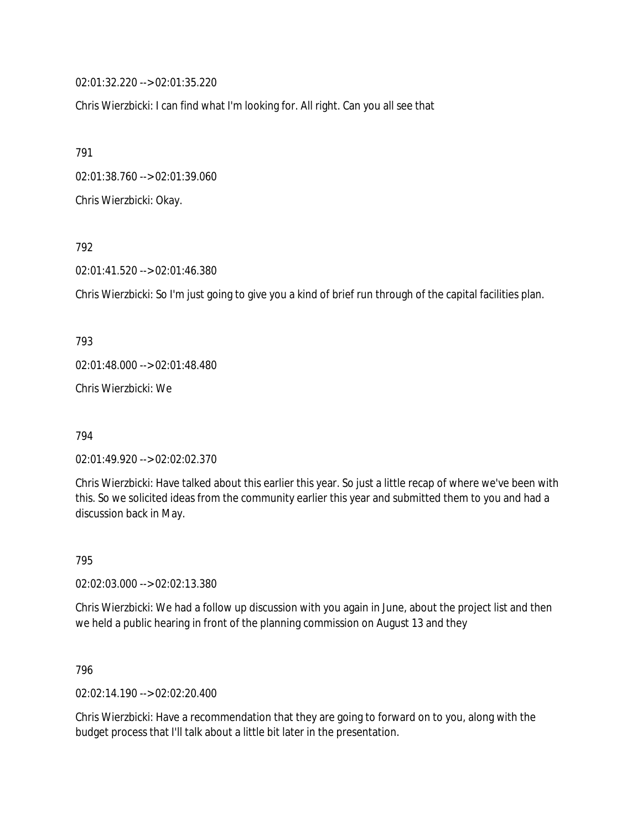02:01:32.220 --> 02:01:35.220

Chris Wierzbicki: I can find what I'm looking for. All right. Can you all see that

791

02:01:38.760 --> 02:01:39.060

Chris Wierzbicki: Okay.

792

02:01:41.520 --> 02:01:46.380

Chris Wierzbicki: So I'm just going to give you a kind of brief run through of the capital facilities plan.

793 02:01:48.000 --> 02:01:48.480

Chris Wierzbicki: We

794

02:01:49.920 --> 02:02:02.370

Chris Wierzbicki: Have talked about this earlier this year. So just a little recap of where we've been with this. So we solicited ideas from the community earlier this year and submitted them to you and had a discussion back in May.

795

02:02:03.000 --> 02:02:13.380

Chris Wierzbicki: We had a follow up discussion with you again in June, about the project list and then we held a public hearing in front of the planning commission on August 13 and they

796

02:02:14.190 --> 02:02:20.400

Chris Wierzbicki: Have a recommendation that they are going to forward on to you, along with the budget process that I'll talk about a little bit later in the presentation.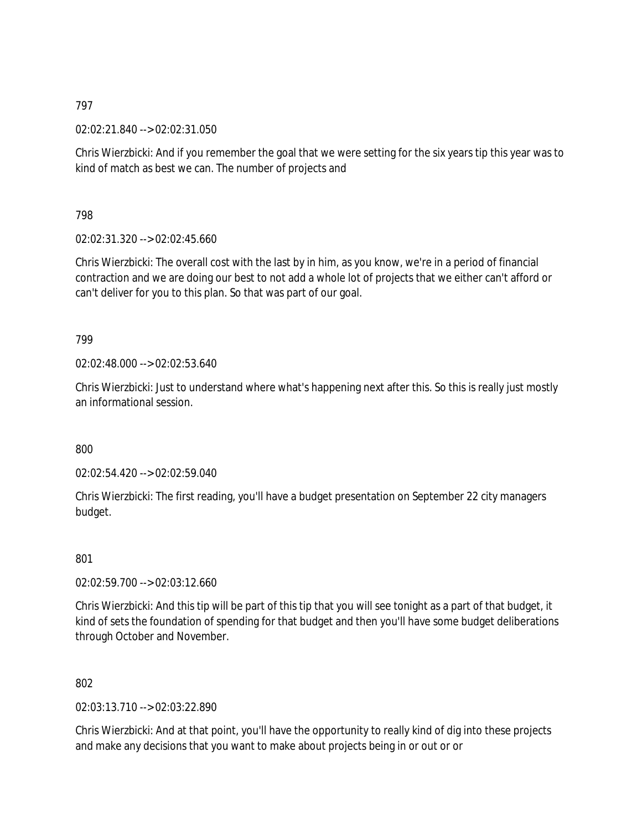02:02:21.840 --> 02:02:31.050

Chris Wierzbicki: And if you remember the goal that we were setting for the six years tip this year was to kind of match as best we can. The number of projects and

798

02:02:31.320 --> 02:02:45.660

Chris Wierzbicki: The overall cost with the last by in him, as you know, we're in a period of financial contraction and we are doing our best to not add a whole lot of projects that we either can't afford or can't deliver for you to this plan. So that was part of our goal.

799

02:02:48.000 --> 02:02:53.640

Chris Wierzbicki: Just to understand where what's happening next after this. So this is really just mostly an informational session.

800

02:02:54.420 --> 02:02:59.040

Chris Wierzbicki: The first reading, you'll have a budget presentation on September 22 city managers budget.

801

02:02:59.700 --> 02:03:12.660

Chris Wierzbicki: And this tip will be part of this tip that you will see tonight as a part of that budget, it kind of sets the foundation of spending for that budget and then you'll have some budget deliberations through October and November.

802

02:03:13.710 --> 02:03:22.890

Chris Wierzbicki: And at that point, you'll have the opportunity to really kind of dig into these projects and make any decisions that you want to make about projects being in or out or or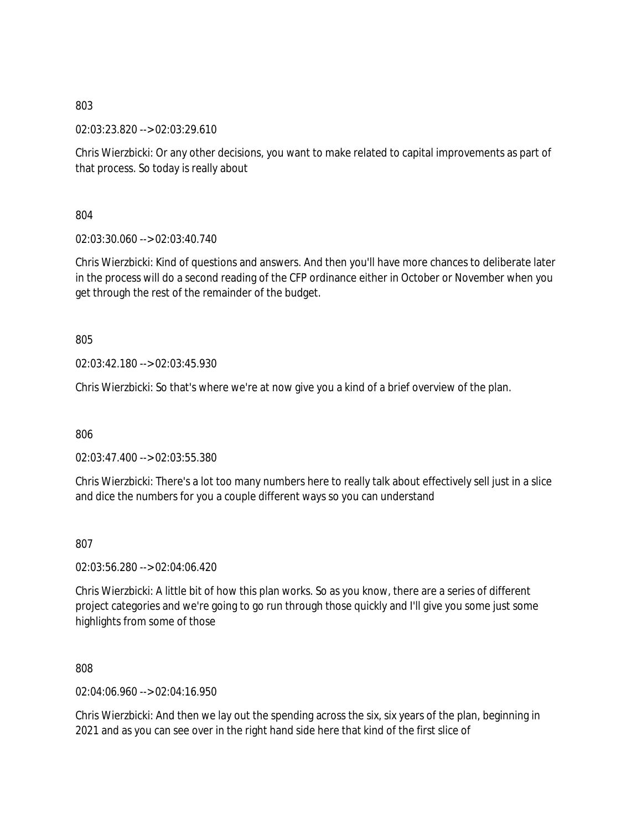02:03:23.820 --> 02:03:29.610

Chris Wierzbicki: Or any other decisions, you want to make related to capital improvements as part of that process. So today is really about

804

02:03:30.060 --> 02:03:40.740

Chris Wierzbicki: Kind of questions and answers. And then you'll have more chances to deliberate later in the process will do a second reading of the CFP ordinance either in October or November when you get through the rest of the remainder of the budget.

805

02:03:42.180 --> 02:03:45.930

Chris Wierzbicki: So that's where we're at now give you a kind of a brief overview of the plan.

806

02:03:47.400 --> 02:03:55.380

Chris Wierzbicki: There's a lot too many numbers here to really talk about effectively sell just in a slice and dice the numbers for you a couple different ways so you can understand

807

02:03:56.280 --> 02:04:06.420

Chris Wierzbicki: A little bit of how this plan works. So as you know, there are a series of different project categories and we're going to go run through those quickly and I'll give you some just some highlights from some of those

808

02:04:06.960 --> 02:04:16.950

Chris Wierzbicki: And then we lay out the spending across the six, six years of the plan, beginning in 2021 and as you can see over in the right hand side here that kind of the first slice of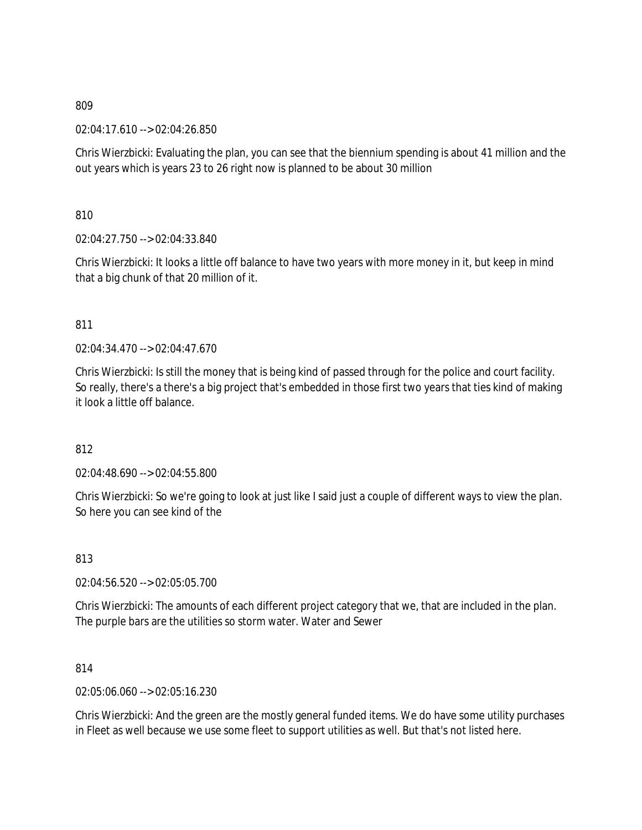02:04:17.610 --> 02:04:26.850

Chris Wierzbicki: Evaluating the plan, you can see that the biennium spending is about 41 million and the out years which is years 23 to 26 right now is planned to be about 30 million

810

02:04:27.750 --> 02:04:33.840

Chris Wierzbicki: It looks a little off balance to have two years with more money in it, but keep in mind that a big chunk of that 20 million of it.

## 811

02:04:34.470 --> 02:04:47.670

Chris Wierzbicki: Is still the money that is being kind of passed through for the police and court facility. So really, there's a there's a big project that's embedded in those first two years that ties kind of making it look a little off balance.

812

02:04:48.690 --> 02:04:55.800

Chris Wierzbicki: So we're going to look at just like I said just a couple of different ways to view the plan. So here you can see kind of the

813

02:04:56.520 --> 02:05:05.700

Chris Wierzbicki: The amounts of each different project category that we, that are included in the plan. The purple bars are the utilities so storm water. Water and Sewer

814

02:05:06.060 --> 02:05:16.230

Chris Wierzbicki: And the green are the mostly general funded items. We do have some utility purchases in Fleet as well because we use some fleet to support utilities as well. But that's not listed here.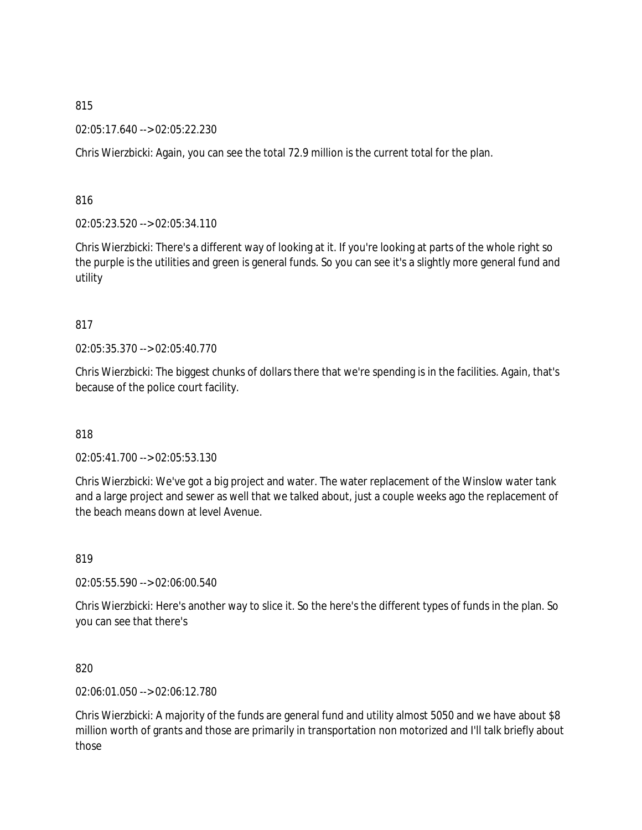02:05:17.640 --> 02:05:22.230

Chris Wierzbicki: Again, you can see the total 72.9 million is the current total for the plan.

816

02:05:23.520 --> 02:05:34.110

Chris Wierzbicki: There's a different way of looking at it. If you're looking at parts of the whole right so the purple is the utilities and green is general funds. So you can see it's a slightly more general fund and utility

## 817

02:05:35.370 --> 02:05:40.770

Chris Wierzbicki: The biggest chunks of dollars there that we're spending is in the facilities. Again, that's because of the police court facility.

818

02:05:41.700 --> 02:05:53.130

Chris Wierzbicki: We've got a big project and water. The water replacement of the Winslow water tank and a large project and sewer as well that we talked about, just a couple weeks ago the replacement of the beach means down at level Avenue.

819

02:05:55.590 --> 02:06:00.540

Chris Wierzbicki: Here's another way to slice it. So the here's the different types of funds in the plan. So you can see that there's

820

02:06:01.050 --> 02:06:12.780

Chris Wierzbicki: A majority of the funds are general fund and utility almost 5050 and we have about \$8 million worth of grants and those are primarily in transportation non motorized and I'll talk briefly about those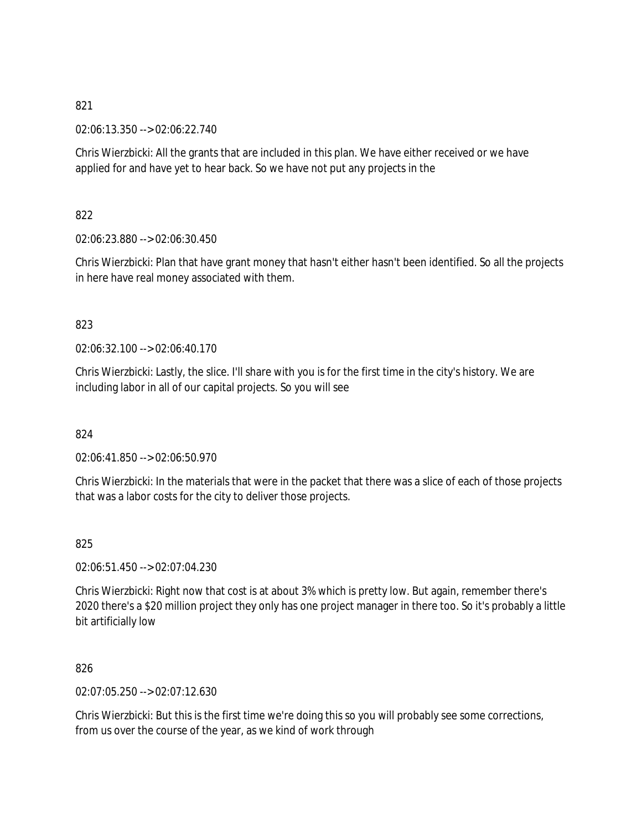02:06:13.350 --> 02:06:22.740

Chris Wierzbicki: All the grants that are included in this plan. We have either received or we have applied for and have yet to hear back. So we have not put any projects in the

822

02:06:23.880 --> 02:06:30.450

Chris Wierzbicki: Plan that have grant money that hasn't either hasn't been identified. So all the projects in here have real money associated with them.

823

02:06:32.100 --> 02:06:40.170

Chris Wierzbicki: Lastly, the slice. I'll share with you is for the first time in the city's history. We are including labor in all of our capital projects. So you will see

824

02:06:41.850 --> 02:06:50.970

Chris Wierzbicki: In the materials that were in the packet that there was a slice of each of those projects that was a labor costs for the city to deliver those projects.

825

02:06:51.450 --> 02:07:04.230

Chris Wierzbicki: Right now that cost is at about 3% which is pretty low. But again, remember there's 2020 there's a \$20 million project they only has one project manager in there too. So it's probably a little bit artificially low

826

02:07:05.250 --> 02:07:12.630

Chris Wierzbicki: But this is the first time we're doing this so you will probably see some corrections, from us over the course of the year, as we kind of work through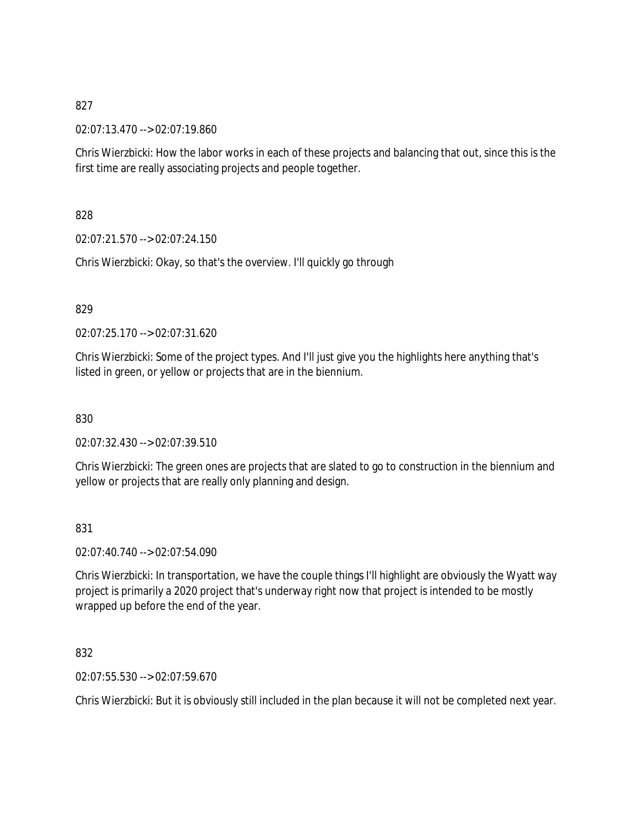02:07:13.470 --> 02:07:19.860

Chris Wierzbicki: How the labor works in each of these projects and balancing that out, since this is the first time are really associating projects and people together.

828

02:07:21.570 --> 02:07:24.150

Chris Wierzbicki: Okay, so that's the overview. I'll quickly go through

829

02:07:25.170 --> 02:07:31.620

Chris Wierzbicki: Some of the project types. And I'll just give you the highlights here anything that's listed in green, or yellow or projects that are in the biennium.

830

02:07:32.430 --> 02:07:39.510

Chris Wierzbicki: The green ones are projects that are slated to go to construction in the biennium and yellow or projects that are really only planning and design.

831

02:07:40.740 --> 02:07:54.090

Chris Wierzbicki: In transportation, we have the couple things I'll highlight are obviously the Wyatt way project is primarily a 2020 project that's underway right now that project is intended to be mostly wrapped up before the end of the year.

832

02:07:55.530 --> 02:07:59.670

Chris Wierzbicki: But it is obviously still included in the plan because it will not be completed next year.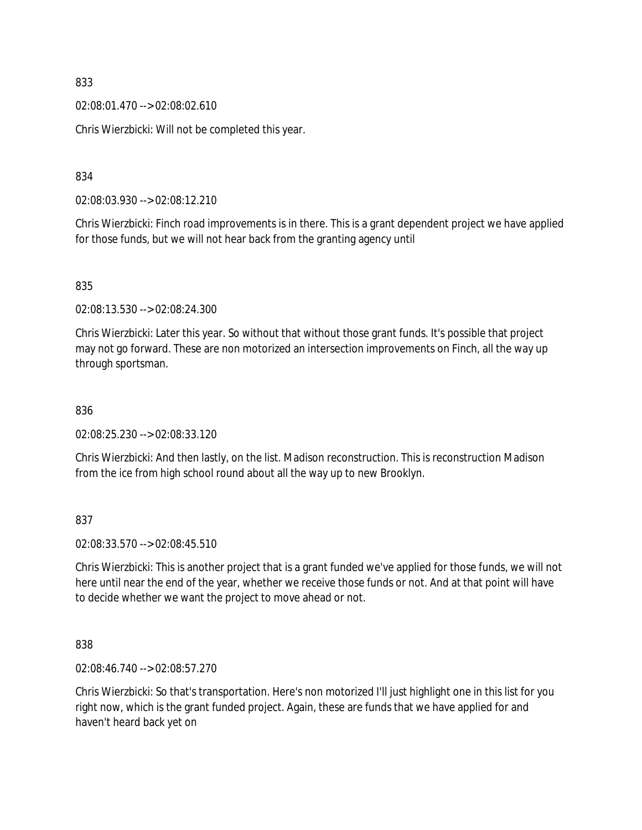02:08:01.470 --> 02:08:02.610

Chris Wierzbicki: Will not be completed this year.

834

02:08:03.930 --> 02:08:12.210

Chris Wierzbicki: Finch road improvements is in there. This is a grant dependent project we have applied for those funds, but we will not hear back from the granting agency until

835

02:08:13.530 --> 02:08:24.300

Chris Wierzbicki: Later this year. So without that without those grant funds. It's possible that project may not go forward. These are non motorized an intersection improvements on Finch, all the way up through sportsman.

836

02:08:25.230 --> 02:08:33.120

Chris Wierzbicki: And then lastly, on the list. Madison reconstruction. This is reconstruction Madison from the ice from high school round about all the way up to new Brooklyn.

837

02:08:33.570 --> 02:08:45.510

Chris Wierzbicki: This is another project that is a grant funded we've applied for those funds, we will not here until near the end of the year, whether we receive those funds or not. And at that point will have to decide whether we want the project to move ahead or not.

838

02:08:46.740 --> 02:08:57.270

Chris Wierzbicki: So that's transportation. Here's non motorized I'll just highlight one in this list for you right now, which is the grant funded project. Again, these are funds that we have applied for and haven't heard back yet on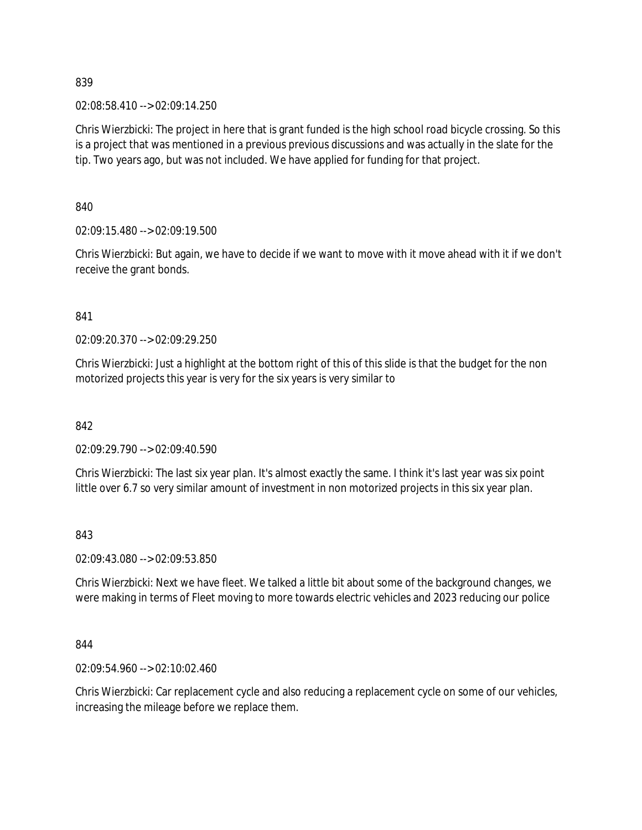02:08:58.410 --> 02:09:14.250

Chris Wierzbicki: The project in here that is grant funded is the high school road bicycle crossing. So this is a project that was mentioned in a previous previous discussions and was actually in the slate for the tip. Two years ago, but was not included. We have applied for funding for that project.

840

02:09:15.480 --> 02:09:19.500

Chris Wierzbicki: But again, we have to decide if we want to move with it move ahead with it if we don't receive the grant bonds.

841

02:09:20.370 --> 02:09:29.250

Chris Wierzbicki: Just a highlight at the bottom right of this of this slide is that the budget for the non motorized projects this year is very for the six years is very similar to

842

02:09:29.790 --> 02:09:40.590

Chris Wierzbicki: The last six year plan. It's almost exactly the same. I think it's last year was six point little over 6.7 so very similar amount of investment in non motorized projects in this six year plan.

843

02:09:43.080 --> 02:09:53.850

Chris Wierzbicki: Next we have fleet. We talked a little bit about some of the background changes, we were making in terms of Fleet moving to more towards electric vehicles and 2023 reducing our police

844

02:09:54.960 --> 02:10:02.460

Chris Wierzbicki: Car replacement cycle and also reducing a replacement cycle on some of our vehicles, increasing the mileage before we replace them.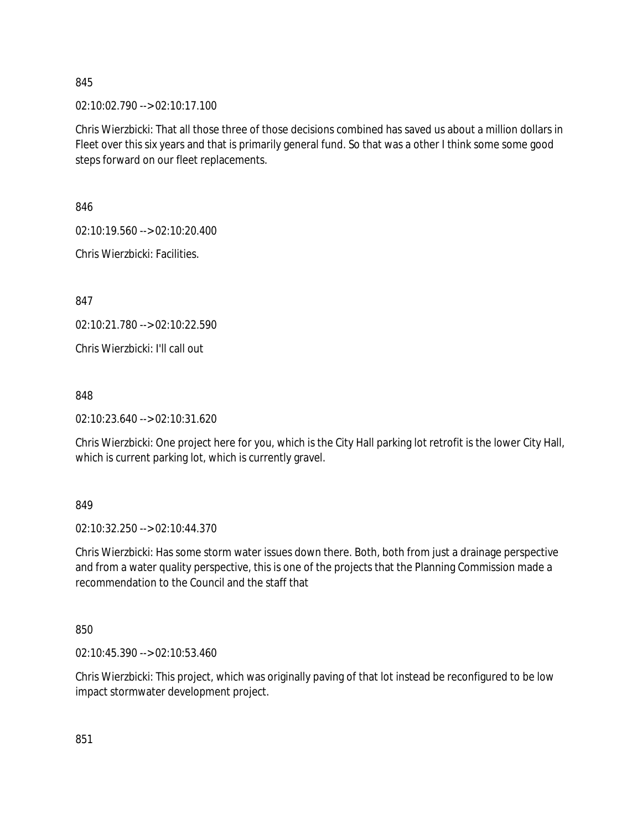02:10:02.790 --> 02:10:17.100

Chris Wierzbicki: That all those three of those decisions combined has saved us about a million dollars in Fleet over this six years and that is primarily general fund. So that was a other I think some some good steps forward on our fleet replacements.

846

02:10:19.560 --> 02:10:20.400

Chris Wierzbicki: Facilities.

847

02:10:21.780 --> 02:10:22.590

Chris Wierzbicki: I'll call out

848

02:10:23.640 --> 02:10:31.620

Chris Wierzbicki: One project here for you, which is the City Hall parking lot retrofit is the lower City Hall, which is current parking lot, which is currently gravel.

#### 849

02:10:32.250 --> 02:10:44.370

Chris Wierzbicki: Has some storm water issues down there. Both, both from just a drainage perspective and from a water quality perspective, this is one of the projects that the Planning Commission made a recommendation to the Council and the staff that

850

02:10:45.390 --> 02:10:53.460

Chris Wierzbicki: This project, which was originally paving of that lot instead be reconfigured to be low impact stormwater development project.

851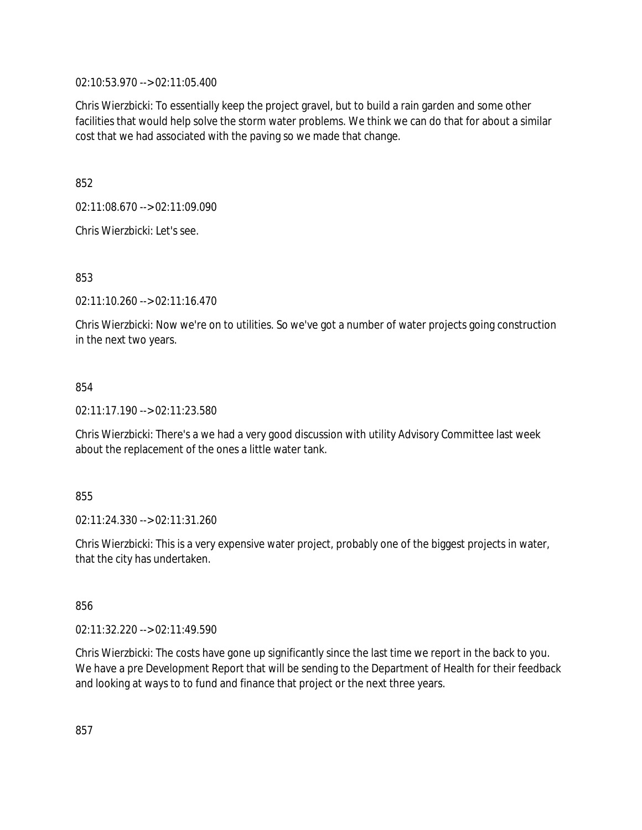02:10:53.970 --> 02:11:05.400

Chris Wierzbicki: To essentially keep the project gravel, but to build a rain garden and some other facilities that would help solve the storm water problems. We think we can do that for about a similar cost that we had associated with the paving so we made that change.

852

02:11:08.670 --> 02:11:09.090

Chris Wierzbicki: Let's see.

853

02:11:10.260 --> 02:11:16.470

Chris Wierzbicki: Now we're on to utilities. So we've got a number of water projects going construction in the next two years.

### 854

02:11:17.190 --> 02:11:23.580

Chris Wierzbicki: There's a we had a very good discussion with utility Advisory Committee last week about the replacement of the ones a little water tank.

### 855

02:11:24.330 --> 02:11:31.260

Chris Wierzbicki: This is a very expensive water project, probably one of the biggest projects in water, that the city has undertaken.

856

02:11:32.220 --> 02:11:49.590

Chris Wierzbicki: The costs have gone up significantly since the last time we report in the back to you. We have a pre Development Report that will be sending to the Department of Health for their feedback and looking at ways to to fund and finance that project or the next three years.

857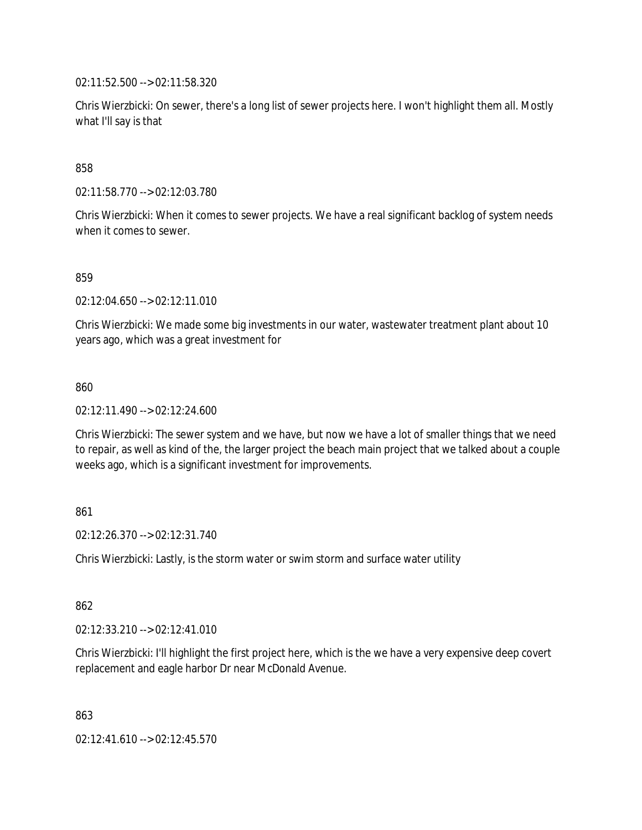02:11:52.500 --> 02:11:58.320

Chris Wierzbicki: On sewer, there's a long list of sewer projects here. I won't highlight them all. Mostly what I'll say is that

858

02:11:58.770 --> 02:12:03.780

Chris Wierzbicki: When it comes to sewer projects. We have a real significant backlog of system needs when it comes to sewer.

859

02:12:04.650 --> 02:12:11.010

Chris Wierzbicki: We made some big investments in our water, wastewater treatment plant about 10 years ago, which was a great investment for

860

02:12:11.490 --> 02:12:24.600

Chris Wierzbicki: The sewer system and we have, but now we have a lot of smaller things that we need to repair, as well as kind of the, the larger project the beach main project that we talked about a couple weeks ago, which is a significant investment for improvements.

861

02:12:26.370 --> 02:12:31.740

Chris Wierzbicki: Lastly, is the storm water or swim storm and surface water utility

862

02:12:33.210 --> 02:12:41.010

Chris Wierzbicki: I'll highlight the first project here, which is the we have a very expensive deep covert replacement and eagle harbor Dr near McDonald Avenue.

863

02:12:41.610 --> 02:12:45.570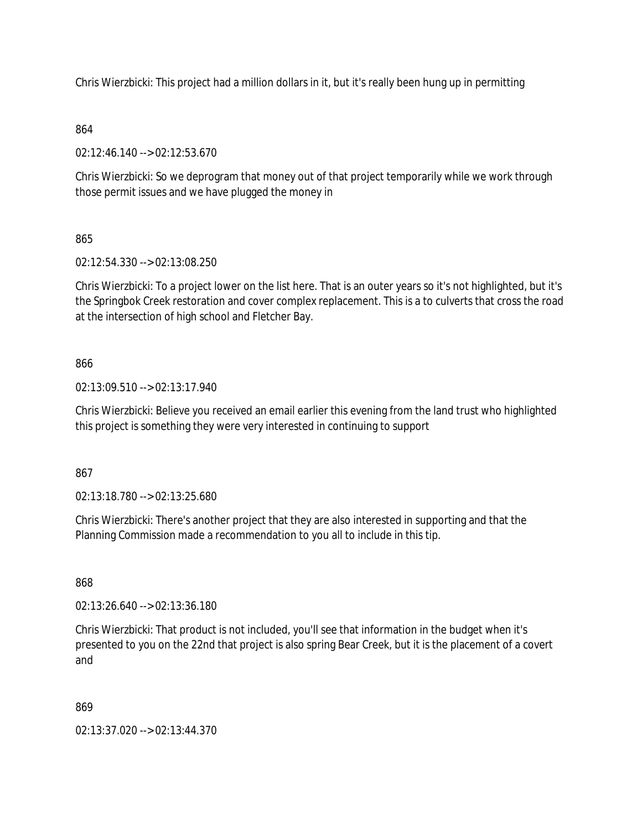Chris Wierzbicki: This project had a million dollars in it, but it's really been hung up in permitting

# 864

02:12:46.140 --> 02:12:53.670

Chris Wierzbicki: So we deprogram that money out of that project temporarily while we work through those permit issues and we have plugged the money in

# 865

02:12:54.330 --> 02:13:08.250

Chris Wierzbicki: To a project lower on the list here. That is an outer years so it's not highlighted, but it's the Springbok Creek restoration and cover complex replacement. This is a to culverts that cross the road at the intersection of high school and Fletcher Bay.

# 866

02:13:09.510 --> 02:13:17.940

Chris Wierzbicki: Believe you received an email earlier this evening from the land trust who highlighted this project is something they were very interested in continuing to support

# 867

02:13:18.780 --> 02:13:25.680

Chris Wierzbicki: There's another project that they are also interested in supporting and that the Planning Commission made a recommendation to you all to include in this tip.

# 868

02:13:26.640 --> 02:13:36.180

Chris Wierzbicki: That product is not included, you'll see that information in the budget when it's presented to you on the 22nd that project is also spring Bear Creek, but it is the placement of a covert and

# 869

02:13:37.020 --> 02:13:44.370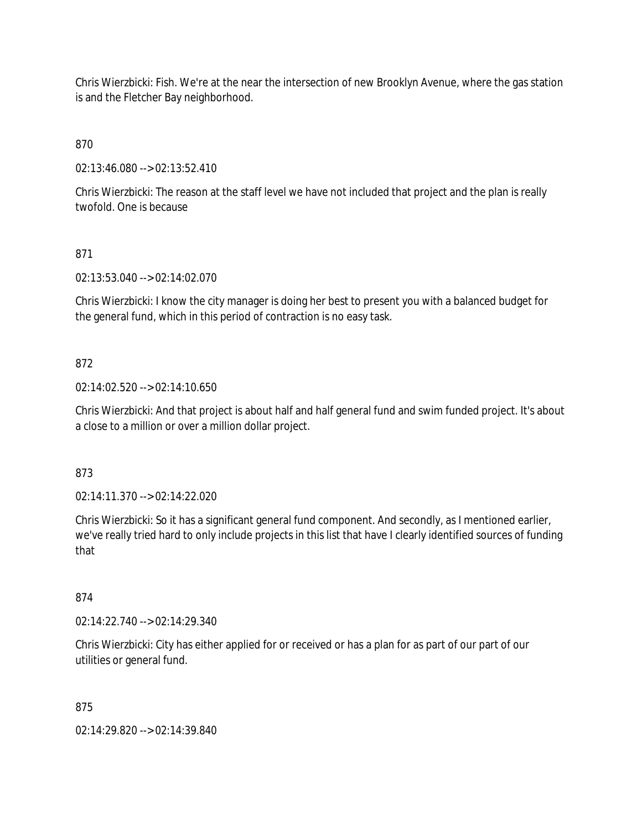Chris Wierzbicki: Fish. We're at the near the intersection of new Brooklyn Avenue, where the gas station is and the Fletcher Bay neighborhood.

870

02:13:46.080 --> 02:13:52.410

Chris Wierzbicki: The reason at the staff level we have not included that project and the plan is really twofold. One is because

### 871

02:13:53.040 --> 02:14:02.070

Chris Wierzbicki: I know the city manager is doing her best to present you with a balanced budget for the general fund, which in this period of contraction is no easy task.

#### 872

02:14:02.520 --> 02:14:10.650

Chris Wierzbicki: And that project is about half and half general fund and swim funded project. It's about a close to a million or over a million dollar project.

#### 873

02:14:11.370 --> 02:14:22.020

Chris Wierzbicki: So it has a significant general fund component. And secondly, as I mentioned earlier, we've really tried hard to only include projects in this list that have I clearly identified sources of funding that

#### 874

02:14:22.740 --> 02:14:29.340

Chris Wierzbicki: City has either applied for or received or has a plan for as part of our part of our utilities or general fund.

#### 875

02:14:29.820 --> 02:14:39.840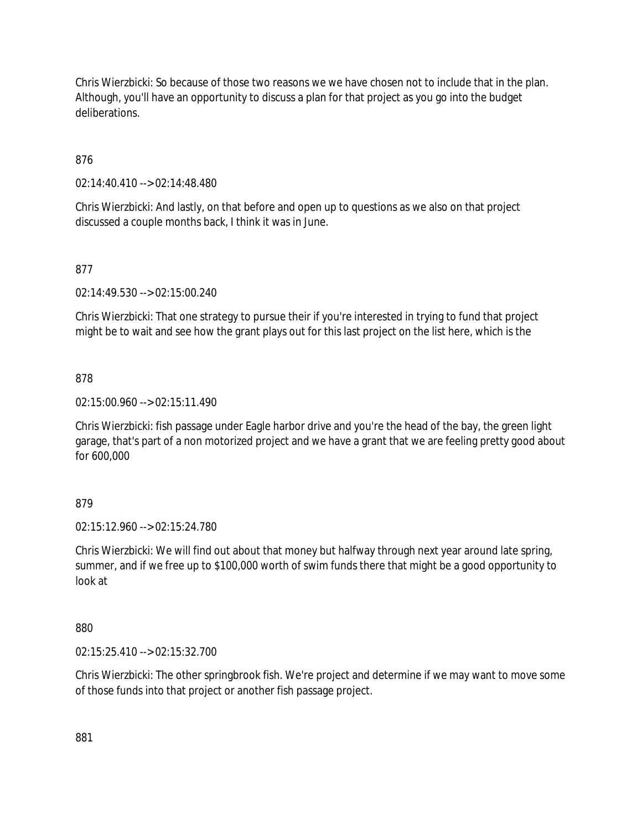Chris Wierzbicki: So because of those two reasons we we have chosen not to include that in the plan. Although, you'll have an opportunity to discuss a plan for that project as you go into the budget deliberations.

876

02:14:40.410 --> 02:14:48.480

Chris Wierzbicki: And lastly, on that before and open up to questions as we also on that project discussed a couple months back, I think it was in June.

## 877

02:14:49.530 --> 02:15:00.240

Chris Wierzbicki: That one strategy to pursue their if you're interested in trying to fund that project might be to wait and see how the grant plays out for this last project on the list here, which is the

### 878

02:15:00.960 --> 02:15:11.490

Chris Wierzbicki: fish passage under Eagle harbor drive and you're the head of the bay, the green light garage, that's part of a non motorized project and we have a grant that we are feeling pretty good about for 600,000

### 879

02:15:12.960 --> 02:15:24.780

Chris Wierzbicki: We will find out about that money but halfway through next year around late spring, summer, and if we free up to \$100,000 worth of swim funds there that might be a good opportunity to look at

### 880

02:15:25.410 --> 02:15:32.700

Chris Wierzbicki: The other springbrook fish. We're project and determine if we may want to move some of those funds into that project or another fish passage project.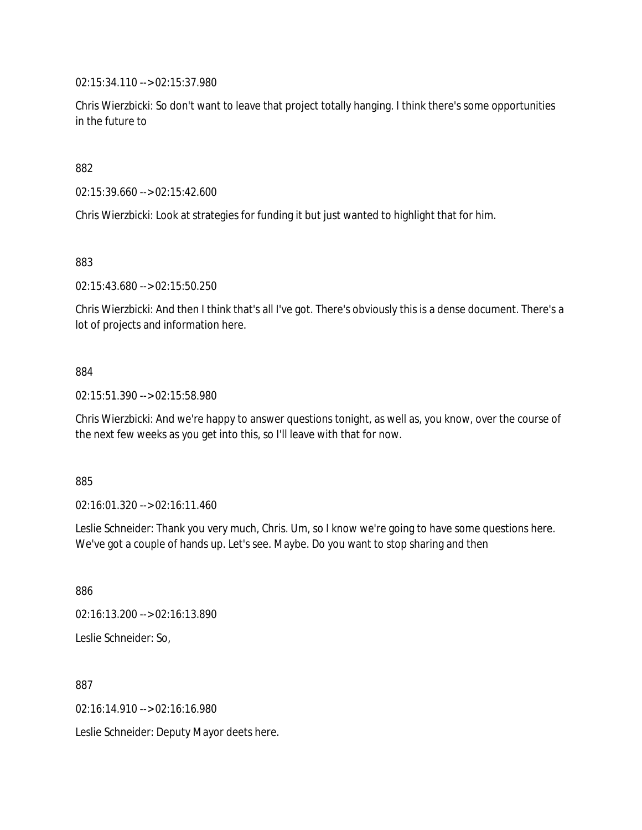02:15:34.110 --> 02:15:37.980

Chris Wierzbicki: So don't want to leave that project totally hanging. I think there's some opportunities in the future to

882

02:15:39.660 --> 02:15:42.600

Chris Wierzbicki: Look at strategies for funding it but just wanted to highlight that for him.

883

02:15:43.680 --> 02:15:50.250

Chris Wierzbicki: And then I think that's all I've got. There's obviously this is a dense document. There's a lot of projects and information here.

#### 884

02:15:51.390 --> 02:15:58.980

Chris Wierzbicki: And we're happy to answer questions tonight, as well as, you know, over the course of the next few weeks as you get into this, so I'll leave with that for now.

885

02:16:01.320 --> 02:16:11.460

Leslie Schneider: Thank you very much, Chris. Um, so I know we're going to have some questions here. We've got a couple of hands up. Let's see. Maybe. Do you want to stop sharing and then

886

02:16:13.200 --> 02:16:13.890 Leslie Schneider: So,

887

02:16:14.910 --> 02:16:16.980

Leslie Schneider: Deputy Mayor deets here.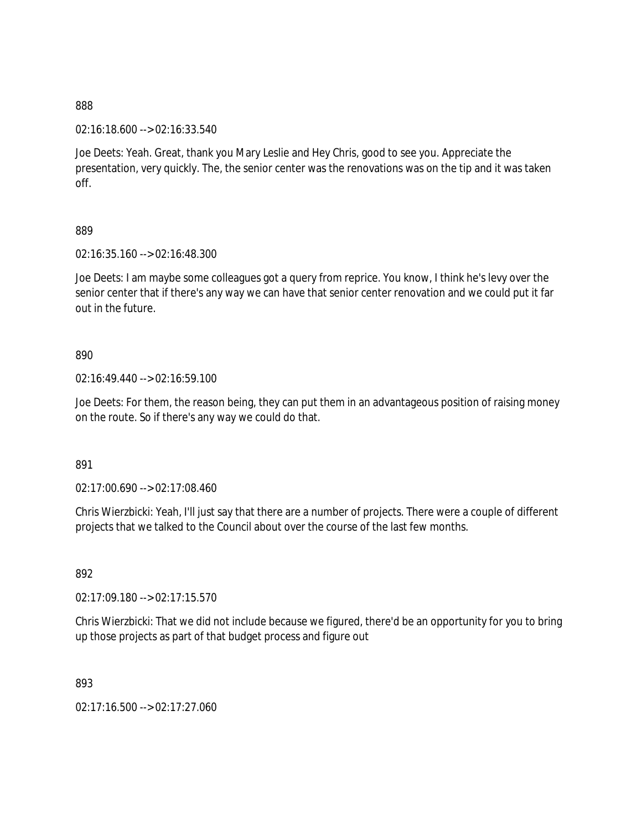02:16:18.600 --> 02:16:33.540

Joe Deets: Yeah. Great, thank you Mary Leslie and Hey Chris, good to see you. Appreciate the presentation, very quickly. The, the senior center was the renovations was on the tip and it was taken off.

889

02:16:35.160 --> 02:16:48.300

Joe Deets: I am maybe some colleagues got a query from reprice. You know, I think he's levy over the senior center that if there's any way we can have that senior center renovation and we could put it far out in the future.

890

02:16:49.440 --> 02:16:59.100

Joe Deets: For them, the reason being, they can put them in an advantageous position of raising money on the route. So if there's any way we could do that.

891

02:17:00.690 --> 02:17:08.460

Chris Wierzbicki: Yeah, I'll just say that there are a number of projects. There were a couple of different projects that we talked to the Council about over the course of the last few months.

892

02:17:09.180 --> 02:17:15.570

Chris Wierzbicki: That we did not include because we figured, there'd be an opportunity for you to bring up those projects as part of that budget process and figure out

893

02:17:16.500 --> 02:17:27.060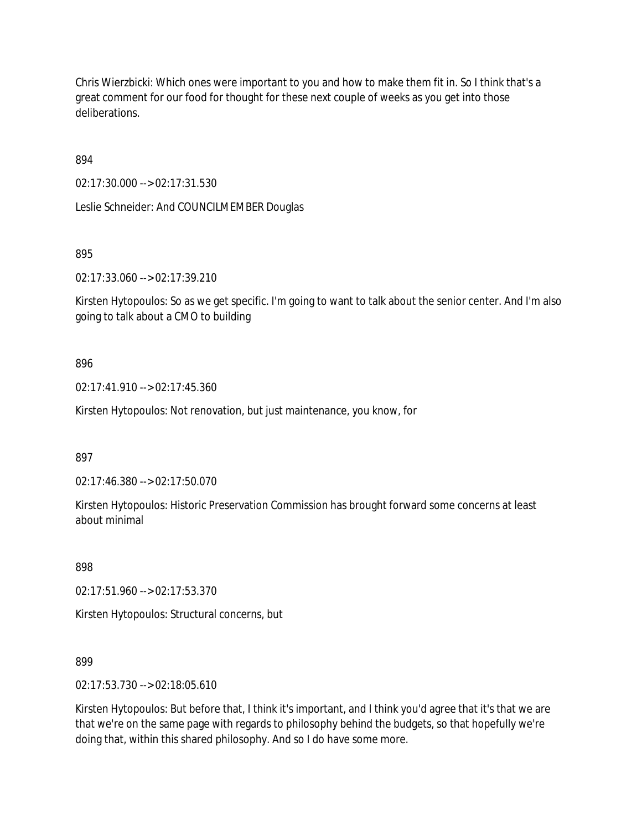Chris Wierzbicki: Which ones were important to you and how to make them fit in. So I think that's a great comment for our food for thought for these next couple of weeks as you get into those deliberations.

894

02:17:30.000 --> 02:17:31.530

Leslie Schneider: And COUNCILMEMBER Douglas

895

02:17:33.060 --> 02:17:39.210

Kirsten Hytopoulos: So as we get specific. I'm going to want to talk about the senior center. And I'm also going to talk about a CMO to building

# 896

02:17:41.910 --> 02:17:45.360

Kirsten Hytopoulos: Not renovation, but just maintenance, you know, for

897

02:17:46.380 --> 02:17:50.070

Kirsten Hytopoulos: Historic Preservation Commission has brought forward some concerns at least about minimal

898

02:17:51.960 --> 02:17:53.370

Kirsten Hytopoulos: Structural concerns, but

899

02:17:53.730 --> 02:18:05.610

Kirsten Hytopoulos: But before that, I think it's important, and I think you'd agree that it's that we are that we're on the same page with regards to philosophy behind the budgets, so that hopefully we're doing that, within this shared philosophy. And so I do have some more.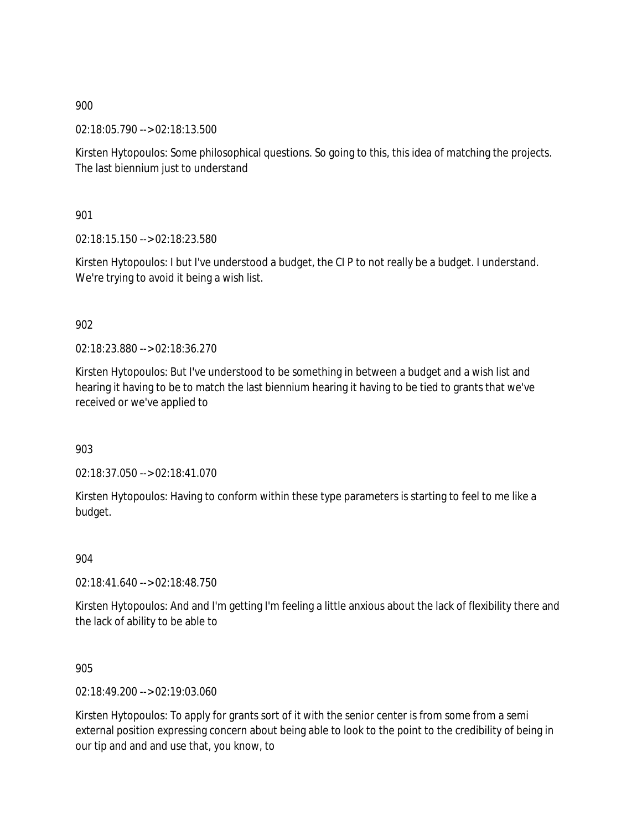02:18:05.790 --> 02:18:13.500

Kirsten Hytopoulos: Some philosophical questions. So going to this, this idea of matching the projects. The last biennium just to understand

901

02:18:15.150 --> 02:18:23.580

Kirsten Hytopoulos: I but I've understood a budget, the CI P to not really be a budget. I understand. We're trying to avoid it being a wish list.

# 902

02:18:23.880 --> 02:18:36.270

Kirsten Hytopoulos: But I've understood to be something in between a budget and a wish list and hearing it having to be to match the last biennium hearing it having to be tied to grants that we've received or we've applied to

903

02:18:37.050 --> 02:18:41.070

Kirsten Hytopoulos: Having to conform within these type parameters is starting to feel to me like a budget.

904

02:18:41.640 --> 02:18:48.750

Kirsten Hytopoulos: And and I'm getting I'm feeling a little anxious about the lack of flexibility there and the lack of ability to be able to

905

02:18:49.200 --> 02:19:03.060

Kirsten Hytopoulos: To apply for grants sort of it with the senior center is from some from a semi external position expressing concern about being able to look to the point to the credibility of being in our tip and and and use that, you know, to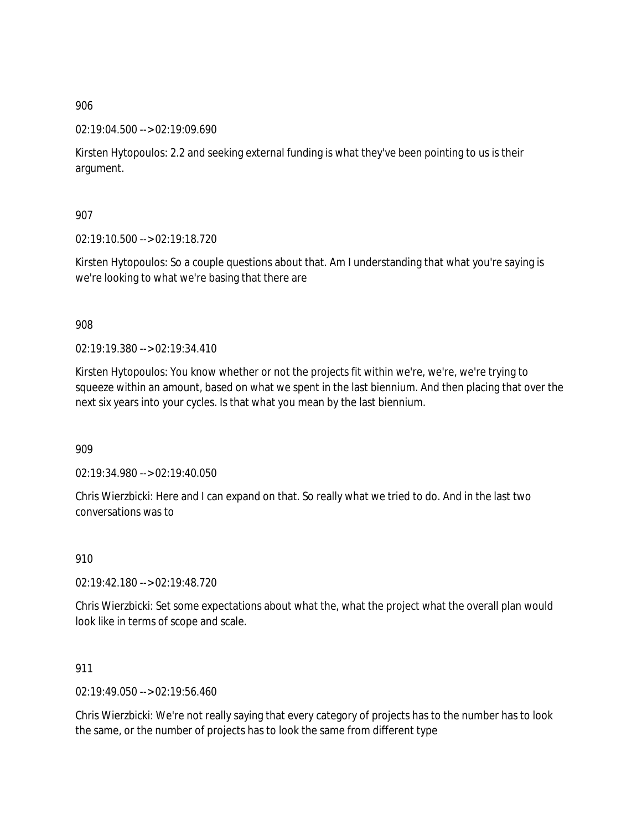02:19:04.500 --> 02:19:09.690

Kirsten Hytopoulos: 2.2 and seeking external funding is what they've been pointing to us is their argument.

907

02:19:10.500 --> 02:19:18.720

Kirsten Hytopoulos: So a couple questions about that. Am I understanding that what you're saying is we're looking to what we're basing that there are

908

02:19:19.380 --> 02:19:34.410

Kirsten Hytopoulos: You know whether or not the projects fit within we're, we're, we're trying to squeeze within an amount, based on what we spent in the last biennium. And then placing that over the next six years into your cycles. Is that what you mean by the last biennium.

909

02:19:34.980 --> 02:19:40.050

Chris Wierzbicki: Here and I can expand on that. So really what we tried to do. And in the last two conversations was to

910

02:19:42.180 --> 02:19:48.720

Chris Wierzbicki: Set some expectations about what the, what the project what the overall plan would look like in terms of scope and scale.

911

02:19:49.050 --> 02:19:56.460

Chris Wierzbicki: We're not really saying that every category of projects has to the number has to look the same, or the number of projects has to look the same from different type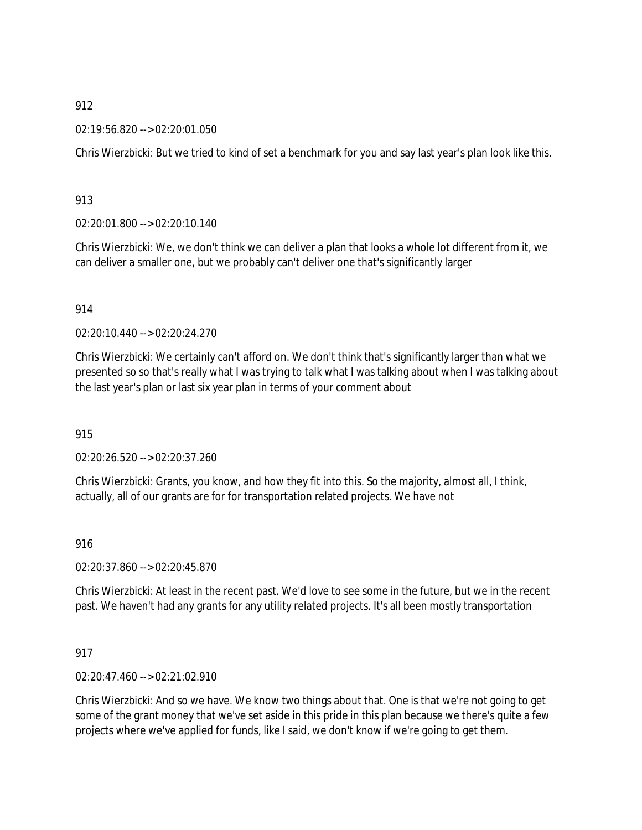02:19:56.820 --> 02:20:01.050

Chris Wierzbicki: But we tried to kind of set a benchmark for you and say last year's plan look like this.

913

02:20:01.800 --> 02:20:10.140

Chris Wierzbicki: We, we don't think we can deliver a plan that looks a whole lot different from it, we can deliver a smaller one, but we probably can't deliver one that's significantly larger

914

02:20:10.440 --> 02:20:24.270

Chris Wierzbicki: We certainly can't afford on. We don't think that's significantly larger than what we presented so so that's really what I was trying to talk what I was talking about when I was talking about the last year's plan or last six year plan in terms of your comment about

915

02:20:26.520 --> 02:20:37.260

Chris Wierzbicki: Grants, you know, and how they fit into this. So the majority, almost all, I think, actually, all of our grants are for for transportation related projects. We have not

916

02:20:37.860 --> 02:20:45.870

Chris Wierzbicki: At least in the recent past. We'd love to see some in the future, but we in the recent past. We haven't had any grants for any utility related projects. It's all been mostly transportation

917

02:20:47.460 --> 02:21:02.910

Chris Wierzbicki: And so we have. We know two things about that. One is that we're not going to get some of the grant money that we've set aside in this pride in this plan because we there's quite a few projects where we've applied for funds, like I said, we don't know if we're going to get them.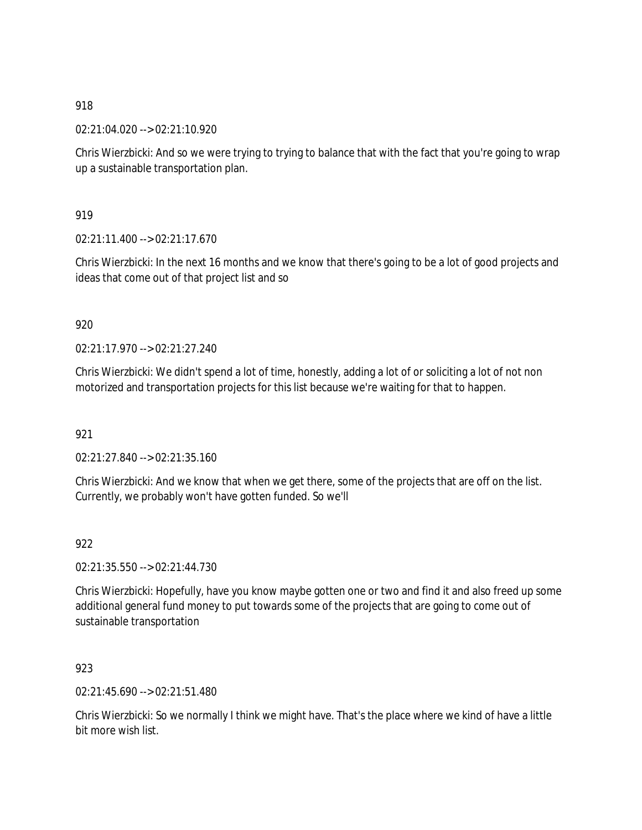02:21:04.020 --> 02:21:10.920

Chris Wierzbicki: And so we were trying to trying to balance that with the fact that you're going to wrap up a sustainable transportation plan.

919

02:21:11.400 --> 02:21:17.670

Chris Wierzbicki: In the next 16 months and we know that there's going to be a lot of good projects and ideas that come out of that project list and so

# 920

02:21:17.970 --> 02:21:27.240

Chris Wierzbicki: We didn't spend a lot of time, honestly, adding a lot of or soliciting a lot of not non motorized and transportation projects for this list because we're waiting for that to happen.

921

02:21:27.840 --> 02:21:35.160

Chris Wierzbicki: And we know that when we get there, some of the projects that are off on the list. Currently, we probably won't have gotten funded. So we'll

# 922

02:21:35.550 --> 02:21:44.730

Chris Wierzbicki: Hopefully, have you know maybe gotten one or two and find it and also freed up some additional general fund money to put towards some of the projects that are going to come out of sustainable transportation

# 923

02:21:45.690 --> 02:21:51.480

Chris Wierzbicki: So we normally I think we might have. That's the place where we kind of have a little bit more wish list.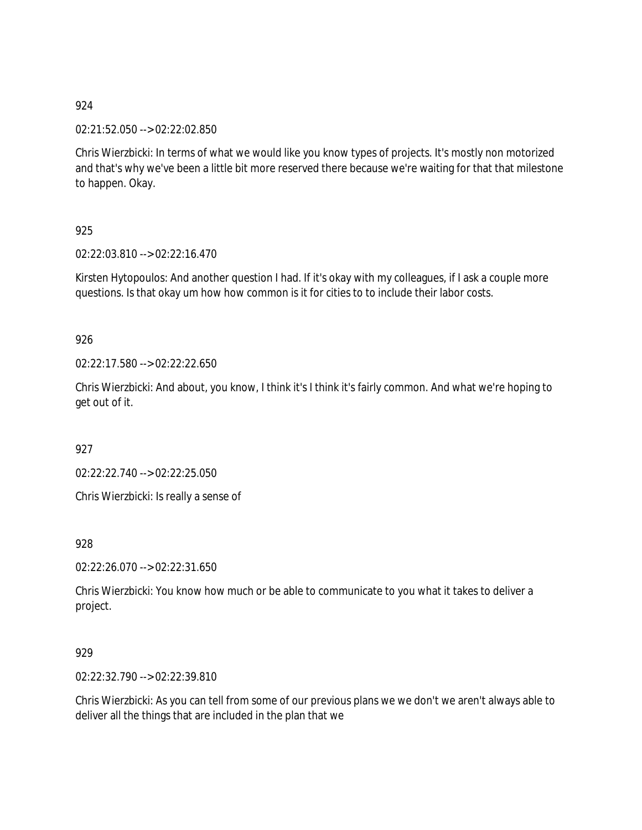02:21:52.050 --> 02:22:02.850

Chris Wierzbicki: In terms of what we would like you know types of projects. It's mostly non motorized and that's why we've been a little bit more reserved there because we're waiting for that that milestone to happen. Okay.

# 925

02:22:03.810 --> 02:22:16.470

Kirsten Hytopoulos: And another question I had. If it's okay with my colleagues, if I ask a couple more questions. Is that okay um how how common is it for cities to to include their labor costs.

# 926

02:22:17.580 --> 02:22:22.650

Chris Wierzbicki: And about, you know, I think it's I think it's fairly common. And what we're hoping to get out of it.

927

02:22:22.740 --> 02:22:25.050

Chris Wierzbicki: Is really a sense of

# 928

02:22:26.070 --> 02:22:31.650

Chris Wierzbicki: You know how much or be able to communicate to you what it takes to deliver a project.

# 929

02:22:32.790 --> 02:22:39.810

Chris Wierzbicki: As you can tell from some of our previous plans we we don't we aren't always able to deliver all the things that are included in the plan that we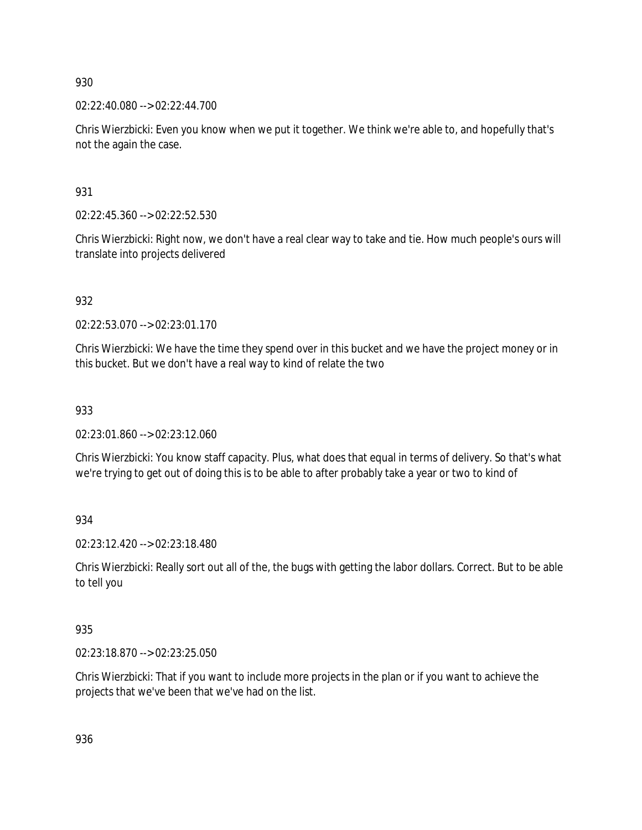02:22:40.080 --> 02:22:44.700

Chris Wierzbicki: Even you know when we put it together. We think we're able to, and hopefully that's not the again the case.

931

02:22:45.360 --> 02:22:52.530

Chris Wierzbicki: Right now, we don't have a real clear way to take and tie. How much people's ours will translate into projects delivered

932

02:22:53.070 --> 02:23:01.170

Chris Wierzbicki: We have the time they spend over in this bucket and we have the project money or in this bucket. But we don't have a real way to kind of relate the two

933

02:23:01.860 --> 02:23:12.060

Chris Wierzbicki: You know staff capacity. Plus, what does that equal in terms of delivery. So that's what we're trying to get out of doing this is to be able to after probably take a year or two to kind of

934

02:23:12.420 --> 02:23:18.480

Chris Wierzbicki: Really sort out all of the, the bugs with getting the labor dollars. Correct. But to be able to tell you

935

02:23:18.870 --> 02:23:25.050

Chris Wierzbicki: That if you want to include more projects in the plan or if you want to achieve the projects that we've been that we've had on the list.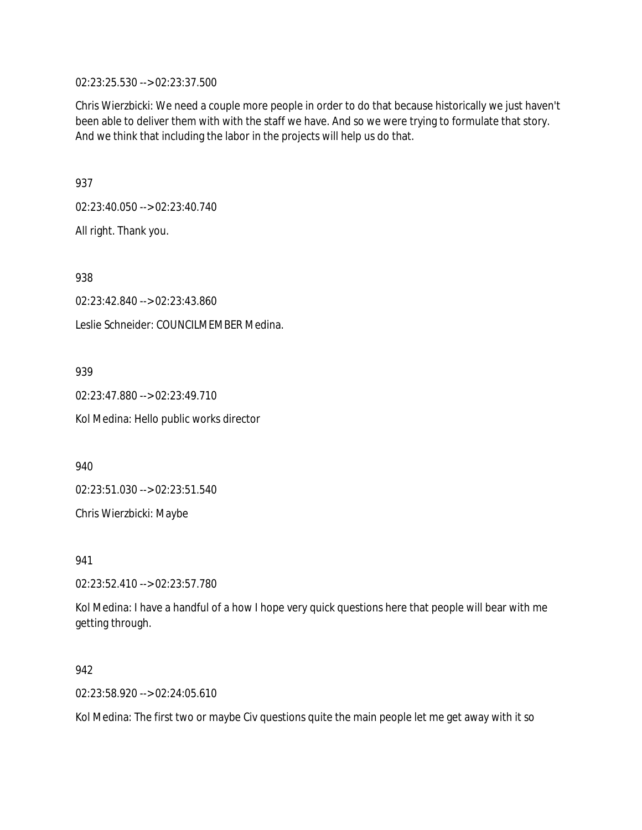02:23:25.530 --> 02:23:37.500

Chris Wierzbicki: We need a couple more people in order to do that because historically we just haven't been able to deliver them with with the staff we have. And so we were trying to formulate that story. And we think that including the labor in the projects will help us do that.

937

02:23:40.050 --> 02:23:40.740

All right. Thank you.

938

02:23:42.840 --> 02:23:43.860 Leslie Schneider: COUNCILMEMBER Medina.

939

02:23:47.880 --> 02:23:49.710 Kol Medina: Hello public works director

940

02:23:51.030 --> 02:23:51.540

Chris Wierzbicki: Maybe

941

02:23:52.410 --> 02:23:57.780

Kol Medina: I have a handful of a how I hope very quick questions here that people will bear with me getting through.

942

02:23:58.920 --> 02:24:05.610

Kol Medina: The first two or maybe Civ questions quite the main people let me get away with it so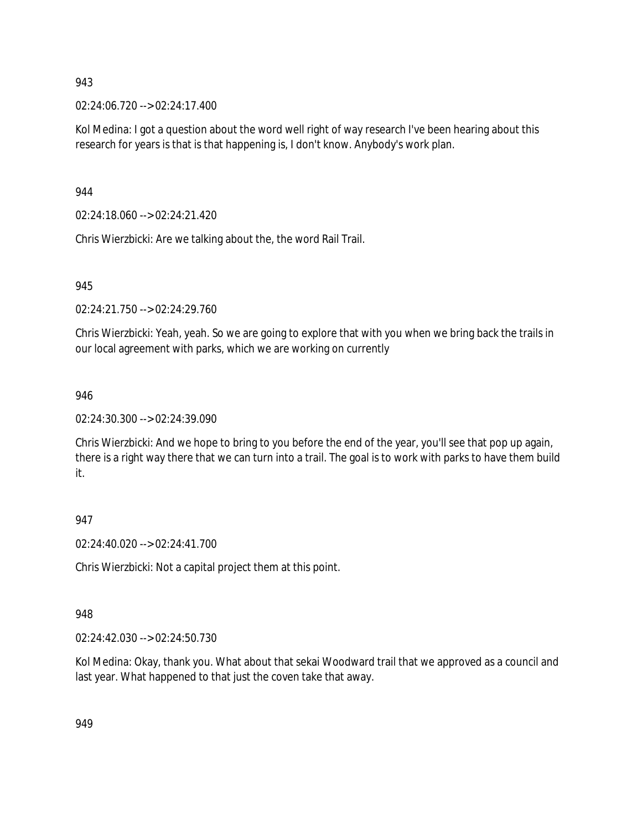02:24:06.720 --> 02:24:17.400

Kol Medina: I got a question about the word well right of way research I've been hearing about this research for years is that is that happening is, I don't know. Anybody's work plan.

944

02:24:18.060 --> 02:24:21.420

Chris Wierzbicki: Are we talking about the, the word Rail Trail.

945

02:24:21.750 --> 02:24:29.760

Chris Wierzbicki: Yeah, yeah. So we are going to explore that with you when we bring back the trails in our local agreement with parks, which we are working on currently

# 946

02:24:30.300 --> 02:24:39.090

Chris Wierzbicki: And we hope to bring to you before the end of the year, you'll see that pop up again, there is a right way there that we can turn into a trail. The goal is to work with parks to have them build it.

# 947

02:24:40.020 --> 02:24:41.700

Chris Wierzbicki: Not a capital project them at this point.

# 948

02:24:42.030 --> 02:24:50.730

Kol Medina: Okay, thank you. What about that sekai Woodward trail that we approved as a council and last year. What happened to that just the coven take that away.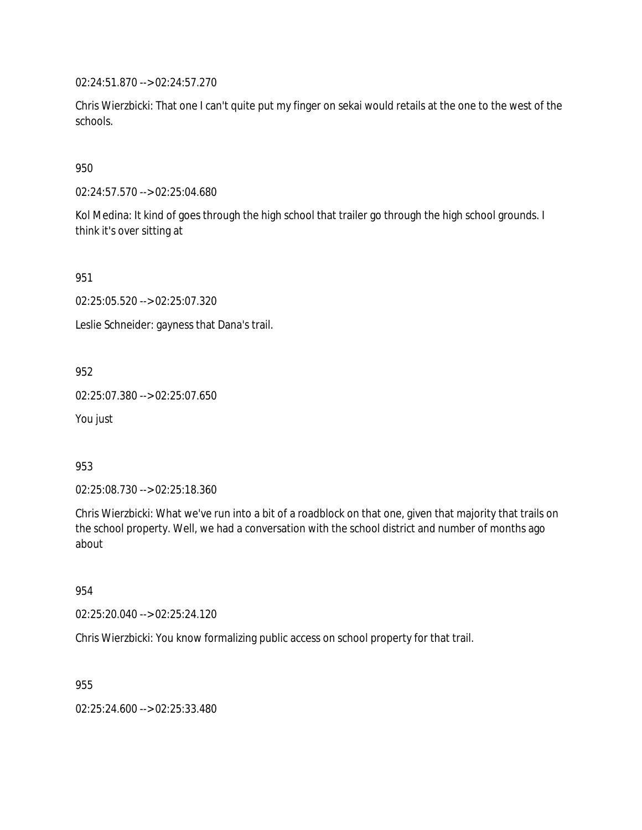02:24:51.870 --> 02:24:57.270

Chris Wierzbicki: That one I can't quite put my finger on sekai would retails at the one to the west of the schools.

950

02:24:57.570 --> 02:25:04.680

Kol Medina: It kind of goes through the high school that trailer go through the high school grounds. I think it's over sitting at

951

02:25:05.520 --> 02:25:07.320

Leslie Schneider: gayness that Dana's trail.

952

02:25:07.380 --> 02:25:07.650

You just

953

02:25:08.730 --> 02:25:18.360

Chris Wierzbicki: What we've run into a bit of a roadblock on that one, given that majority that trails on the school property. Well, we had a conversation with the school district and number of months ago about

954

02:25:20.040 --> 02:25:24.120

Chris Wierzbicki: You know formalizing public access on school property for that trail.

955

02:25:24.600 --> 02:25:33.480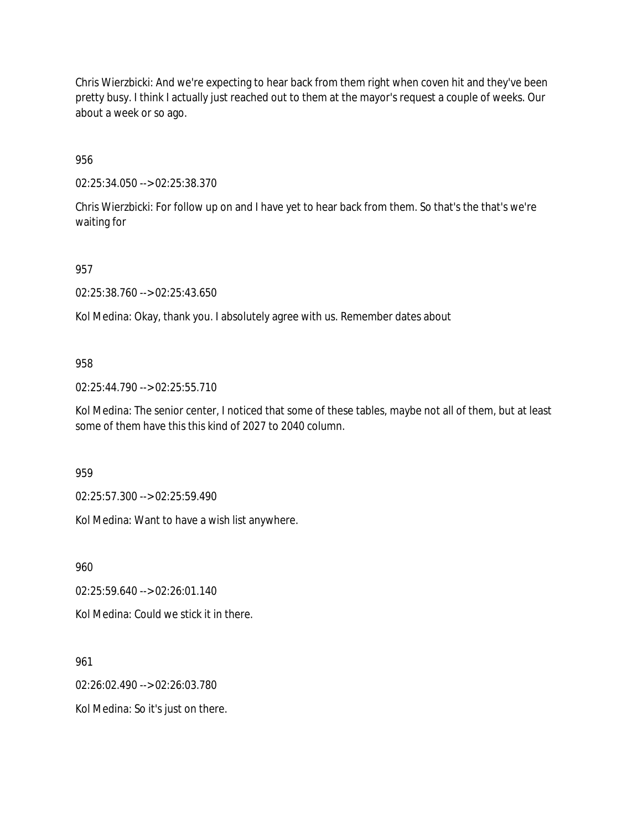Chris Wierzbicki: And we're expecting to hear back from them right when coven hit and they've been pretty busy. I think I actually just reached out to them at the mayor's request a couple of weeks. Our about a week or so ago.

956

02:25:34.050 --> 02:25:38.370

Chris Wierzbicki: For follow up on and I have yet to hear back from them. So that's the that's we're waiting for

957

02:25:38.760 --> 02:25:43.650

Kol Medina: Okay, thank you. I absolutely agree with us. Remember dates about

#### 958

02:25:44.790 --> 02:25:55.710

Kol Medina: The senior center, I noticed that some of these tables, maybe not all of them, but at least some of them have this this kind of 2027 to 2040 column.

959

02:25:57.300 --> 02:25:59.490

Kol Medina: Want to have a wish list anywhere.

960

02:25:59.640 --> 02:26:01.140

Kol Medina: Could we stick it in there.

961

02:26:02.490 --> 02:26:03.780

Kol Medina: So it's just on there.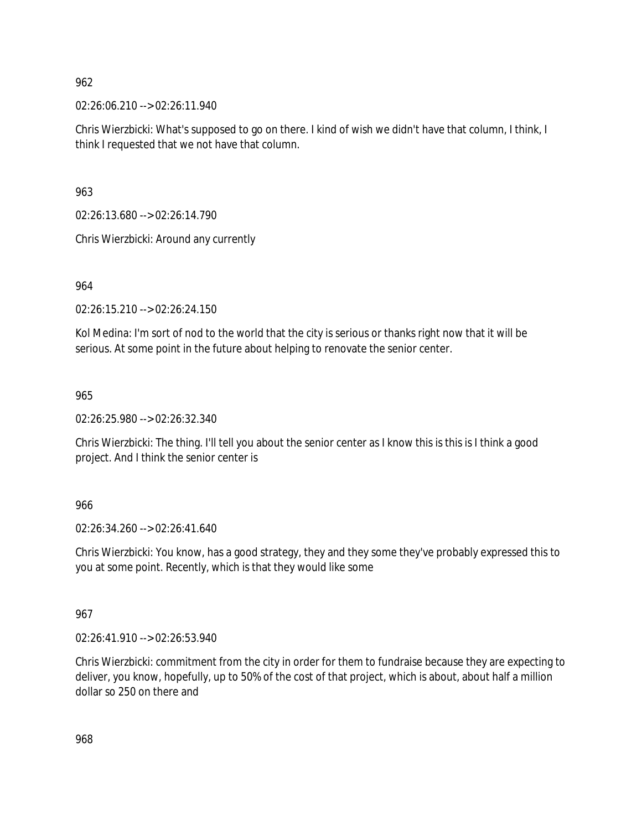02:26:06.210 --> 02:26:11.940

Chris Wierzbicki: What's supposed to go on there. I kind of wish we didn't have that column, I think, I think I requested that we not have that column.

963

02:26:13.680 --> 02:26:14.790

Chris Wierzbicki: Around any currently

964

02:26:15.210 --> 02:26:24.150

Kol Medina: I'm sort of nod to the world that the city is serious or thanks right now that it will be serious. At some point in the future about helping to renovate the senior center.

965

02:26:25.980 --> 02:26:32.340

Chris Wierzbicki: The thing. I'll tell you about the senior center as I know this is this is I think a good project. And I think the senior center is

966

02:26:34.260 --> 02:26:41.640

Chris Wierzbicki: You know, has a good strategy, they and they some they've probably expressed this to you at some point. Recently, which is that they would like some

967

02:26:41.910 --> 02:26:53.940

Chris Wierzbicki: commitment from the city in order for them to fundraise because they are expecting to deliver, you know, hopefully, up to 50% of the cost of that project, which is about, about half a million dollar so 250 on there and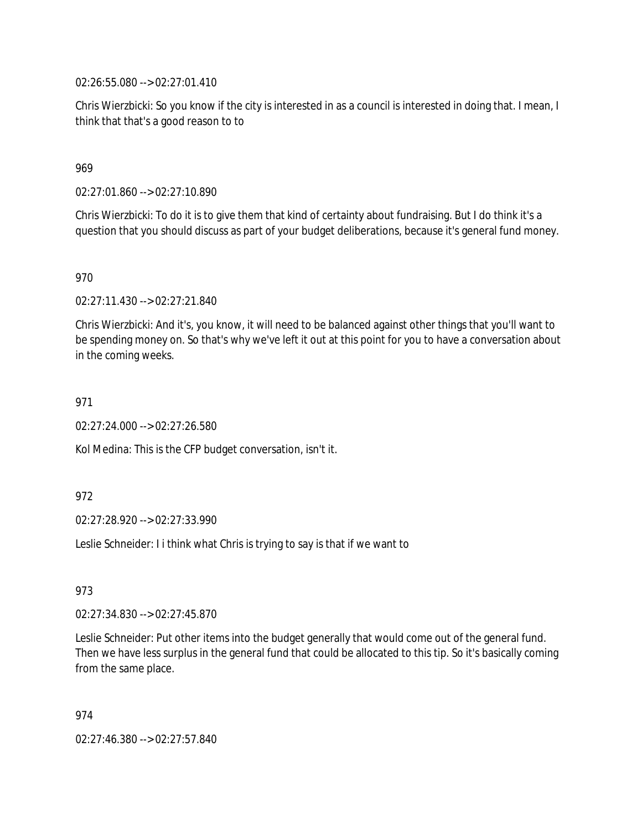02:26:55.080 --> 02:27:01.410

Chris Wierzbicki: So you know if the city is interested in as a council is interested in doing that. I mean, I think that that's a good reason to to

# 969

02:27:01.860 --> 02:27:10.890

Chris Wierzbicki: To do it is to give them that kind of certainty about fundraising. But I do think it's a question that you should discuss as part of your budget deliberations, because it's general fund money.

970

02:27:11.430 --> 02:27:21.840

Chris Wierzbicki: And it's, you know, it will need to be balanced against other things that you'll want to be spending money on. So that's why we've left it out at this point for you to have a conversation about in the coming weeks.

971

02:27:24.000 --> 02:27:26.580

Kol Medina: This is the CFP budget conversation, isn't it.

972

02:27:28.920 --> 02:27:33.990

Leslie Schneider: I i think what Chris is trying to say is that if we want to

973

02:27:34.830 --> 02:27:45.870

Leslie Schneider: Put other items into the budget generally that would come out of the general fund. Then we have less surplus in the general fund that could be allocated to this tip. So it's basically coming from the same place.

974

02:27:46.380 --> 02:27:57.840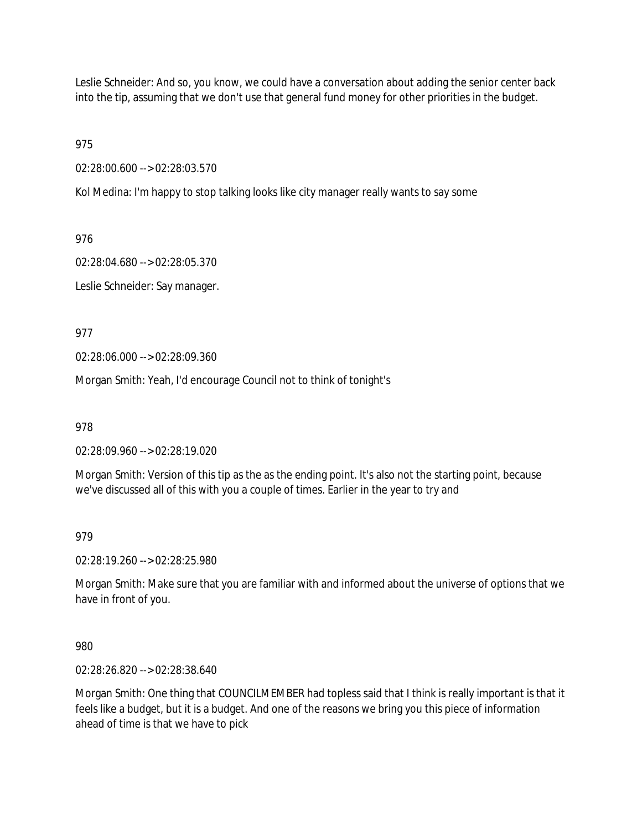Leslie Schneider: And so, you know, we could have a conversation about adding the senior center back into the tip, assuming that we don't use that general fund money for other priorities in the budget.

975

02:28:00.600 --> 02:28:03.570

Kol Medina: I'm happy to stop talking looks like city manager really wants to say some

976

02:28:04.680 --> 02:28:05.370

Leslie Schneider: Say manager.

977

02:28:06.000 --> 02:28:09.360

Morgan Smith: Yeah, I'd encourage Council not to think of tonight's

978

02:28:09.960 --> 02:28:19.020

Morgan Smith: Version of this tip as the as the ending point. It's also not the starting point, because we've discussed all of this with you a couple of times. Earlier in the year to try and

979

02:28:19.260 --> 02:28:25.980

Morgan Smith: Make sure that you are familiar with and informed about the universe of options that we have in front of you.

980

02:28:26.820 --> 02:28:38.640

Morgan Smith: One thing that COUNCILMEMBER had topless said that I think is really important is that it feels like a budget, but it is a budget. And one of the reasons we bring you this piece of information ahead of time is that we have to pick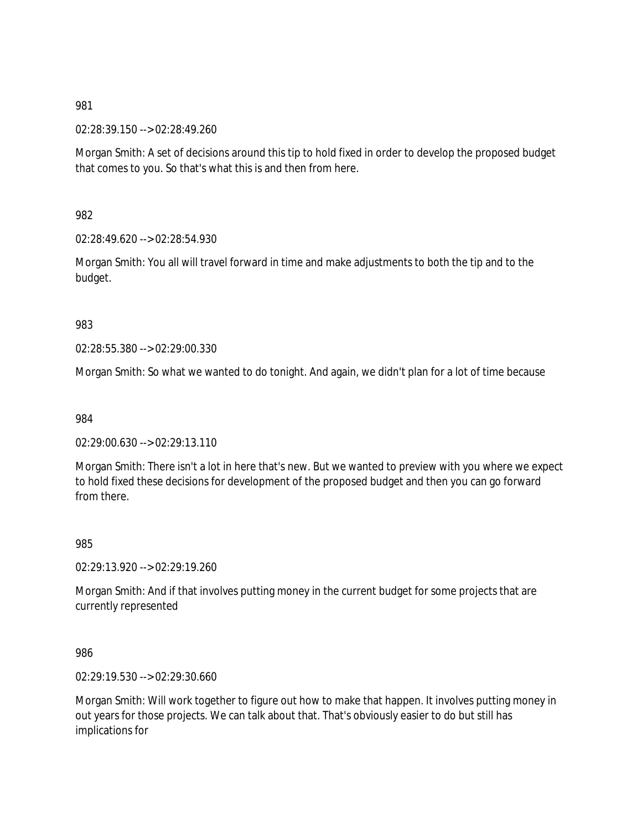02:28:39.150 --> 02:28:49.260

Morgan Smith: A set of decisions around this tip to hold fixed in order to develop the proposed budget that comes to you. So that's what this is and then from here.

982

02:28:49.620 --> 02:28:54.930

Morgan Smith: You all will travel forward in time and make adjustments to both the tip and to the budget.

983

02:28:55.380 --> 02:29:00.330

Morgan Smith: So what we wanted to do tonight. And again, we didn't plan for a lot of time because

984

02:29:00.630 --> 02:29:13.110

Morgan Smith: There isn't a lot in here that's new. But we wanted to preview with you where we expect to hold fixed these decisions for development of the proposed budget and then you can go forward from there.

985

02:29:13.920 --> 02:29:19.260

Morgan Smith: And if that involves putting money in the current budget for some projects that are currently represented

986

02:29:19.530 --> 02:29:30.660

Morgan Smith: Will work together to figure out how to make that happen. It involves putting money in out years for those projects. We can talk about that. That's obviously easier to do but still has implications for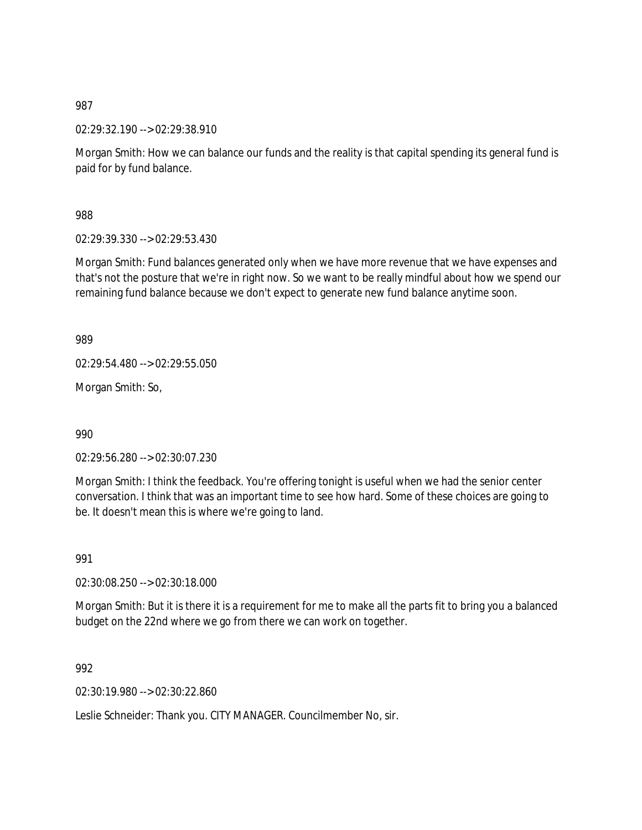02:29:32.190 --> 02:29:38.910

Morgan Smith: How we can balance our funds and the reality is that capital spending its general fund is paid for by fund balance.

988

02:29:39.330 --> 02:29:53.430

Morgan Smith: Fund balances generated only when we have more revenue that we have expenses and that's not the posture that we're in right now. So we want to be really mindful about how we spend our remaining fund balance because we don't expect to generate new fund balance anytime soon.

989

02:29:54.480 --> 02:29:55.050

Morgan Smith: So,

990

02:29:56.280 --> 02:30:07.230

Morgan Smith: I think the feedback. You're offering tonight is useful when we had the senior center conversation. I think that was an important time to see how hard. Some of these choices are going to be. It doesn't mean this is where we're going to land.

991

02:30:08.250 --> 02:30:18.000

Morgan Smith: But it is there it is a requirement for me to make all the parts fit to bring you a balanced budget on the 22nd where we go from there we can work on together.

992

02:30:19.980 --> 02:30:22.860

Leslie Schneider: Thank you. CITY MANAGER. Councilmember No, sir.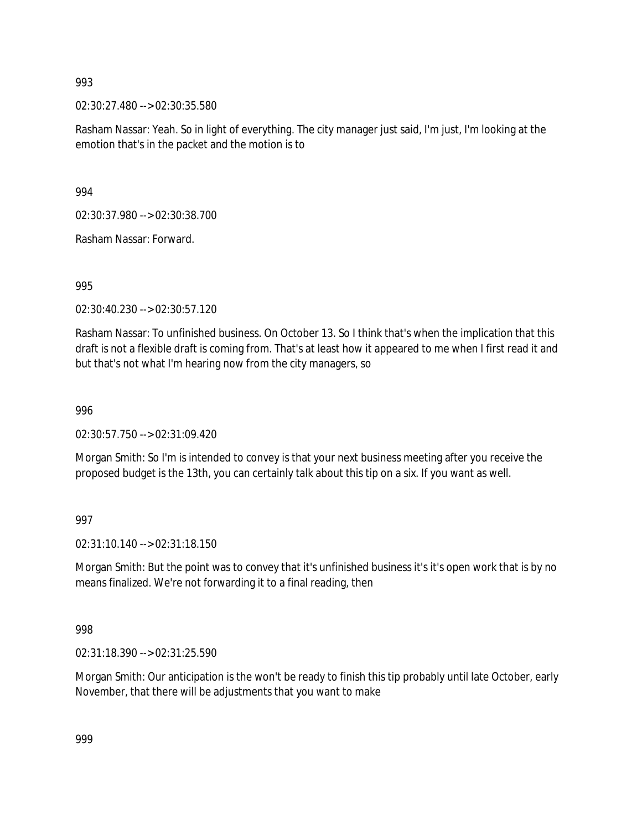02:30:27.480 --> 02:30:35.580

Rasham Nassar: Yeah. So in light of everything. The city manager just said, I'm just, I'm looking at the emotion that's in the packet and the motion is to

994

02:30:37.980 --> 02:30:38.700

Rasham Nassar: Forward.

995

02:30:40.230 --> 02:30:57.120

Rasham Nassar: To unfinished business. On October 13. So I think that's when the implication that this draft is not a flexible draft is coming from. That's at least how it appeared to me when I first read it and but that's not what I'm hearing now from the city managers, so

996

02:30:57.750 --> 02:31:09.420

Morgan Smith: So I'm is intended to convey is that your next business meeting after you receive the proposed budget is the 13th, you can certainly talk about this tip on a six. If you want as well.

997

02:31:10.140 --> 02:31:18.150

Morgan Smith: But the point was to convey that it's unfinished business it's it's open work that is by no means finalized. We're not forwarding it to a final reading, then

998

02:31:18.390 --> 02:31:25.590

Morgan Smith: Our anticipation is the won't be ready to finish this tip probably until late October, early November, that there will be adjustments that you want to make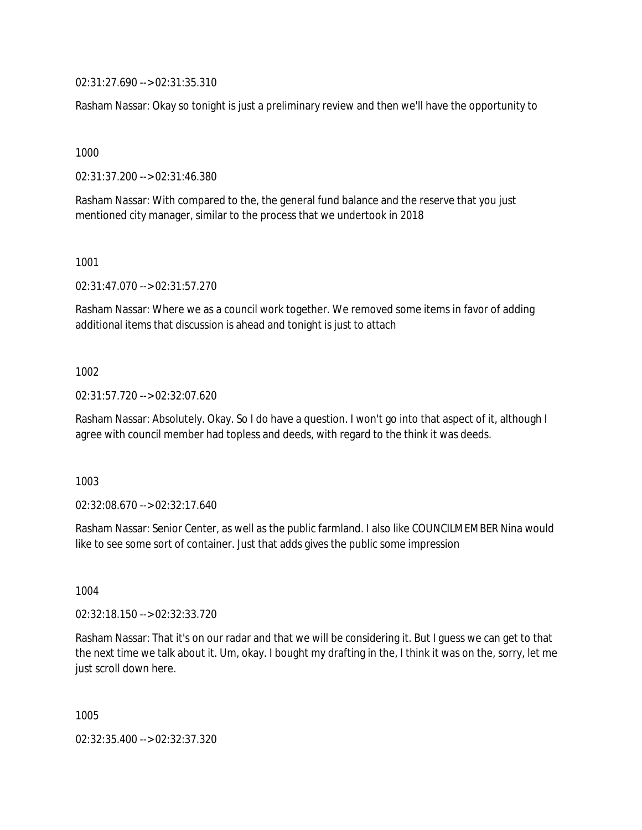02:31:27.690 --> 02:31:35.310

Rasham Nassar: Okay so tonight is just a preliminary review and then we'll have the opportunity to

1000

02:31:37.200 --> 02:31:46.380

Rasham Nassar: With compared to the, the general fund balance and the reserve that you just mentioned city manager, similar to the process that we undertook in 2018

1001

02:31:47.070 --> 02:31:57.270

Rasham Nassar: Where we as a council work together. We removed some items in favor of adding additional items that discussion is ahead and tonight is just to attach

1002

02:31:57.720 --> 02:32:07.620

Rasham Nassar: Absolutely. Okay. So I do have a question. I won't go into that aspect of it, although I agree with council member had topless and deeds, with regard to the think it was deeds.

1003

02:32:08.670 --> 02:32:17.640

Rasham Nassar: Senior Center, as well as the public farmland. I also like COUNCILMEMBER Nina would like to see some sort of container. Just that adds gives the public some impression

1004

02:32:18.150 --> 02:32:33.720

Rasham Nassar: That it's on our radar and that we will be considering it. But I guess we can get to that the next time we talk about it. Um, okay. I bought my drafting in the, I think it was on the, sorry, let me just scroll down here.

1005

02:32:35.400 --> 02:32:37.320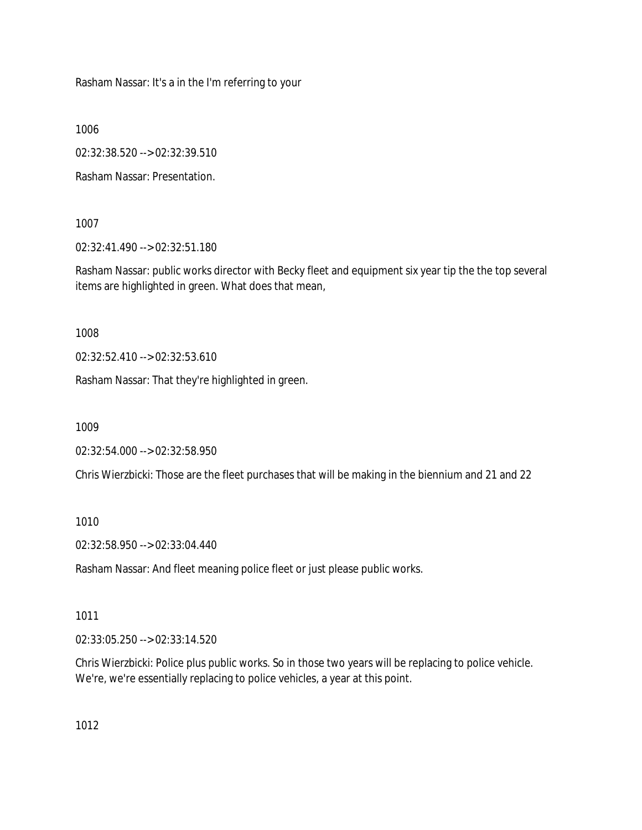Rasham Nassar: It's a in the I'm referring to your

1006

02:32:38.520 --> 02:32:39.510

Rasham Nassar: Presentation.

1007

02:32:41.490 --> 02:32:51.180

Rasham Nassar: public works director with Becky fleet and equipment six year tip the the top several items are highlighted in green. What does that mean,

1008

02:32:52.410 --> 02:32:53.610

Rasham Nassar: That they're highlighted in green.

1009

02:32:54.000 --> 02:32:58.950

Chris Wierzbicki: Those are the fleet purchases that will be making in the biennium and 21 and 22

1010

02:32:58.950 --> 02:33:04.440

Rasham Nassar: And fleet meaning police fleet or just please public works.

1011

02:33:05.250 --> 02:33:14.520

Chris Wierzbicki: Police plus public works. So in those two years will be replacing to police vehicle. We're, we're essentially replacing to police vehicles, a year at this point.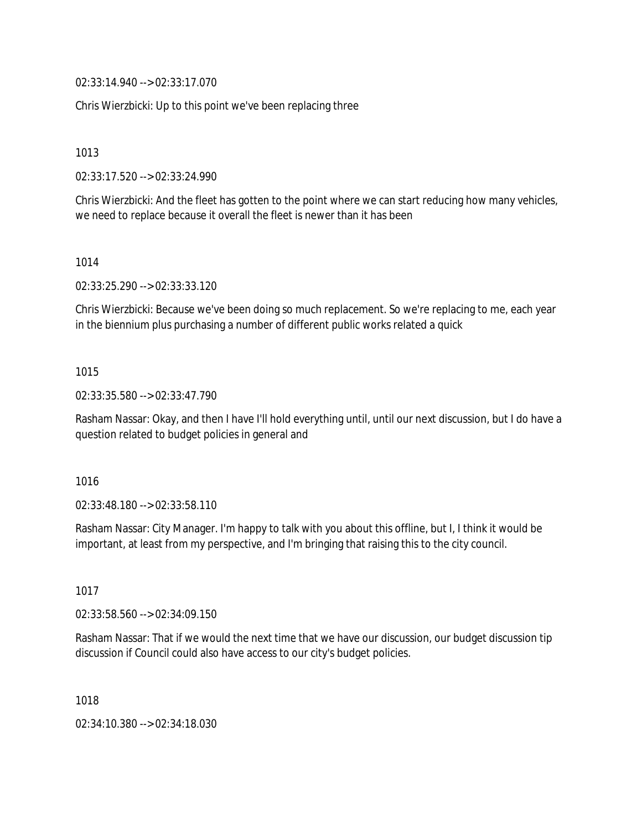02:33:14.940 --> 02:33:17.070

Chris Wierzbicki: Up to this point we've been replacing three

1013

02:33:17.520 --> 02:33:24.990

Chris Wierzbicki: And the fleet has gotten to the point where we can start reducing how many vehicles, we need to replace because it overall the fleet is newer than it has been

1014

02:33:25.290 --> 02:33:33.120

Chris Wierzbicki: Because we've been doing so much replacement. So we're replacing to me, each year in the biennium plus purchasing a number of different public works related a quick

### 1015

02:33:35.580 --> 02:33:47.790

Rasham Nassar: Okay, and then I have I'll hold everything until, until our next discussion, but I do have a question related to budget policies in general and

#### 1016

02:33:48.180 --> 02:33:58.110

Rasham Nassar: City Manager. I'm happy to talk with you about this offline, but I, I think it would be important, at least from my perspective, and I'm bringing that raising this to the city council.

1017

02:33:58.560 --> 02:34:09.150

Rasham Nassar: That if we would the next time that we have our discussion, our budget discussion tip discussion if Council could also have access to our city's budget policies.

1018

02:34:10.380 --> 02:34:18.030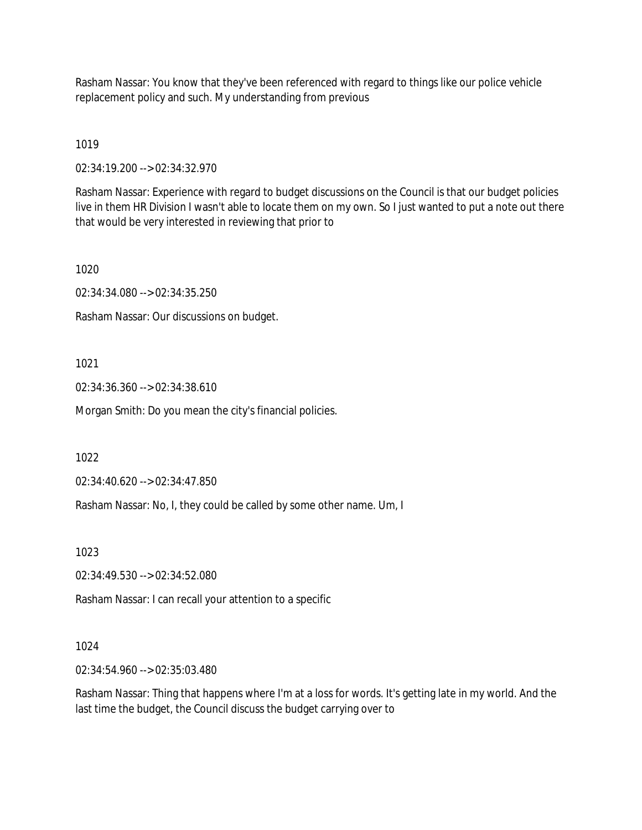Rasham Nassar: You know that they've been referenced with regard to things like our police vehicle replacement policy and such. My understanding from previous

1019

02:34:19.200 --> 02:34:32.970

Rasham Nassar: Experience with regard to budget discussions on the Council is that our budget policies live in them HR Division I wasn't able to locate them on my own. So I just wanted to put a note out there that would be very interested in reviewing that prior to

1020

02:34:34.080 --> 02:34:35.250

Rasham Nassar: Our discussions on budget.

1021

02:34:36.360 --> 02:34:38.610

Morgan Smith: Do you mean the city's financial policies.

1022

02:34:40.620 --> 02:34:47.850

Rasham Nassar: No, I, they could be called by some other name. Um, I

1023

02:34:49.530 --> 02:34:52.080

Rasham Nassar: I can recall your attention to a specific

# 1024

02:34:54.960 --> 02:35:03.480

Rasham Nassar: Thing that happens where I'm at a loss for words. It's getting late in my world. And the last time the budget, the Council discuss the budget carrying over to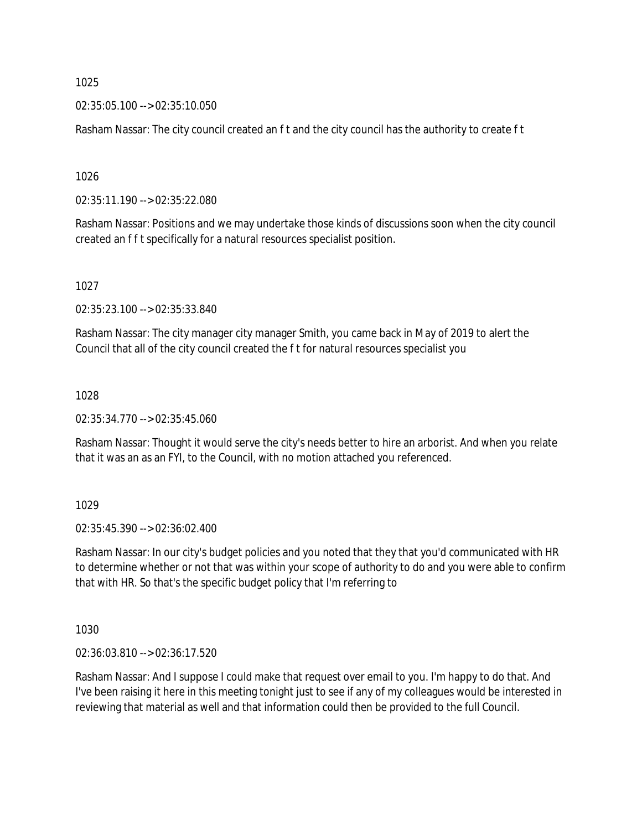02:35:05.100 --> 02:35:10.050

Rasham Nassar: The city council created an f t and the city council has the authority to create f t

1026

02:35:11.190 --> 02:35:22.080

Rasham Nassar: Positions and we may undertake those kinds of discussions soon when the city council created an f f t specifically for a natural resources specialist position.

1027

02:35:23.100 --> 02:35:33.840

Rasham Nassar: The city manager city manager Smith, you came back in May of 2019 to alert the Council that all of the city council created the f t for natural resources specialist you

1028

02:35:34.770 --> 02:35:45.060

Rasham Nassar: Thought it would serve the city's needs better to hire an arborist. And when you relate that it was an as an FYI, to the Council, with no motion attached you referenced.

1029

02:35:45.390 --> 02:36:02.400

Rasham Nassar: In our city's budget policies and you noted that they that you'd communicated with HR to determine whether or not that was within your scope of authority to do and you were able to confirm that with HR. So that's the specific budget policy that I'm referring to

1030

02:36:03.810 --> 02:36:17.520

Rasham Nassar: And I suppose I could make that request over email to you. I'm happy to do that. And I've been raising it here in this meeting tonight just to see if any of my colleagues would be interested in reviewing that material as well and that information could then be provided to the full Council.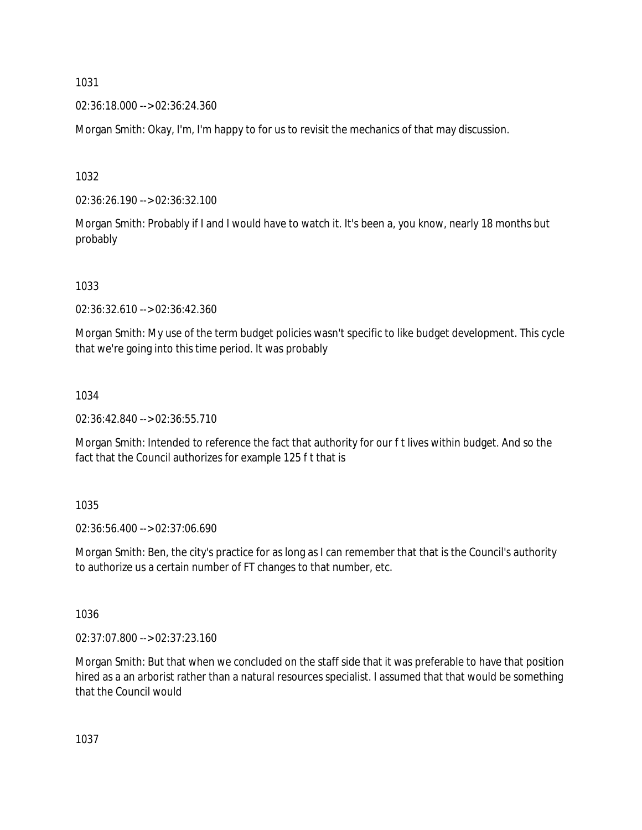02:36:18.000 --> 02:36:24.360

Morgan Smith: Okay, I'm, I'm happy to for us to revisit the mechanics of that may discussion.

1032

02:36:26.190 --> 02:36:32.100

Morgan Smith: Probably if I and I would have to watch it. It's been a, you know, nearly 18 months but probably

1033

02:36:32.610 --> 02:36:42.360

Morgan Smith: My use of the term budget policies wasn't specific to like budget development. This cycle that we're going into this time period. It was probably

1034

02:36:42.840 --> 02:36:55.710

Morgan Smith: Intended to reference the fact that authority for our f t lives within budget. And so the fact that the Council authorizes for example 125 f t that is

1035

02:36:56.400 --> 02:37:06.690

Morgan Smith: Ben, the city's practice for as long as I can remember that that is the Council's authority to authorize us a certain number of FT changes to that number, etc.

1036

02:37:07.800 --> 02:37:23.160

Morgan Smith: But that when we concluded on the staff side that it was preferable to have that position hired as a an arborist rather than a natural resources specialist. I assumed that that would be something that the Council would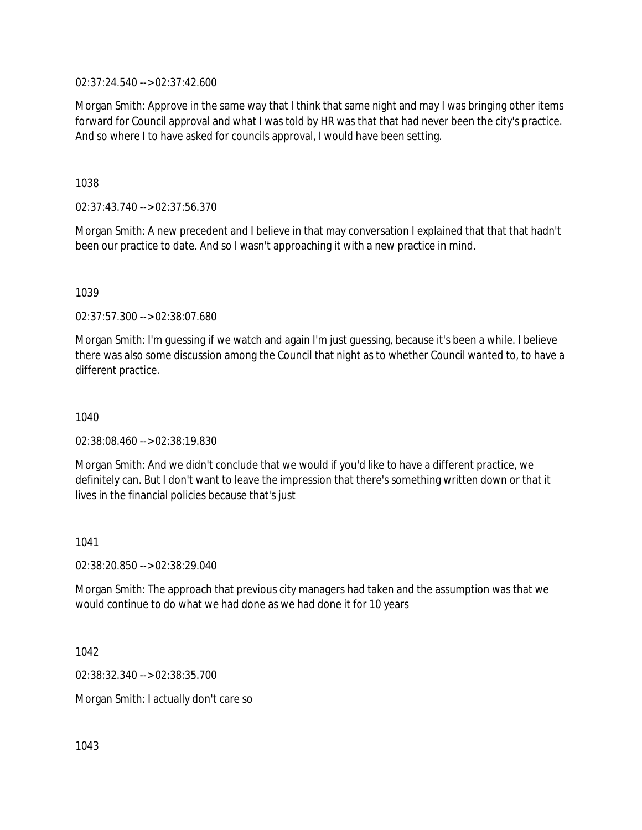02:37:24.540 --> 02:37:42.600

Morgan Smith: Approve in the same way that I think that same night and may I was bringing other items forward for Council approval and what I was told by HR was that that had never been the city's practice. And so where I to have asked for councils approval, I would have been setting.

1038

02:37:43.740 --> 02:37:56.370

Morgan Smith: A new precedent and I believe in that may conversation I explained that that that hadn't been our practice to date. And so I wasn't approaching it with a new practice in mind.

1039

02:37:57.300 --> 02:38:07.680

Morgan Smith: I'm guessing if we watch and again I'm just guessing, because it's been a while. I believe there was also some discussion among the Council that night as to whether Council wanted to, to have a different practice.

1040

02:38:08.460 --> 02:38:19.830

Morgan Smith: And we didn't conclude that we would if you'd like to have a different practice, we definitely can. But I don't want to leave the impression that there's something written down or that it lives in the financial policies because that's just

1041

02:38:20.850 --> 02:38:29.040

Morgan Smith: The approach that previous city managers had taken and the assumption was that we would continue to do what we had done as we had done it for 10 years

1042

02:38:32.340 --> 02:38:35.700

Morgan Smith: I actually don't care so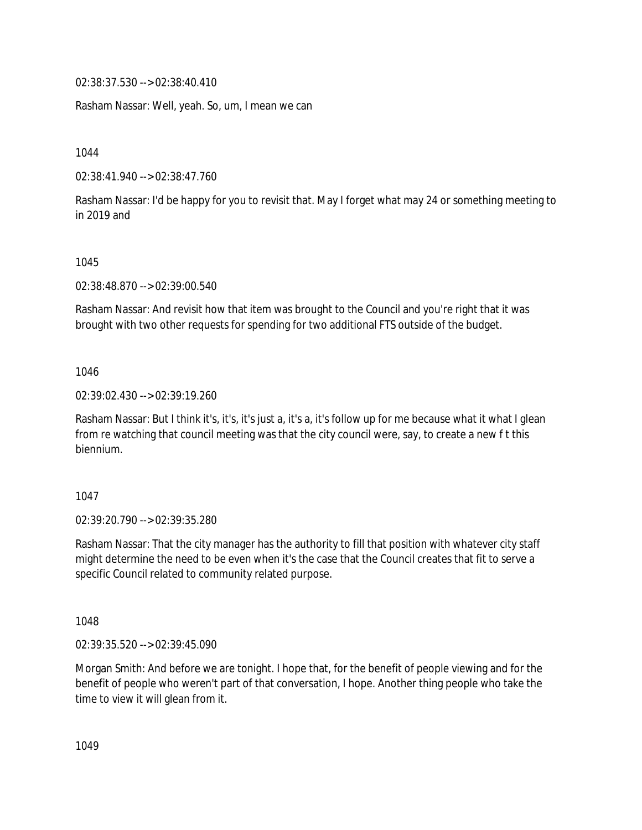02:38:37.530 --> 02:38:40.410

Rasham Nassar: Well, yeah. So, um, I mean we can

1044

02:38:41.940 --> 02:38:47.760

Rasham Nassar: I'd be happy for you to revisit that. May I forget what may 24 or something meeting to in 2019 and

#### 1045

02:38:48.870 --> 02:39:00.540

Rasham Nassar: And revisit how that item was brought to the Council and you're right that it was brought with two other requests for spending for two additional FTS outside of the budget.

1046

02:39:02.430 --> 02:39:19.260

Rasham Nassar: But I think it's, it's, it's just a, it's a, it's follow up for me because what it what I glean from re watching that council meeting was that the city council were, say, to create a new f t this biennium.

1047

02:39:20.790 --> 02:39:35.280

Rasham Nassar: That the city manager has the authority to fill that position with whatever city staff might determine the need to be even when it's the case that the Council creates that fit to serve a specific Council related to community related purpose.

1048

02:39:35.520 --> 02:39:45.090

Morgan Smith: And before we are tonight. I hope that, for the benefit of people viewing and for the benefit of people who weren't part of that conversation, I hope. Another thing people who take the time to view it will glean from it.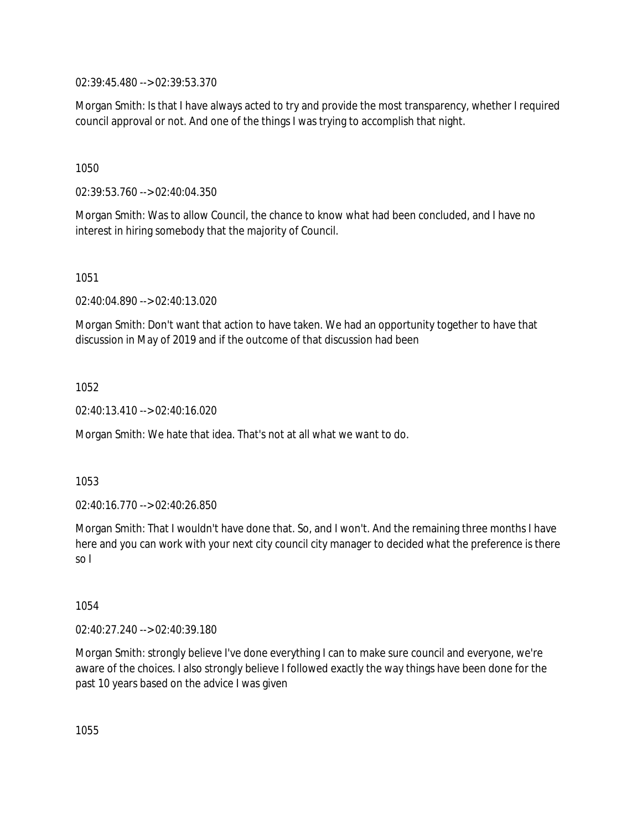02:39:45.480 --> 02:39:53.370

Morgan Smith: Is that I have always acted to try and provide the most transparency, whether I required council approval or not. And one of the things I was trying to accomplish that night.

1050

02:39:53.760 --> 02:40:04.350

Morgan Smith: Was to allow Council, the chance to know what had been concluded, and I have no interest in hiring somebody that the majority of Council.

1051

02:40:04.890 --> 02:40:13.020

Morgan Smith: Don't want that action to have taken. We had an opportunity together to have that discussion in May of 2019 and if the outcome of that discussion had been

1052

02:40:13.410 --> 02:40:16.020

Morgan Smith: We hate that idea. That's not at all what we want to do.

1053

02:40:16.770 --> 02:40:26.850

Morgan Smith: That I wouldn't have done that. So, and I won't. And the remaining three months I have here and you can work with your next city council city manager to decided what the preference is there so I

1054

02:40:27.240 --> 02:40:39.180

Morgan Smith: strongly believe I've done everything I can to make sure council and everyone, we're aware of the choices. I also strongly believe I followed exactly the way things have been done for the past 10 years based on the advice I was given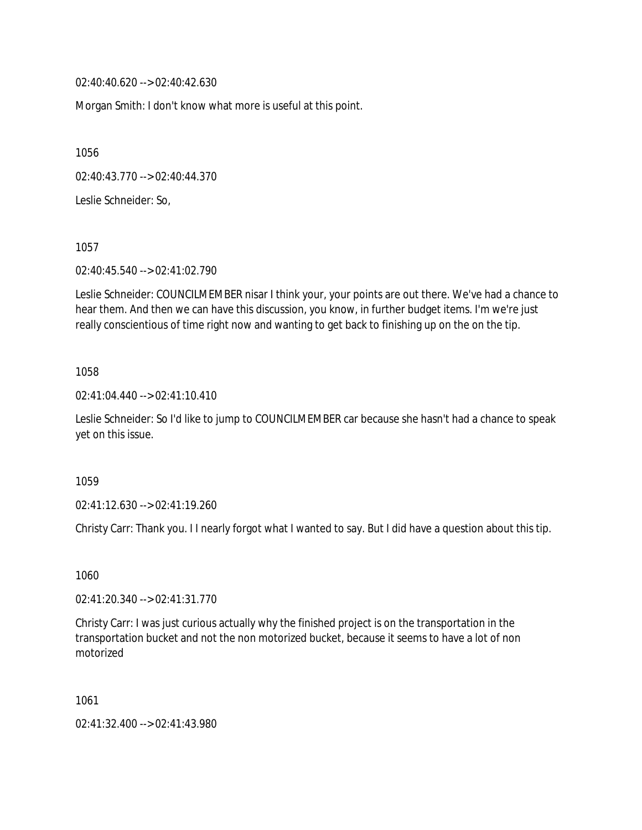02:40:40.620 --> 02:40:42.630

Morgan Smith: I don't know what more is useful at this point.

1056

02:40:43.770 --> 02:40:44.370

Leslie Schneider: So,

1057

02:40:45.540 --> 02:41:02.790

Leslie Schneider: COUNCILMEMBER nisar I think your, your points are out there. We've had a chance to hear them. And then we can have this discussion, you know, in further budget items. I'm we're just really conscientious of time right now and wanting to get back to finishing up on the on the tip.

1058

02:41:04.440 --> 02:41:10.410

Leslie Schneider: So I'd like to jump to COUNCILMEMBER car because she hasn't had a chance to speak yet on this issue.

1059

02:41:12.630 --> 02:41:19.260

Christy Carr: Thank you. I I nearly forgot what I wanted to say. But I did have a question about this tip.

1060

02:41:20.340 --> 02:41:31.770

Christy Carr: I was just curious actually why the finished project is on the transportation in the transportation bucket and not the non motorized bucket, because it seems to have a lot of non motorized

1061

02:41:32.400 --> 02:41:43.980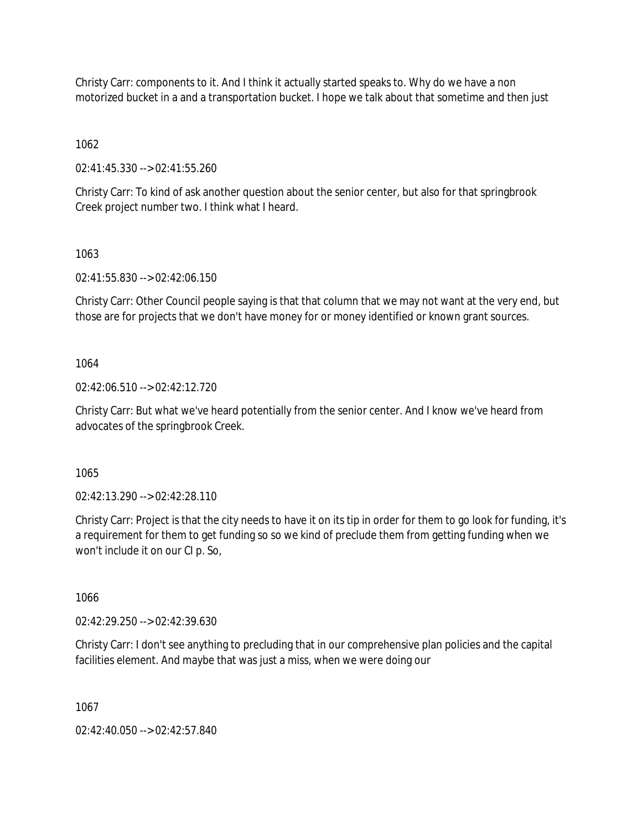Christy Carr: components to it. And I think it actually started speaks to. Why do we have a non motorized bucket in a and a transportation bucket. I hope we talk about that sometime and then just

1062

02:41:45.330 --> 02:41:55.260

Christy Carr: To kind of ask another question about the senior center, but also for that springbrook Creek project number two. I think what I heard.

1063

02:41:55.830 --> 02:42:06.150

Christy Carr: Other Council people saying is that that column that we may not want at the very end, but those are for projects that we don't have money for or money identified or known grant sources.

1064

02:42:06.510 --> 02:42:12.720

Christy Carr: But what we've heard potentially from the senior center. And I know we've heard from advocates of the springbrook Creek.

1065

02:42:13.290 --> 02:42:28.110

Christy Carr: Project is that the city needs to have it on its tip in order for them to go look for funding, it's a requirement for them to get funding so so we kind of preclude them from getting funding when we won't include it on our CI p. So,

1066

02:42:29.250 --> 02:42:39.630

Christy Carr: I don't see anything to precluding that in our comprehensive plan policies and the capital facilities element. And maybe that was just a miss, when we were doing our

1067

02:42:40.050 --> 02:42:57.840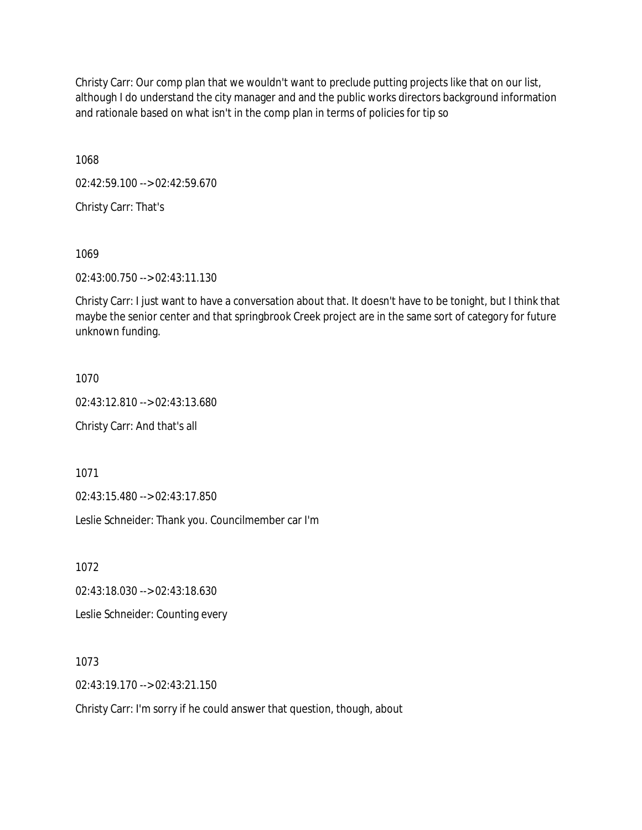Christy Carr: Our comp plan that we wouldn't want to preclude putting projects like that on our list, although I do understand the city manager and and the public works directors background information and rationale based on what isn't in the comp plan in terms of policies for tip so

1068

02:42:59.100 --> 02:42:59.670

Christy Carr: That's

1069

02:43:00.750 --> 02:43:11.130

Christy Carr: I just want to have a conversation about that. It doesn't have to be tonight, but I think that maybe the senior center and that springbrook Creek project are in the same sort of category for future unknown funding.

1070

02:43:12.810 --> 02:43:13.680

Christy Carr: And that's all

1071

02:43:15.480 --> 02:43:17.850

Leslie Schneider: Thank you. Councilmember car I'm

1072

02:43:18.030 --> 02:43:18.630

Leslie Schneider: Counting every

1073

02:43:19.170 --> 02:43:21.150

Christy Carr: I'm sorry if he could answer that question, though, about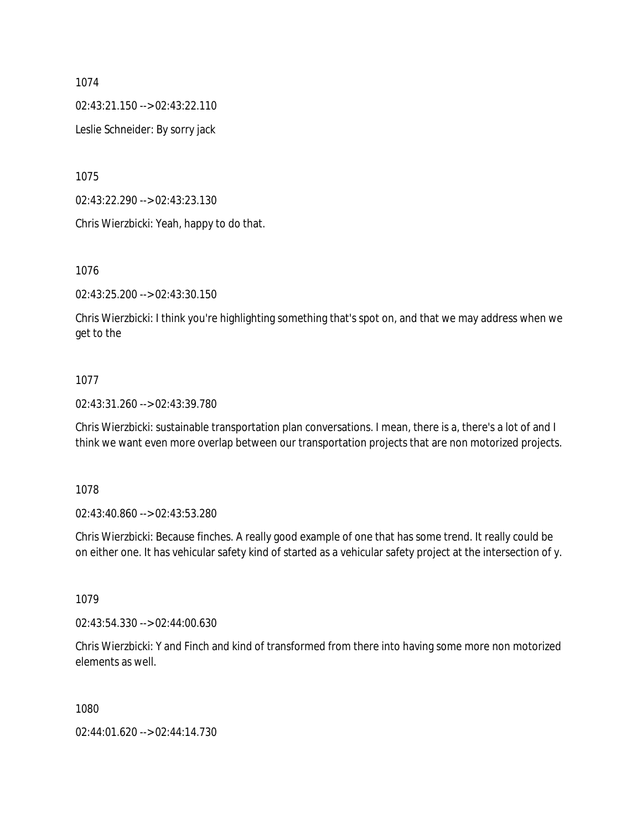02:43:21.150 --> 02:43:22.110

Leslie Schneider: By sorry jack

1075

02:43:22.290 --> 02:43:23.130

Chris Wierzbicki: Yeah, happy to do that.

1076

02:43:25.200 --> 02:43:30.150

Chris Wierzbicki: I think you're highlighting something that's spot on, and that we may address when we get to the

# 1077

02:43:31.260 --> 02:43:39.780

Chris Wierzbicki: sustainable transportation plan conversations. I mean, there is a, there's a lot of and I think we want even more overlap between our transportation projects that are non motorized projects.

1078

02:43:40.860 --> 02:43:53.280

Chris Wierzbicki: Because finches. A really good example of one that has some trend. It really could be on either one. It has vehicular safety kind of started as a vehicular safety project at the intersection of y.

1079

02:43:54.330 --> 02:44:00.630

Chris Wierzbicki: Y and Finch and kind of transformed from there into having some more non motorized elements as well.

1080

02:44:01.620 --> 02:44:14.730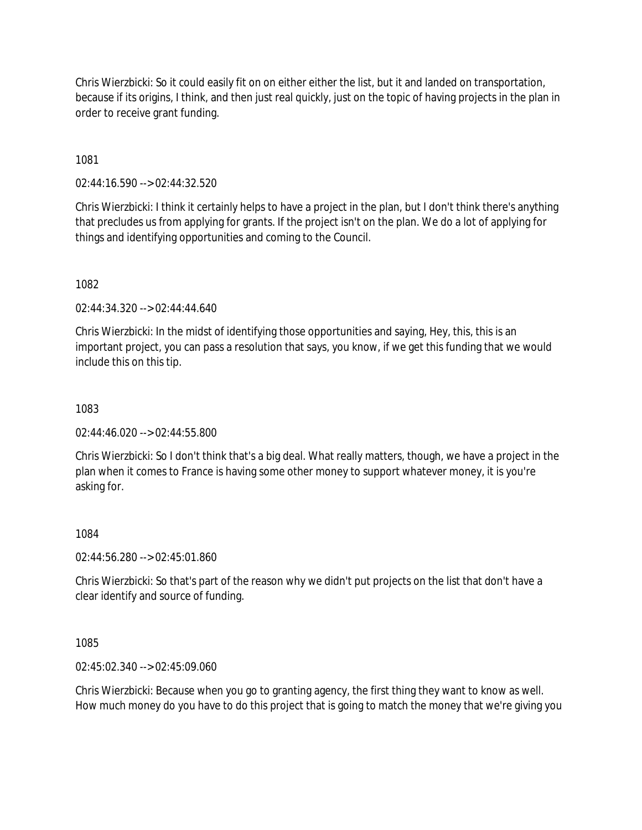Chris Wierzbicki: So it could easily fit on on either either the list, but it and landed on transportation, because if its origins, I think, and then just real quickly, just on the topic of having projects in the plan in order to receive grant funding.

1081

02:44:16.590 --> 02:44:32.520

Chris Wierzbicki: I think it certainly helps to have a project in the plan, but I don't think there's anything that precludes us from applying for grants. If the project isn't on the plan. We do a lot of applying for things and identifying opportunities and coming to the Council.

1082

02:44:34.320 --> 02:44:44.640

Chris Wierzbicki: In the midst of identifying those opportunities and saying, Hey, this, this is an important project, you can pass a resolution that says, you know, if we get this funding that we would include this on this tip.

1083

02:44:46.020 --> 02:44:55.800

Chris Wierzbicki: So I don't think that's a big deal. What really matters, though, we have a project in the plan when it comes to France is having some other money to support whatever money, it is you're asking for.

1084

02:44:56.280 --> 02:45:01.860

Chris Wierzbicki: So that's part of the reason why we didn't put projects on the list that don't have a clear identify and source of funding.

1085

02:45:02.340 --> 02:45:09.060

Chris Wierzbicki: Because when you go to granting agency, the first thing they want to know as well. How much money do you have to do this project that is going to match the money that we're giving you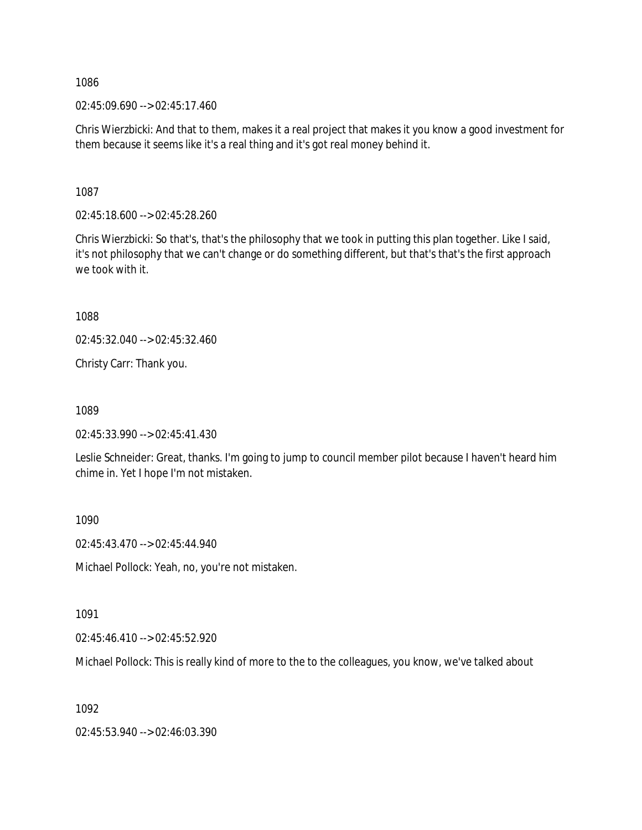$02:45:09.690 \rightarrow 02:45:17.460$ 

Chris Wierzbicki: And that to them, makes it a real project that makes it you know a good investment for them because it seems like it's a real thing and it's got real money behind it.

1087

02:45:18.600 --> 02:45:28.260

Chris Wierzbicki: So that's, that's the philosophy that we took in putting this plan together. Like I said, it's not philosophy that we can't change or do something different, but that's that's the first approach we took with it.

1088

02:45:32.040 --> 02:45:32.460

Christy Carr: Thank you.

1089

02:45:33.990 --> 02:45:41.430

Leslie Schneider: Great, thanks. I'm going to jump to council member pilot because I haven't heard him chime in. Yet I hope I'm not mistaken.

1090

02:45:43.470 --> 02:45:44.940

Michael Pollock: Yeah, no, you're not mistaken.

1091

02:45:46.410 --> 02:45:52.920

Michael Pollock: This is really kind of more to the to the colleagues, you know, we've talked about

1092

02:45:53.940 --> 02:46:03.390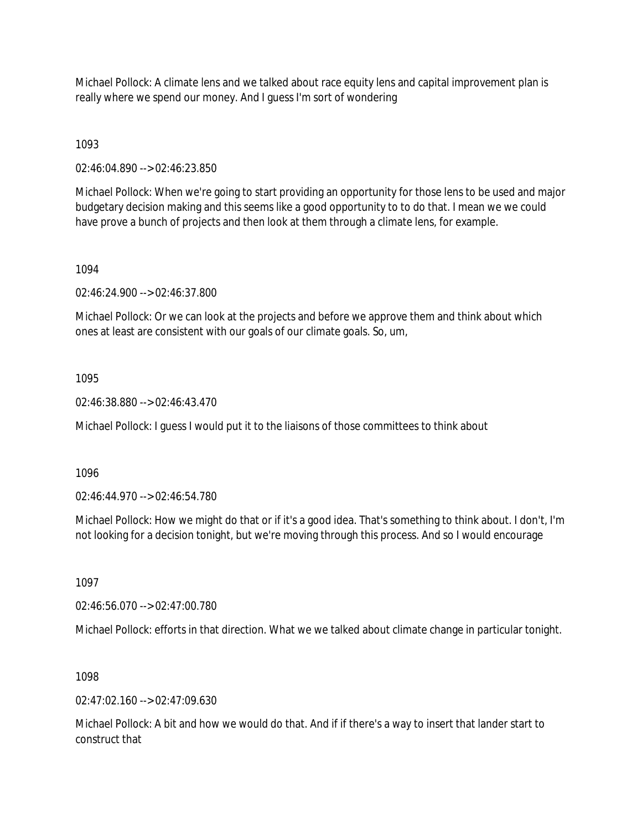Michael Pollock: A climate lens and we talked about race equity lens and capital improvement plan is really where we spend our money. And I guess I'm sort of wondering

1093

02:46:04.890 --> 02:46:23.850

Michael Pollock: When we're going to start providing an opportunity for those lens to be used and major budgetary decision making and this seems like a good opportunity to to do that. I mean we we could have prove a bunch of projects and then look at them through a climate lens, for example.

# 1094

02:46:24.900 --> 02:46:37.800

Michael Pollock: Or we can look at the projects and before we approve them and think about which ones at least are consistent with our goals of our climate goals. So, um,

# 1095

02:46:38.880 --> 02:46:43.470

Michael Pollock: I guess I would put it to the liaisons of those committees to think about

1096

02:46:44.970 --> 02:46:54.780

Michael Pollock: How we might do that or if it's a good idea. That's something to think about. I don't, I'm not looking for a decision tonight, but we're moving through this process. And so I would encourage

1097

02:46:56.070 --> 02:47:00.780

Michael Pollock: efforts in that direction. What we we talked about climate change in particular tonight.

# 1098

 $02.47.02.160 -5.02.47.09.630$ 

Michael Pollock: A bit and how we would do that. And if if there's a way to insert that lander start to construct that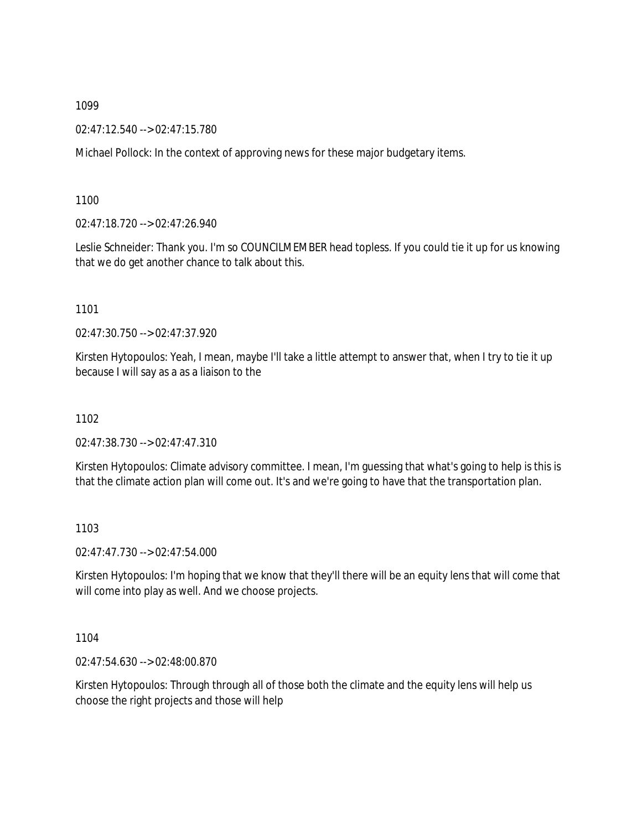02:47:12.540 --> 02:47:15.780

Michael Pollock: In the context of approving news for these major budgetary items.

1100

02:47:18.720 --> 02:47:26.940

Leslie Schneider: Thank you. I'm so COUNCILMEMBER head topless. If you could tie it up for us knowing that we do get another chance to talk about this.

1101

02:47:30.750 --> 02:47:37.920

Kirsten Hytopoulos: Yeah, I mean, maybe I'll take a little attempt to answer that, when I try to tie it up because I will say as a as a liaison to the

1102

02:47:38.730 --> 02:47:47.310

Kirsten Hytopoulos: Climate advisory committee. I mean, I'm guessing that what's going to help is this is that the climate action plan will come out. It's and we're going to have that the transportation plan.

1103

02:47:47.730 --> 02:47:54.000

Kirsten Hytopoulos: I'm hoping that we know that they'll there will be an equity lens that will come that will come into play as well. And we choose projects.

1104

02:47:54.630 --> 02:48:00.870

Kirsten Hytopoulos: Through through all of those both the climate and the equity lens will help us choose the right projects and those will help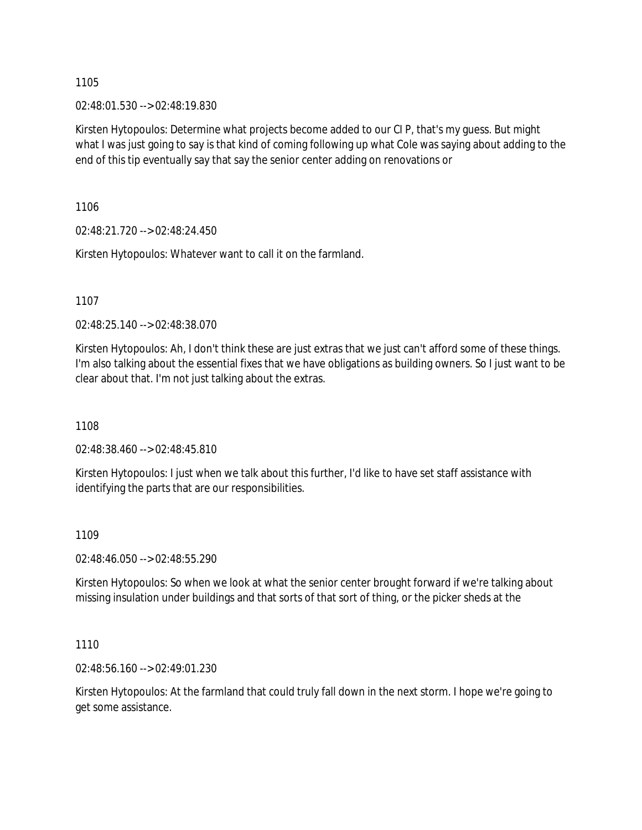02:48:01.530 --> 02:48:19.830

Kirsten Hytopoulos: Determine what projects become added to our CI P, that's my guess. But might what I was just going to say is that kind of coming following up what Cole was saying about adding to the end of this tip eventually say that say the senior center adding on renovations or

1106

02:48:21.720 --> 02:48:24.450

Kirsten Hytopoulos: Whatever want to call it on the farmland.

1107

02:48:25.140 --> 02:48:38.070

Kirsten Hytopoulos: Ah, I don't think these are just extras that we just can't afford some of these things. I'm also talking about the essential fixes that we have obligations as building owners. So I just want to be clear about that. I'm not just talking about the extras.

1108

02:48:38.460 --> 02:48:45.810

Kirsten Hytopoulos: I just when we talk about this further, I'd like to have set staff assistance with identifying the parts that are our responsibilities.

# 1109

02:48:46.050 --> 02:48:55.290

Kirsten Hytopoulos: So when we look at what the senior center brought forward if we're talking about missing insulation under buildings and that sorts of that sort of thing, or the picker sheds at the

1110

02:48:56.160 --> 02:49:01.230

Kirsten Hytopoulos: At the farmland that could truly fall down in the next storm. I hope we're going to get some assistance.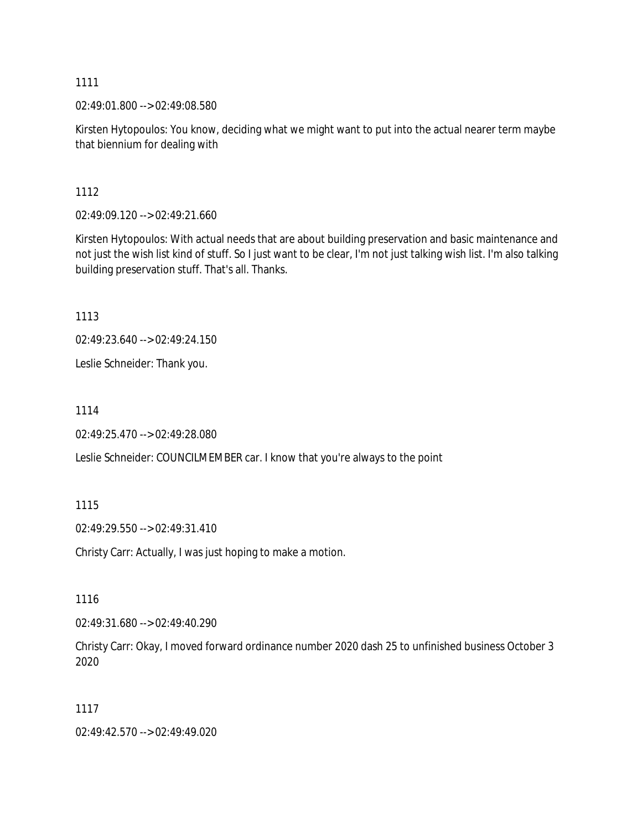02:49:01.800 --> 02:49:08.580

Kirsten Hytopoulos: You know, deciding what we might want to put into the actual nearer term maybe that biennium for dealing with

1112

02:49:09.120 --> 02:49:21.660

Kirsten Hytopoulos: With actual needs that are about building preservation and basic maintenance and not just the wish list kind of stuff. So I just want to be clear, I'm not just talking wish list. I'm also talking building preservation stuff. That's all. Thanks.

1113

02:49:23.640 --> 02:49:24.150

Leslie Schneider: Thank you.

1114

02:49:25.470 --> 02:49:28.080

Leslie Schneider: COUNCILMEMBER car. I know that you're always to the point

1115

02:49:29.550 --> 02:49:31.410

Christy Carr: Actually, I was just hoping to make a motion.

1116

02:49:31.680 --> 02:49:40.290

Christy Carr: Okay, I moved forward ordinance number 2020 dash 25 to unfinished business October 3 2020

1117

02:49:42.570 --> 02:49:49.020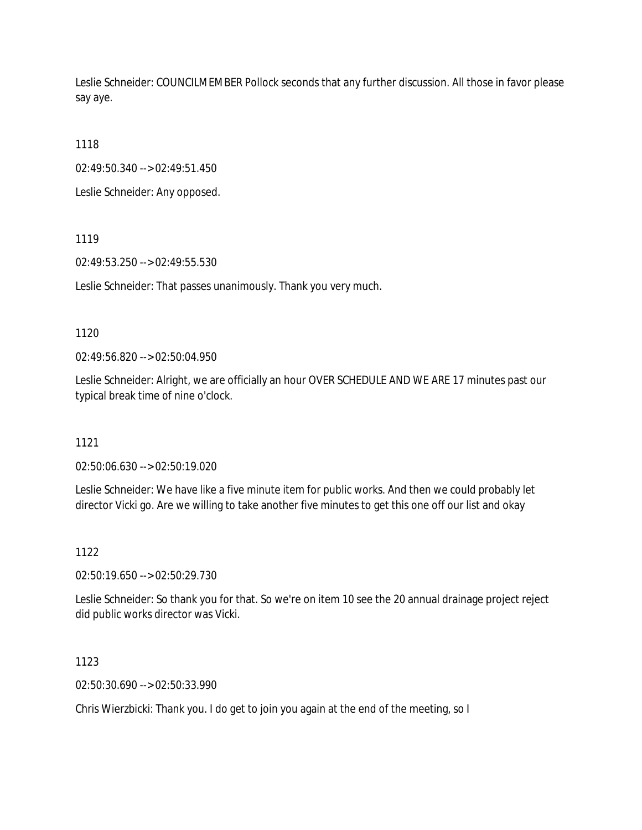Leslie Schneider: COUNCILMEMBER Pollock seconds that any further discussion. All those in favor please say aye.

1118

02:49:50.340 --> 02:49:51.450

Leslie Schneider: Any opposed.

1119

02:49:53.250 --> 02:49:55.530

Leslie Schneider: That passes unanimously. Thank you very much.

### 1120

02:49:56.820 --> 02:50:04.950

Leslie Schneider: Alright, we are officially an hour OVER SCHEDULE AND WE ARE 17 minutes past our typical break time of nine o'clock.

### 1121

02:50:06.630 --> 02:50:19.020

Leslie Schneider: We have like a five minute item for public works. And then we could probably let director Vicki go. Are we willing to take another five minutes to get this one off our list and okay

### 1122

02:50:19.650 --> 02:50:29.730

Leslie Schneider: So thank you for that. So we're on item 10 see the 20 annual drainage project reject did public works director was Vicki.

1123

02:50:30.690 --> 02:50:33.990

Chris Wierzbicki: Thank you. I do get to join you again at the end of the meeting, so I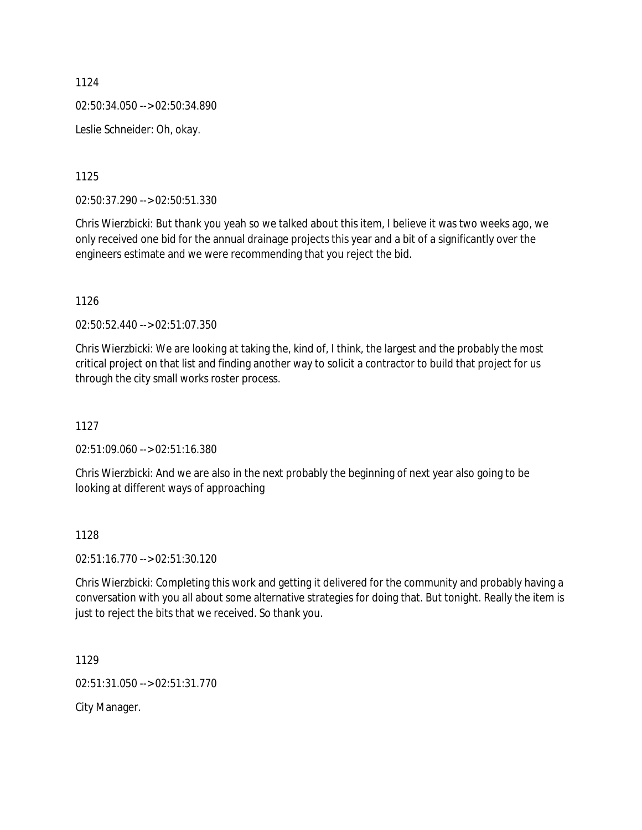1124 02:50:34.050 --> 02:50:34.890 Leslie Schneider: Oh, okay.

1125

02:50:37.290 --> 02:50:51.330

Chris Wierzbicki: But thank you yeah so we talked about this item, I believe it was two weeks ago, we only received one bid for the annual drainage projects this year and a bit of a significantly over the engineers estimate and we were recommending that you reject the bid.

1126

02:50:52.440 --> 02:51:07.350

Chris Wierzbicki: We are looking at taking the, kind of, I think, the largest and the probably the most critical project on that list and finding another way to solicit a contractor to build that project for us through the city small works roster process.

1127

02:51:09.060 --> 02:51:16.380

Chris Wierzbicki: And we are also in the next probably the beginning of next year also going to be looking at different ways of approaching

1128

02:51:16.770 --> 02:51:30.120

Chris Wierzbicki: Completing this work and getting it delivered for the community and probably having a conversation with you all about some alternative strategies for doing that. But tonight. Really the item is just to reject the bits that we received. So thank you.

1129

02:51:31.050 --> 02:51:31.770

City Manager.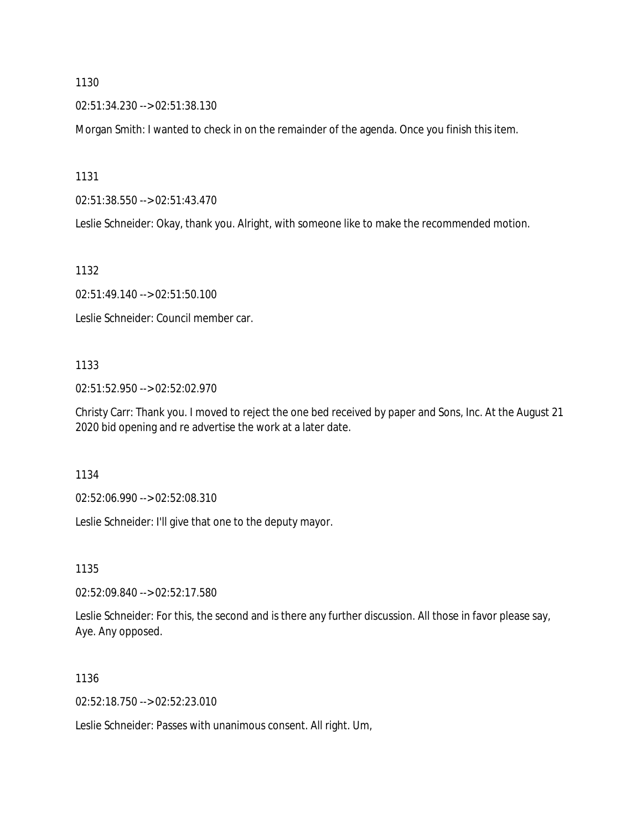02:51:34.230 --> 02:51:38.130

Morgan Smith: I wanted to check in on the remainder of the agenda. Once you finish this item.

1131

02:51:38.550 --> 02:51:43.470

Leslie Schneider: Okay, thank you. Alright, with someone like to make the recommended motion.

1132

02:51:49.140 --> 02:51:50.100

Leslie Schneider: Council member car.

### 1133

02:51:52.950 --> 02:52:02.970

Christy Carr: Thank you. I moved to reject the one bed received by paper and Sons, Inc. At the August 21 2020 bid opening and re advertise the work at a later date.

1134

02:52:06.990 --> 02:52:08.310

Leslie Schneider: I'll give that one to the deputy mayor.

1135

02:52:09.840 --> 02:52:17.580

Leslie Schneider: For this, the second and is there any further discussion. All those in favor please say, Aye. Any opposed.

1136

02:52:18.750 --> 02:52:23.010

Leslie Schneider: Passes with unanimous consent. All right. Um,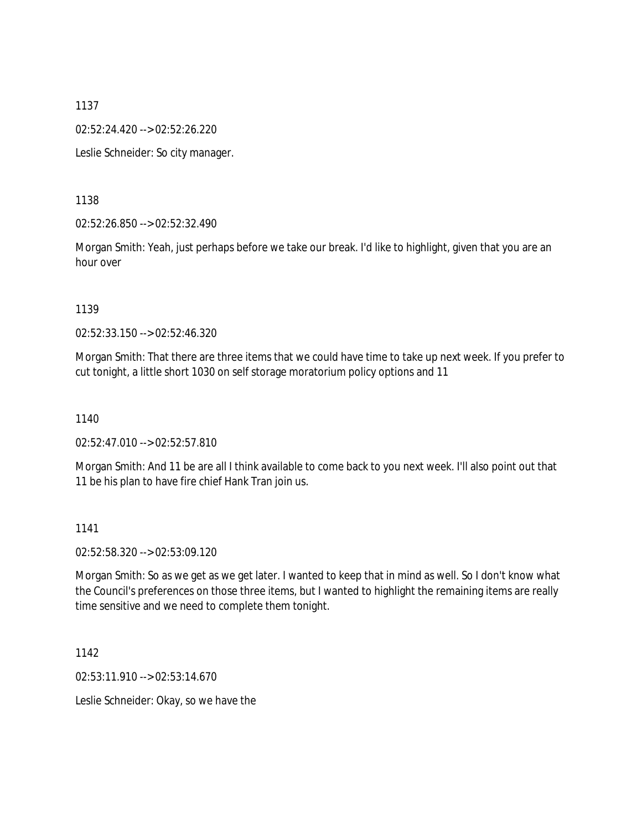02:52:24.420 --> 02:52:26.220

Leslie Schneider: So city manager.

1138

02:52:26.850 --> 02:52:32.490

Morgan Smith: Yeah, just perhaps before we take our break. I'd like to highlight, given that you are an hour over

1139

02:52:33.150 --> 02:52:46.320

Morgan Smith: That there are three items that we could have time to take up next week. If you prefer to cut tonight, a little short 1030 on self storage moratorium policy options and 11

1140

02:52:47.010 --> 02:52:57.810

Morgan Smith: And 11 be are all I think available to come back to you next week. I'll also point out that 11 be his plan to have fire chief Hank Tran join us.

1141

02:52:58.320 --> 02:53:09.120

Morgan Smith: So as we get as we get later. I wanted to keep that in mind as well. So I don't know what the Council's preferences on those three items, but I wanted to highlight the remaining items are really time sensitive and we need to complete them tonight.

1142

02:53:11.910 --> 02:53:14.670

Leslie Schneider: Okay, so we have the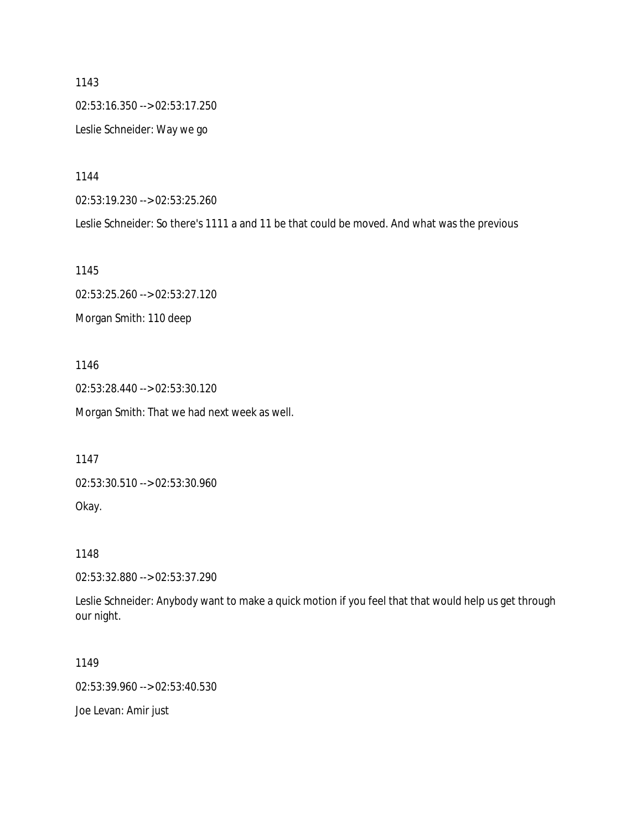1143 02:53:16.350 --> 02:53:17.250 Leslie Schneider: Way we go

1144

02:53:19.230 --> 02:53:25.260

Leslie Schneider: So there's 1111 a and 11 be that could be moved. And what was the previous

1145

02:53:25.260 --> 02:53:27.120 Morgan Smith: 110 deep

1146 02:53:28.440 --> 02:53:30.120

Morgan Smith: That we had next week as well.

1147

02:53:30.510 --> 02:53:30.960

Okay.

1148

02:53:32.880 --> 02:53:37.290

Leslie Schneider: Anybody want to make a quick motion if you feel that that would help us get through our night.

1149

02:53:39.960 --> 02:53:40.530

Joe Levan: Amir just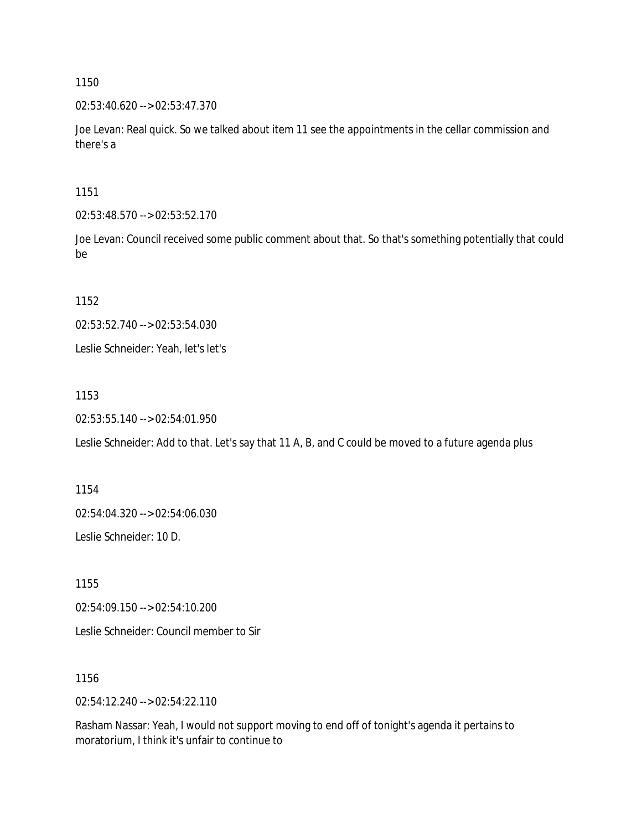02:53:40.620 --> 02:53:47.370

Joe Levan: Real quick. So we talked about item 11 see the appointments in the cellar commission and there's a

1151

02:53:48.570 --> 02:53:52.170

Joe Levan: Council received some public comment about that. So that's something potentially that could be

1152

02:53:52.740 --> 02:53:54.030

Leslie Schneider: Yeah, let's let's

1153

02:53:55.140 --> 02:54:01.950

Leslie Schneider: Add to that. Let's say that 11 A, B, and C could be moved to a future agenda plus

1154 02:54:04.320 --> 02:54:06.030 Leslie Schneider: 10 D.

1155 02:54:09.150 --> 02:54:10.200

Leslie Schneider: Council member to Sir

1156

02:54:12.240 --> 02:54:22.110

Rasham Nassar: Yeah, I would not support moving to end off of tonight's agenda it pertains to moratorium, I think it's unfair to continue to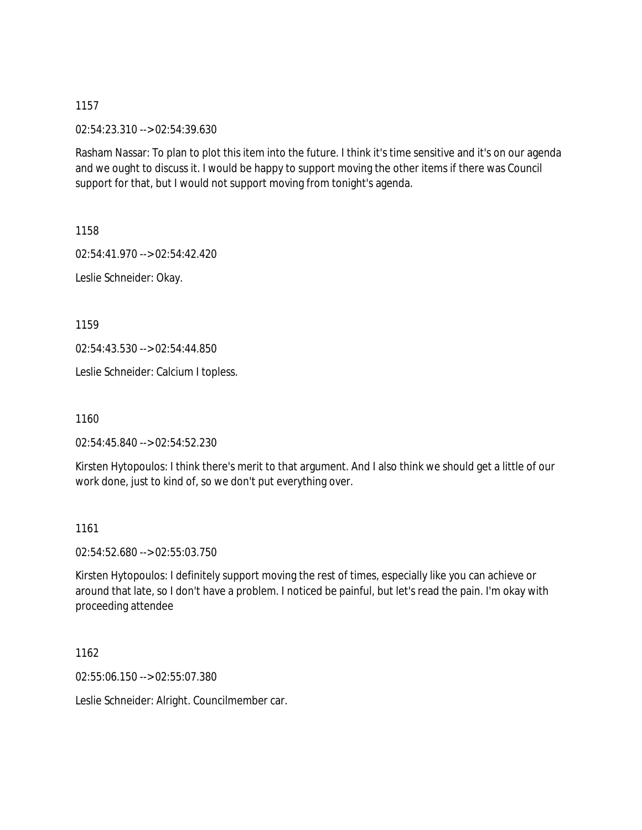02:54:23.310 --> 02:54:39.630

Rasham Nassar: To plan to plot this item into the future. I think it's time sensitive and it's on our agenda and we ought to discuss it. I would be happy to support moving the other items if there was Council support for that, but I would not support moving from tonight's agenda.

1158

02:54:41.970 --> 02:54:42.420

Leslie Schneider: Okay.

1159

02:54:43.530 --> 02:54:44.850

Leslie Schneider: Calcium I topless.

1160

02:54:45.840 --> 02:54:52.230

Kirsten Hytopoulos: I think there's merit to that argument. And I also think we should get a little of our work done, just to kind of, so we don't put everything over.

1161

02:54:52.680 --> 02:55:03.750

Kirsten Hytopoulos: I definitely support moving the rest of times, especially like you can achieve or around that late, so I don't have a problem. I noticed be painful, but let's read the pain. I'm okay with proceeding attendee

1162

02:55:06.150 --> 02:55:07.380

Leslie Schneider: Alright. Councilmember car.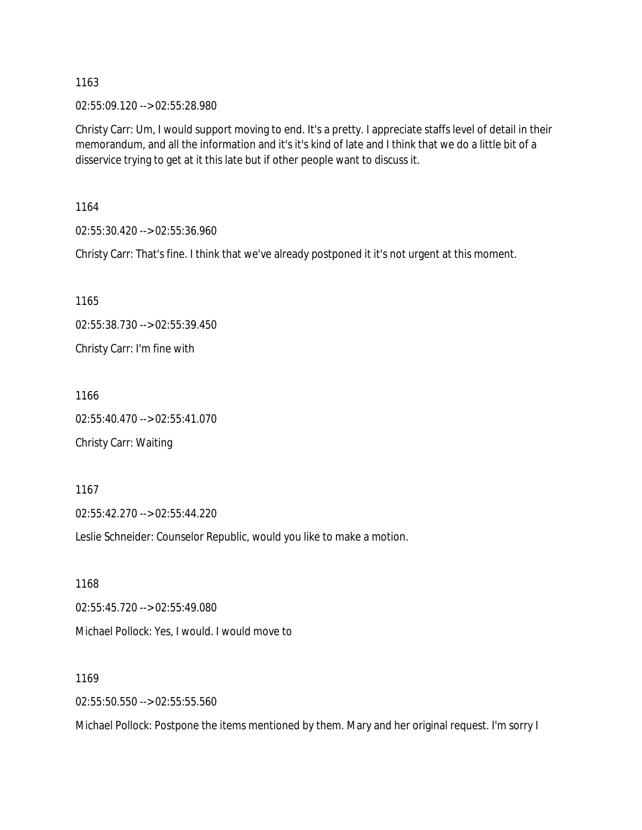02:55:09.120 --> 02:55:28.980

Christy Carr: Um, I would support moving to end. It's a pretty. I appreciate staffs level of detail in their memorandum, and all the information and it's it's kind of late and I think that we do a little bit of a disservice trying to get at it this late but if other people want to discuss it.

1164

02:55:30.420 --> 02:55:36.960

Christy Carr: That's fine. I think that we've already postponed it it's not urgent at this moment.

1165 02:55:38.730 --> 02:55:39.450 Christy Carr: I'm fine with

1166 02:55:40.470 --> 02:55:41.070 Christy Carr: Waiting

02:55:42.270 --> 02:55:44.220

Leslie Schneider: Counselor Republic, would you like to make a motion.

1168 02:55:45.720 --> 02:55:49.080 Michael Pollock: Yes, I would. I would move to

1169

1167

02:55:50.550 --> 02:55:55.560

Michael Pollock: Postpone the items mentioned by them. Mary and her original request. I'm sorry I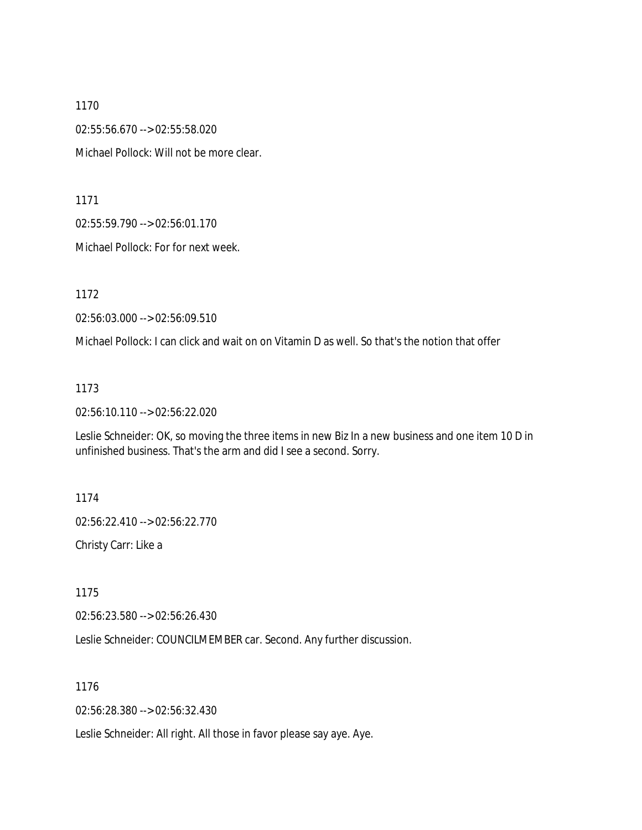1170 02:55:56.670 --> 02:55:58.020 Michael Pollock: Will not be more clear.

1171

02:55:59.790 --> 02:56:01.170

Michael Pollock: For for next week.

1172

02:56:03.000 --> 02:56:09.510

Michael Pollock: I can click and wait on on Vitamin D as well. So that's the notion that offer

1173

02:56:10.110 --> 02:56:22.020

Leslie Schneider: OK, so moving the three items in new Biz In a new business and one item 10 D in unfinished business. That's the arm and did I see a second. Sorry.

1174

02:56:22.410 --> 02:56:22.770

Christy Carr: Like a

1175

02:56:23.580 --> 02:56:26.430

Leslie Schneider: COUNCILMEMBER car. Second. Any further discussion.

1176

02:56:28.380 --> 02:56:32.430

Leslie Schneider: All right. All those in favor please say aye. Aye.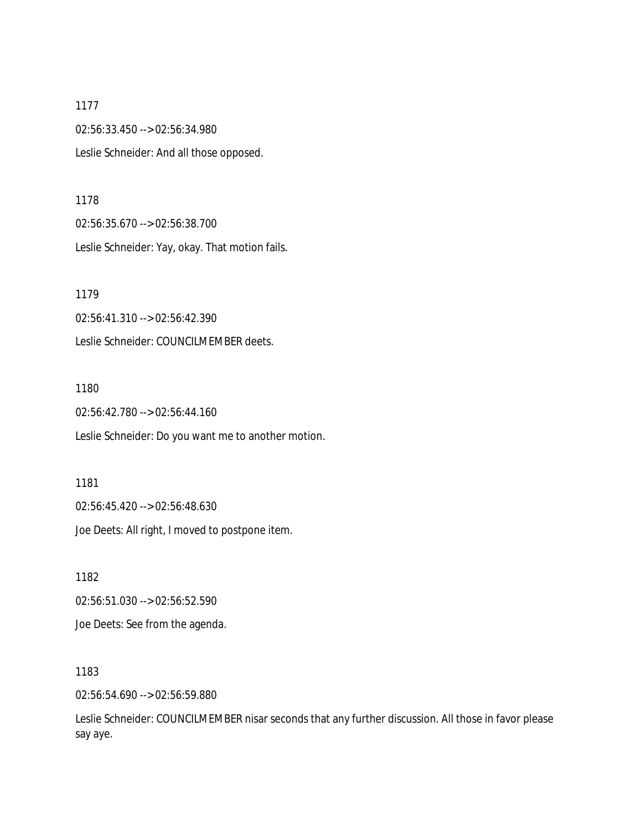1177 02:56:33.450 --> 02:56:34.980 Leslie Schneider: And all those opposed.

1178 02:56:35.670 --> 02:56:38.700 Leslie Schneider: Yay, okay. That motion fails.

1179 02:56:41.310 --> 02:56:42.390 Leslie Schneider: COUNCILMEMBER deets.

1180

02:56:42.780 --> 02:56:44.160

Leslie Schneider: Do you want me to another motion.

1181 02:56:45.420 --> 02:56:48.630 Joe Deets: All right, I moved to postpone item.

1182 02:56:51.030 --> 02:56:52.590 Joe Deets: See from the agenda.

1183

02:56:54.690 --> 02:56:59.880

Leslie Schneider: COUNCILMEMBER nisar seconds that any further discussion. All those in favor please say aye.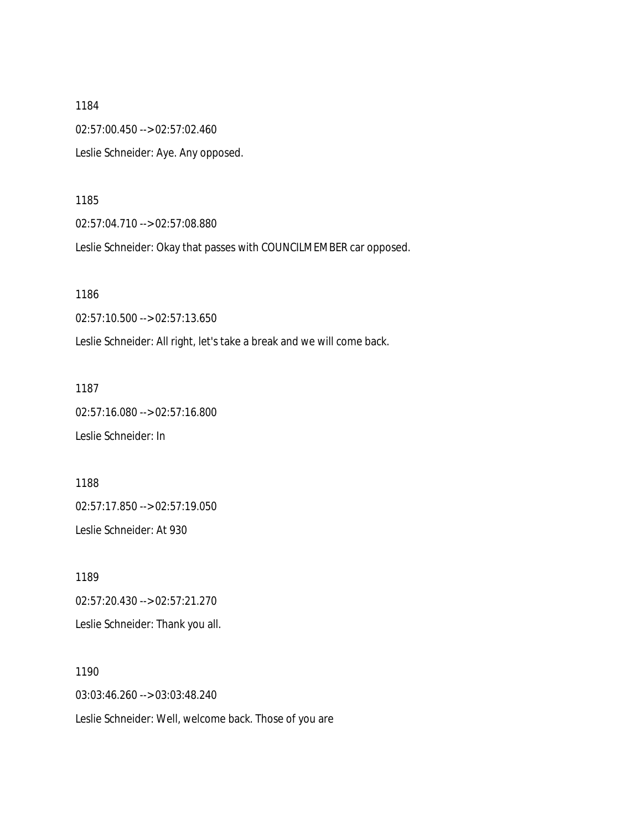1184 02:57:00.450 --> 02:57:02.460 Leslie Schneider: Aye. Any opposed.

1185

02:57:04.710 --> 02:57:08.880

Leslie Schneider: Okay that passes with COUNCILMEMBER car opposed.

1186

02:57:10.500 --> 02:57:13.650

Leslie Schneider: All right, let's take a break and we will come back.

1187

02:57:16.080 --> 02:57:16.800

Leslie Schneider: In

1188 02:57:17.850 --> 02:57:19.050

Leslie Schneider: At 930

1189 02:57:20.430 --> 02:57:21.270 Leslie Schneider: Thank you all.

1190 03:03:46.260 --> 03:03:48.240 Leslie Schneider: Well, welcome back. Those of you are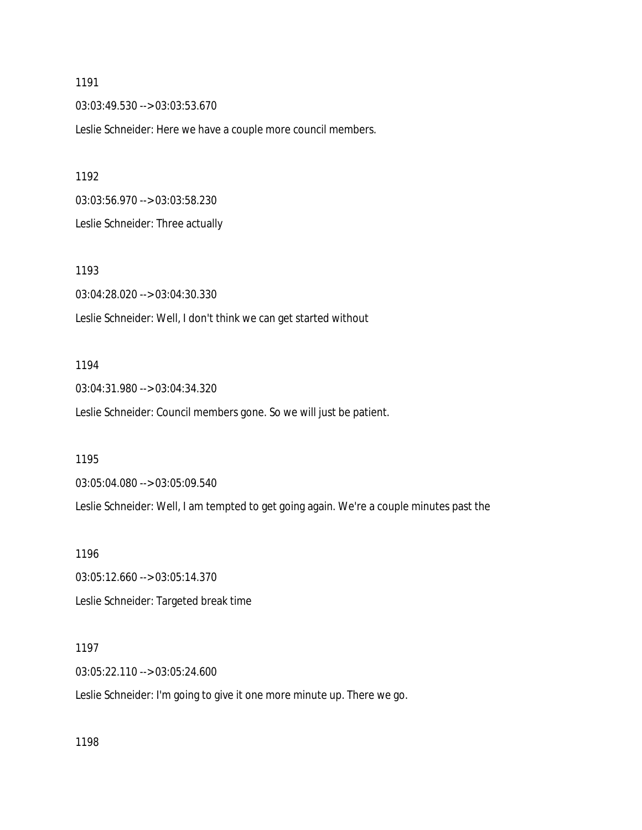03:03:49.530 --> 03:03:53.670

Leslie Schneider: Here we have a couple more council members.

1192

03:03:56.970 --> 03:03:58.230

Leslie Schneider: Three actually

1193 03:04:28.020 --> 03:04:30.330 Leslie Schneider: Well, I don't think we can get started without

#### 1194

03:04:31.980 --> 03:04:34.320

Leslie Schneider: Council members gone. So we will just be patient.

1195

03:05:04.080 --> 03:05:09.540

Leslie Schneider: Well, I am tempted to get going again. We're a couple minutes past the

1196

03:05:12.660 --> 03:05:14.370 Leslie Schneider: Targeted break time

1197

03:05:22.110 --> 03:05:24.600

Leslie Schneider: I'm going to give it one more minute up. There we go.

1198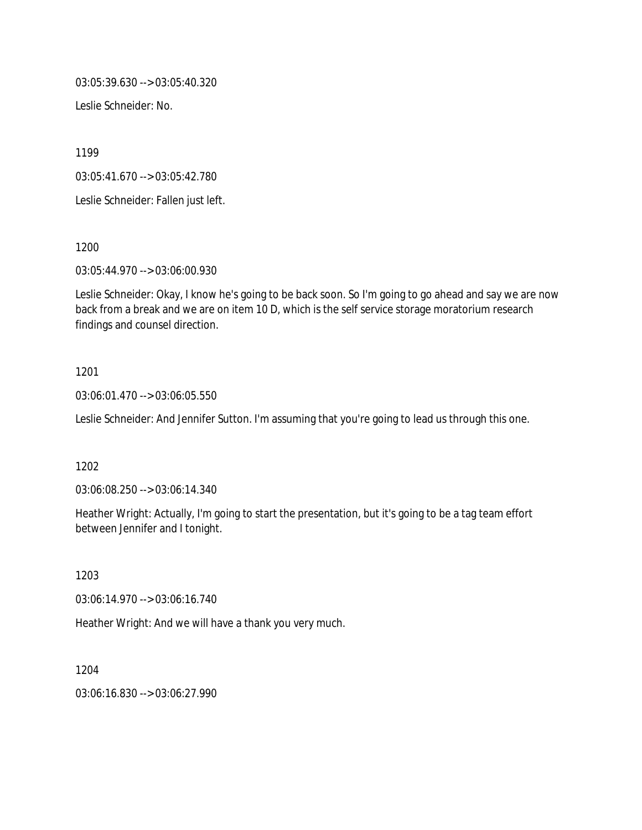03:05:39.630 --> 03:05:40.320

Leslie Schneider: No.

1199

03:05:41.670 --> 03:05:42.780

Leslie Schneider: Fallen just left.

1200

03:05:44.970 --> 03:06:00.930

Leslie Schneider: Okay, I know he's going to be back soon. So I'm going to go ahead and say we are now back from a break and we are on item 10 D, which is the self service storage moratorium research findings and counsel direction.

## 1201

03:06:01.470 --> 03:06:05.550

Leslie Schneider: And Jennifer Sutton. I'm assuming that you're going to lead us through this one.

### 1202

03:06:08.250 --> 03:06:14.340

Heather Wright: Actually, I'm going to start the presentation, but it's going to be a tag team effort between Jennifer and I tonight.

1203

03:06:14.970 --> 03:06:16.740

Heather Wright: And we will have a thank you very much.

1204 03:06:16.830 --> 03:06:27.990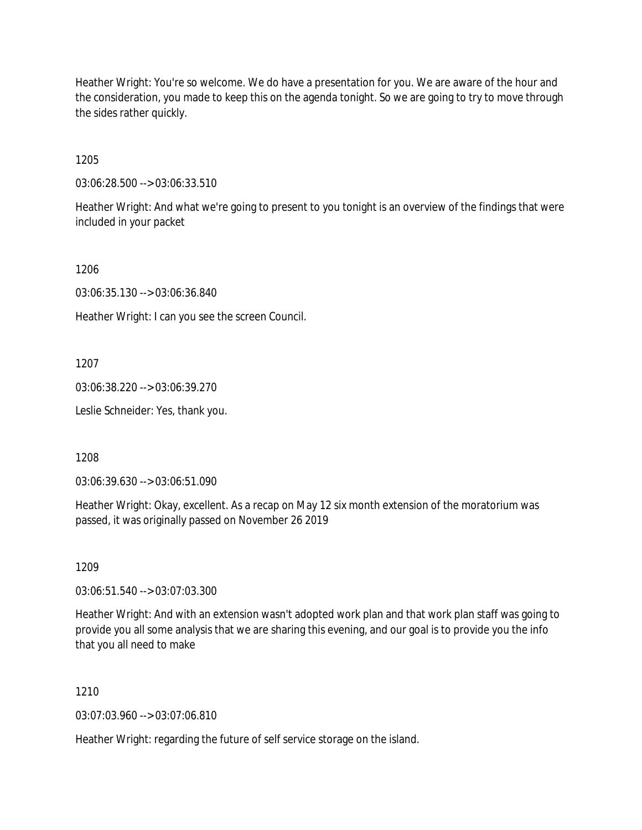Heather Wright: You're so welcome. We do have a presentation for you. We are aware of the hour and the consideration, you made to keep this on the agenda tonight. So we are going to try to move through the sides rather quickly.

1205

03:06:28.500 --> 03:06:33.510

Heather Wright: And what we're going to present to you tonight is an overview of the findings that were included in your packet

1206

03:06:35.130 --> 03:06:36.840

Heather Wright: I can you see the screen Council.

1207

03:06:38.220 --> 03:06:39.270

Leslie Schneider: Yes, thank you.

1208

03:06:39.630 --> 03:06:51.090

Heather Wright: Okay, excellent. As a recap on May 12 six month extension of the moratorium was passed, it was originally passed on November 26 2019

1209

03:06:51.540 --> 03:07:03.300

Heather Wright: And with an extension wasn't adopted work plan and that work plan staff was going to provide you all some analysis that we are sharing this evening, and our goal is to provide you the info that you all need to make

1210

03:07:03.960 --> 03:07:06.810

Heather Wright: regarding the future of self service storage on the island.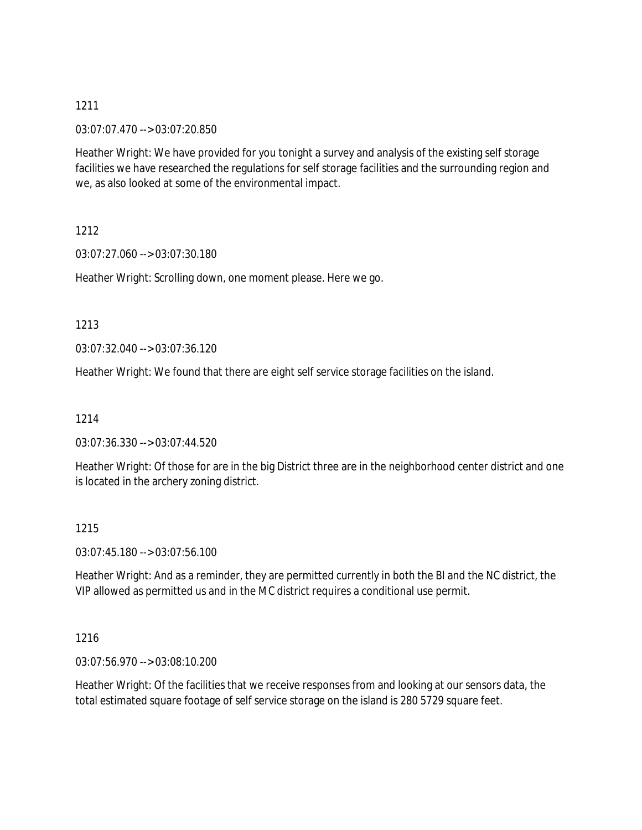### 03:07:07.470 --> 03:07:20.850

Heather Wright: We have provided for you tonight a survey and analysis of the existing self storage facilities we have researched the regulations for self storage facilities and the surrounding region and we, as also looked at some of the environmental impact.

1212

03:07:27.060 --> 03:07:30.180

Heather Wright: Scrolling down, one moment please. Here we go.

1213

03:07:32.040 --> 03:07:36.120

Heather Wright: We found that there are eight self service storage facilities on the island.

1214

03:07:36.330 --> 03:07:44.520

Heather Wright: Of those for are in the big District three are in the neighborhood center district and one is located in the archery zoning district.

1215

03:07:45.180 --> 03:07:56.100

Heather Wright: And as a reminder, they are permitted currently in both the BI and the NC district, the VIP allowed as permitted us and in the MC district requires a conditional use permit.

1216

03:07:56.970 --> 03:08:10.200

Heather Wright: Of the facilities that we receive responses from and looking at our sensors data, the total estimated square footage of self service storage on the island is 280 5729 square feet.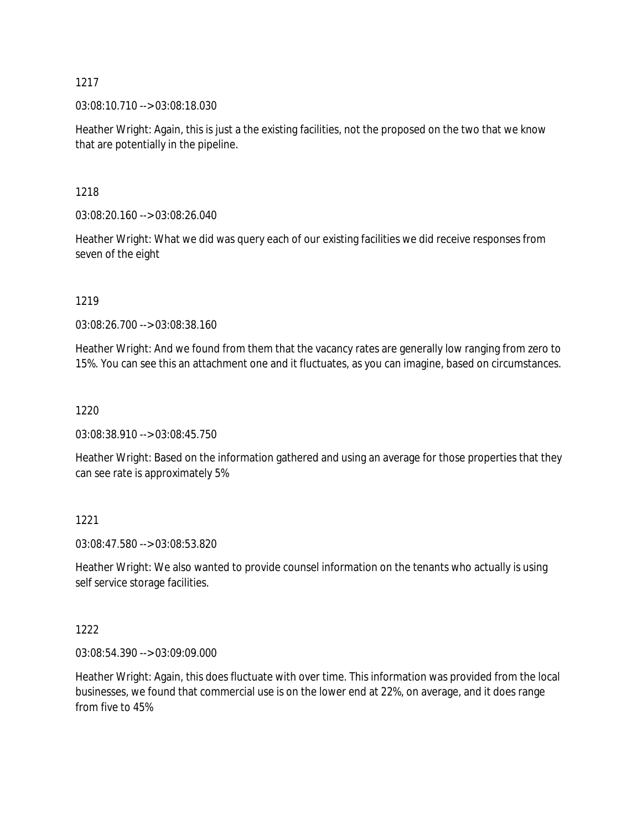03:08:10.710 --> 03:08:18.030

Heather Wright: Again, this is just a the existing facilities, not the proposed on the two that we know that are potentially in the pipeline.

1218

03:08:20.160 --> 03:08:26.040

Heather Wright: What we did was query each of our existing facilities we did receive responses from seven of the eight

1219

03:08:26.700 --> 03:08:38.160

Heather Wright: And we found from them that the vacancy rates are generally low ranging from zero to 15%. You can see this an attachment one and it fluctuates, as you can imagine, based on circumstances.

1220

03:08:38.910 --> 03:08:45.750

Heather Wright: Based on the information gathered and using an average for those properties that they can see rate is approximately 5%

1221

03:08:47.580 --> 03:08:53.820

Heather Wright: We also wanted to provide counsel information on the tenants who actually is using self service storage facilities.

1222

03:08:54.390 --> 03:09:09.000

Heather Wright: Again, this does fluctuate with over time. This information was provided from the local businesses, we found that commercial use is on the lower end at 22%, on average, and it does range from five to 45%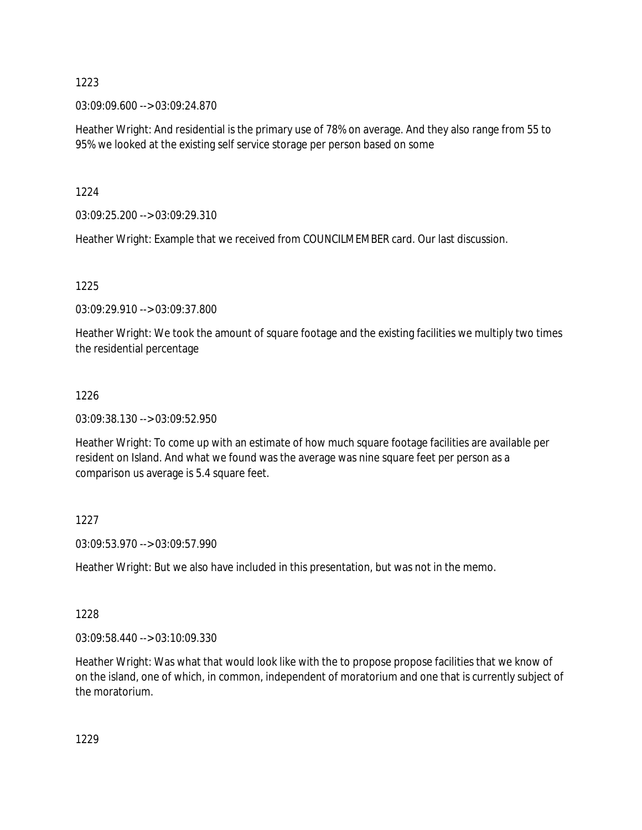03:09:09.600 --> 03:09:24.870

Heather Wright: And residential is the primary use of 78% on average. And they also range from 55 to 95% we looked at the existing self service storage per person based on some

1224

03:09:25.200 --> 03:09:29.310

Heather Wright: Example that we received from COUNCILMEMBER card. Our last discussion.

1225

03:09:29.910 --> 03:09:37.800

Heather Wright: We took the amount of square footage and the existing facilities we multiply two times the residential percentage

### 1226

03:09:38.130 --> 03:09:52.950

Heather Wright: To come up with an estimate of how much square footage facilities are available per resident on Island. And what we found was the average was nine square feet per person as a comparison us average is 5.4 square feet.

### 1227

03:09:53.970 --> 03:09:57.990

Heather Wright: But we also have included in this presentation, but was not in the memo.

### 1228

03:09:58.440 --> 03:10:09.330

Heather Wright: Was what that would look like with the to propose propose facilities that we know of on the island, one of which, in common, independent of moratorium and one that is currently subject of the moratorium.

1229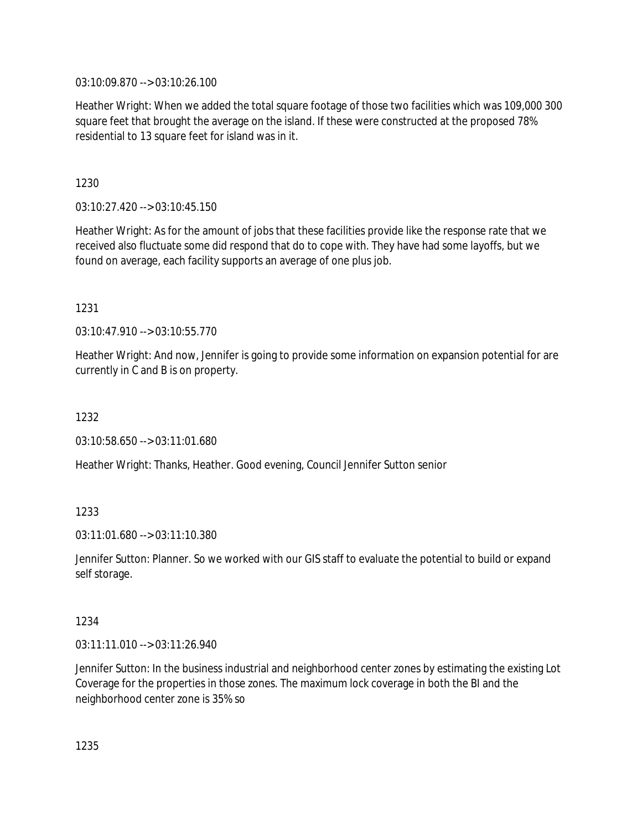03:10:09.870 --> 03:10:26.100

Heather Wright: When we added the total square footage of those two facilities which was 109,000 300 square feet that brought the average on the island. If these were constructed at the proposed 78% residential to 13 square feet for island was in it.

1230

03:10:27.420 --> 03:10:45.150

Heather Wright: As for the amount of jobs that these facilities provide like the response rate that we received also fluctuate some did respond that do to cope with. They have had some layoffs, but we found on average, each facility supports an average of one plus job.

1231

03:10:47.910 --> 03:10:55.770

Heather Wright: And now, Jennifer is going to provide some information on expansion potential for are currently in C and B is on property.

1232

03:10:58.650 --> 03:11:01.680

Heather Wright: Thanks, Heather. Good evening, Council Jennifer Sutton senior

1233

03:11:01.680 --> 03:11:10.380

Jennifer Sutton: Planner. So we worked with our GIS staff to evaluate the potential to build or expand self storage.

### 1234

03:11:11.010 --> 03:11:26.940

Jennifer Sutton: In the business industrial and neighborhood center zones by estimating the existing Lot Coverage for the properties in those zones. The maximum lock coverage in both the BI and the neighborhood center zone is 35% so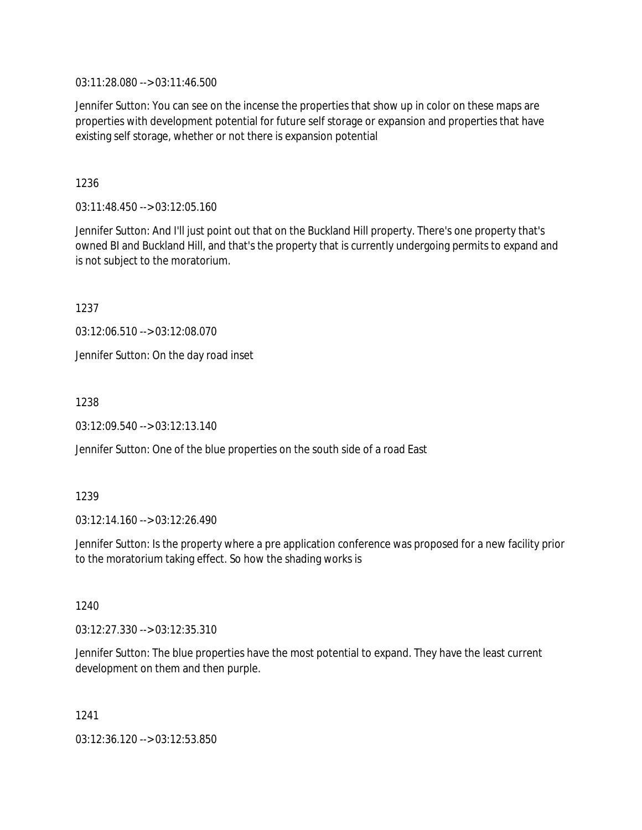03:11:28.080 --> 03:11:46.500

Jennifer Sutton: You can see on the incense the properties that show up in color on these maps are properties with development potential for future self storage or expansion and properties that have existing self storage, whether or not there is expansion potential

1236

03:11:48.450 --> 03:12:05.160

Jennifer Sutton: And I'll just point out that on the Buckland Hill property. There's one property that's owned BI and Buckland Hill, and that's the property that is currently undergoing permits to expand and is not subject to the moratorium.

1237

03:12:06.510 --> 03:12:08.070

Jennifer Sutton: On the day road inset

1238

03:12:09.540 --> 03:12:13.140

Jennifer Sutton: One of the blue properties on the south side of a road East

1239

03:12:14.160 --> 03:12:26.490

Jennifer Sutton: Is the property where a pre application conference was proposed for a new facility prior to the moratorium taking effect. So how the shading works is

1240

03:12:27.330 --> 03:12:35.310

Jennifer Sutton: The blue properties have the most potential to expand. They have the least current development on them and then purple.

1241 03:12:36.120 --> 03:12:53.850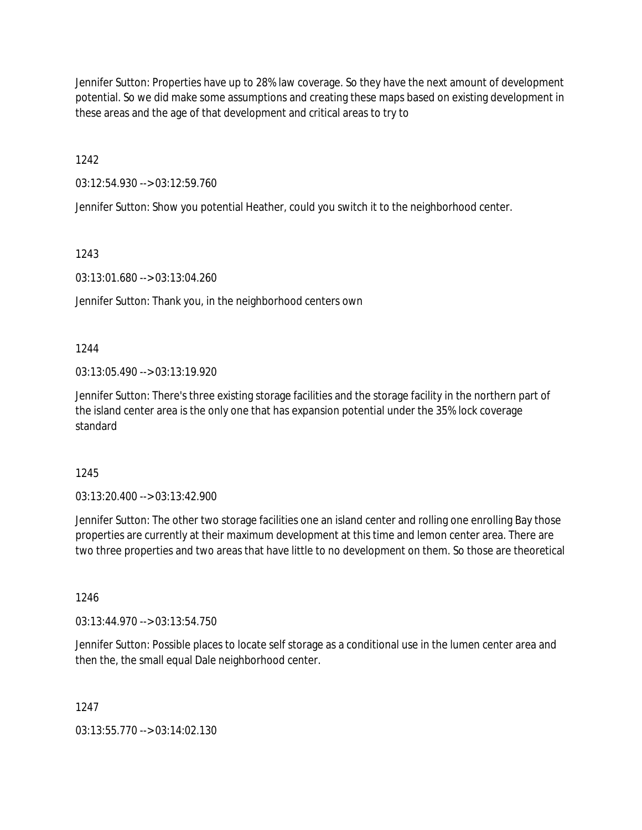Jennifer Sutton: Properties have up to 28% law coverage. So they have the next amount of development potential. So we did make some assumptions and creating these maps based on existing development in these areas and the age of that development and critical areas to try to

1242

03:12:54.930 --> 03:12:59.760

Jennifer Sutton: Show you potential Heather, could you switch it to the neighborhood center.

1243

03:13:01.680 --> 03:13:04.260

Jennifer Sutton: Thank you, in the neighborhood centers own

1244

03:13:05.490 --> 03:13:19.920

Jennifer Sutton: There's three existing storage facilities and the storage facility in the northern part of the island center area is the only one that has expansion potential under the 35% lock coverage standard

1245

03:13:20.400 --> 03:13:42.900

Jennifer Sutton: The other two storage facilities one an island center and rolling one enrolling Bay those properties are currently at their maximum development at this time and lemon center area. There are two three properties and two areas that have little to no development on them. So those are theoretical

1246

03:13:44.970 --> 03:13:54.750

Jennifer Sutton: Possible places to locate self storage as a conditional use in the lumen center area and then the, the small equal Dale neighborhood center.

1247

03:13:55.770 --> 03:14:02.130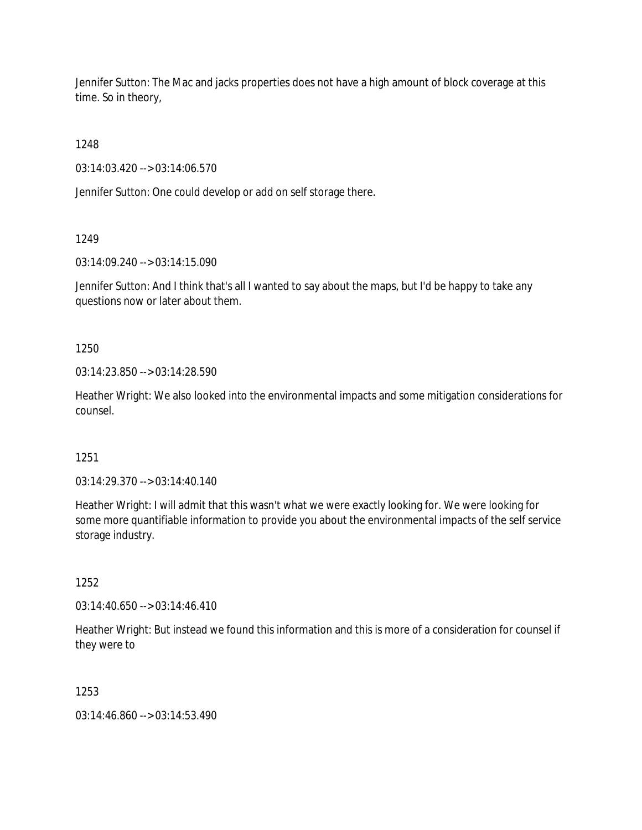Jennifer Sutton: The Mac and jacks properties does not have a high amount of block coverage at this time. So in theory,

1248

03:14:03.420 --> 03:14:06.570

Jennifer Sutton: One could develop or add on self storage there.

1249

03:14:09.240 --> 03:14:15.090

Jennifer Sutton: And I think that's all I wanted to say about the maps, but I'd be happy to take any questions now or later about them.

1250

03:14:23.850 --> 03:14:28.590

Heather Wright: We also looked into the environmental impacts and some mitigation considerations for counsel.

1251

03:14:29.370 --> 03:14:40.140

Heather Wright: I will admit that this wasn't what we were exactly looking for. We were looking for some more quantifiable information to provide you about the environmental impacts of the self service storage industry.

1252

03:14:40.650 --> 03:14:46.410

Heather Wright: But instead we found this information and this is more of a consideration for counsel if they were to

1253

03:14:46.860 --> 03:14:53.490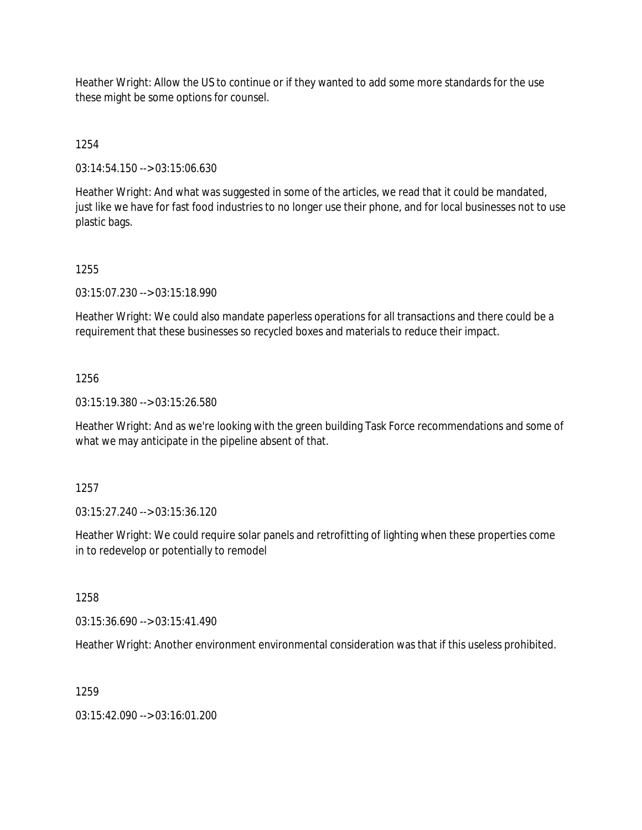Heather Wright: Allow the US to continue or if they wanted to add some more standards for the use these might be some options for counsel.

1254

03:14:54.150 --> 03:15:06.630

Heather Wright: And what was suggested in some of the articles, we read that it could be mandated, just like we have for fast food industries to no longer use their phone, and for local businesses not to use plastic bags.

1255

03:15:07.230 --> 03:15:18.990

Heather Wright: We could also mandate paperless operations for all transactions and there could be a requirement that these businesses so recycled boxes and materials to reduce their impact.

1256

03:15:19.380 --> 03:15:26.580

Heather Wright: And as we're looking with the green building Task Force recommendations and some of what we may anticipate in the pipeline absent of that.

1257

03:15:27.240 --> 03:15:36.120

Heather Wright: We could require solar panels and retrofitting of lighting when these properties come in to redevelop or potentially to remodel

1258

03:15:36.690 --> 03:15:41.490

Heather Wright: Another environment environmental consideration was that if this useless prohibited.

1259

03:15:42.090 --> 03:16:01.200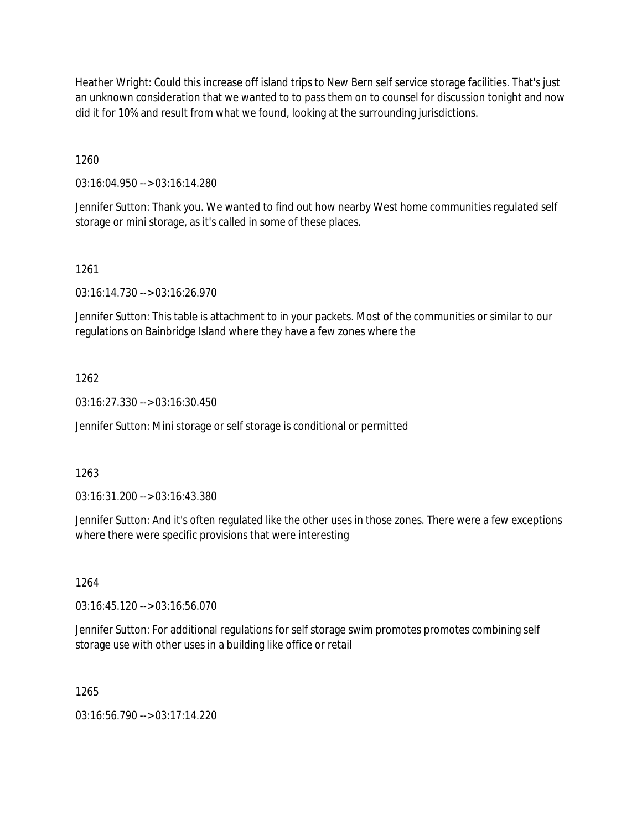Heather Wright: Could this increase off island trips to New Bern self service storage facilities. That's just an unknown consideration that we wanted to to pass them on to counsel for discussion tonight and now did it for 10% and result from what we found, looking at the surrounding jurisdictions.

1260

03:16:04.950 --> 03:16:14.280

Jennifer Sutton: Thank you. We wanted to find out how nearby West home communities regulated self storage or mini storage, as it's called in some of these places.

1261

03:16:14.730 --> 03:16:26.970

Jennifer Sutton: This table is attachment to in your packets. Most of the communities or similar to our regulations on Bainbridge Island where they have a few zones where the

### 1262

03:16:27.330 --> 03:16:30.450

Jennifer Sutton: Mini storage or self storage is conditional or permitted

### 1263

03:16:31.200 --> 03:16:43.380

Jennifer Sutton: And it's often regulated like the other uses in those zones. There were a few exceptions where there were specific provisions that were interesting

1264

03:16:45.120 --> 03:16:56.070

Jennifer Sutton: For additional regulations for self storage swim promotes promotes combining self storage use with other uses in a building like office or retail

1265

03:16:56.790 --> 03:17:14.220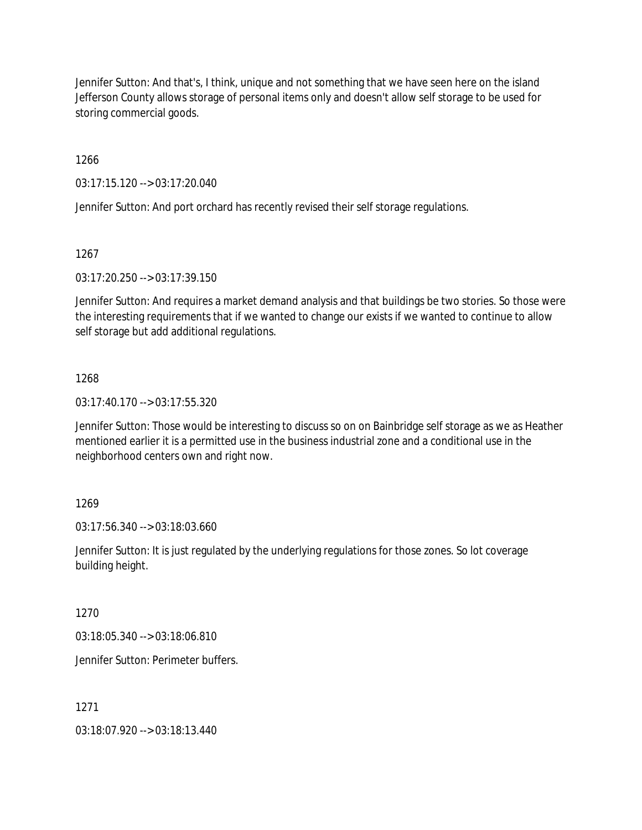Jennifer Sutton: And that's, I think, unique and not something that we have seen here on the island Jefferson County allows storage of personal items only and doesn't allow self storage to be used for storing commercial goods.

1266

03:17:15.120 --> 03:17:20.040

Jennifer Sutton: And port orchard has recently revised their self storage regulations.

1267

03:17:20.250 --> 03:17:39.150

Jennifer Sutton: And requires a market demand analysis and that buildings be two stories. So those were the interesting requirements that if we wanted to change our exists if we wanted to continue to allow self storage but add additional regulations.

### 1268

03:17:40.170 --> 03:17:55.320

Jennifer Sutton: Those would be interesting to discuss so on on Bainbridge self storage as we as Heather mentioned earlier it is a permitted use in the business industrial zone and a conditional use in the neighborhood centers own and right now.

# 1269

03:17:56.340 --> 03:18:03.660

Jennifer Sutton: It is just regulated by the underlying regulations for those zones. So lot coverage building height.

1270

03:18:05.340 --> 03:18:06.810

Jennifer Sutton: Perimeter buffers.

1271

03:18:07.920 --> 03:18:13.440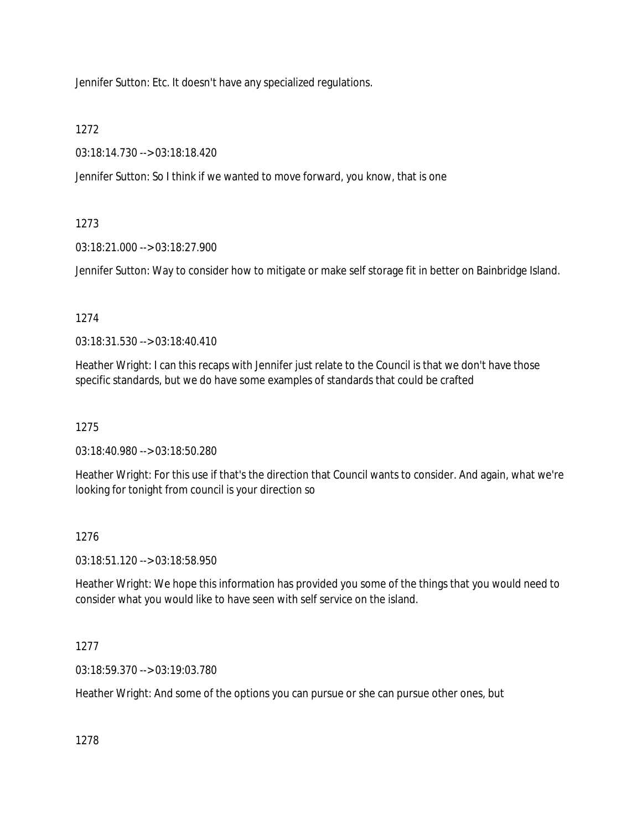Jennifer Sutton: Etc. It doesn't have any specialized regulations.

1272

03:18:14.730 --> 03:18:18.420

Jennifer Sutton: So I think if we wanted to move forward, you know, that is one

# 1273

03:18:21.000 --> 03:18:27.900

Jennifer Sutton: Way to consider how to mitigate or make self storage fit in better on Bainbridge Island.

# 1274

03:18:31.530 --> 03:18:40.410

Heather Wright: I can this recaps with Jennifer just relate to the Council is that we don't have those specific standards, but we do have some examples of standards that could be crafted

1275

03:18:40.980 --> 03:18:50.280

Heather Wright: For this use if that's the direction that Council wants to consider. And again, what we're looking for tonight from council is your direction so

# 1276

03:18:51.120 --> 03:18:58.950

Heather Wright: We hope this information has provided you some of the things that you would need to consider what you would like to have seen with self service on the island.

# 1277

03:18:59.370 --> 03:19:03.780

Heather Wright: And some of the options you can pursue or she can pursue other ones, but

1278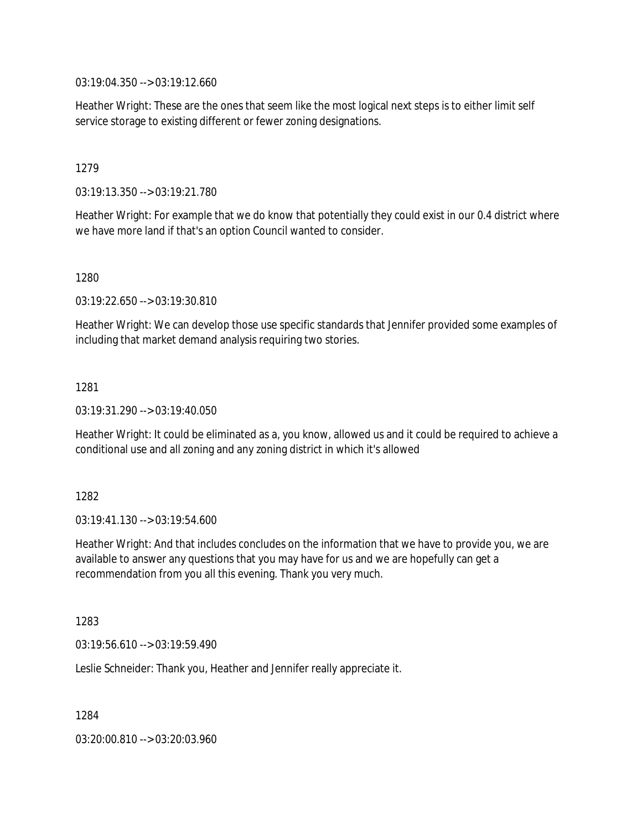03:19:04.350 --> 03:19:12.660

Heather Wright: These are the ones that seem like the most logical next steps is to either limit self service storage to existing different or fewer zoning designations.

1279

03:19:13.350 --> 03:19:21.780

Heather Wright: For example that we do know that potentially they could exist in our 0.4 district where we have more land if that's an option Council wanted to consider.

1280

03:19:22.650 --> 03:19:30.810

Heather Wright: We can develop those use specific standards that Jennifer provided some examples of including that market demand analysis requiring two stories.

1281

03:19:31.290 --> 03:19:40.050

Heather Wright: It could be eliminated as a, you know, allowed us and it could be required to achieve a conditional use and all zoning and any zoning district in which it's allowed

1282

03:19:41.130 --> 03:19:54.600

Heather Wright: And that includes concludes on the information that we have to provide you, we are available to answer any questions that you may have for us and we are hopefully can get a recommendation from you all this evening. Thank you very much.

1283

03:19:56.610 --> 03:19:59.490

Leslie Schneider: Thank you, Heather and Jennifer really appreciate it.

1284

03:20:00.810 --> 03:20:03.960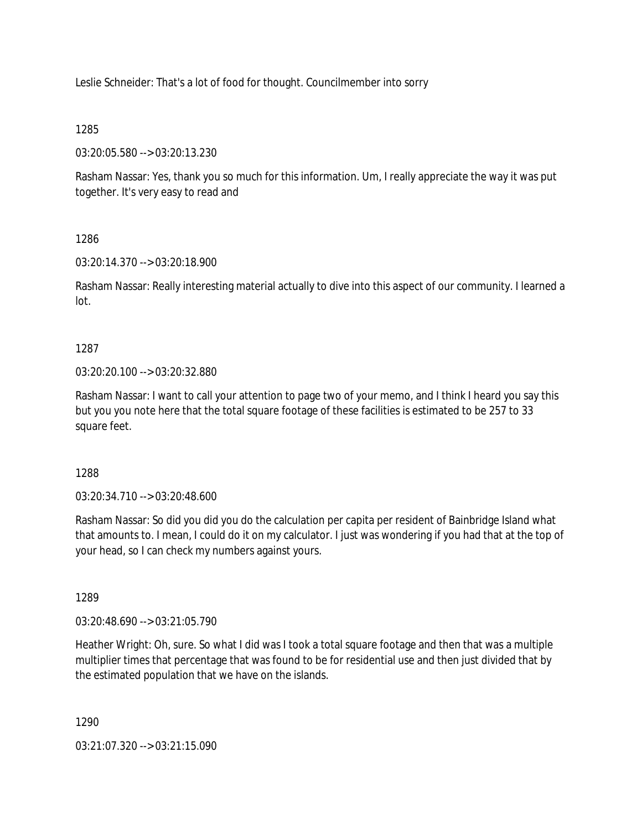Leslie Schneider: That's a lot of food for thought. Councilmember into sorry

# 1285

03:20:05.580 --> 03:20:13.230

Rasham Nassar: Yes, thank you so much for this information. Um, I really appreciate the way it was put together. It's very easy to read and

# 1286

03:20:14.370 --> 03:20:18.900

Rasham Nassar: Really interesting material actually to dive into this aspect of our community. I learned a lot.

# 1287

03:20:20.100 --> 03:20:32.880

Rasham Nassar: I want to call your attention to page two of your memo, and I think I heard you say this but you you note here that the total square footage of these facilities is estimated to be 257 to 33 square feet.

# 1288

03:20:34.710 --> 03:20:48.600

Rasham Nassar: So did you did you do the calculation per capita per resident of Bainbridge Island what that amounts to. I mean, I could do it on my calculator. I just was wondering if you had that at the top of your head, so I can check my numbers against yours.

# 1289

03:20:48.690 --> 03:21:05.790

Heather Wright: Oh, sure. So what I did was I took a total square footage and then that was a multiple multiplier times that percentage that was found to be for residential use and then just divided that by the estimated population that we have on the islands.

1290

03:21:07.320 --> 03:21:15.090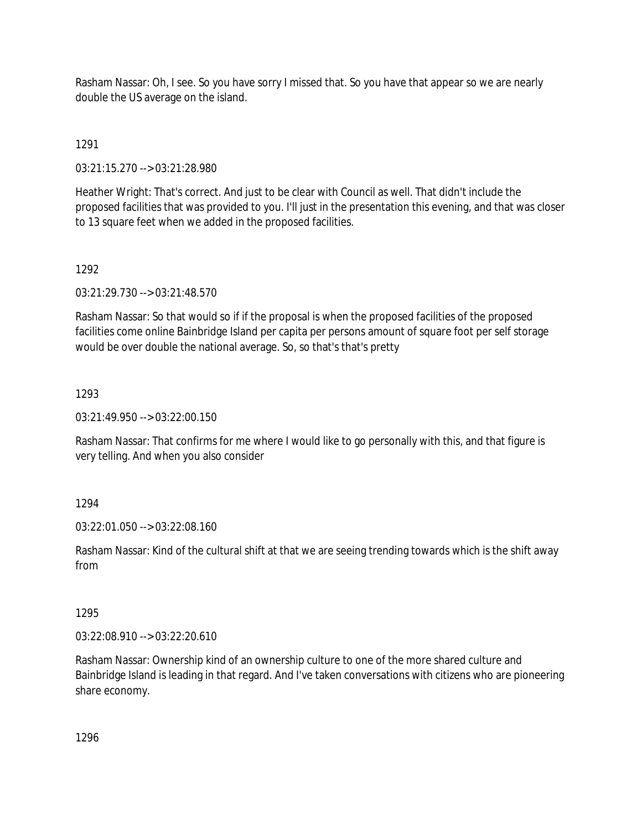Rasham Nassar: Oh, I see. So you have sorry I missed that. So you have that appear so we are nearly double the US average on the island.

1291

03:21:15.270 --> 03:21:28.980

Heather Wright: That's correct. And just to be clear with Council as well. That didn't include the proposed facilities that was provided to you. I'll just in the presentation this evening, and that was closer to 13 square feet when we added in the proposed facilities.

1292

03:21:29.730 --> 03:21:48.570

Rasham Nassar: So that would so if if the proposal is when the proposed facilities of the proposed facilities come online Bainbridge Island per capita per persons amount of square foot per self storage would be over double the national average. So, so that's that's pretty

1293

03:21:49.950 --> 03:22:00.150

Rasham Nassar: That confirms for me where I would like to go personally with this, and that figure is very telling. And when you also consider

1294

03:22:01.050 --> 03:22:08.160

Rasham Nassar: Kind of the cultural shift at that we are seeing trending towards which is the shift away from

1295

03:22:08.910 --> 03:22:20.610

Rasham Nassar: Ownership kind of an ownership culture to one of the more shared culture and Bainbridge Island is leading in that regard. And I've taken conversations with citizens who are pioneering share economy.

1296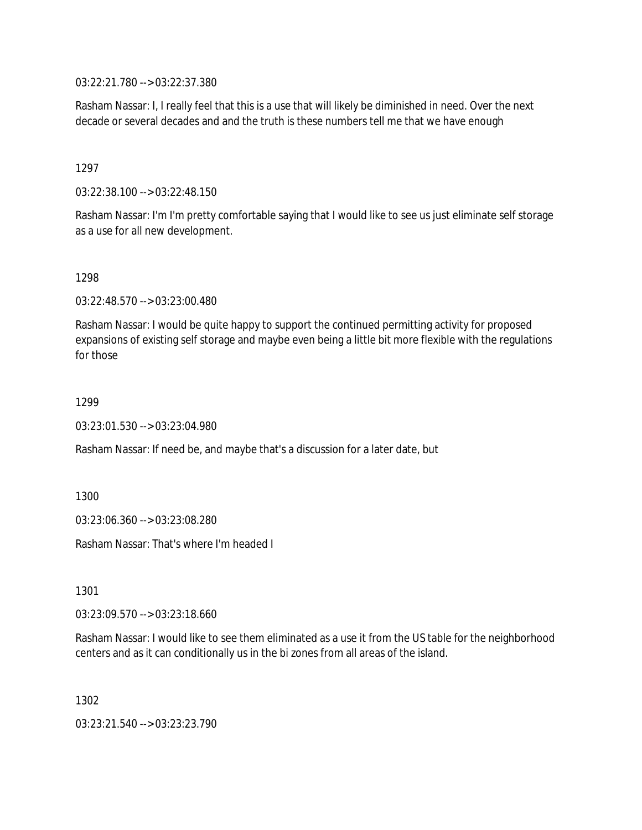03:22:21.780 --> 03:22:37.380

Rasham Nassar: I, I really feel that this is a use that will likely be diminished in need. Over the next decade or several decades and and the truth is these numbers tell me that we have enough

1297

03:22:38.100 --> 03:22:48.150

Rasham Nassar: I'm I'm pretty comfortable saying that I would like to see us just eliminate self storage as a use for all new development.

1298

03:22:48.570 --> 03:23:00.480

Rasham Nassar: I would be quite happy to support the continued permitting activity for proposed expansions of existing self storage and maybe even being a little bit more flexible with the regulations for those

1299

03:23:01.530 --> 03:23:04.980

Rasham Nassar: If need be, and maybe that's a discussion for a later date, but

1300

03:23:06.360 --> 03:23:08.280

Rasham Nassar: That's where I'm headed I

1301

03:23:09.570 --> 03:23:18.660

Rasham Nassar: I would like to see them eliminated as a use it from the US table for the neighborhood centers and as it can conditionally us in the bi zones from all areas of the island.

1302

03:23:21.540 --> 03:23:23.790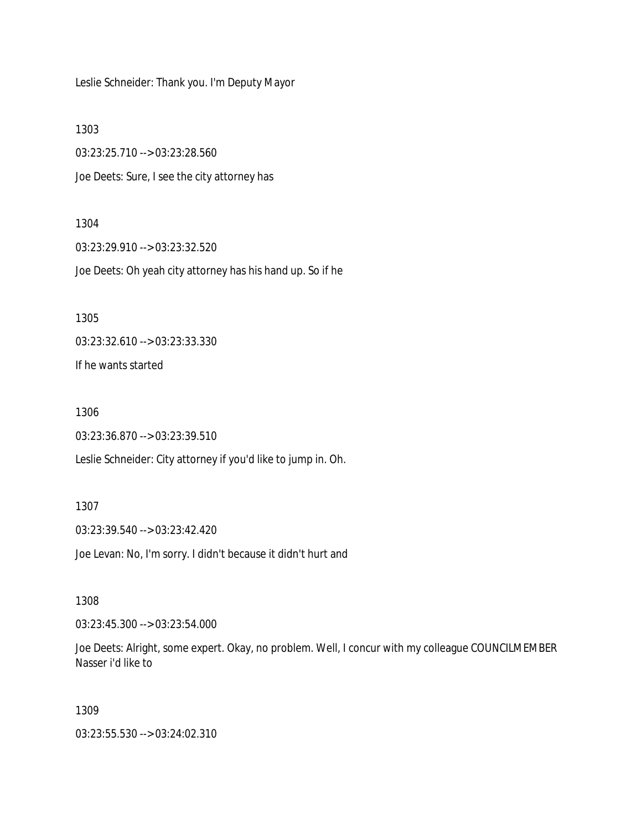Leslie Schneider: Thank you. I'm Deputy Mayor

1303

03:23:25.710 --> 03:23:28.560 Joe Deets: Sure, I see the city attorney has

### 1304

03:23:29.910 --> 03:23:32.520 Joe Deets: Oh yeah city attorney has his hand up. So if he

1305

03:23:32.610 --> 03:23:33.330

If he wants started

1306

03:23:36.870 --> 03:23:39.510

Leslie Schneider: City attorney if you'd like to jump in. Oh.

#### 1307

03:23:39.540 --> 03:23:42.420

Joe Levan: No, I'm sorry. I didn't because it didn't hurt and

### 1308

03:23:45.300 --> 03:23:54.000

Joe Deets: Alright, some expert. Okay, no problem. Well, I concur with my colleague COUNCILMEMBER Nasser i'd like to

### 1309

03:23:55.530 --> 03:24:02.310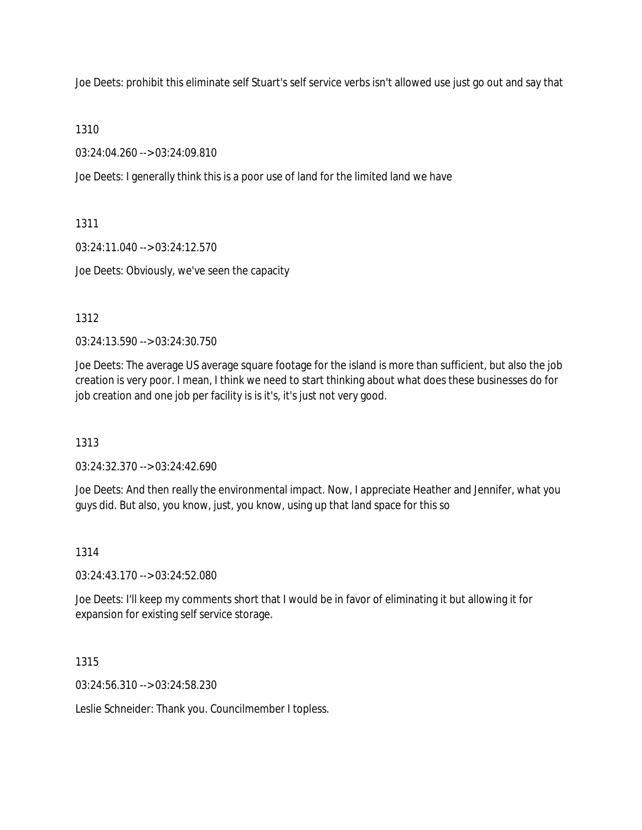Joe Deets: prohibit this eliminate self Stuart's self service verbs isn't allowed use just go out and say that

1310

03:24:04.260 --> 03:24:09.810

Joe Deets: I generally think this is a poor use of land for the limited land we have

1311

03:24:11.040 --> 03:24:12.570

Joe Deets: Obviously, we've seen the capacity

1312

03:24:13.590 --> 03:24:30.750

Joe Deets: The average US average square footage for the island is more than sufficient, but also the job creation is very poor. I mean, I think we need to start thinking about what does these businesses do for job creation and one job per facility is is it's, it's just not very good.

1313

03:24:32.370 --> 03:24:42.690

Joe Deets: And then really the environmental impact. Now, I appreciate Heather and Jennifer, what you guys did. But also, you know, just, you know, using up that land space for this so

1314

03:24:43.170 --> 03:24:52.080

Joe Deets: I'll keep my comments short that I would be in favor of eliminating it but allowing it for expansion for existing self service storage.

1315

03:24:56.310 --> 03:24:58.230

Leslie Schneider: Thank you. Councilmember I topless.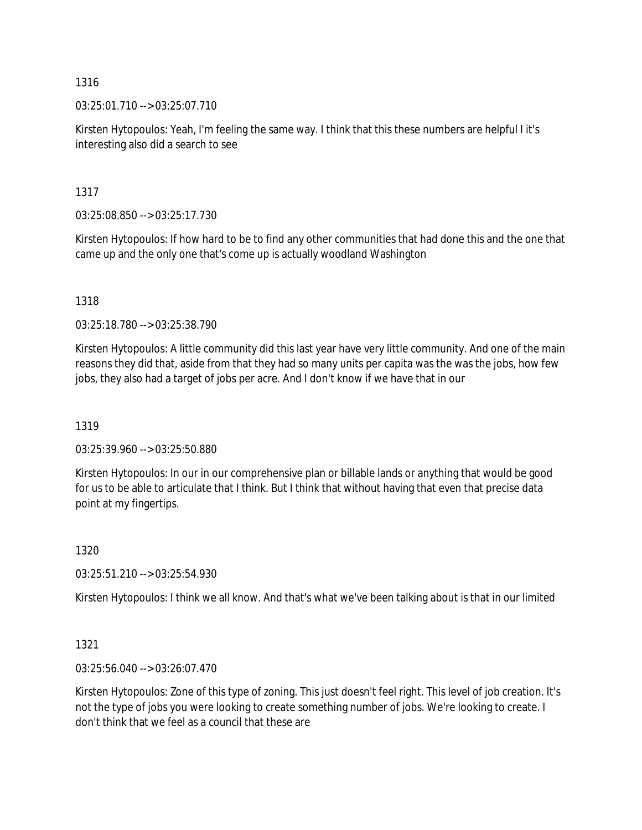03:25:01.710 --> 03:25:07.710

Kirsten Hytopoulos: Yeah, I'm feeling the same way. I think that this these numbers are helpful I it's interesting also did a search to see

1317

03:25:08.850 --> 03:25:17.730

Kirsten Hytopoulos: If how hard to be to find any other communities that had done this and the one that came up and the only one that's come up is actually woodland Washington

1318

03:25:18.780 --> 03:25:38.790

Kirsten Hytopoulos: A little community did this last year have very little community. And one of the main reasons they did that, aside from that they had so many units per capita was the was the jobs, how few jobs, they also had a target of jobs per acre. And I don't know if we have that in our

1319

03:25:39.960 --> 03:25:50.880

Kirsten Hytopoulos: In our in our comprehensive plan or billable lands or anything that would be good for us to be able to articulate that I think. But I think that without having that even that precise data point at my fingertips.

1320

03:25:51.210 --> 03:25:54.930

Kirsten Hytopoulos: I think we all know. And that's what we've been talking about is that in our limited

1321

03:25:56.040 --> 03:26:07.470

Kirsten Hytopoulos: Zone of this type of zoning. This just doesn't feel right. This level of job creation. It's not the type of jobs you were looking to create something number of jobs. We're looking to create. I don't think that we feel as a council that these are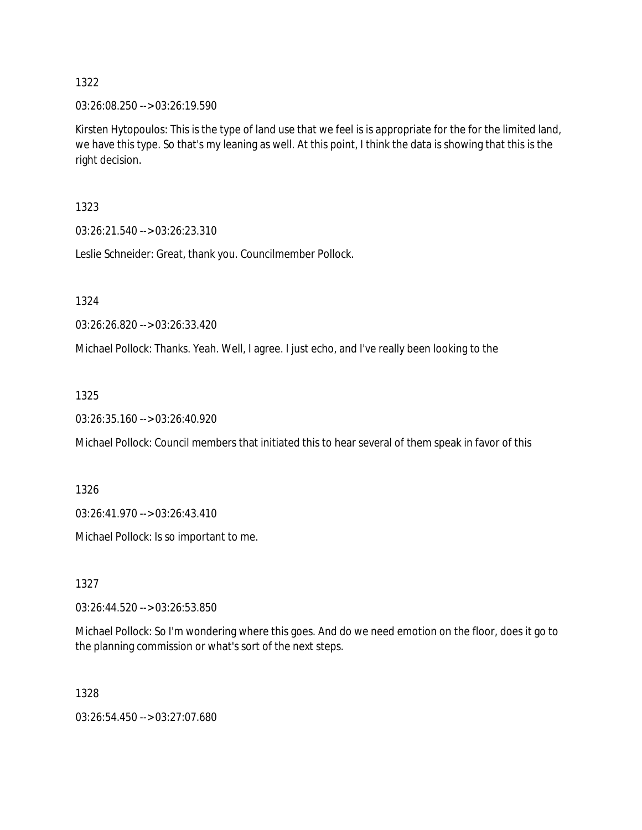03:26:08.250 --> 03:26:19.590

Kirsten Hytopoulos: This is the type of land use that we feel is is appropriate for the for the limited land, we have this type. So that's my leaning as well. At this point, I think the data is showing that this is the right decision.

1323

03:26:21.540 --> 03:26:23.310

Leslie Schneider: Great, thank you. Councilmember Pollock.

1324

03:26:26.820 --> 03:26:33.420

Michael Pollock: Thanks. Yeah. Well, I agree. I just echo, and I've really been looking to the

1325

03:26:35.160 --> 03:26:40.920

Michael Pollock: Council members that initiated this to hear several of them speak in favor of this

1326

03:26:41.970 --> 03:26:43.410

Michael Pollock: Is so important to me.

1327

03:26:44.520 --> 03:26:53.850

Michael Pollock: So I'm wondering where this goes. And do we need emotion on the floor, does it go to the planning commission or what's sort of the next steps.

1328

03:26:54.450 --> 03:27:07.680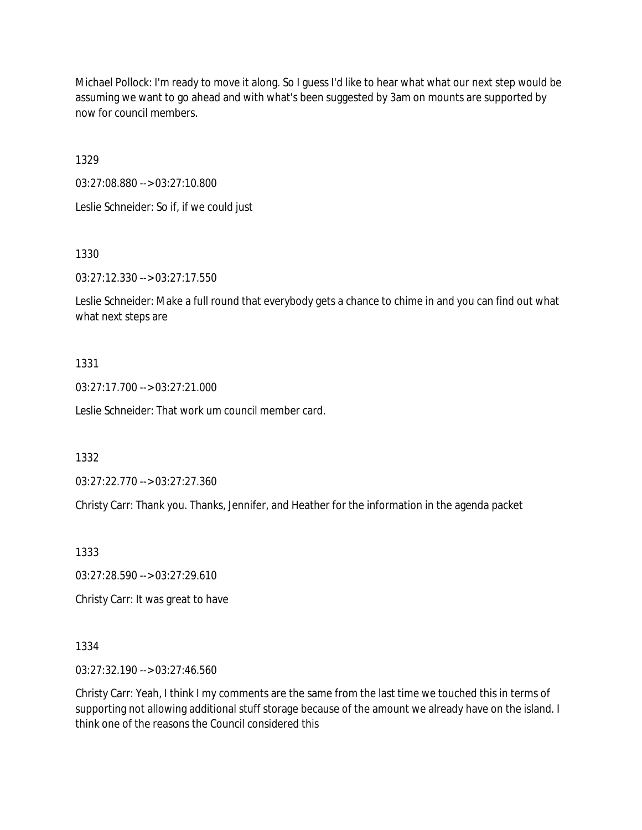Michael Pollock: I'm ready to move it along. So I guess I'd like to hear what what our next step would be assuming we want to go ahead and with what's been suggested by 3am on mounts are supported by now for council members.

1329

03:27:08.880 --> 03:27:10.800 Leslie Schneider: So if, if we could just

1330

03:27:12.330 --> 03:27:17.550

Leslie Schneider: Make a full round that everybody gets a chance to chime in and you can find out what what next steps are

## 1331

03:27:17.700 --> 03:27:21.000

Leslie Schneider: That work um council member card.

1332

03:27:22.770 --> 03:27:27.360

Christy Carr: Thank you. Thanks, Jennifer, and Heather for the information in the agenda packet

1333

03:27:28.590 --> 03:27:29.610

Christy Carr: It was great to have

1334

03:27:32.190 --> 03:27:46.560

Christy Carr: Yeah, I think I my comments are the same from the last time we touched this in terms of supporting not allowing additional stuff storage because of the amount we already have on the island. I think one of the reasons the Council considered this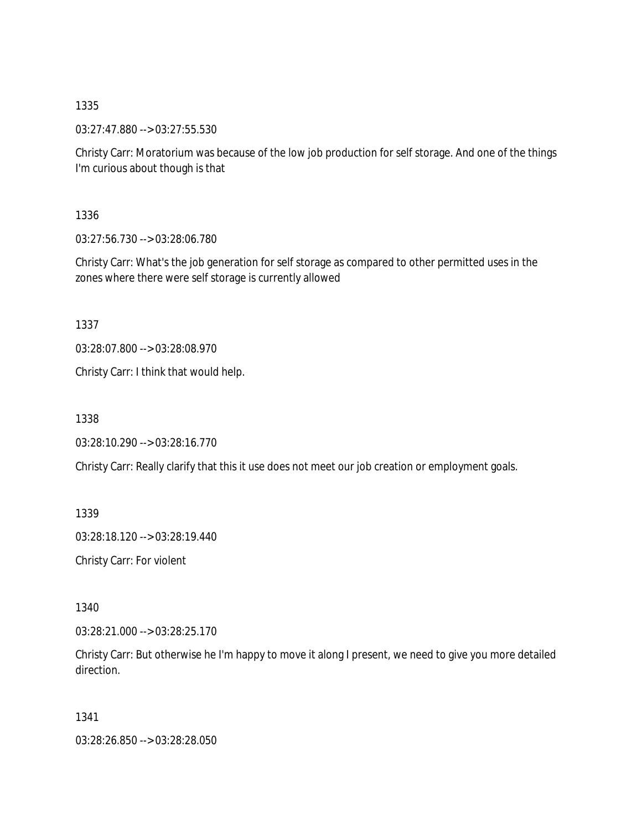03:27:47.880 --> 03:27:55.530

Christy Carr: Moratorium was because of the low job production for self storage. And one of the things I'm curious about though is that

1336

03:27:56.730 --> 03:28:06.780

Christy Carr: What's the job generation for self storage as compared to other permitted uses in the zones where there were self storage is currently allowed

1337

03:28:07.800 --> 03:28:08.970

Christy Carr: I think that would help.

1338

03:28:10.290 --> 03:28:16.770

Christy Carr: Really clarify that this it use does not meet our job creation or employment goals.

1339

03:28:18.120 --> 03:28:19.440

Christy Carr: For violent

1340

03:28:21.000 --> 03:28:25.170

Christy Carr: But otherwise he I'm happy to move it along I present, we need to give you more detailed direction.

1341

03:28:26.850 --> 03:28:28.050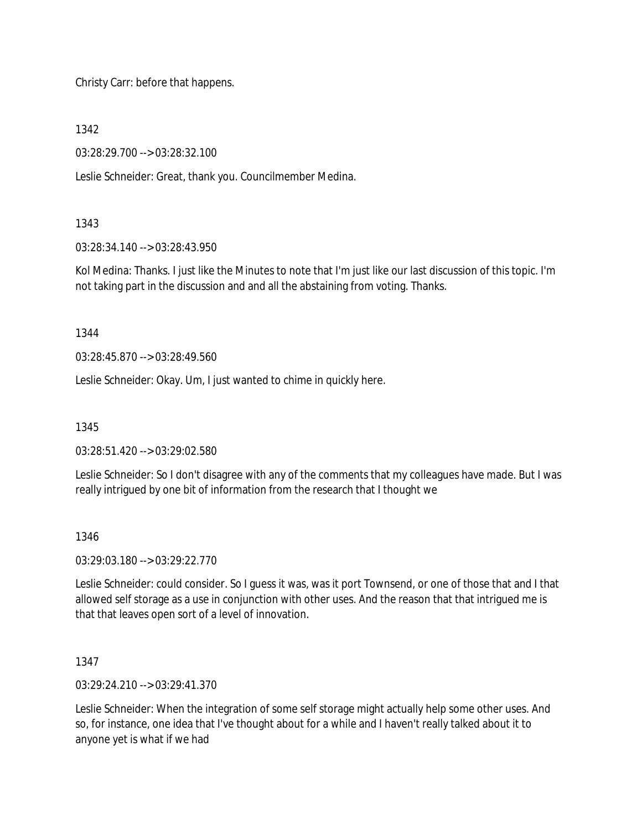Christy Carr: before that happens.

1342

03:28:29.700 --> 03:28:32.100

Leslie Schneider: Great, thank you. Councilmember Medina.

## 1343

03:28:34.140 --> 03:28:43.950

Kol Medina: Thanks. I just like the Minutes to note that I'm just like our last discussion of this topic. I'm not taking part in the discussion and and all the abstaining from voting. Thanks.

1344

03:28:45.870 --> 03:28:49.560

Leslie Schneider: Okay. Um, I just wanted to chime in quickly here.

1345

03:28:51.420 --> 03:29:02.580

Leslie Schneider: So I don't disagree with any of the comments that my colleagues have made. But I was really intrigued by one bit of information from the research that I thought we

# 1346

03:29:03.180 --> 03:29:22.770

Leslie Schneider: could consider. So I guess it was, was it port Townsend, or one of those that and I that allowed self storage as a use in conjunction with other uses. And the reason that that intrigued me is that that leaves open sort of a level of innovation.

1347

03:29:24.210 --> 03:29:41.370

Leslie Schneider: When the integration of some self storage might actually help some other uses. And so, for instance, one idea that I've thought about for a while and I haven't really talked about it to anyone yet is what if we had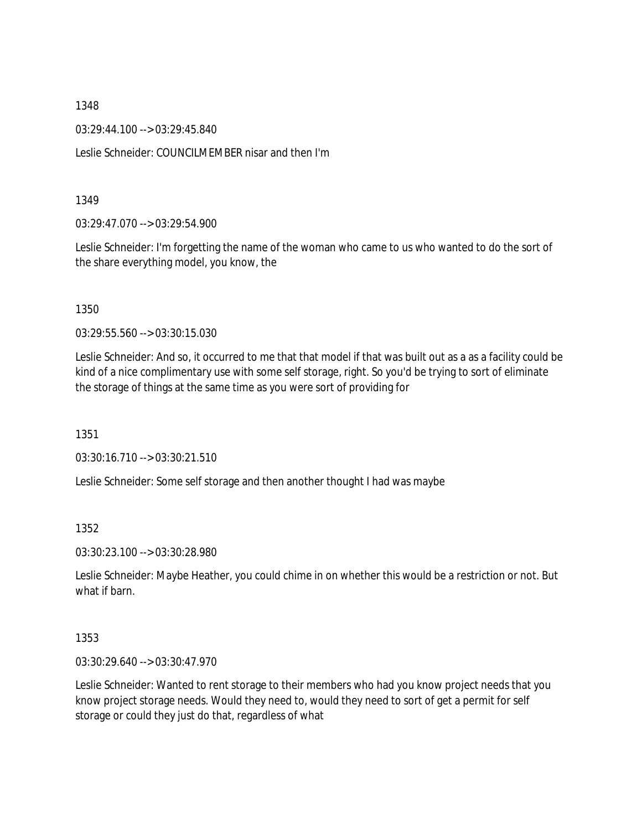03:29:44.100 --> 03:29:45.840

Leslie Schneider: COUNCILMEMBER nisar and then I'm

#### 1349

03:29:47.070 --> 03:29:54.900

Leslie Schneider: I'm forgetting the name of the woman who came to us who wanted to do the sort of the share everything model, you know, the

#### 1350

03:29:55.560 --> 03:30:15.030

Leslie Schneider: And so, it occurred to me that that model if that was built out as a as a facility could be kind of a nice complimentary use with some self storage, right. So you'd be trying to sort of eliminate the storage of things at the same time as you were sort of providing for

1351

03:30:16.710 --> 03:30:21.510

Leslie Schneider: Some self storage and then another thought I had was maybe

## 1352

03:30:23.100 --> 03:30:28.980

Leslie Schneider: Maybe Heather, you could chime in on whether this would be a restriction or not. But what if barn.

#### 1353

03:30:29.640 --> 03:30:47.970

Leslie Schneider: Wanted to rent storage to their members who had you know project needs that you know project storage needs. Would they need to, would they need to sort of get a permit for self storage or could they just do that, regardless of what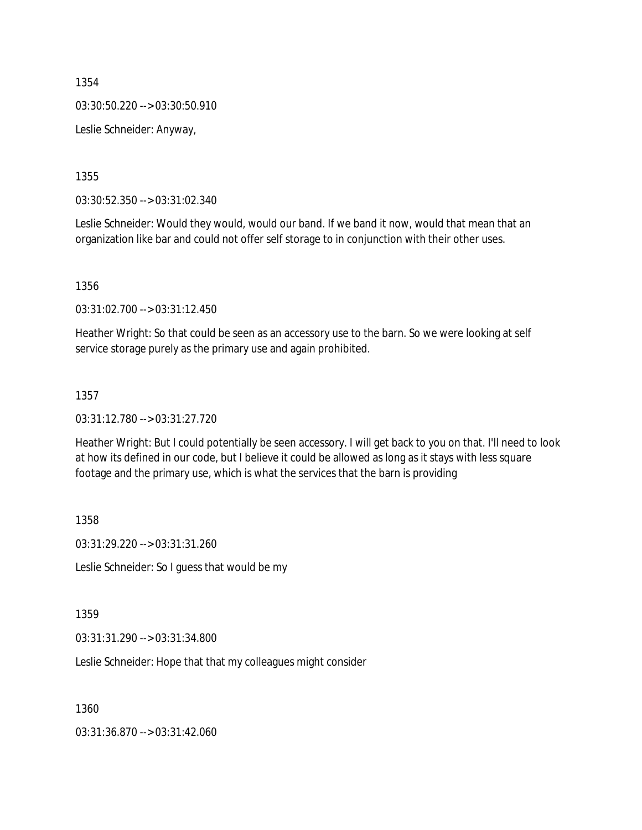03:30:50.220 --> 03:30:50.910

Leslie Schneider: Anyway,

1355

03:30:52.350 --> 03:31:02.340

Leslie Schneider: Would they would, would our band. If we band it now, would that mean that an organization like bar and could not offer self storage to in conjunction with their other uses.

1356

03:31:02.700 --> 03:31:12.450

Heather Wright: So that could be seen as an accessory use to the barn. So we were looking at self service storage purely as the primary use and again prohibited.

#### 1357

03:31:12.780 --> 03:31:27.720

Heather Wright: But I could potentially be seen accessory. I will get back to you on that. I'll need to look at how its defined in our code, but I believe it could be allowed as long as it stays with less square footage and the primary use, which is what the services that the barn is providing

1358

03:31:29.220 --> 03:31:31.260

Leslie Schneider: So I guess that would be my

1359

03:31:31.290 --> 03:31:34.800

Leslie Schneider: Hope that that my colleagues might consider

1360

03:31:36.870 --> 03:31:42.060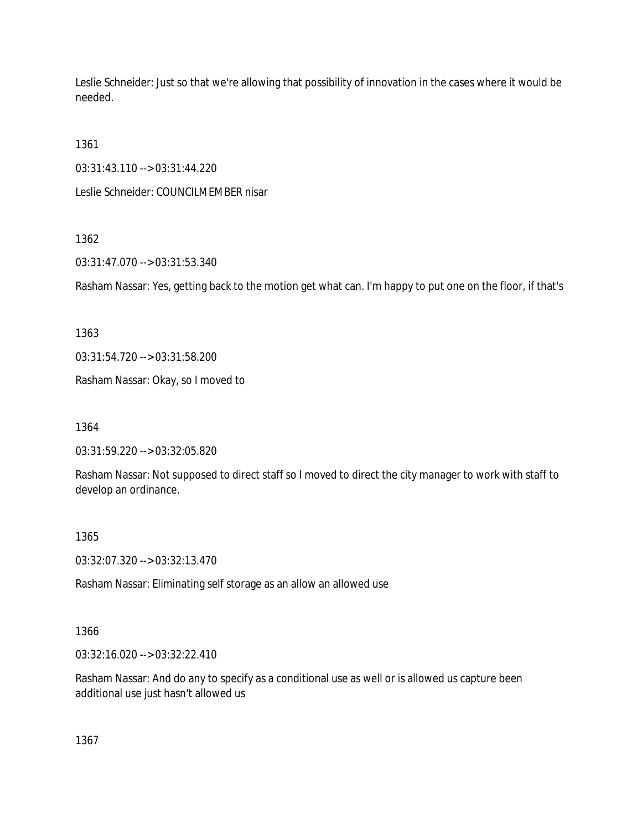Leslie Schneider: Just so that we're allowing that possibility of innovation in the cases where it would be needed.

1361

03:31:43.110 --> 03:31:44.220

Leslie Schneider: COUNCILMEMBER nisar

# 1362

03:31:47.070 --> 03:31:53.340

Rasham Nassar: Yes, getting back to the motion get what can. I'm happy to put one on the floor, if that's

1363

03:31:54.720 --> 03:31:58.200

Rasham Nassar: Okay, so I moved to

1364

03:31:59.220 --> 03:32:05.820

Rasham Nassar: Not supposed to direct staff so I moved to direct the city manager to work with staff to develop an ordinance.

# 1365

03:32:07.320 --> 03:32:13.470

Rasham Nassar: Eliminating self storage as an allow an allowed use

# 1366

03:32:16.020 --> 03:32:22.410

Rasham Nassar: And do any to specify as a conditional use as well or is allowed us capture been additional use just hasn't allowed us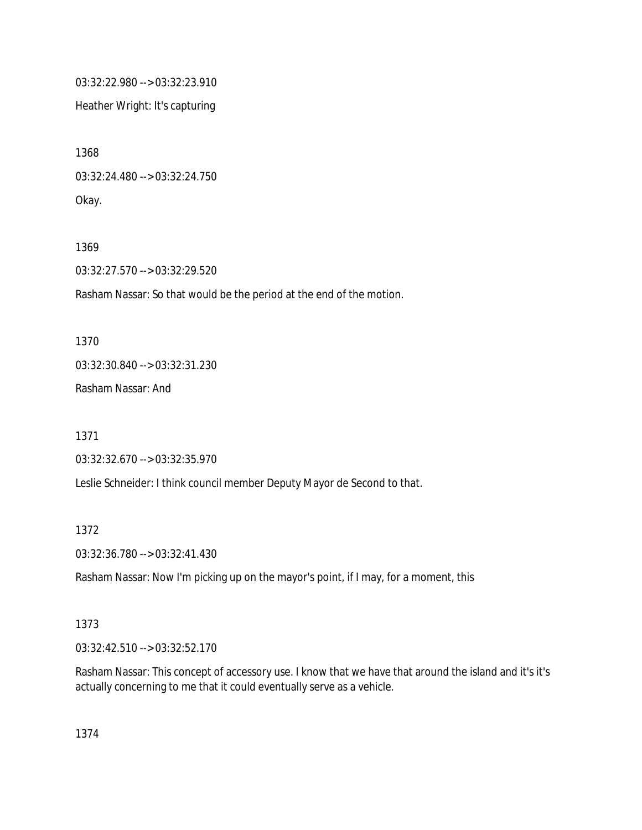03:32:22.980 --> 03:32:23.910

Heather Wright: It's capturing

1368 03:32:24.480 --> 03:32:24.750 Okay.

1369

03:32:27.570 --> 03:32:29.520

Rasham Nassar: So that would be the period at the end of the motion.

1370 03:32:30.840 --> 03:32:31.230

Rasham Nassar: And

1371

03:32:32.670 --> 03:32:35.970

Leslie Schneider: I think council member Deputy Mayor de Second to that.

1372

03:32:36.780 --> 03:32:41.430

Rasham Nassar: Now I'm picking up on the mayor's point, if I may, for a moment, this

1373

03:32:42.510 --> 03:32:52.170

Rasham Nassar: This concept of accessory use. I know that we have that around the island and it's it's actually concerning to me that it could eventually serve as a vehicle.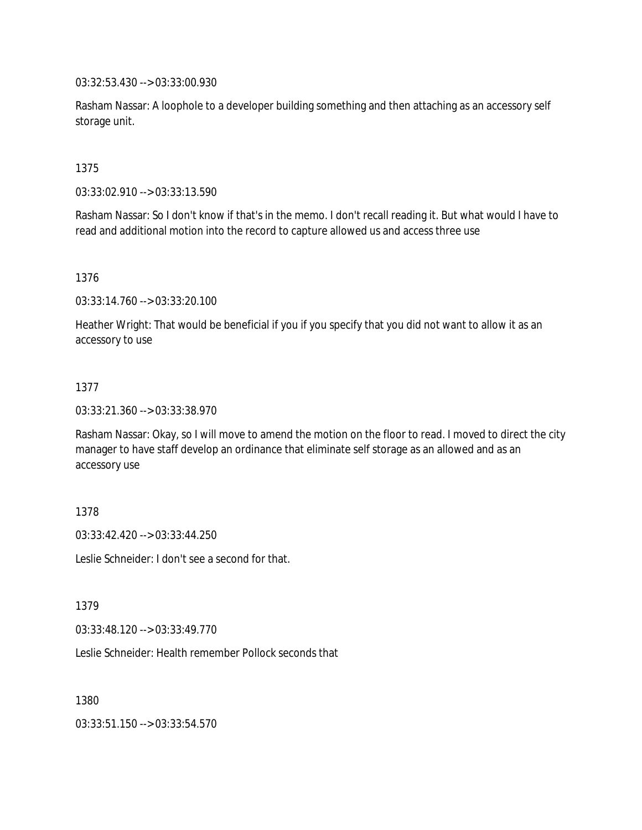03:32:53.430 --> 03:33:00.930

Rasham Nassar: A loophole to a developer building something and then attaching as an accessory self storage unit.

1375

03:33:02.910 --> 03:33:13.590

Rasham Nassar: So I don't know if that's in the memo. I don't recall reading it. But what would I have to read and additional motion into the record to capture allowed us and access three use

1376

03:33:14.760 --> 03:33:20.100

Heather Wright: That would be beneficial if you if you specify that you did not want to allow it as an accessory to use

## 1377

03:33:21.360 --> 03:33:38.970

Rasham Nassar: Okay, so I will move to amend the motion on the floor to read. I moved to direct the city manager to have staff develop an ordinance that eliminate self storage as an allowed and as an accessory use

1378

03:33:42.420 --> 03:33:44.250

Leslie Schneider: I don't see a second for that.

1379

03:33:48.120 --> 03:33:49.770

Leslie Schneider: Health remember Pollock seconds that

1380

03:33:51.150 --> 03:33:54.570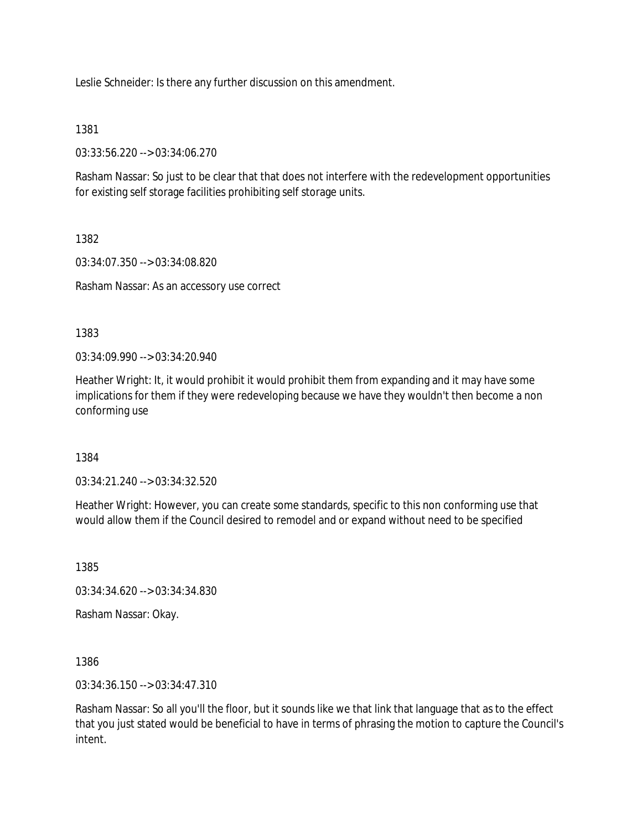Leslie Schneider: Is there any further discussion on this amendment.

1381

03:33:56.220 --> 03:34:06.270

Rasham Nassar: So just to be clear that that does not interfere with the redevelopment opportunities for existing self storage facilities prohibiting self storage units.

1382

03:34:07.350 --> 03:34:08.820

Rasham Nassar: As an accessory use correct

1383

03:34:09.990 --> 03:34:20.940

Heather Wright: It, it would prohibit it would prohibit them from expanding and it may have some implications for them if they were redeveloping because we have they wouldn't then become a non conforming use

1384

03:34:21.240 --> 03:34:32.520

Heather Wright: However, you can create some standards, specific to this non conforming use that would allow them if the Council desired to remodel and or expand without need to be specified

1385

03:34:34.620 --> 03:34:34.830

Rasham Nassar: Okay.

1386

03:34:36.150 --> 03:34:47.310

Rasham Nassar: So all you'll the floor, but it sounds like we that link that language that as to the effect that you just stated would be beneficial to have in terms of phrasing the motion to capture the Council's intent.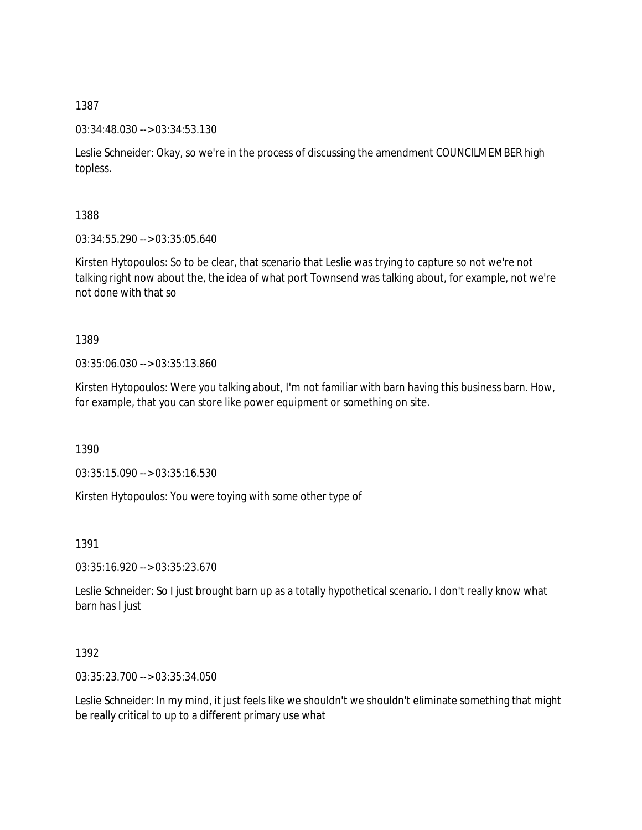03:34:48.030 --> 03:34:53.130

Leslie Schneider: Okay, so we're in the process of discussing the amendment COUNCILMEMBER high topless.

1388

03:34:55.290 --> 03:35:05.640

Kirsten Hytopoulos: So to be clear, that scenario that Leslie was trying to capture so not we're not talking right now about the, the idea of what port Townsend was talking about, for example, not we're not done with that so

1389

03:35:06.030 --> 03:35:13.860

Kirsten Hytopoulos: Were you talking about, I'm not familiar with barn having this business barn. How, for example, that you can store like power equipment or something on site.

1390

03:35:15.090 --> 03:35:16.530

Kirsten Hytopoulos: You were toying with some other type of

1391

03:35:16.920 --> 03:35:23.670

Leslie Schneider: So I just brought barn up as a totally hypothetical scenario. I don't really know what barn has I just

1392

03:35:23.700 --> 03:35:34.050

Leslie Schneider: In my mind, it just feels like we shouldn't we shouldn't eliminate something that might be really critical to up to a different primary use what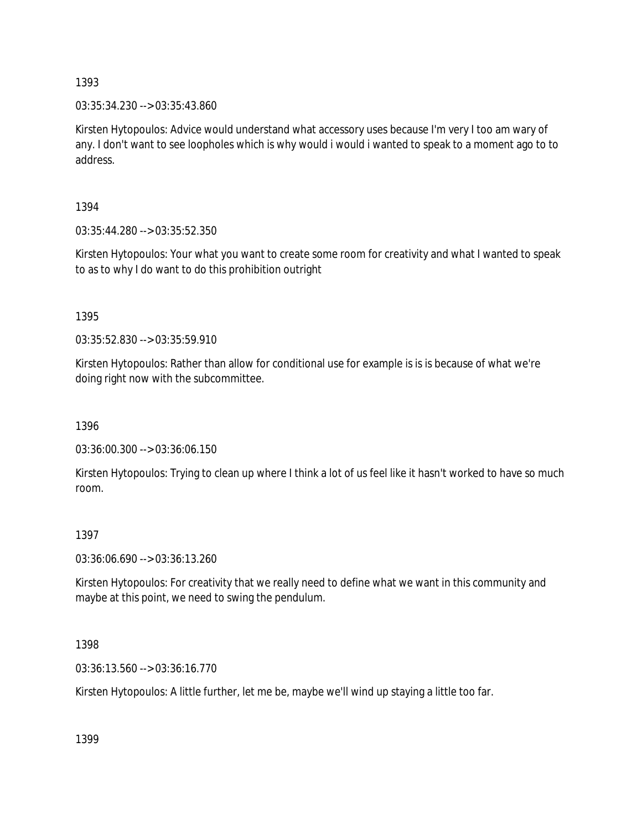03:35:34.230 --> 03:35:43.860

Kirsten Hytopoulos: Advice would understand what accessory uses because I'm very I too am wary of any. I don't want to see loopholes which is why would i would i wanted to speak to a moment ago to to address.

1394

03:35:44.280 --> 03:35:52.350

Kirsten Hytopoulos: Your what you want to create some room for creativity and what I wanted to speak to as to why I do want to do this prohibition outright

1395

03:35:52.830 --> 03:35:59.910

Kirsten Hytopoulos: Rather than allow for conditional use for example is is is because of what we're doing right now with the subcommittee.

1396

03:36:00.300 --> 03:36:06.150

Kirsten Hytopoulos: Trying to clean up where I think a lot of us feel like it hasn't worked to have so much room.

## 1397

03:36:06.690 --> 03:36:13.260

Kirsten Hytopoulos: For creativity that we really need to define what we want in this community and maybe at this point, we need to swing the pendulum.

1398

03:36:13.560 --> 03:36:16.770

Kirsten Hytopoulos: A little further, let me be, maybe we'll wind up staying a little too far.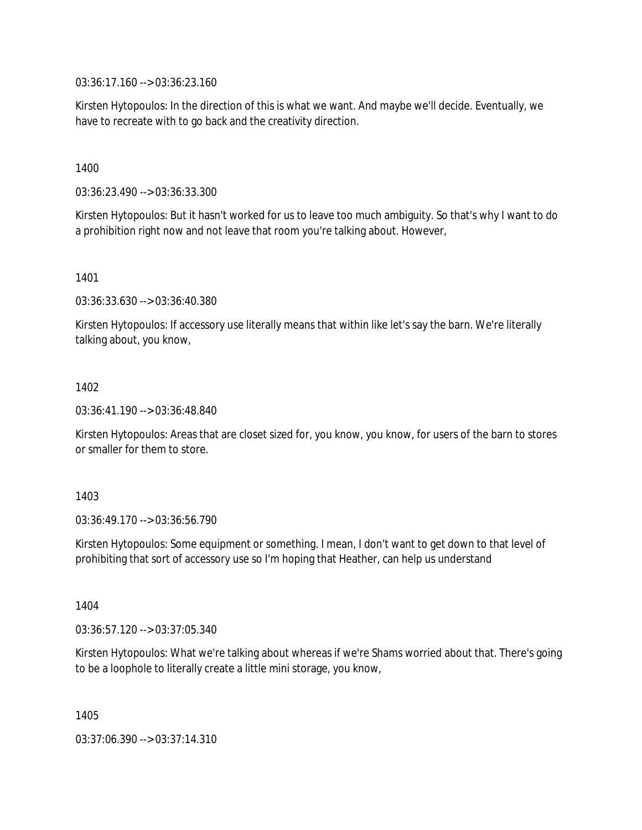03:36:17.160 --> 03:36:23.160

Kirsten Hytopoulos: In the direction of this is what we want. And maybe we'll decide. Eventually, we have to recreate with to go back and the creativity direction.

1400

03:36:23.490 --> 03:36:33.300

Kirsten Hytopoulos: But it hasn't worked for us to leave too much ambiguity. So that's why I want to do a prohibition right now and not leave that room you're talking about. However,

1401

03:36:33.630 --> 03:36:40.380

Kirsten Hytopoulos: If accessory use literally means that within like let's say the barn. We're literally talking about, you know,

1402

03:36:41.190 --> 03:36:48.840

Kirsten Hytopoulos: Areas that are closet sized for, you know, you know, for users of the barn to stores or smaller for them to store.

1403

03:36:49.170 --> 03:36:56.790

Kirsten Hytopoulos: Some equipment or something. I mean, I don't want to get down to that level of prohibiting that sort of accessory use so I'm hoping that Heather, can help us understand

1404

03:36:57.120 --> 03:37:05.340

Kirsten Hytopoulos: What we're talking about whereas if we're Shams worried about that. There's going to be a loophole to literally create a little mini storage, you know,

1405

03:37:06.390 --> 03:37:14.310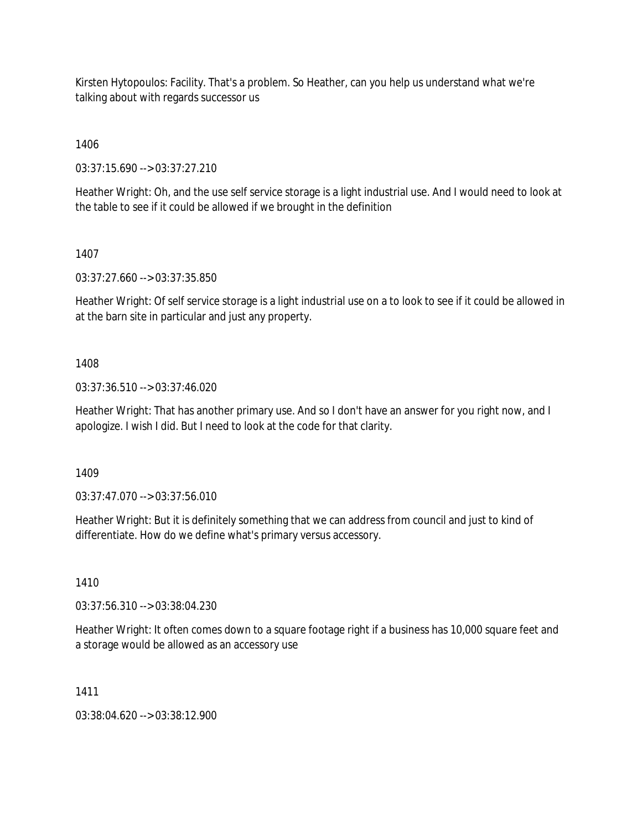Kirsten Hytopoulos: Facility. That's a problem. So Heather, can you help us understand what we're talking about with regards successor us

1406

03:37:15.690 --> 03:37:27.210

Heather Wright: Oh, and the use self service storage is a light industrial use. And I would need to look at the table to see if it could be allowed if we brought in the definition

1407

03:37:27.660 --> 03:37:35.850

Heather Wright: Of self service storage is a light industrial use on a to look to see if it could be allowed in at the barn site in particular and just any property.

1408

03:37:36.510 --> 03:37:46.020

Heather Wright: That has another primary use. And so I don't have an answer for you right now, and I apologize. I wish I did. But I need to look at the code for that clarity.

1409

03:37:47.070 --> 03:37:56.010

Heather Wright: But it is definitely something that we can address from council and just to kind of differentiate. How do we define what's primary versus accessory.

1410

03:37:56.310 --> 03:38:04.230

Heather Wright: It often comes down to a square footage right if a business has 10,000 square feet and a storage would be allowed as an accessory use

1411

03:38:04.620 --> 03:38:12.900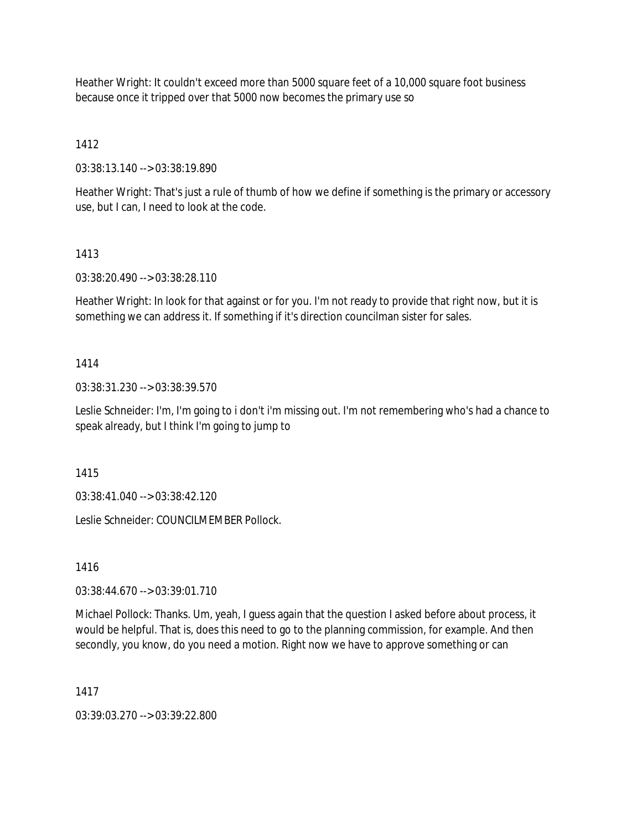Heather Wright: It couldn't exceed more than 5000 square feet of a 10,000 square foot business because once it tripped over that 5000 now becomes the primary use so

1412

03:38:13.140 --> 03:38:19.890

Heather Wright: That's just a rule of thumb of how we define if something is the primary or accessory use, but I can, I need to look at the code.

# 1413

03:38:20.490 --> 03:38:28.110

Heather Wright: In look for that against or for you. I'm not ready to provide that right now, but it is something we can address it. If something if it's direction councilman sister for sales.

# 1414

03:38:31.230 --> 03:38:39.570

Leslie Schneider: I'm, I'm going to i don't i'm missing out. I'm not remembering who's had a chance to speak already, but I think I'm going to jump to

1415

03:38:41.040 --> 03:38:42.120

Leslie Schneider: COUNCILMEMBER Pollock.

1416

03:38:44.670 --> 03:39:01.710

Michael Pollock: Thanks. Um, yeah, I guess again that the question I asked before about process, it would be helpful. That is, does this need to go to the planning commission, for example. And then secondly, you know, do you need a motion. Right now we have to approve something or can

1417

03:39:03.270 --> 03:39:22.800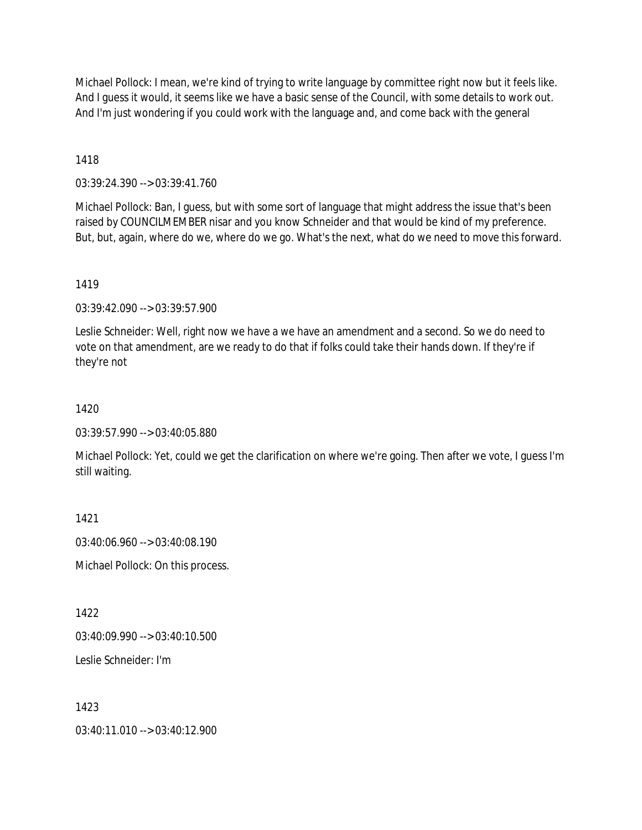Michael Pollock: I mean, we're kind of trying to write language by committee right now but it feels like. And I guess it would, it seems like we have a basic sense of the Council, with some details to work out. And I'm just wondering if you could work with the language and, and come back with the general

1418

03:39:24.390 --> 03:39:41.760

Michael Pollock: Ban, I guess, but with some sort of language that might address the issue that's been raised by COUNCILMEMBER nisar and you know Schneider and that would be kind of my preference. But, but, again, where do we, where do we go. What's the next, what do we need to move this forward.

1419

03:39:42.090 --> 03:39:57.900

Leslie Schneider: Well, right now we have a we have an amendment and a second. So we do need to vote on that amendment, are we ready to do that if folks could take their hands down. If they're if they're not

1420

03:39:57.990 --> 03:40:05.880

Michael Pollock: Yet, could we get the clarification on where we're going. Then after we vote, I guess I'm still waiting.

1421

03:40:06.960 --> 03:40:08.190

Michael Pollock: On this process.

1422

03:40:09.990 --> 03:40:10.500

Leslie Schneider: I'm

1423

 $03:40:11.010 \rightarrow 03:40:12.900$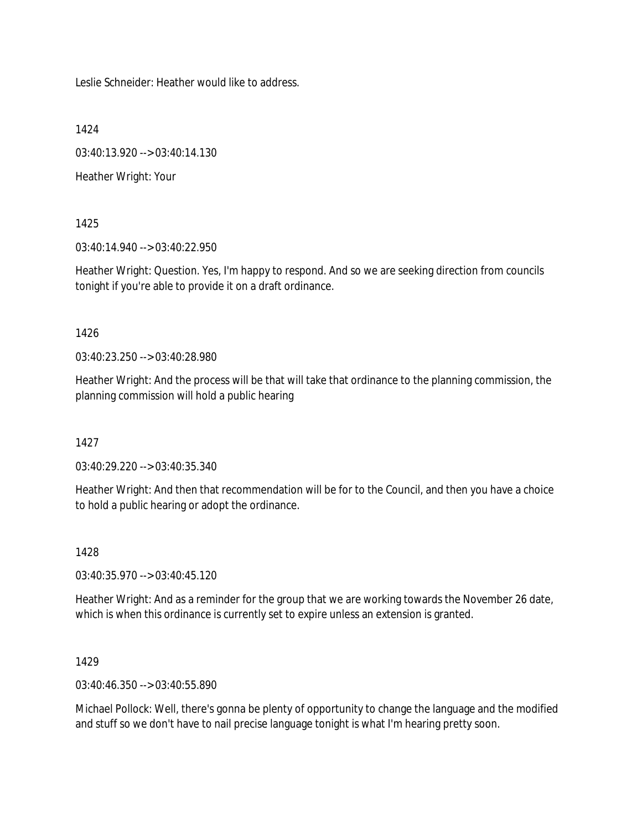Leslie Schneider: Heather would like to address.

1424

03:40:13.920 --> 03:40:14.130

Heather Wright: Your

1425

03:40:14.940 --> 03:40:22.950

Heather Wright: Question. Yes, I'm happy to respond. And so we are seeking direction from councils tonight if you're able to provide it on a draft ordinance.

## 1426

03:40:23.250 --> 03:40:28.980

Heather Wright: And the process will be that will take that ordinance to the planning commission, the planning commission will hold a public hearing

1427

03:40:29.220 --> 03:40:35.340

Heather Wright: And then that recommendation will be for to the Council, and then you have a choice to hold a public hearing or adopt the ordinance.

1428

03:40:35.970 --> 03:40:45.120

Heather Wright: And as a reminder for the group that we are working towards the November 26 date, which is when this ordinance is currently set to expire unless an extension is granted.

1429

03:40:46.350 --> 03:40:55.890

Michael Pollock: Well, there's gonna be plenty of opportunity to change the language and the modified and stuff so we don't have to nail precise language tonight is what I'm hearing pretty soon.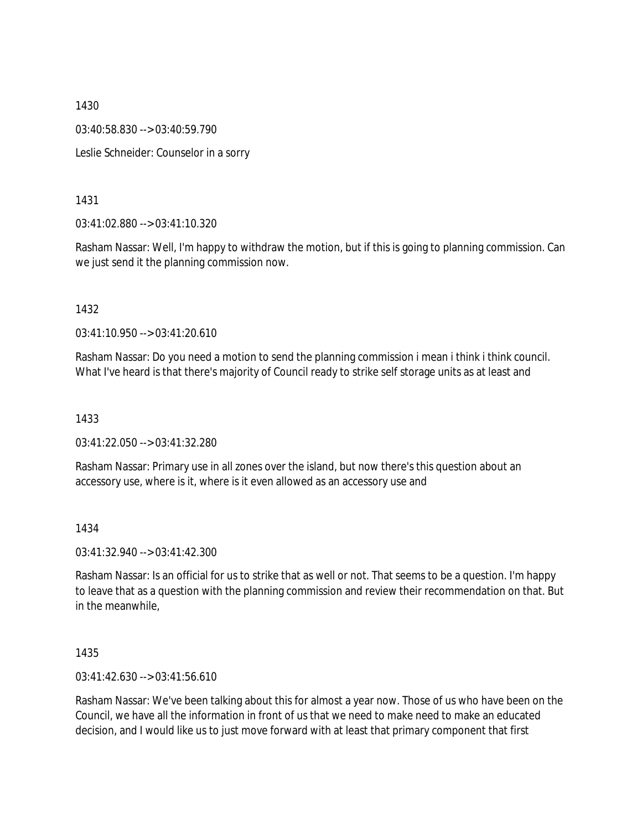03:40:58.830 --> 03:40:59.790

Leslie Schneider: Counselor in a sorry

1431

03:41:02.880 --> 03:41:10.320

Rasham Nassar: Well, I'm happy to withdraw the motion, but if this is going to planning commission. Can we just send it the planning commission now.

1432

03:41:10.950 --> 03:41:20.610

Rasham Nassar: Do you need a motion to send the planning commission i mean i think i think council. What I've heard is that there's majority of Council ready to strike self storage units as at least and

1433

03:41:22.050 --> 03:41:32.280

Rasham Nassar: Primary use in all zones over the island, but now there's this question about an accessory use, where is it, where is it even allowed as an accessory use and

1434

03:41:32.940 --> 03:41:42.300

Rasham Nassar: Is an official for us to strike that as well or not. That seems to be a question. I'm happy to leave that as a question with the planning commission and review their recommendation on that. But in the meanwhile,

1435

03:41:42.630 --> 03:41:56.610

Rasham Nassar: We've been talking about this for almost a year now. Those of us who have been on the Council, we have all the information in front of us that we need to make need to make an educated decision, and I would like us to just move forward with at least that primary component that first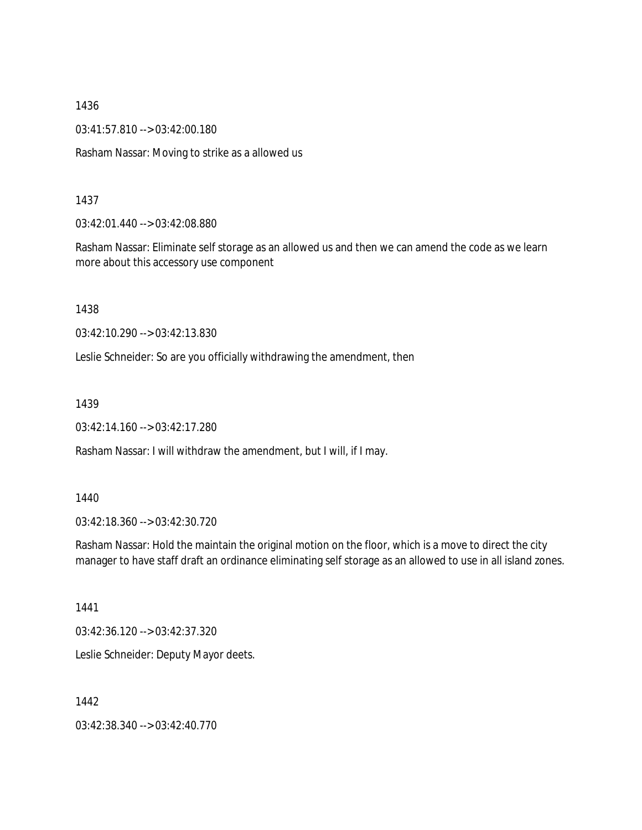03:41:57.810 --> 03:42:00.180

Rasham Nassar: Moving to strike as a allowed us

#### 1437

03:42:01.440 --> 03:42:08.880

Rasham Nassar: Eliminate self storage as an allowed us and then we can amend the code as we learn more about this accessory use component

1438

03:42:10.290 --> 03:42:13.830

Leslie Schneider: So are you officially withdrawing the amendment, then

1439

03:42:14.160 --> 03:42:17.280

Rasham Nassar: I will withdraw the amendment, but I will, if I may.

#### 1440

03:42:18.360 --> 03:42:30.720

Rasham Nassar: Hold the maintain the original motion on the floor, which is a move to direct the city manager to have staff draft an ordinance eliminating self storage as an allowed to use in all island zones.

1441

03:42:36.120 --> 03:42:37.320

Leslie Schneider: Deputy Mayor deets.

1442

03:42:38.340 --> 03:42:40.770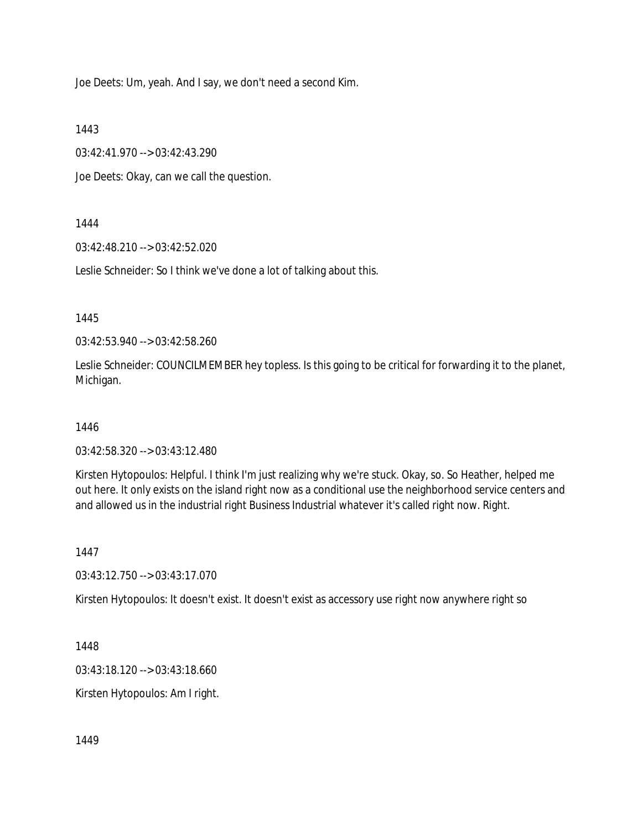Joe Deets: Um, yeah. And I say, we don't need a second Kim.

1443

03:42:41.970 --> 03:42:43.290

Joe Deets: Okay, can we call the question.

## 1444

03:42:48.210 --> 03:42:52.020

Leslie Schneider: So I think we've done a lot of talking about this.

1445

03:42:53.940 --> 03:42:58.260

Leslie Schneider: COUNCILMEMBER hey topless. Is this going to be critical for forwarding it to the planet, Michigan.

1446

03:42:58.320 --> 03:43:12.480

Kirsten Hytopoulos: Helpful. I think I'm just realizing why we're stuck. Okay, so. So Heather, helped me out here. It only exists on the island right now as a conditional use the neighborhood service centers and and allowed us in the industrial right Business Industrial whatever it's called right now. Right.

1447

03:43:12.750 --> 03:43:17.070

Kirsten Hytopoulos: It doesn't exist. It doesn't exist as accessory use right now anywhere right so

1448

03:43:18.120 --> 03:43:18.660

Kirsten Hytopoulos: Am I right.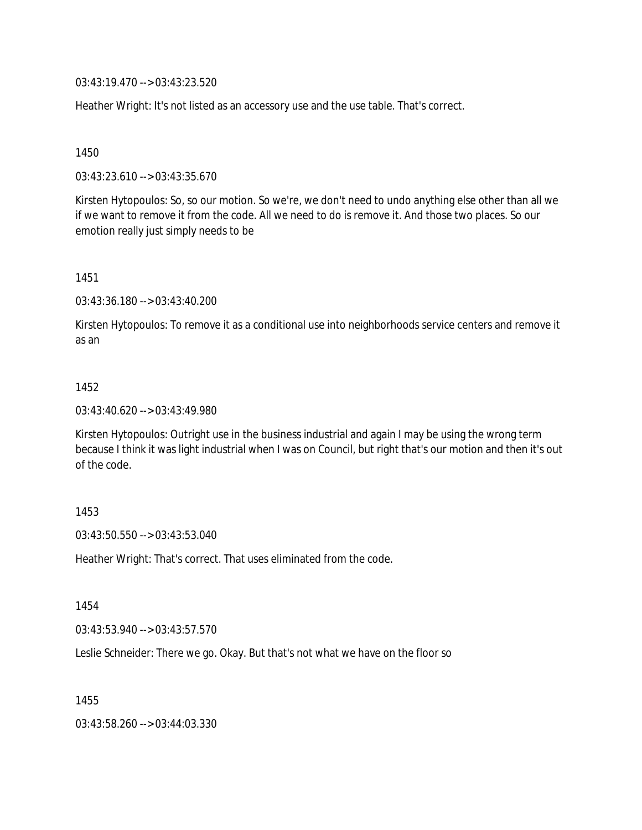03:43:19.470 --> 03:43:23.520

Heather Wright: It's not listed as an accessory use and the use table. That's correct.

1450

03:43:23.610 --> 03:43:35.670

Kirsten Hytopoulos: So, so our motion. So we're, we don't need to undo anything else other than all we if we want to remove it from the code. All we need to do is remove it. And those two places. So our emotion really just simply needs to be

1451

03:43:36.180 --> 03:43:40.200

Kirsten Hytopoulos: To remove it as a conditional use into neighborhoods service centers and remove it as an

#### 1452

03:43:40.620 --> 03:43:49.980

Kirsten Hytopoulos: Outright use in the business industrial and again I may be using the wrong term because I think it was light industrial when I was on Council, but right that's our motion and then it's out of the code.

#### 1453

03:43:50.550 --> 03:43:53.040

Heather Wright: That's correct. That uses eliminated from the code.

1454

03:43:53.940 --> 03:43:57.570

Leslie Schneider: There we go. Okay. But that's not what we have on the floor so

1455

03:43:58.260 --> 03:44:03.330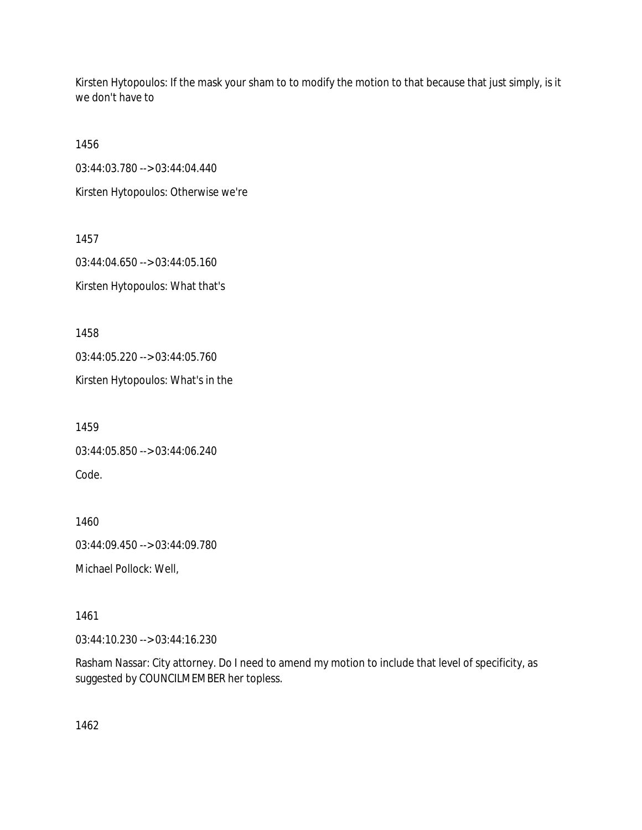Kirsten Hytopoulos: If the mask your sham to to modify the motion to that because that just simply, is it we don't have to

1456

03:44:03.780 --> 03:44:04.440

Kirsten Hytopoulos: Otherwise we're

1457 03:44:04.650 --> 03:44:05.160

Kirsten Hytopoulos: What that's

1458

03:44:05.220 --> 03:44:05.760

Kirsten Hytopoulos: What's in the

1459 03:44:05.850 --> 03:44:06.240 Code.

1460 03:44:09.450 --> 03:44:09.780

Michael Pollock: Well,

1461

03:44:10.230 --> 03:44:16.230

Rasham Nassar: City attorney. Do I need to amend my motion to include that level of specificity, as suggested by COUNCILMEMBER her topless.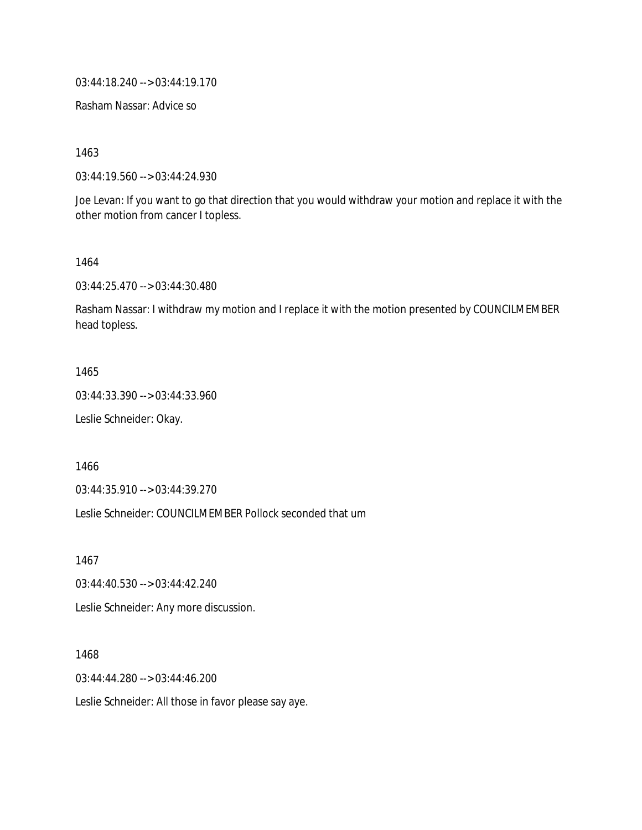03:44:18.240 --> 03:44:19.170

Rasham Nassar: Advice so

1463

03:44:19.560 --> 03:44:24.930

Joe Levan: If you want to go that direction that you would withdraw your motion and replace it with the other motion from cancer I topless.

1464

03:44:25.470 --> 03:44:30.480

Rasham Nassar: I withdraw my motion and I replace it with the motion presented by COUNCILMEMBER head topless.

1465

03:44:33.390 --> 03:44:33.960

Leslie Schneider: Okay.

1466

03:44:35.910 --> 03:44:39.270

Leslie Schneider: COUNCILMEMBER Pollock seconded that um

1467

03:44:40.530 --> 03:44:42.240

Leslie Schneider: Any more discussion.

1468

03:44:44.280 --> 03:44:46.200

Leslie Schneider: All those in favor please say aye.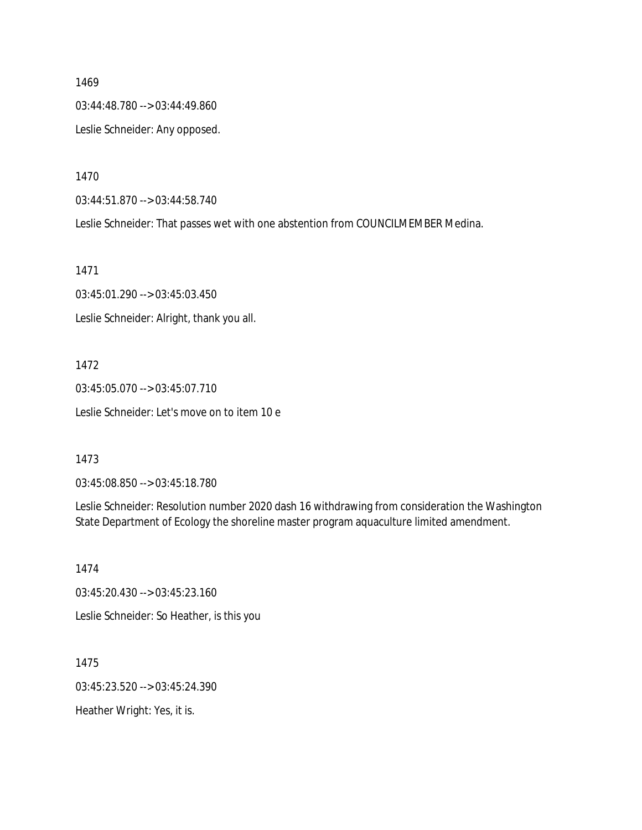03:44:48.780 --> 03:44:49.860 Leslie Schneider: Any opposed.

1470

03:44:51.870 --> 03:44:58.740

Leslie Schneider: That passes wet with one abstention from COUNCILMEMBER Medina.

1471

03:45:01.290 --> 03:45:03.450 Leslie Schneider: Alright, thank you all.

1472

03:45:05.070 --> 03:45:07.710 Leslie Schneider: Let's move on to item 10 e

1473

03:45:08.850 --> 03:45:18.780

Leslie Schneider: Resolution number 2020 dash 16 withdrawing from consideration the Washington State Department of Ecology the shoreline master program aquaculture limited amendment.

1474

03:45:20.430 --> 03:45:23.160

Leslie Schneider: So Heather, is this you

1475

03:45:23.520 --> 03:45:24.390

Heather Wright: Yes, it is.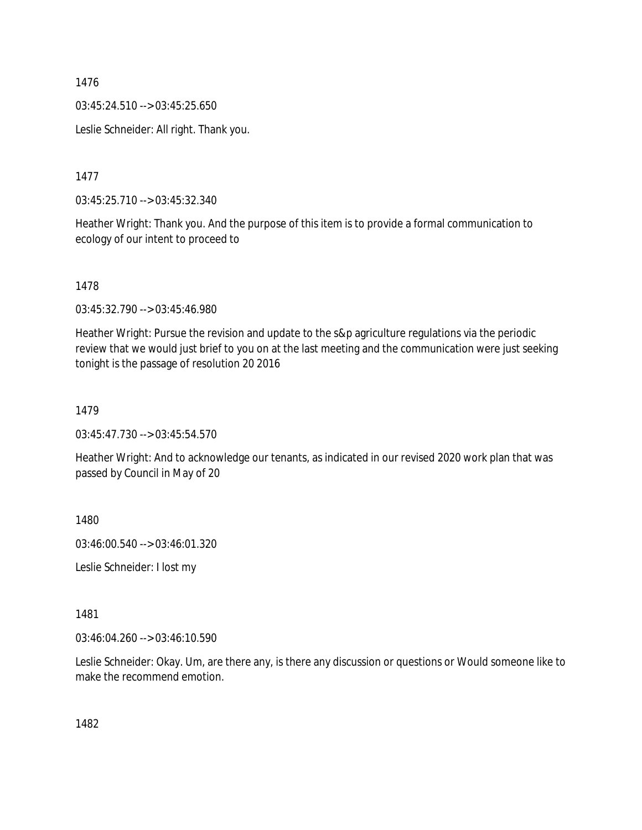03:45:24.510 --> 03:45:25.650

Leslie Schneider: All right. Thank you.

1477

03:45:25.710 --> 03:45:32.340

Heather Wright: Thank you. And the purpose of this item is to provide a formal communication to ecology of our intent to proceed to

1478

03:45:32.790 --> 03:45:46.980

Heather Wright: Pursue the revision and update to the s&p agriculture regulations via the periodic review that we would just brief to you on at the last meeting and the communication were just seeking tonight is the passage of resolution 20 2016

1479

03:45:47.730 --> 03:45:54.570

Heather Wright: And to acknowledge our tenants, as indicated in our revised 2020 work plan that was passed by Council in May of 20

1480

03:46:00.540 --> 03:46:01.320

Leslie Schneider: I lost my

1481

03:46:04.260 --> 03:46:10.590

Leslie Schneider: Okay. Um, are there any, is there any discussion or questions or Would someone like to make the recommend emotion.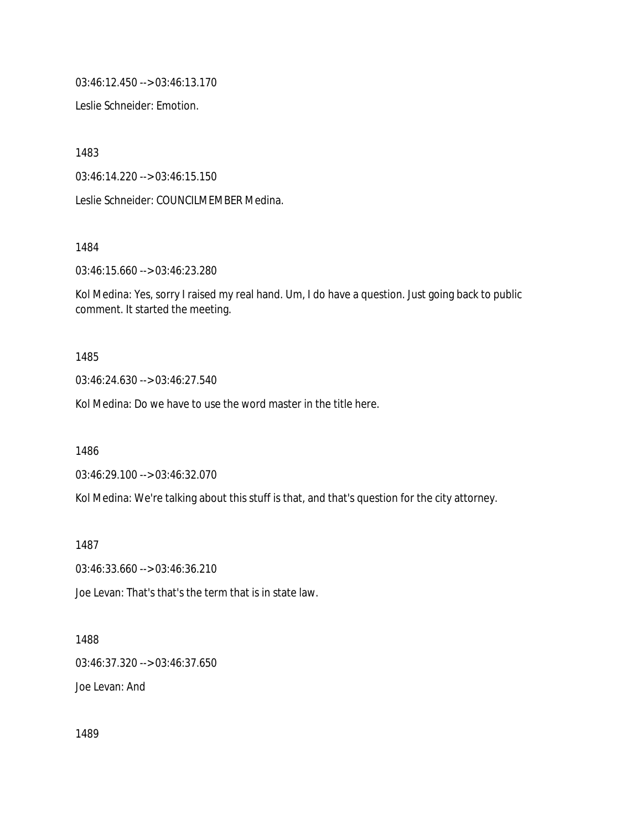03:46:12.450 --> 03:46:13.170

Leslie Schneider: Emotion.

1483

03:46:14.220 --> 03:46:15.150

Leslie Schneider: COUNCILMEMBER Medina.

1484

03:46:15.660 --> 03:46:23.280

Kol Medina: Yes, sorry I raised my real hand. Um, I do have a question. Just going back to public comment. It started the meeting.

1485

03:46:24.630 --> 03:46:27.540

Kol Medina: Do we have to use the word master in the title here.

1486

03:46:29.100 --> 03:46:32.070

Kol Medina: We're talking about this stuff is that, and that's question for the city attorney.

1487

03:46:33.660 --> 03:46:36.210

Joe Levan: That's that's the term that is in state law.

1488

03:46:37.320 --> 03:46:37.650

Joe Levan: And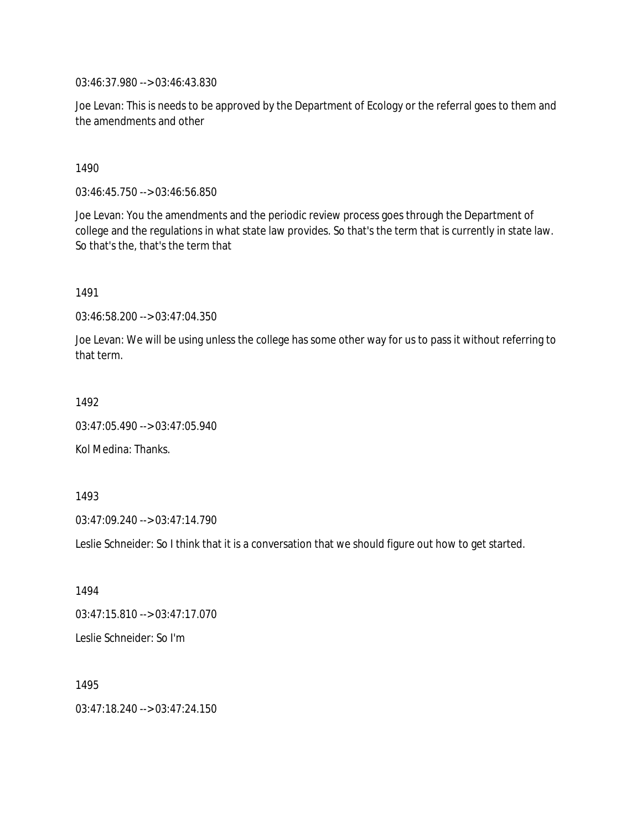03:46:37.980 --> 03:46:43.830

Joe Levan: This is needs to be approved by the Department of Ecology or the referral goes to them and the amendments and other

1490

03:46:45.750 --> 03:46:56.850

Joe Levan: You the amendments and the periodic review process goes through the Department of college and the regulations in what state law provides. So that's the term that is currently in state law. So that's the, that's the term that

1491

03:46:58.200 --> 03:47:04.350

Joe Levan: We will be using unless the college has some other way for us to pass it without referring to that term.

1492

03:47:05.490 --> 03:47:05.940

Kol Medina: Thanks.

1493

03:47:09.240 --> 03:47:14.790

Leslie Schneider: So I think that it is a conversation that we should figure out how to get started.

1494 03:47:15.810 --> 03:47:17.070 Leslie Schneider: So I'm

1495 03:47:18.240 --> 03:47:24.150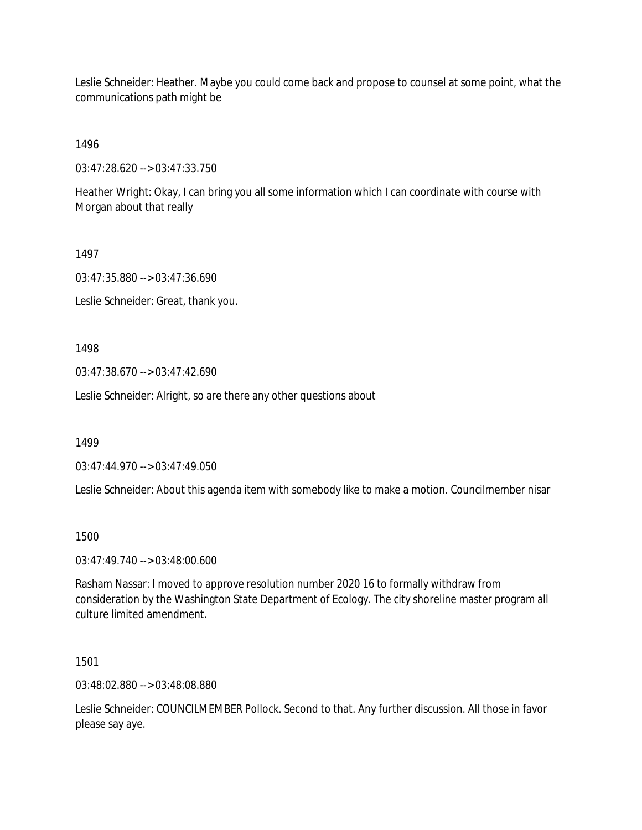Leslie Schneider: Heather. Maybe you could come back and propose to counsel at some point, what the communications path might be

1496

03:47:28.620 --> 03:47:33.750

Heather Wright: Okay, I can bring you all some information which I can coordinate with course with Morgan about that really

1497

03:47:35.880 --> 03:47:36.690

Leslie Schneider: Great, thank you.

1498

03:47:38.670 --> 03:47:42.690

Leslie Schneider: Alright, so are there any other questions about

1499

03:47:44.970 --> 03:47:49.050

Leslie Schneider: About this agenda item with somebody like to make a motion. Councilmember nisar

1500

03:47:49.740 --> 03:48:00.600

Rasham Nassar: I moved to approve resolution number 2020 16 to formally withdraw from consideration by the Washington State Department of Ecology. The city shoreline master program all culture limited amendment.

1501

03:48:02.880 --> 03:48:08.880

Leslie Schneider: COUNCILMEMBER Pollock. Second to that. Any further discussion. All those in favor please say aye.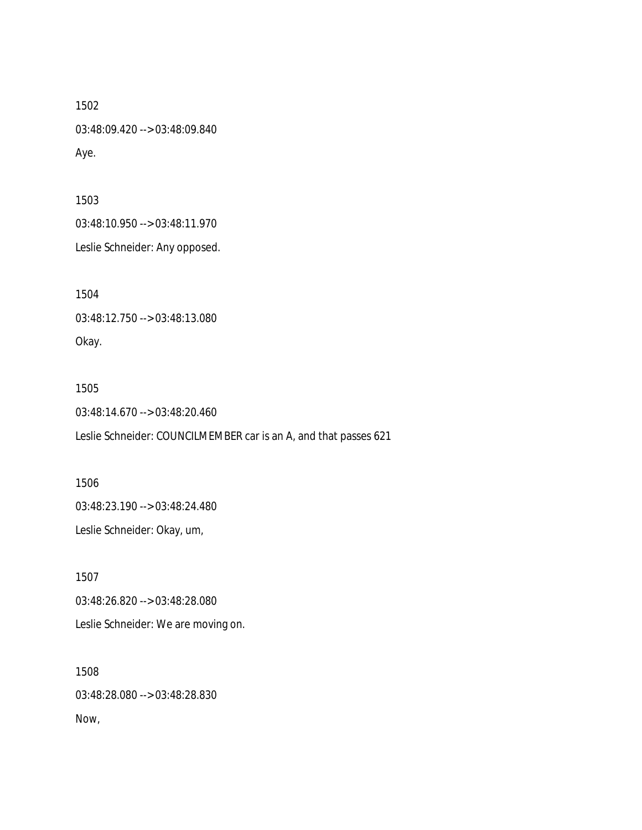03:48:09.420 --> 03:48:09.840 Aye.

1503

03:48:10.950 --> 03:48:11.970

Leslie Schneider: Any opposed.

1504

03:48:12.750 --> 03:48:13.080

Okay.

1505

03:48:14.670 --> 03:48:20.460

Leslie Schneider: COUNCILMEMBER car is an A, and that passes 621

1506 03:48:23.190 --> 03:48:24.480 Leslie Schneider: Okay, um,

1507 03:48:26.820 --> 03:48:28.080 Leslie Schneider: We are moving on.

1508 03:48:28.080 --> 03:48:28.830 Now,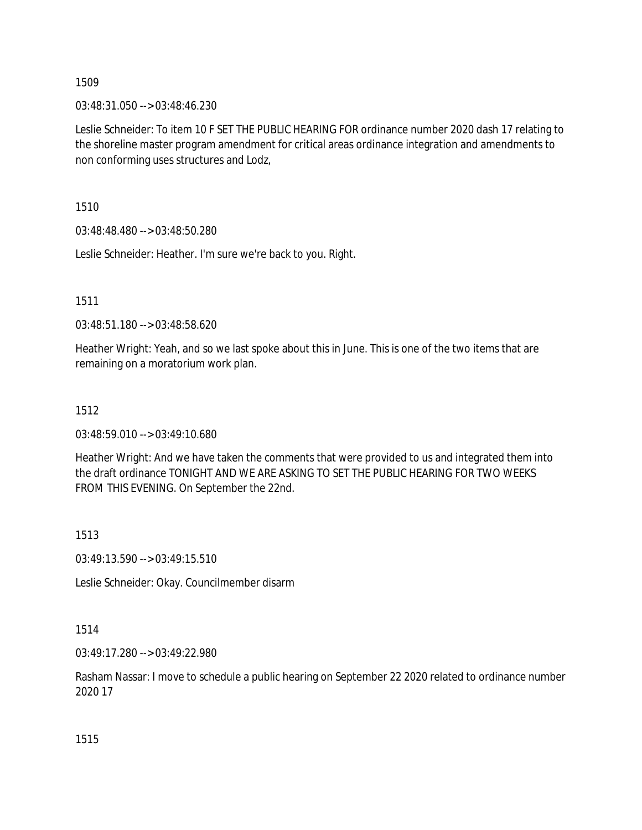03:48:31.050 --> 03:48:46.230

Leslie Schneider: To item 10 F SET THE PUBLIC HEARING FOR ordinance number 2020 dash 17 relating to the shoreline master program amendment for critical areas ordinance integration and amendments to non conforming uses structures and Lodz,

1510

03:48:48.480 --> 03:48:50.280

Leslie Schneider: Heather. I'm sure we're back to you. Right.

1511

03:48:51.180 --> 03:48:58.620

Heather Wright: Yeah, and so we last spoke about this in June. This is one of the two items that are remaining on a moratorium work plan.

# 1512

03:48:59.010 --> 03:49:10.680

Heather Wright: And we have taken the comments that were provided to us and integrated them into the draft ordinance TONIGHT AND WE ARE ASKING TO SET THE PUBLIC HEARING FOR TWO WEEKS FROM THIS EVENING. On September the 22nd.

1513

03:49:13.590 --> 03:49:15.510

Leslie Schneider: Okay. Councilmember disarm

1514

03:49:17.280 --> 03:49:22.980

Rasham Nassar: I move to schedule a public hearing on September 22 2020 related to ordinance number 2020 17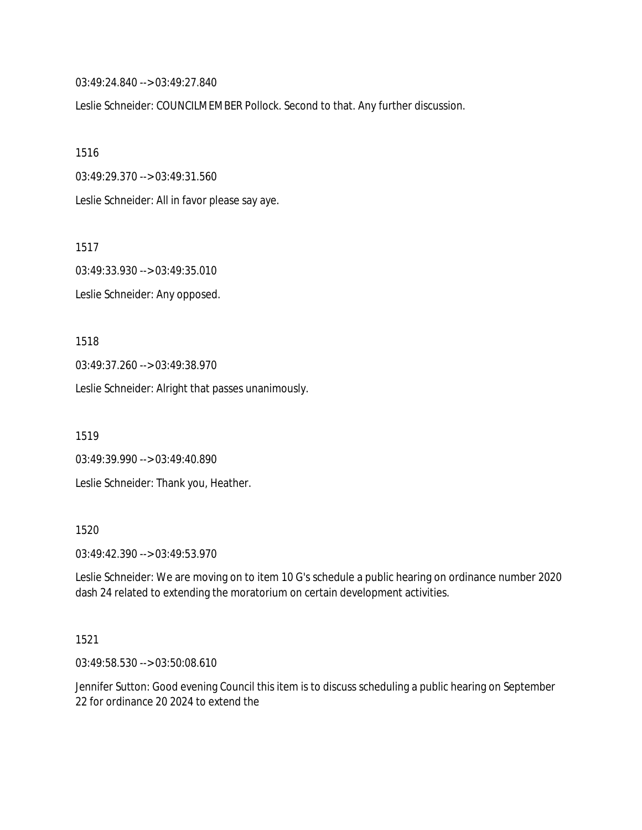03:49:24.840 --> 03:49:27.840

Leslie Schneider: COUNCILMEMBER Pollock. Second to that. Any further discussion.

1516

03:49:29.370 --> 03:49:31.560

Leslie Schneider: All in favor please say aye.

1517

03:49:33.930 --> 03:49:35.010 Leslie Schneider: Any opposed.

1518

03:49:37.260 --> 03:49:38.970

Leslie Schneider: Alright that passes unanimously.

1519

03:49:39.990 --> 03:49:40.890 Leslie Schneider: Thank you, Heather.

1520

03:49:42.390 --> 03:49:53.970

Leslie Schneider: We are moving on to item 10 G's schedule a public hearing on ordinance number 2020 dash 24 related to extending the moratorium on certain development activities.

1521

03:49:58.530 --> 03:50:08.610

Jennifer Sutton: Good evening Council this item is to discuss scheduling a public hearing on September 22 for ordinance 20 2024 to extend the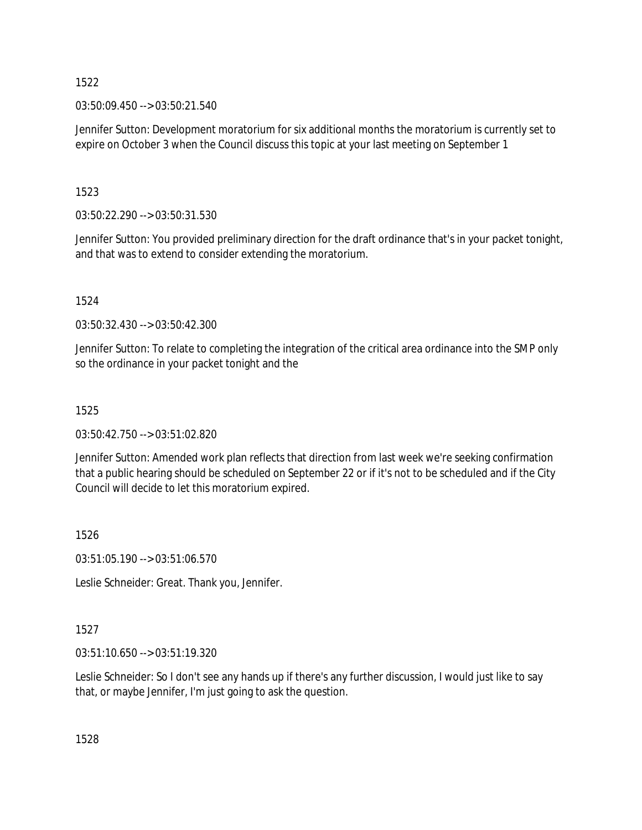03:50:09.450 --> 03:50:21.540

Jennifer Sutton: Development moratorium for six additional months the moratorium is currently set to expire on October 3 when the Council discuss this topic at your last meeting on September 1

1523

03:50:22.290 --> 03:50:31.530

Jennifer Sutton: You provided preliminary direction for the draft ordinance that's in your packet tonight, and that was to extend to consider extending the moratorium.

1524

03:50:32.430 --> 03:50:42.300

Jennifer Sutton: To relate to completing the integration of the critical area ordinance into the SMP only so the ordinance in your packet tonight and the

# 1525

03:50:42.750 --> 03:51:02.820

Jennifer Sutton: Amended work plan reflects that direction from last week we're seeking confirmation that a public hearing should be scheduled on September 22 or if it's not to be scheduled and if the City Council will decide to let this moratorium expired.

1526

03:51:05.190 --> 03:51:06.570

Leslie Schneider: Great. Thank you, Jennifer.

1527

03:51:10.650 --> 03:51:19.320

Leslie Schneider: So I don't see any hands up if there's any further discussion, I would just like to say that, or maybe Jennifer, I'm just going to ask the question.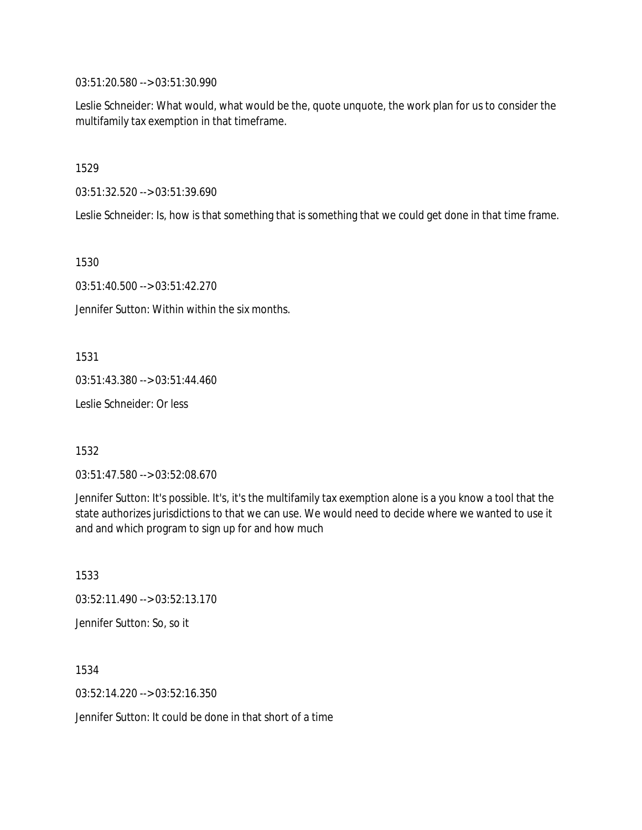03:51:20.580 --> 03:51:30.990

Leslie Schneider: What would, what would be the, quote unquote, the work plan for us to consider the multifamily tax exemption in that timeframe.

1529

03:51:32.520 --> 03:51:39.690

Leslie Schneider: Is, how is that something that is something that we could get done in that time frame.

1530

03:51:40.500 --> 03:51:42.270

Jennifer Sutton: Within within the six months.

1531

03:51:43.380 --> 03:51:44.460

Leslie Schneider: Or less

1532

03:51:47.580 --> 03:52:08.670

Jennifer Sutton: It's possible. It's, it's the multifamily tax exemption alone is a you know a tool that the state authorizes jurisdictions to that we can use. We would need to decide where we wanted to use it and and which program to sign up for and how much

1533 03:52:11.490 --> 03:52:13.170 Jennifer Sutton: So, so it

1534 03:52:14.220 --> 03:52:16.350

Jennifer Sutton: It could be done in that short of a time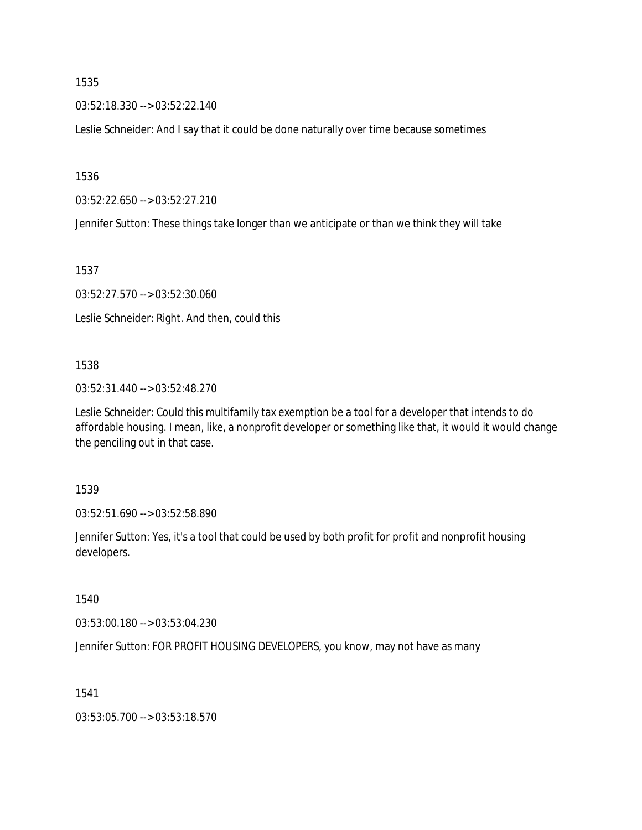03:52:18.330 --> 03:52:22.140

Leslie Schneider: And I say that it could be done naturally over time because sometimes

1536

03:52:22.650 --> 03:52:27.210

Jennifer Sutton: These things take longer than we anticipate or than we think they will take

1537

03:52:27.570 --> 03:52:30.060

Leslie Schneider: Right. And then, could this

#### 1538

03:52:31.440 --> 03:52:48.270

Leslie Schneider: Could this multifamily tax exemption be a tool for a developer that intends to do affordable housing. I mean, like, a nonprofit developer or something like that, it would it would change the penciling out in that case.

1539

03:52:51.690 --> 03:52:58.890

Jennifer Sutton: Yes, it's a tool that could be used by both profit for profit and nonprofit housing developers.

1540

03:53:00.180 --> 03:53:04.230

Jennifer Sutton: FOR PROFIT HOUSING DEVELOPERS, you know, may not have as many

1541

03:53:05.700 --> 03:53:18.570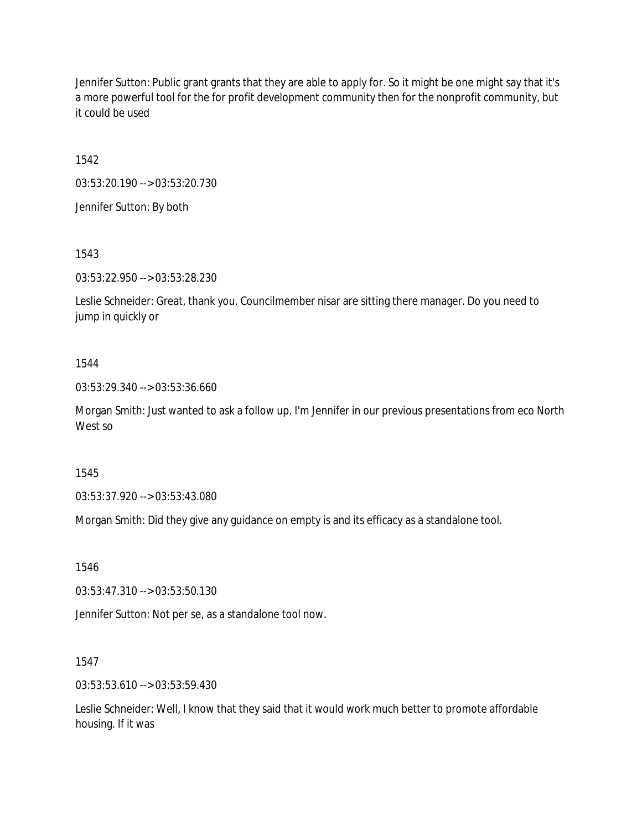Jennifer Sutton: Public grant grants that they are able to apply for. So it might be one might say that it's a more powerful tool for the for profit development community then for the nonprofit community, but it could be used

1542

03:53:20.190 --> 03:53:20.730

Jennifer Sutton: By both

1543

03:53:22.950 --> 03:53:28.230

Leslie Schneider: Great, thank you. Councilmember nisar are sitting there manager. Do you need to jump in quickly or

#### 1544

03:53:29.340 --> 03:53:36.660

Morgan Smith: Just wanted to ask a follow up. I'm Jennifer in our previous presentations from eco North West so

1545

03:53:37.920 --> 03:53:43.080

Morgan Smith: Did they give any guidance on empty is and its efficacy as a standalone tool.

1546

03:53:47.310 --> 03:53:50.130

Jennifer Sutton: Not per se, as a standalone tool now.

1547

03:53:53.610 --> 03:53:59.430

Leslie Schneider: Well, I know that they said that it would work much better to promote affordable housing. If it was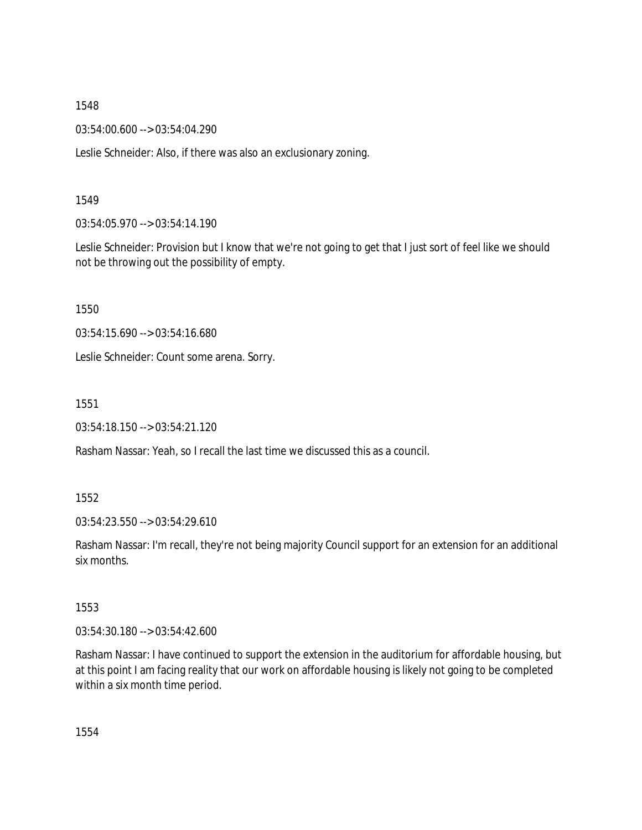03:54:00.600 --> 03:54:04.290

Leslie Schneider: Also, if there was also an exclusionary zoning.

## 1549

03:54:05.970 --> 03:54:14.190

Leslie Schneider: Provision but I know that we're not going to get that I just sort of feel like we should not be throwing out the possibility of empty.

1550

03:54:15.690 --> 03:54:16.680

Leslie Schneider: Count some arena. Sorry.

1551

03:54:18.150 --> 03:54:21.120

Rasham Nassar: Yeah, so I recall the last time we discussed this as a council.

1552

03:54:23.550 --> 03:54:29.610

Rasham Nassar: I'm recall, they're not being majority Council support for an extension for an additional six months.

1553

03:54:30.180 --> 03:54:42.600

Rasham Nassar: I have continued to support the extension in the auditorium for affordable housing, but at this point I am facing reality that our work on affordable housing is likely not going to be completed within a six month time period.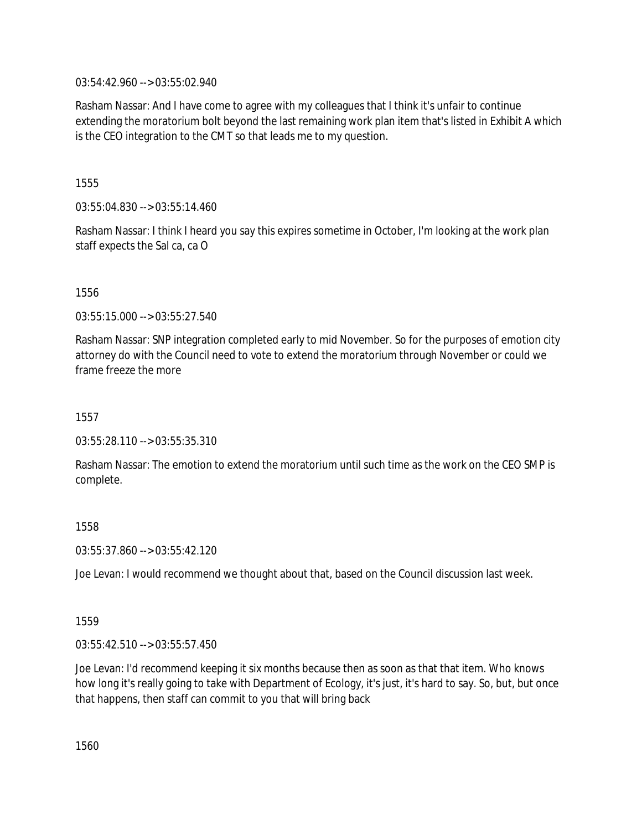03:54:42.960 --> 03:55:02.940

Rasham Nassar: And I have come to agree with my colleagues that I think it's unfair to continue extending the moratorium bolt beyond the last remaining work plan item that's listed in Exhibit A which is the CEO integration to the CMT so that leads me to my question.

1555

03:55:04.830 --> 03:55:14.460

Rasham Nassar: I think I heard you say this expires sometime in October, I'm looking at the work plan staff expects the Sal ca, ca O

1556

03:55:15.000 --> 03:55:27.540

Rasham Nassar: SNP integration completed early to mid November. So for the purposes of emotion city attorney do with the Council need to vote to extend the moratorium through November or could we frame freeze the more

1557

03:55:28.110 --> 03:55:35.310

Rasham Nassar: The emotion to extend the moratorium until such time as the work on the CEO SMP is complete.

1558

03:55:37.860 --> 03:55:42.120

Joe Levan: I would recommend we thought about that, based on the Council discussion last week.

1559

03:55:42.510 --> 03:55:57.450

Joe Levan: I'd recommend keeping it six months because then as soon as that that item. Who knows how long it's really going to take with Department of Ecology, it's just, it's hard to say. So, but, but once that happens, then staff can commit to you that will bring back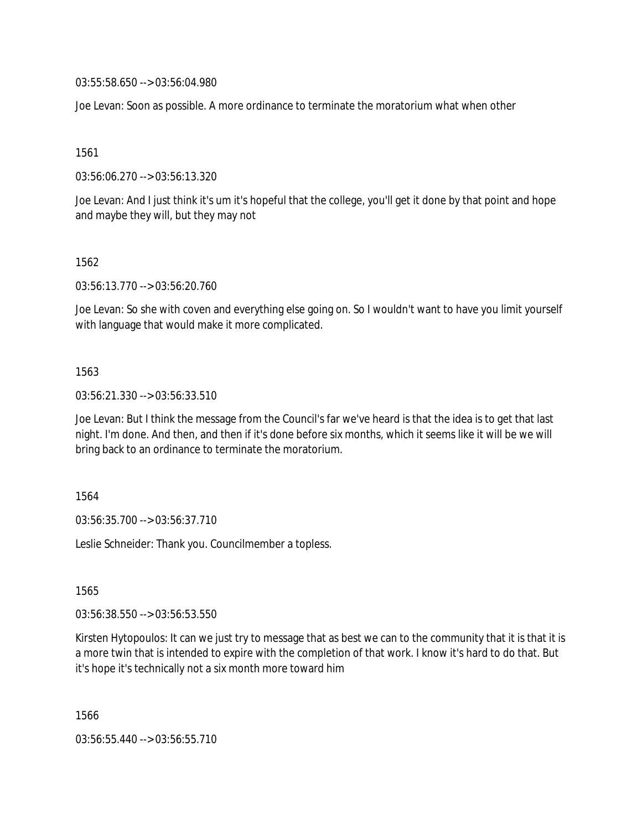03:55:58.650 --> 03:56:04.980

Joe Levan: Soon as possible. A more ordinance to terminate the moratorium what when other

1561

03:56:06.270 --> 03:56:13.320

Joe Levan: And I just think it's um it's hopeful that the college, you'll get it done by that point and hope and maybe they will, but they may not

1562

03:56:13.770 --> 03:56:20.760

Joe Levan: So she with coven and everything else going on. So I wouldn't want to have you limit yourself with language that would make it more complicated.

1563

03:56:21.330 --> 03:56:33.510

Joe Levan: But I think the message from the Council's far we've heard is that the idea is to get that last night. I'm done. And then, and then if it's done before six months, which it seems like it will be we will bring back to an ordinance to terminate the moratorium.

1564

03:56:35.700 --> 03:56:37.710

Leslie Schneider: Thank you. Councilmember a topless.

1565

03:56:38.550 --> 03:56:53.550

Kirsten Hytopoulos: It can we just try to message that as best we can to the community that it is that it is a more twin that is intended to expire with the completion of that work. I know it's hard to do that. But it's hope it's technically not a six month more toward him

1566

03:56:55.440 --> 03:56:55.710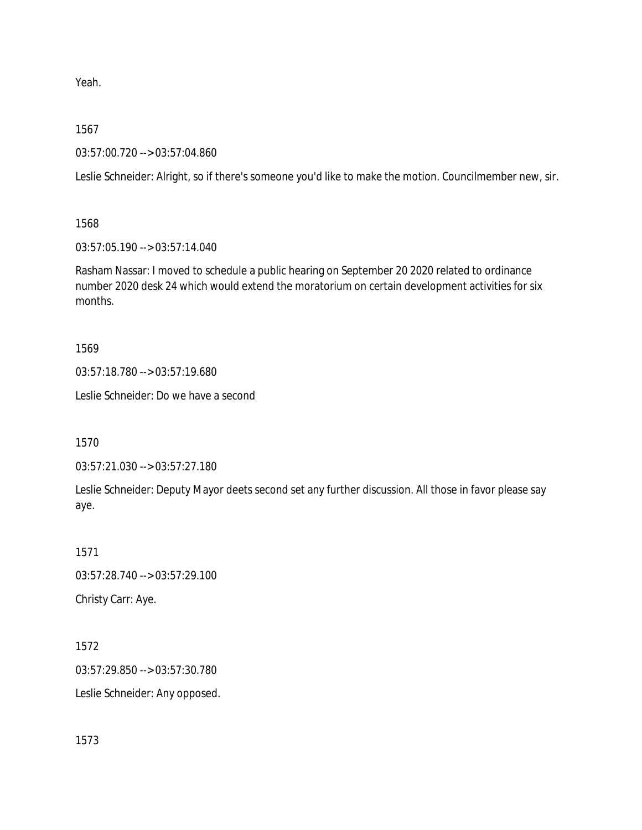Yeah.

1567

03:57:00.720 --> 03:57:04.860

Leslie Schneider: Alright, so if there's someone you'd like to make the motion. Councilmember new, sir.

1568

03:57:05.190 --> 03:57:14.040

Rasham Nassar: I moved to schedule a public hearing on September 20 2020 related to ordinance number 2020 desk 24 which would extend the moratorium on certain development activities for six months.

1569

03:57:18.780 --> 03:57:19.680

Leslie Schneider: Do we have a second

1570

03:57:21.030 --> 03:57:27.180

Leslie Schneider: Deputy Mayor deets second set any further discussion. All those in favor please say aye.

1571

03:57:28.740 --> 03:57:29.100

Christy Carr: Aye.

1572 03:57:29.850 --> 03:57:30.780 Leslie Schneider: Any opposed.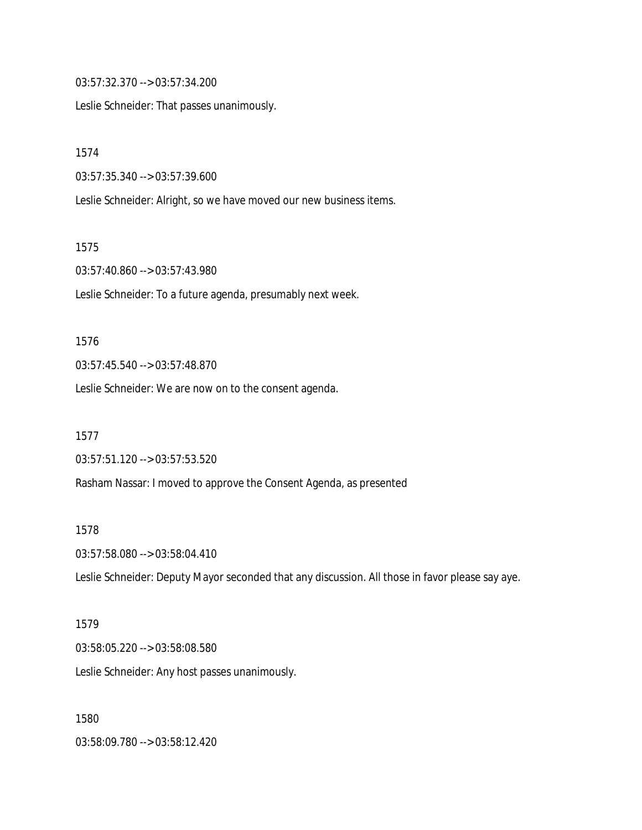03:57:32.370 --> 03:57:34.200

Leslie Schneider: That passes unanimously.

1574

03:57:35.340 --> 03:57:39.600

Leslie Schneider: Alright, so we have moved our new business items.

1575

03:57:40.860 --> 03:57:43.980

Leslie Schneider: To a future agenda, presumably next week.

1576

03:57:45.540 --> 03:57:48.870

Leslie Schneider: We are now on to the consent agenda.

1577

03:57:51.120 --> 03:57:53.520

Rasham Nassar: I moved to approve the Consent Agenda, as presented

1578

03:57:58.080 --> 03:58:04.410

Leslie Schneider: Deputy Mayor seconded that any discussion. All those in favor please say aye.

1579

03:58:05.220 --> 03:58:08.580

Leslie Schneider: Any host passes unanimously.

1580

03:58:09.780 --> 03:58:12.420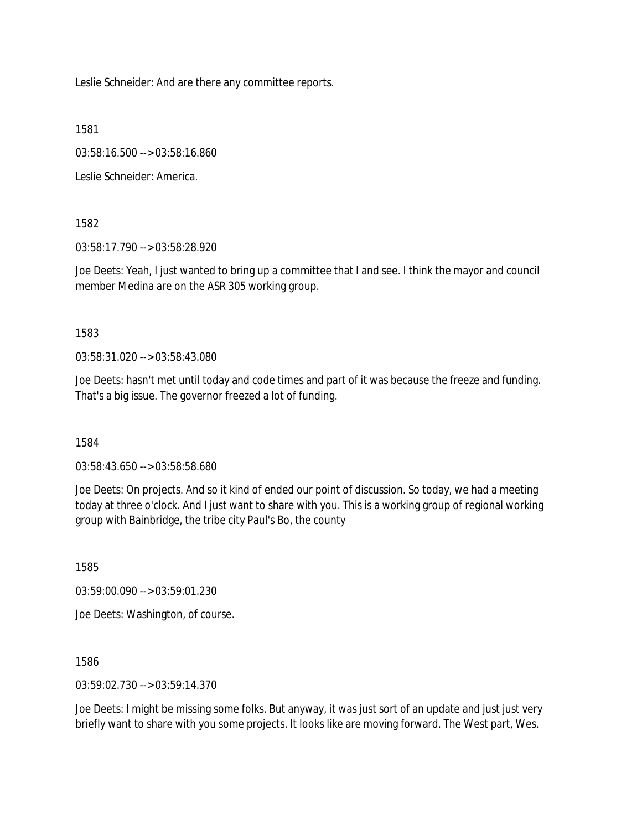Leslie Schneider: And are there any committee reports.

1581

03:58:16.500 --> 03:58:16.860

Leslie Schneider: America.

1582

03:58:17.790 --> 03:58:28.920

Joe Deets: Yeah, I just wanted to bring up a committee that I and see. I think the mayor and council member Medina are on the ASR 305 working group.

1583

03:58:31.020 --> 03:58:43.080

Joe Deets: hasn't met until today and code times and part of it was because the freeze and funding. That's a big issue. The governor freezed a lot of funding.

1584

03:58:43.650 --> 03:58:58.680

Joe Deets: On projects. And so it kind of ended our point of discussion. So today, we had a meeting today at three o'clock. And I just want to share with you. This is a working group of regional working group with Bainbridge, the tribe city Paul's Bo, the county

1585

03:59:00.090 --> 03:59:01.230

Joe Deets: Washington, of course.

1586

03:59:02.730 --> 03:59:14.370

Joe Deets: I might be missing some folks. But anyway, it was just sort of an update and just just very briefly want to share with you some projects. It looks like are moving forward. The West part, Wes.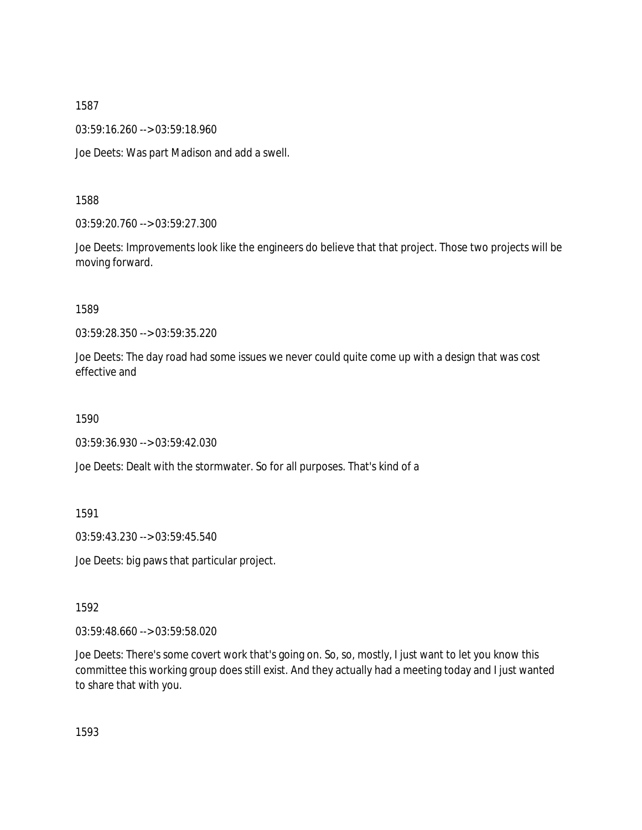03:59:16.260 --> 03:59:18.960

Joe Deets: Was part Madison and add a swell.

1588

03:59:20.760 --> 03:59:27.300

Joe Deets: Improvements look like the engineers do believe that that project. Those two projects will be moving forward.

1589

03:59:28.350 --> 03:59:35.220

Joe Deets: The day road had some issues we never could quite come up with a design that was cost effective and

1590

03:59:36.930 --> 03:59:42.030

Joe Deets: Dealt with the stormwater. So for all purposes. That's kind of a

1591

03:59:43.230 --> 03:59:45.540

Joe Deets: big paws that particular project.

1592

03:59:48.660 --> 03:59:58.020

Joe Deets: There's some covert work that's going on. So, so, mostly, I just want to let you know this committee this working group does still exist. And they actually had a meeting today and I just wanted to share that with you.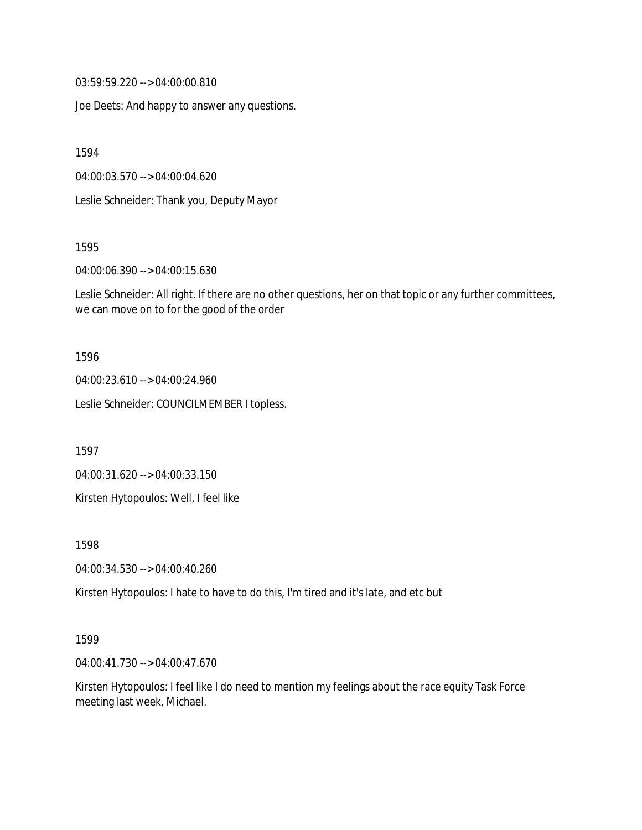03:59:59.220 --> 04:00:00.810

Joe Deets: And happy to answer any questions.

1594

04:00:03.570 --> 04:00:04.620

Leslie Schneider: Thank you, Deputy Mayor

1595

04:00:06.390 --> 04:00:15.630

Leslie Schneider: All right. If there are no other questions, her on that topic or any further committees, we can move on to for the good of the order

#### 1596

04:00:23.610 --> 04:00:24.960

Leslie Schneider: COUNCILMEMBER I topless.

1597

04:00:31.620 --> 04:00:33.150

Kirsten Hytopoulos: Well, I feel like

1598

04:00:34.530 --> 04:00:40.260

Kirsten Hytopoulos: I hate to have to do this, I'm tired and it's late, and etc but

#### 1599

04:00:41.730 --> 04:00:47.670

Kirsten Hytopoulos: I feel like I do need to mention my feelings about the race equity Task Force meeting last week, Michael.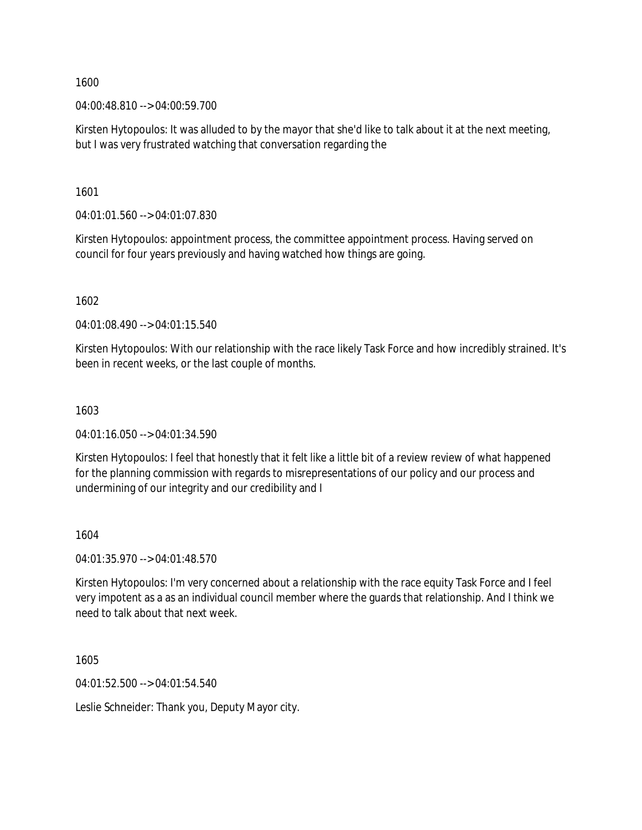04:00:48.810 --> 04:00:59.700

Kirsten Hytopoulos: It was alluded to by the mayor that she'd like to talk about it at the next meeting, but I was very frustrated watching that conversation regarding the

1601

04:01:01.560 --> 04:01:07.830

Kirsten Hytopoulos: appointment process, the committee appointment process. Having served on council for four years previously and having watched how things are going.

1602

04:01:08.490 --> 04:01:15.540

Kirsten Hytopoulos: With our relationship with the race likely Task Force and how incredibly strained. It's been in recent weeks, or the last couple of months.

#### 1603

04:01:16.050 --> 04:01:34.590

Kirsten Hytopoulos: I feel that honestly that it felt like a little bit of a review review of what happened for the planning commission with regards to misrepresentations of our policy and our process and undermining of our integrity and our credibility and I

### 1604

04:01:35.970 --> 04:01:48.570

Kirsten Hytopoulos: I'm very concerned about a relationship with the race equity Task Force and I feel very impotent as a as an individual council member where the guards that relationship. And I think we need to talk about that next week.

1605

04:01:52.500 --> 04:01:54.540

Leslie Schneider: Thank you, Deputy Mayor city.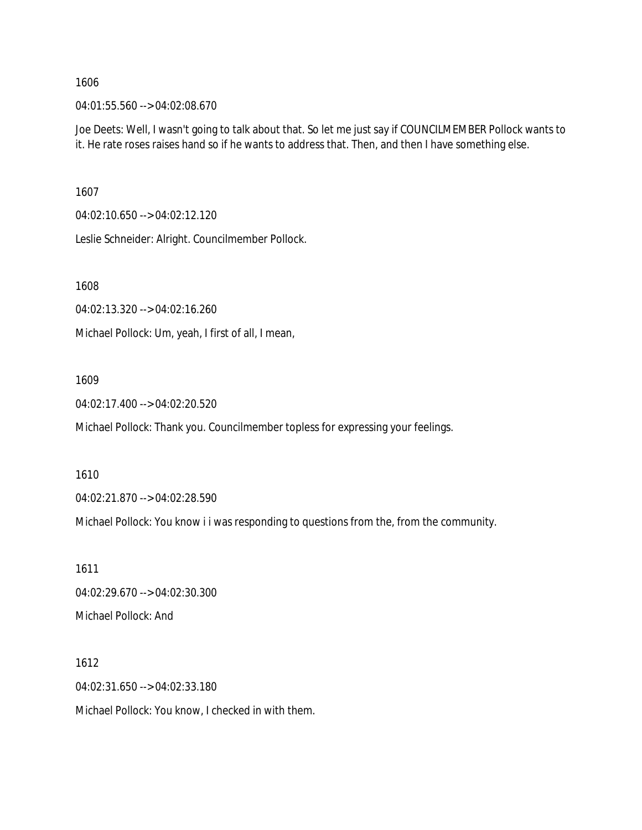04:01:55.560 --> 04:02:08.670

Joe Deets: Well, I wasn't going to talk about that. So let me just say if COUNCILMEMBER Pollock wants to it. He rate roses raises hand so if he wants to address that. Then, and then I have something else.

1607

04:02:10.650 --> 04:02:12.120

Leslie Schneider: Alright. Councilmember Pollock.

1608

04:02:13.320 --> 04:02:16.260

Michael Pollock: Um, yeah, I first of all, I mean,

1609

04:02:17.400 --> 04:02:20.520

Michael Pollock: Thank you. Councilmember topless for expressing your feelings.

1610

04:02:21.870 --> 04:02:28.590

Michael Pollock: You know i i was responding to questions from the, from the community.

1611 04:02:29.670 --> 04:02:30.300 Michael Pollock: And

1612 04:02:31.650 --> 04:02:33.180

Michael Pollock: You know, I checked in with them.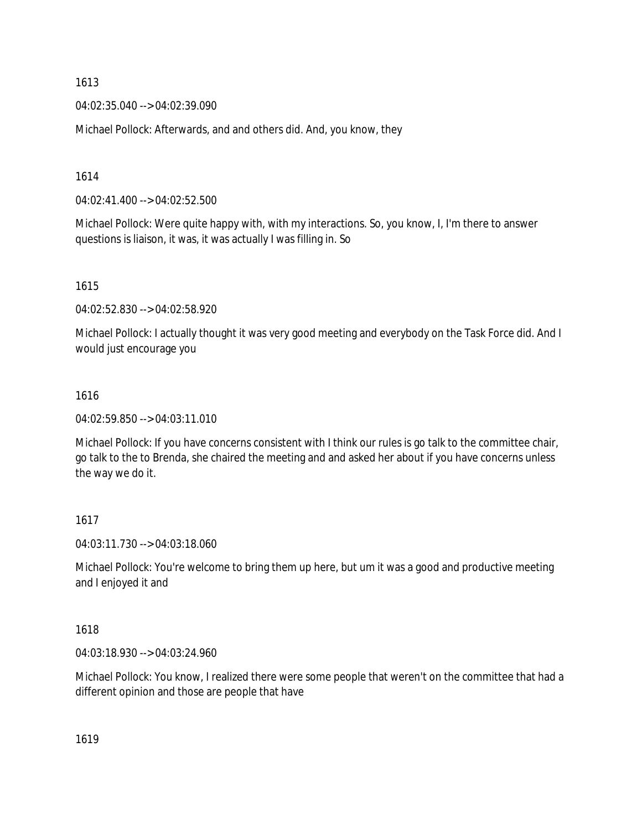04:02:35.040 --> 04:02:39.090

Michael Pollock: Afterwards, and and others did. And, you know, they

1614

04:02:41.400 --> 04:02:52.500

Michael Pollock: Were quite happy with, with my interactions. So, you know, I, I'm there to answer questions is liaison, it was, it was actually I was filling in. So

1615

04:02:52.830 --> 04:02:58.920

Michael Pollock: I actually thought it was very good meeting and everybody on the Task Force did. And I would just encourage you

### 1616

04:02:59.850 --> 04:03:11.010

Michael Pollock: If you have concerns consistent with I think our rules is go talk to the committee chair, go talk to the to Brenda, she chaired the meeting and and asked her about if you have concerns unless the way we do it.

### 1617

04:03:11.730 --> 04:03:18.060

Michael Pollock: You're welcome to bring them up here, but um it was a good and productive meeting and I enjoyed it and

## 1618

04:03:18.930 --> 04:03:24.960

Michael Pollock: You know, I realized there were some people that weren't on the committee that had a different opinion and those are people that have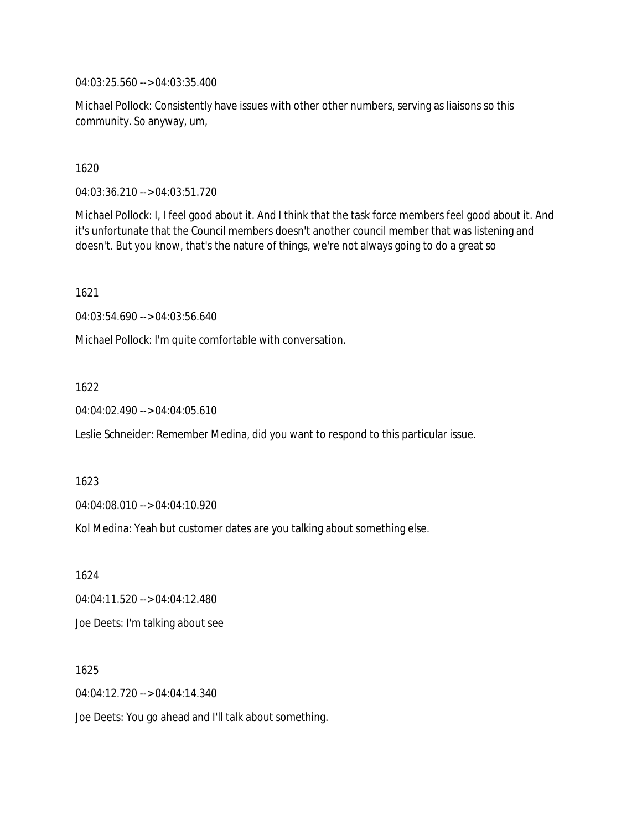04:03:25.560 --> 04:03:35.400

Michael Pollock: Consistently have issues with other other numbers, serving as liaisons so this community. So anyway, um,

1620

04:03:36.210 --> 04:03:51.720

Michael Pollock: I, I feel good about it. And I think that the task force members feel good about it. And it's unfortunate that the Council members doesn't another council member that was listening and doesn't. But you know, that's the nature of things, we're not always going to do a great so

1621

04:03:54.690 --> 04:03:56.640

Michael Pollock: I'm quite comfortable with conversation.

1622

04:04:02.490 --> 04:04:05.610

Leslie Schneider: Remember Medina, did you want to respond to this particular issue.

1623

04:04:08.010 --> 04:04:10.920

Kol Medina: Yeah but customer dates are you talking about something else.

1624 04:04:11.520 --> 04:04:12.480 Joe Deets: I'm talking about see

1625 04:04:12.720 --> 04:04:14.340 Joe Deets: You go ahead and I'll talk about something.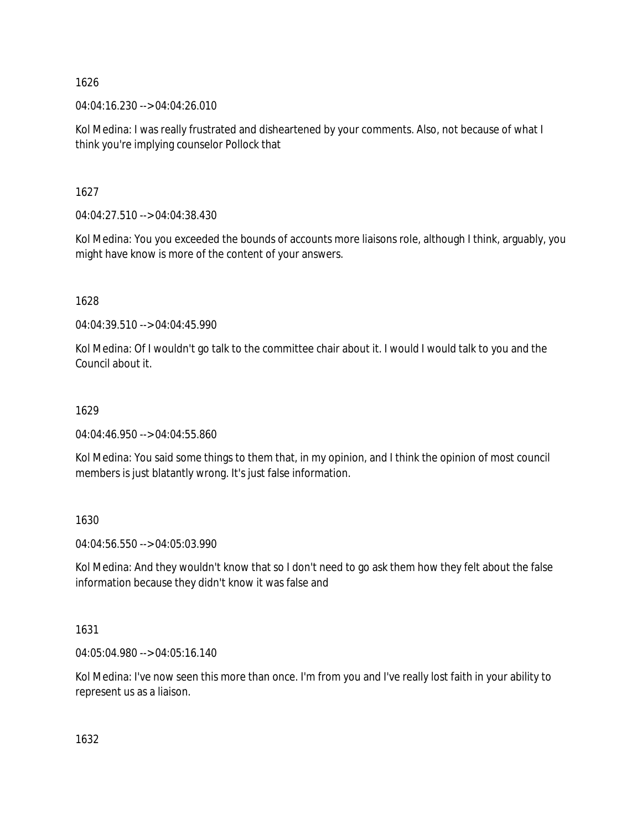04:04:16.230 --> 04:04:26.010

Kol Medina: I was really frustrated and disheartened by your comments. Also, not because of what I think you're implying counselor Pollock that

1627

04:04:27.510 --> 04:04:38.430

Kol Medina: You you exceeded the bounds of accounts more liaisons role, although I think, arguably, you might have know is more of the content of your answers.

1628

04:04:39.510 --> 04:04:45.990

Kol Medina: Of I wouldn't go talk to the committee chair about it. I would I would talk to you and the Council about it.

# 1629

04:04:46.950 --> 04:04:55.860

Kol Medina: You said some things to them that, in my opinion, and I think the opinion of most council members is just blatantly wrong. It's just false information.

1630

04:04:56.550 --> 04:05:03.990

Kol Medina: And they wouldn't know that so I don't need to go ask them how they felt about the false information because they didn't know it was false and

1631

04:05:04.980 --> 04:05:16.140

Kol Medina: I've now seen this more than once. I'm from you and I've really lost faith in your ability to represent us as a liaison.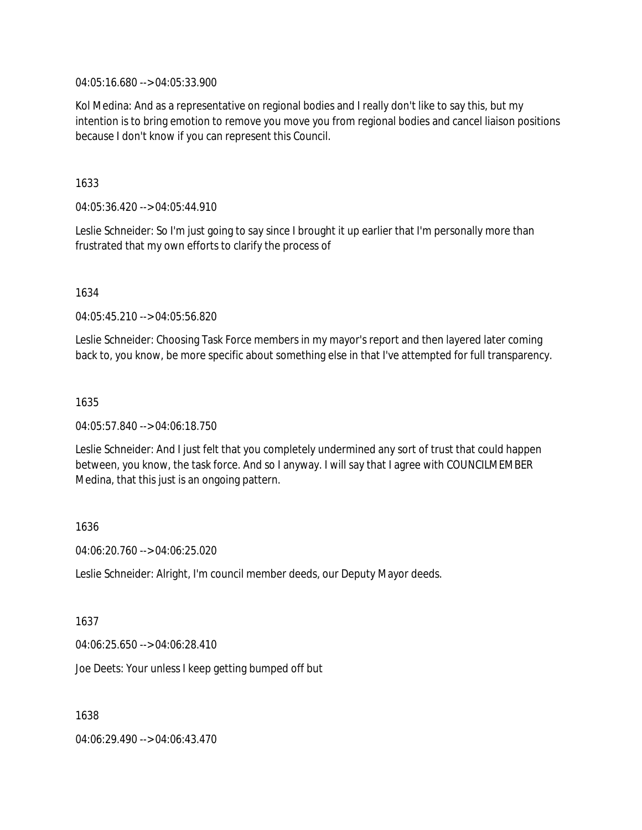04:05:16.680 --> 04:05:33.900

Kol Medina: And as a representative on regional bodies and I really don't like to say this, but my intention is to bring emotion to remove you move you from regional bodies and cancel liaison positions because I don't know if you can represent this Council.

1633

04:05:36.420 --> 04:05:44.910

Leslie Schneider: So I'm just going to say since I brought it up earlier that I'm personally more than frustrated that my own efforts to clarify the process of

1634

04:05:45.210 --> 04:05:56.820

Leslie Schneider: Choosing Task Force members in my mayor's report and then layered later coming back to, you know, be more specific about something else in that I've attempted for full transparency.

1635

04:05:57.840 --> 04:06:18.750

Leslie Schneider: And I just felt that you completely undermined any sort of trust that could happen between, you know, the task force. And so I anyway. I will say that I agree with COUNCILMEMBER Medina, that this just is an ongoing pattern.

1636

04:06:20.760 --> 04:06:25.020

Leslie Schneider: Alright, I'm council member deeds, our Deputy Mayor deeds.

1637

04:06:25.650 --> 04:06:28.410

Joe Deets: Your unless I keep getting bumped off but

1638

04:06:29.490 --> 04:06:43.470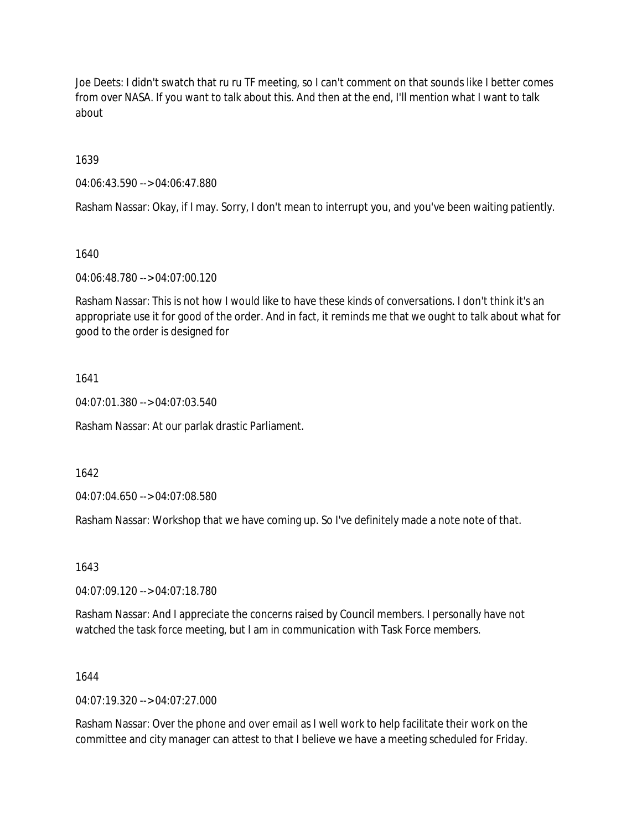Joe Deets: I didn't swatch that ru ru TF meeting, so I can't comment on that sounds like I better comes from over NASA. If you want to talk about this. And then at the end, I'll mention what I want to talk about

1639

04:06:43.590 --> 04:06:47.880

Rasham Nassar: Okay, if I may. Sorry, I don't mean to interrupt you, and you've been waiting patiently.

1640

04:06:48.780 --> 04:07:00.120

Rasham Nassar: This is not how I would like to have these kinds of conversations. I don't think it's an appropriate use it for good of the order. And in fact, it reminds me that we ought to talk about what for good to the order is designed for

1641

04:07:01.380 --> 04:07:03.540

Rasham Nassar: At our parlak drastic Parliament.

1642

04:07:04.650 --> 04:07:08.580

Rasham Nassar: Workshop that we have coming up. So I've definitely made a note note of that.

1643

04:07:09.120 --> 04:07:18.780

Rasham Nassar: And I appreciate the concerns raised by Council members. I personally have not watched the task force meeting, but I am in communication with Task Force members.

1644

 $04.07.19.320 -> 04.07.27.000$ 

Rasham Nassar: Over the phone and over email as I well work to help facilitate their work on the committee and city manager can attest to that I believe we have a meeting scheduled for Friday.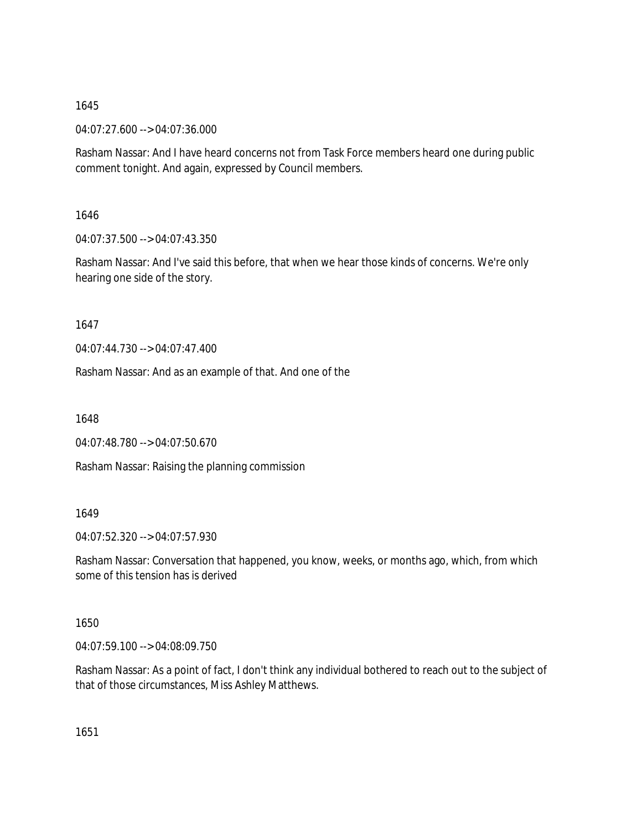04:07:27.600 --> 04:07:36.000

Rasham Nassar: And I have heard concerns not from Task Force members heard one during public comment tonight. And again, expressed by Council members.

1646

04:07:37.500 --> 04:07:43.350

Rasham Nassar: And I've said this before, that when we hear those kinds of concerns. We're only hearing one side of the story.

1647

04:07:44.730 --> 04:07:47.400

Rasham Nassar: And as an example of that. And one of the

1648

04:07:48.780 --> 04:07:50.670

Rasham Nassar: Raising the planning commission

1649

04:07:52.320 --> 04:07:57.930

Rasham Nassar: Conversation that happened, you know, weeks, or months ago, which, from which some of this tension has is derived

1650

04:07:59.100 --> 04:08:09.750

Rasham Nassar: As a point of fact, I don't think any individual bothered to reach out to the subject of that of those circumstances, Miss Ashley Matthews.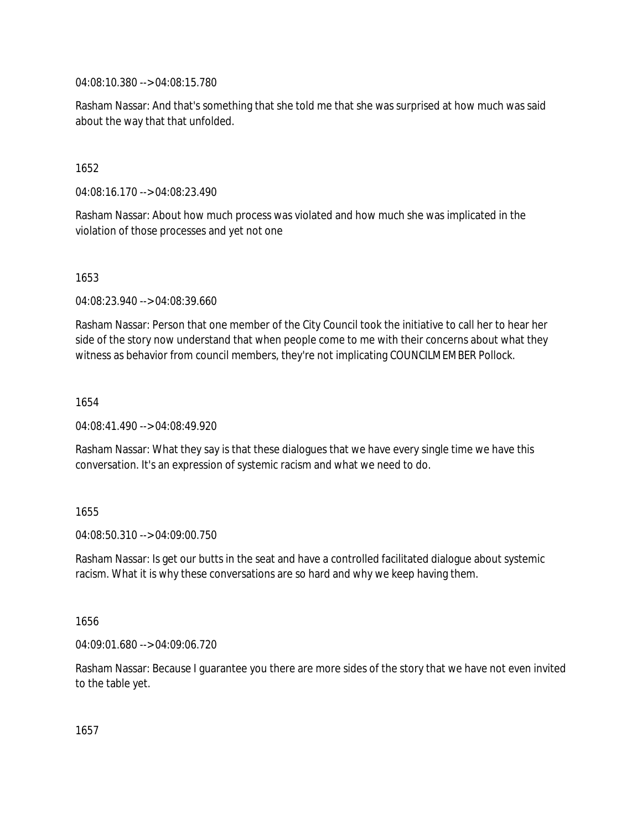04:08:10.380 --> 04:08:15.780

Rasham Nassar: And that's something that she told me that she was surprised at how much was said about the way that that unfolded.

1652

04:08:16.170 --> 04:08:23.490

Rasham Nassar: About how much process was violated and how much she was implicated in the violation of those processes and yet not one

1653

04:08:23.940 --> 04:08:39.660

Rasham Nassar: Person that one member of the City Council took the initiative to call her to hear her side of the story now understand that when people come to me with their concerns about what they witness as behavior from council members, they're not implicating COUNCILMEMBER Pollock.

1654

04:08:41.490 --> 04:08:49.920

Rasham Nassar: What they say is that these dialogues that we have every single time we have this conversation. It's an expression of systemic racism and what we need to do.

1655

04:08:50.310 --> 04:09:00.750

Rasham Nassar: Is get our butts in the seat and have a controlled facilitated dialogue about systemic racism. What it is why these conversations are so hard and why we keep having them.

1656

04:09:01.680 --> 04:09:06.720

Rasham Nassar: Because I guarantee you there are more sides of the story that we have not even invited to the table yet.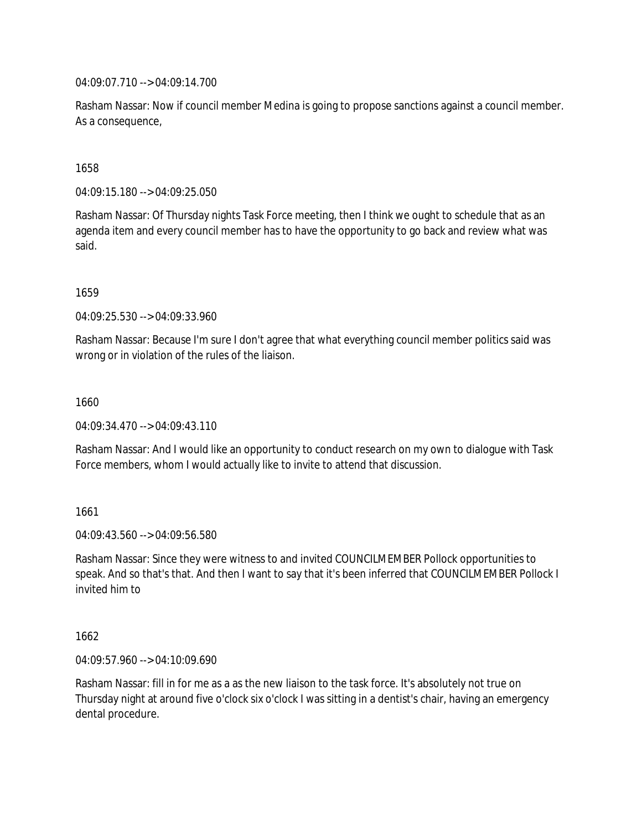04:09:07.710 --> 04:09:14.700

Rasham Nassar: Now if council member Medina is going to propose sanctions against a council member. As a consequence,

1658

04:09:15.180 --> 04:09:25.050

Rasham Nassar: Of Thursday nights Task Force meeting, then I think we ought to schedule that as an agenda item and every council member has to have the opportunity to go back and review what was said.

1659

04:09:25.530 --> 04:09:33.960

Rasham Nassar: Because I'm sure I don't agree that what everything council member politics said was wrong or in violation of the rules of the liaison.

1660

04:09:34.470 --> 04:09:43.110

Rasham Nassar: And I would like an opportunity to conduct research on my own to dialogue with Task Force members, whom I would actually like to invite to attend that discussion.

1661

04:09:43.560 --> 04:09:56.580

Rasham Nassar: Since they were witness to and invited COUNCILMEMBER Pollock opportunities to speak. And so that's that. And then I want to say that it's been inferred that COUNCILMEMBER Pollock I invited him to

1662

04:09:57.960 --> 04:10:09.690

Rasham Nassar: fill in for me as a as the new liaison to the task force. It's absolutely not true on Thursday night at around five o'clock six o'clock I was sitting in a dentist's chair, having an emergency dental procedure.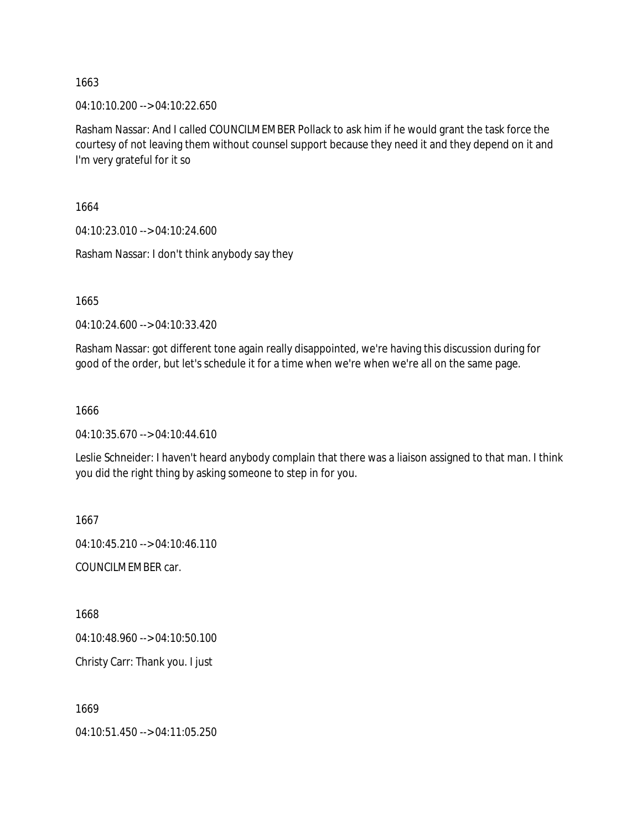04:10:10.200 --> 04:10:22.650

Rasham Nassar: And I called COUNCILMEMBER Pollack to ask him if he would grant the task force the courtesy of not leaving them without counsel support because they need it and they depend on it and I'm very grateful for it so

1664

04:10:23.010 --> 04:10:24.600

Rasham Nassar: I don't think anybody say they

1665

04:10:24.600 --> 04:10:33.420

Rasham Nassar: got different tone again really disappointed, we're having this discussion during for good of the order, but let's schedule it for a time when we're when we're all on the same page.

1666

04:10:35.670 --> 04:10:44.610

Leslie Schneider: I haven't heard anybody complain that there was a liaison assigned to that man. I think you did the right thing by asking someone to step in for you.

1667 04:10:45.210 --> 04:10:46.110

COUNCILMEMBER car.

1668

04:10:48.960 --> 04:10:50.100

Christy Carr: Thank you. I just

1669

04:10:51.450 --> 04:11:05.250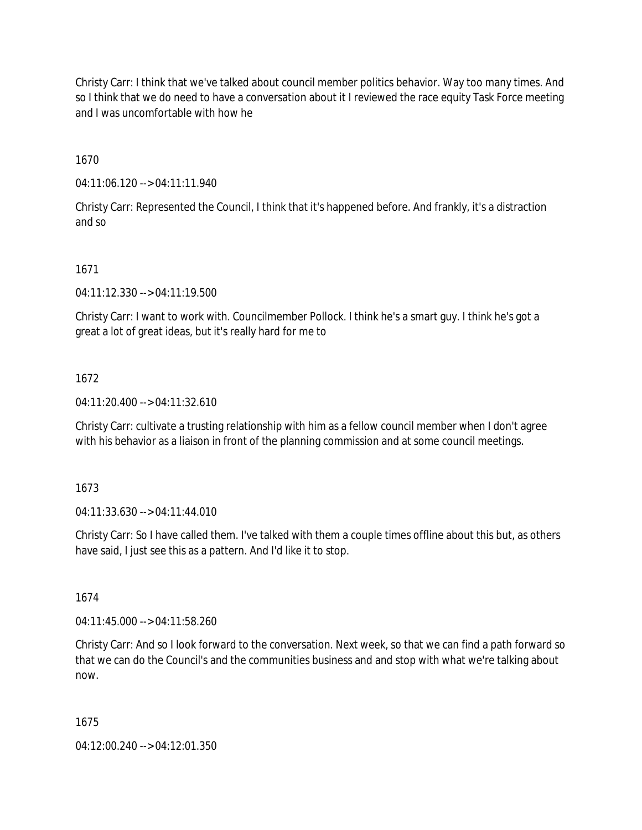Christy Carr: I think that we've talked about council member politics behavior. Way too many times. And so I think that we do need to have a conversation about it I reviewed the race equity Task Force meeting and I was uncomfortable with how he

1670

04:11:06.120 --> 04:11:11.940

Christy Carr: Represented the Council, I think that it's happened before. And frankly, it's a distraction and so

1671

04:11:12.330 --> 04:11:19.500

Christy Carr: I want to work with. Councilmember Pollock. I think he's a smart guy. I think he's got a great a lot of great ideas, but it's really hard for me to

## 1672

04:11:20.400 --> 04:11:32.610

Christy Carr: cultivate a trusting relationship with him as a fellow council member when I don't agree with his behavior as a liaison in front of the planning commission and at some council meetings.

1673

04:11:33.630 --> 04:11:44.010

Christy Carr: So I have called them. I've talked with them a couple times offline about this but, as others have said, I just see this as a pattern. And I'd like it to stop.

1674

04:11:45.000 --> 04:11:58.260

Christy Carr: And so I look forward to the conversation. Next week, so that we can find a path forward so that we can do the Council's and the communities business and and stop with what we're talking about now.

1675

04:12:00.240 --> 04:12:01.350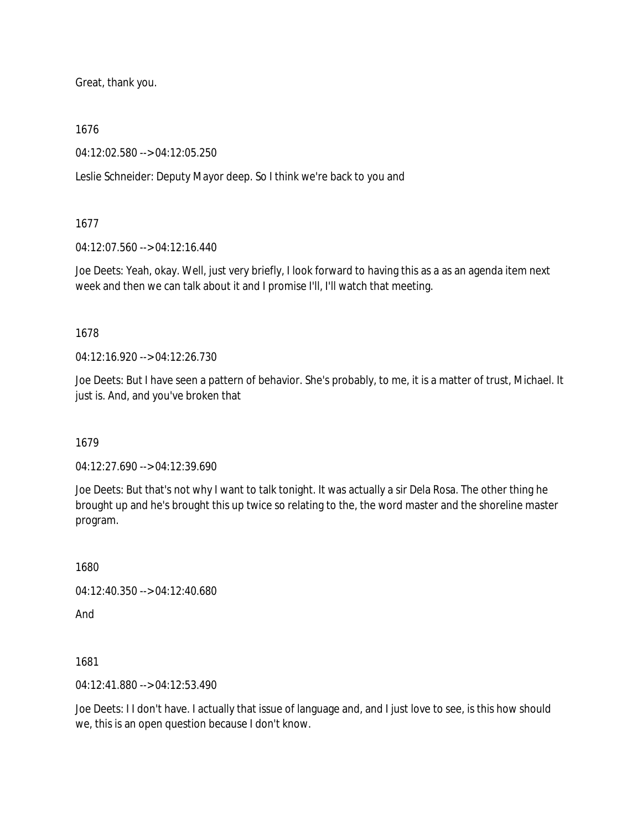Great, thank you.

1676

04:12:02.580 --> 04:12:05.250

Leslie Schneider: Deputy Mayor deep. So I think we're back to you and

1677

04:12:07.560 --> 04:12:16.440

Joe Deets: Yeah, okay. Well, just very briefly, I look forward to having this as a as an agenda item next week and then we can talk about it and I promise I'll, I'll watch that meeting.

1678

04:12:16.920 --> 04:12:26.730

Joe Deets: But I have seen a pattern of behavior. She's probably, to me, it is a matter of trust, Michael. It just is. And, and you've broken that

1679

04:12:27.690 --> 04:12:39.690

Joe Deets: But that's not why I want to talk tonight. It was actually a sir Dela Rosa. The other thing he brought up and he's brought this up twice so relating to the, the word master and the shoreline master program.

1680

04:12:40.350 --> 04:12:40.680

And

1681

04:12:41.880 --> 04:12:53.490

Joe Deets: I I don't have. I actually that issue of language and, and I just love to see, is this how should we, this is an open question because I don't know.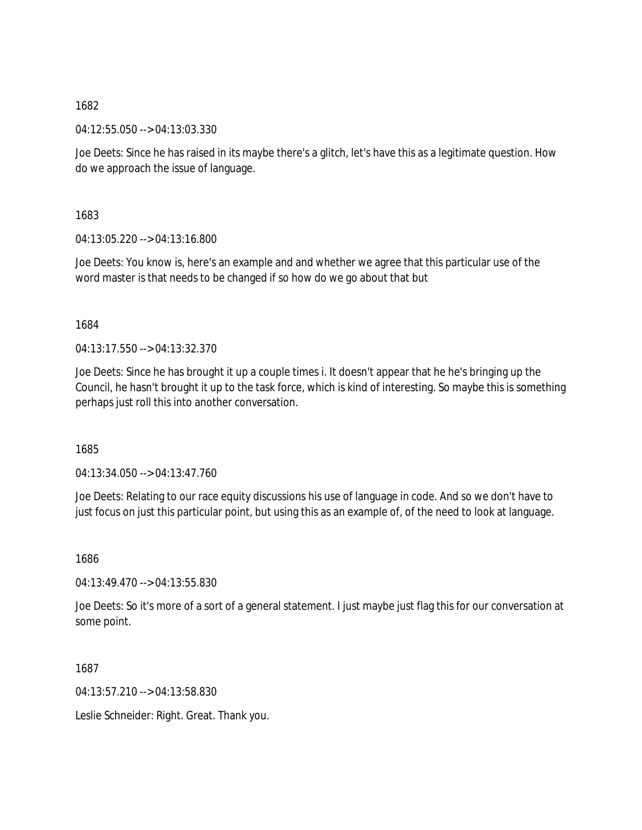04:12:55.050 --> 04:13:03.330

Joe Deets: Since he has raised in its maybe there's a glitch, let's have this as a legitimate question. How do we approach the issue of language.

1683

04:13:05.220 --> 04:13:16.800

Joe Deets: You know is, here's an example and and whether we agree that this particular use of the word master is that needs to be changed if so how do we go about that but

1684

04:13:17.550 --> 04:13:32.370

Joe Deets: Since he has brought it up a couple times i. It doesn't appear that he he's bringing up the Council, he hasn't brought it up to the task force, which is kind of interesting. So maybe this is something perhaps just roll this into another conversation.

1685

04:13:34.050 --> 04:13:47.760

Joe Deets: Relating to our race equity discussions his use of language in code. And so we don't have to just focus on just this particular point, but using this as an example of, of the need to look at language.

1686

04:13:49.470 --> 04:13:55.830

Joe Deets: So it's more of a sort of a general statement. I just maybe just flag this for our conversation at some point.

1687

04:13:57.210 --> 04:13:58.830

Leslie Schneider: Right. Great. Thank you.